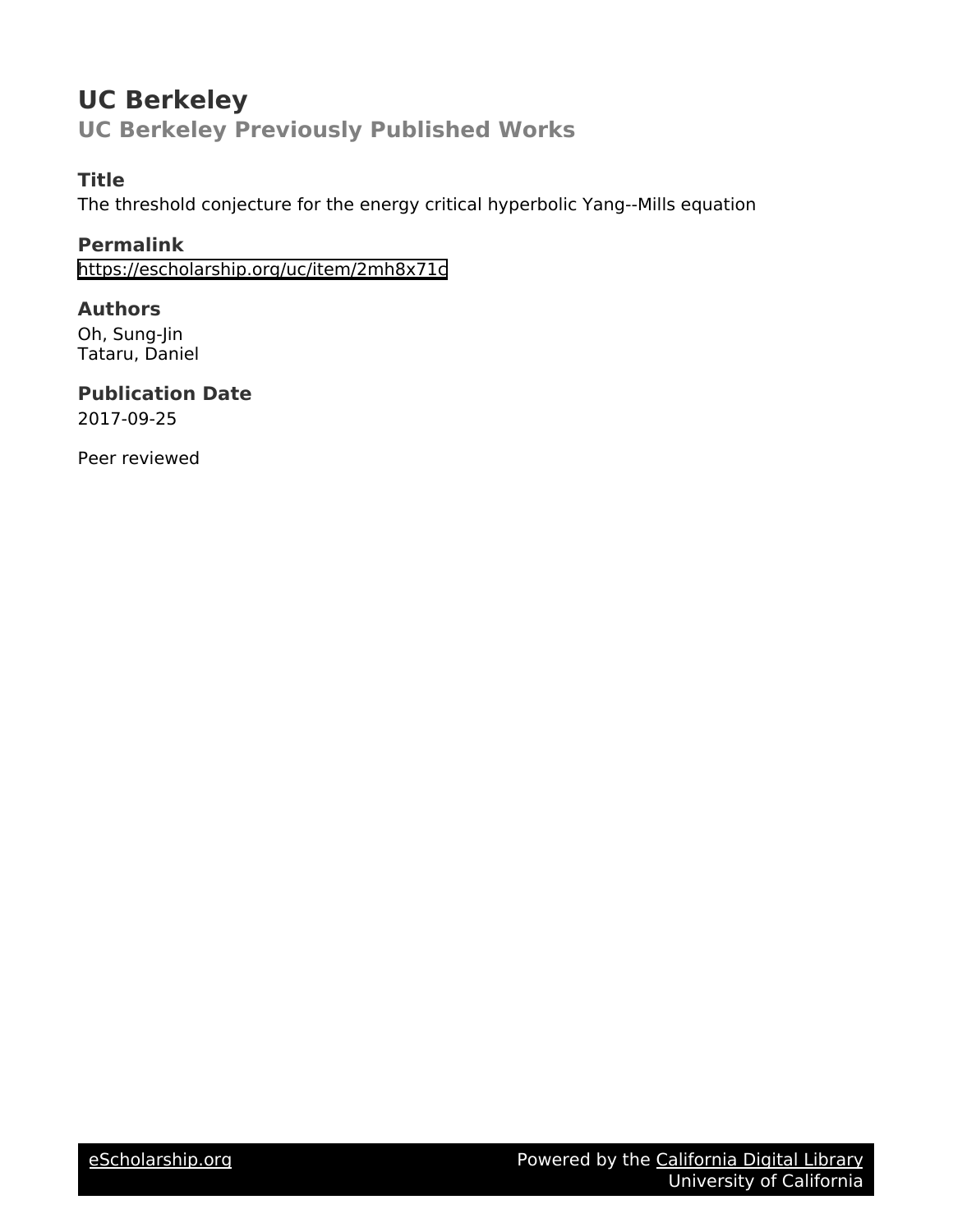# **UC Berkeley UC Berkeley Previously Published Works**

# **Title**

The threshold conjecture for the energy critical hyperbolic Yang--Mills equation

# **Permalink**

<https://escholarship.org/uc/item/2mh8x71c>

# **Authors**

Oh, Sung-Jin Tataru, Daniel

## **Publication Date** 2017-09-25

Peer reviewed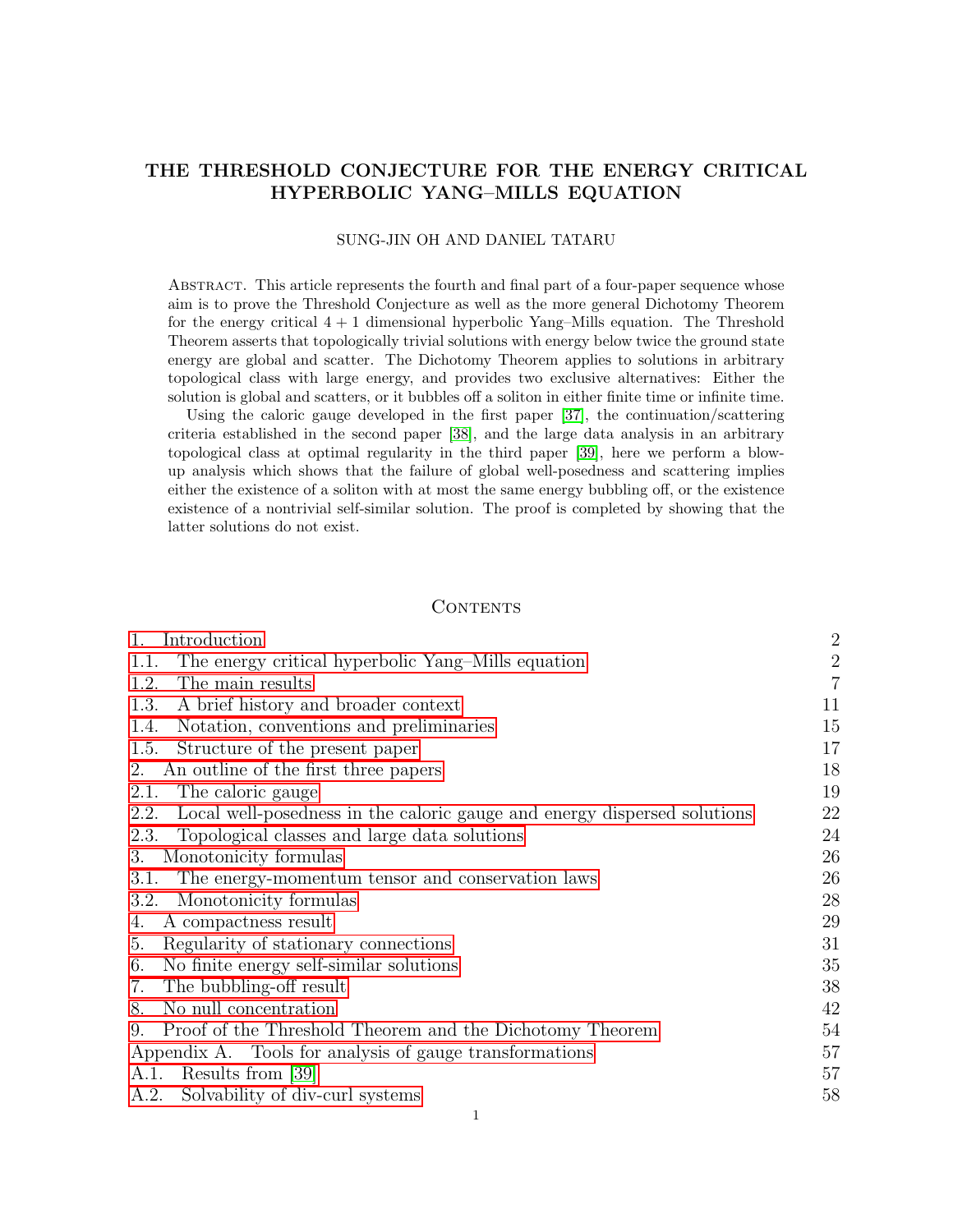### THE THRESHOLD CONJECTURE FOR THE ENERGY CRITICAL HYPERBOLIC YANG–MILLS EQUATION

#### SUNG-JIN OH AND DANIEL TATARU

Abstract. This article represents the fourth and final part of a four-paper sequence whose aim is to prove the Threshold Conjecture as well as the more general Dichotomy Theorem for the energy critical  $4 + 1$  dimensional hyperbolic Yang–Mills equation. The Threshold Theorem asserts that topologically trivial solutions with energy below twice the ground state energy are global and scatter. The Dichotomy Theorem applies to solutions in arbitrary topological class with large energy, and provides two exclusive alternatives: Either the solution is global and scatters, or it bubbles off a soliton in either finite time or infinite time.

Using the caloric gauge developed in the first paper [\[37\]](#page-64-0), the continuation/scattering criteria established in the second paper [\[38\]](#page-64-1), and the large data analysis in an arbitrary topological class at optimal regularity in the third paper [\[39\]](#page-64-2), here we perform a blowup analysis which shows that the failure of global well-posedness and scattering implies either the existence of a soliton with at most the same energy bubbling off, or the existence existence of a nontrivial self-similar solution. The proof is completed by showing that the latter solutions do not exist.

#### CONTENTS

| Introduction<br>1.                                                               | $\sqrt{2}$     |  |  |
|----------------------------------------------------------------------------------|----------------|--|--|
| The energy critical hyperbolic Yang-Mills equation<br>1.1.                       | $\sqrt{2}$     |  |  |
| The main results<br>1.2.                                                         | $\overline{7}$ |  |  |
| A brief history and broader context<br>1.3.                                      | 11             |  |  |
| Notation, conventions and preliminaries<br>1.4.                                  |                |  |  |
| Structure of the present paper<br>1.5.                                           | 17             |  |  |
| An outline of the first three papers<br>2.                                       |                |  |  |
| The caloric gauge<br>2.1.                                                        | 19             |  |  |
| Local well-posedness in the caloric gauge and energy dispersed solutions<br>2.2. | 22             |  |  |
| Topological classes and large data solutions<br>2.3.                             | 24             |  |  |
| Monotonicity formulas<br>3.                                                      |                |  |  |
| The energy-momentum tensor and conservation laws<br>3.1.                         | 26             |  |  |
| Monotonicity formulas<br>3.2.                                                    | 28             |  |  |
| A compactness result<br>4.                                                       | 29             |  |  |
| Regularity of stationary connections<br>5.                                       |                |  |  |
| No finite energy self-similar solutions<br>6.                                    | 35             |  |  |
| The bubbling-off result<br>7.                                                    | 38             |  |  |
| No null concentration<br>8.                                                      | 42             |  |  |
| Proof of the Threshold Theorem and the Dichotomy Theorem<br>9.                   | 54             |  |  |
| Appendix A. Tools for analysis of gauge transformations                          |                |  |  |
| Results from [39]<br>A.1.                                                        |                |  |  |
| Solvability of div-curl systems<br>A.2.                                          | 58             |  |  |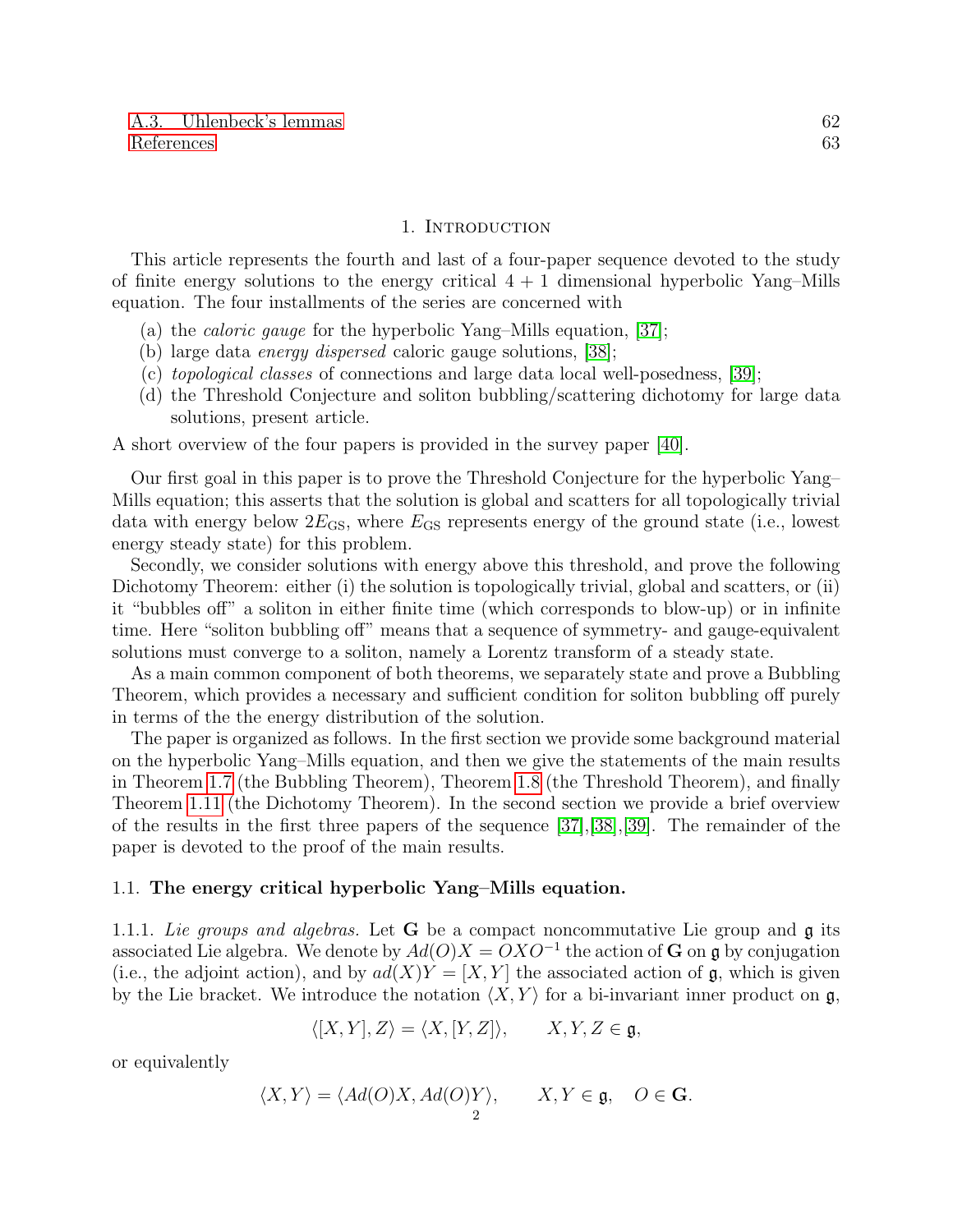#### 1. Introduction

<span id="page-2-0"></span>This article represents the fourth and last of a four-paper sequence devoted to the study of finite energy solutions to the energy critical  $4 + 1$  dimensional hyperbolic Yang–Mills equation. The four installments of the series are concerned with

- (a) the caloric gauge for the hyperbolic Yang–Mills equation, [\[37\]](#page-64-0);
- (b) large data *energy dispersed* caloric gauge solutions, [\[38\]](#page-64-1);
- (c) topological classes of connections and large data local well-posedness, [\[39\]](#page-64-2);
- (d) the Threshold Conjecture and soliton bubbling/scattering dichotomy for large data solutions, present article.

A short overview of the four papers is provided in the survey paper [\[40\]](#page-64-3).

Our first goal in this paper is to prove the Threshold Conjecture for the hyperbolic Yang– Mills equation; this asserts that the solution is global and scatters for all topologically trivial data with energy below  $2E_{\text{GS}}$ , where  $E_{\text{GS}}$  represents energy of the ground state (i.e., lowest energy steady state) for this problem.

Secondly, we consider solutions with energy above this threshold, and prove the following Dichotomy Theorem: either (i) the solution is topologically trivial, global and scatters, or (ii) it "bubbles off" a soliton in either finite time (which corresponds to blow-up) or in infinite time. Here "soliton bubbling off" means that a sequence of symmetry- and gauge-equivalent solutions must converge to a soliton, namely a Lorentz transform of a steady state.

As a main common component of both theorems, we separately state and prove a Bubbling Theorem, which provides a necessary and sufficient condition for soliton bubbling off purely in terms of the the energy distribution of the solution.

The paper is organized as follows. In the first section we provide some background material on the hyperbolic Yang–Mills equation, and then we give the statements of the main results in Theorem [1.7](#page-8-0) (the Bubbling Theorem), Theorem [1.8](#page-10-0) (the Threshold Theorem), and finally Theorem [1.11](#page-11-1) (the Dichotomy Theorem). In the second section we provide a brief overview of the results in the first three papers of the sequence [\[37\]](#page-64-0),[\[38\]](#page-64-1),[\[39\]](#page-64-2). The remainder of the paper is devoted to the proof of the main results.

#### <span id="page-2-1"></span>1.1. The energy critical hyperbolic Yang–Mills equation.

1.1.1. Lie groups and algebras. Let **G** be a compact noncommutative Lie group and  $\mathfrak{g}$  its associated Lie algebra. We denote by  $Ad(O)X = OXO^{-1}$  the action of G on g by conjugation (i.e., the adjoint action), and by  $ad(X)Y = [X, Y]$  the associated action of g, which is given by the Lie bracket. We introduce the notation  $\langle X, Y \rangle$  for a bi-invariant inner product on g,

$$
\langle [X,Y],Z\rangle = \langle X,[Y,Z]\rangle, \qquad X,Y,Z \in \mathfrak{g},
$$

or equivalently

$$
\langle X, Y \rangle = \langle Ad(O)X, Ad(O)Y \rangle, \qquad X, Y \in \mathfrak{g}, \quad O \in \mathbf{G}.
$$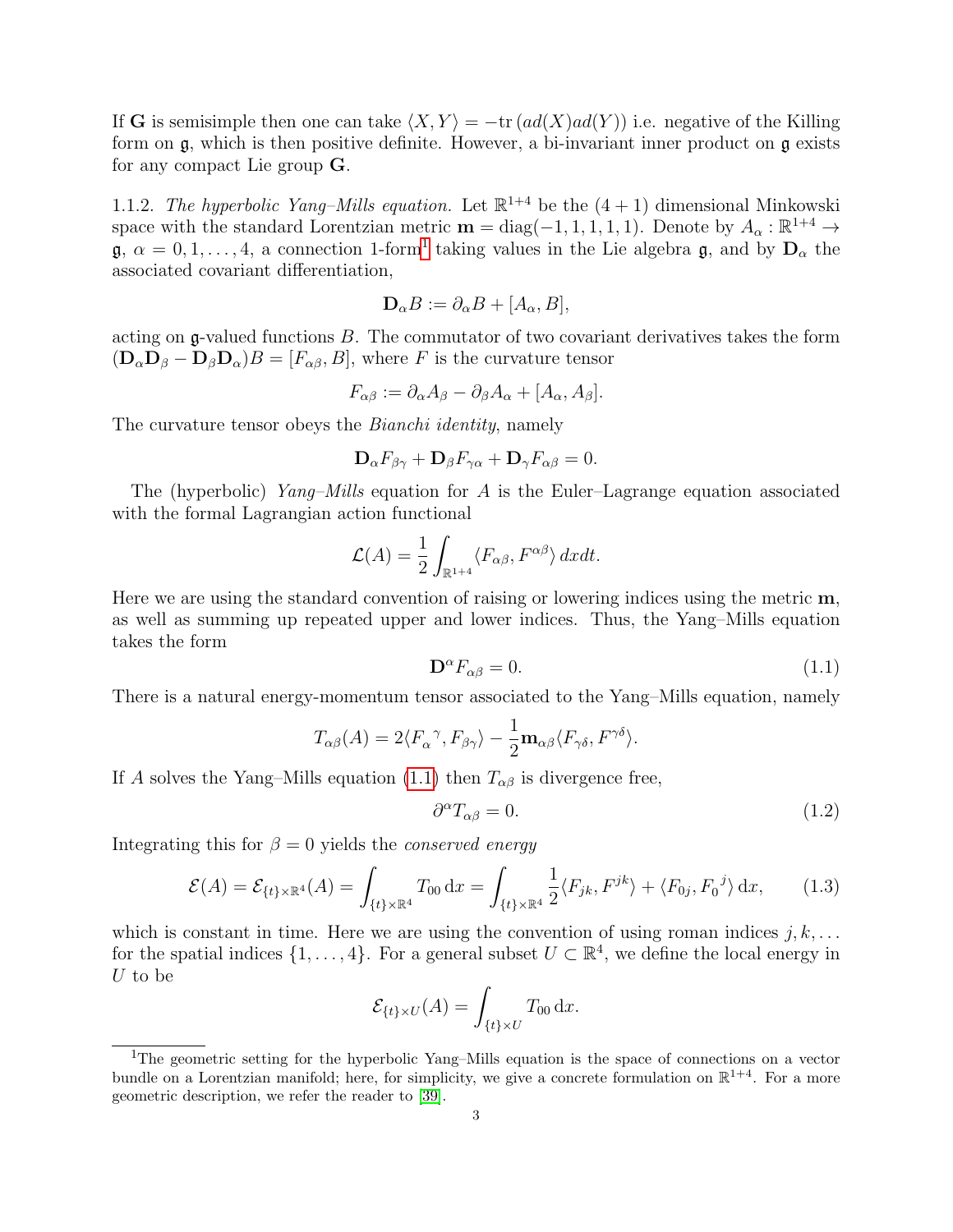If G is semisimple then one can take  $\langle X, Y \rangle = -\text{tr} (ad(X)ad(Y))$  i.e. negative of the Killing form on  $\mathfrak{g}$ , which is then positive definite. However, a bi-invariant inner product on  $\mathfrak{g}$  exists for any compact Lie group G.

1.1.2. The hyperbolic Yang–Mills equation. Let  $\mathbb{R}^{1+4}$  be the  $(4+1)$  dimensional Minkowski space with the standard Lorentzian metric  $\mathbf{m} = \text{diag}(-1, 1, 1, 1, 1)$ . Denote by  $A_{\alpha}: \mathbb{R}^{1+4} \to$  $\mathfrak{g}, \alpha = 0, 1, \ldots, 4$  $\mathfrak{g}, \alpha = 0, 1, \ldots, 4$  $\mathfrak{g}, \alpha = 0, 1, \ldots, 4$ , a connection 1-form<sup>1</sup> taking values in the Lie algebra  $\mathfrak{g},$  and by  $\mathbf{D}_{\alpha}$  the associated covariant differentiation,

$$
\mathbf{D}_{\alpha}B := \partial_{\alpha}B + [A_{\alpha}, B],
$$

acting on  $\mathfrak g$ -valued functions  $B$ . The commutator of two covariant derivatives takes the form  $(D_{\alpha}D_{\beta} - D_{\beta}D_{\alpha})B = [F_{\alpha\beta}, B]$ , where F is the curvature tensor

$$
F_{\alpha\beta} := \partial_{\alpha}A_{\beta} - \partial_{\beta}A_{\alpha} + [A_{\alpha}, A_{\beta}].
$$

The curvature tensor obeys the *Bianchi identity*, namely

$$
\mathbf{D}_{\alpha}F_{\beta\gamma} + \mathbf{D}_{\beta}F_{\gamma\alpha} + \mathbf{D}_{\gamma}F_{\alpha\beta} = 0.
$$

The (hyperbolic)  $Yang-Mills$  equation for A is the Euler–Lagrange equation associated with the formal Lagrangian action functional

$$
\mathcal{L}(A) = \frac{1}{2} \int_{\mathbb{R}^{1+4}} \langle F_{\alpha\beta}, F^{\alpha\beta} \rangle dx dt.
$$

Here we are using the standard convention of raising or lowering indices using the metric m, as well as summing up repeated upper and lower indices. Thus, the Yang–Mills equation takes the form

<span id="page-3-1"></span>
$$
\mathbf{D}^{\alpha}F_{\alpha\beta} = 0. \tag{1.1}
$$

There is a natural energy-momentum tensor associated to the Yang–Mills equation, namely

$$
T_{\alpha\beta}(A) = 2\langle F_{\alpha}{}^{\gamma}, F_{\beta\gamma} \rangle - \frac{1}{2} \mathbf{m}_{\alpha\beta} \langle F_{\gamma\delta}, F^{\gamma\delta} \rangle.
$$

If A solves the Yang–Mills equation [\(1.1\)](#page-3-1) then  $T_{\alpha\beta}$  is divergence free,

$$
\partial^{\alpha}T_{\alpha\beta} = 0. \tag{1.2}
$$

Integrating this for  $\beta = 0$  yields the *conserved energy* 

$$
\mathcal{E}(A) = \mathcal{E}_{\{t\} \times \mathbb{R}^4}(A) = \int_{\{t\} \times \mathbb{R}^4} T_{00} \, dx = \int_{\{t\} \times \mathbb{R}^4} \frac{1}{2} \langle F_{jk}, F^{jk} \rangle + \langle F_{0j}, F_0^j \rangle \, dx,\tag{1.3}
$$

which is constant in time. Here we are using the convention of using roman indices  $j, k, \ldots$ for the spatial indices  $\{1, \ldots, 4\}$ . For a general subset  $U \subset \mathbb{R}^4$ , we define the local energy in  $\boldsymbol{U}$  to be

$$
\mathcal{E}_{\{t\}\times U}(A) = \int_{\{t\}\times U} T_{00} \, \mathrm{d}x.
$$

<span id="page-3-0"></span><sup>1</sup>The geometric setting for the hyperbolic Yang–Mills equation is the space of connections on a vector bundle on a Lorentzian manifold; here, for simplicity, we give a concrete formulation on  $\mathbb{R}^{1+4}$ . For a more geometric description, we refer the reader to [\[39\]](#page-64-2).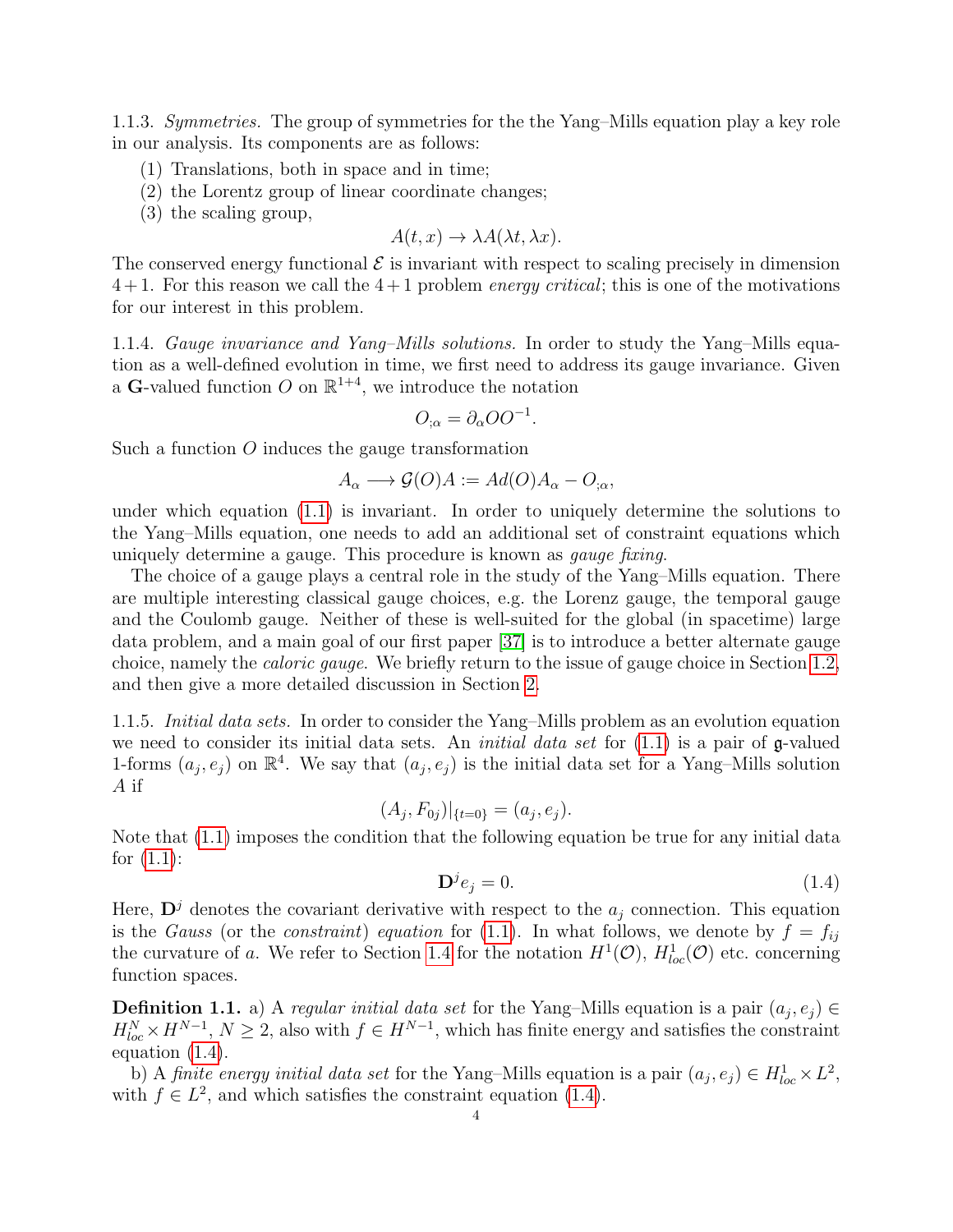1.1.3. Symmetries. The group of symmetries for the the Yang–Mills equation play a key role in our analysis. Its components are as follows:

- (1) Translations, both in space and in time;
- (2) the Lorentz group of linear coordinate changes;
- (3) the scaling group,

$$
A(t, x) \to \lambda A(\lambda t, \lambda x).
$$

The conserved energy functional  $\mathcal E$  is invariant with respect to scaling precisely in dimension  $4+1$ . For this reason we call the  $4+1$  problem *energy critical*; this is one of the motivations for our interest in this problem.

1.1.4. Gauge invariance and Yang–Mills solutions. In order to study the Yang–Mills equation as a well-defined evolution in time, we first need to address its gauge invariance. Given a **G**-valued function O on  $\mathbb{R}^{1+4}$ , we introduce the notation

$$
O_{;\alpha} = \partial_{\alpha} O O^{-1}.
$$

Such a function O induces the gauge transformation

$$
A_{\alpha} \longrightarrow \mathcal{G}(O)A := Ad(O)A_{\alpha} - O_{;\alpha},
$$

under which equation [\(1.1\)](#page-3-1) is invariant. In order to uniquely determine the solutions to the Yang–Mills equation, one needs to add an additional set of constraint equations which uniquely determine a gauge. This procedure is known as *gauge fixing*.

The choice of a gauge plays a central role in the study of the Yang–Mills equation. There are multiple interesting classical gauge choices, e.g. the Lorenz gauge, the temporal gauge and the Coulomb gauge. Neither of these is well-suited for the global (in spacetime) large data problem, and a main goal of our first paper [\[37\]](#page-64-0) is to introduce a better alternate gauge choice, namely the caloric gauge. We briefly return to the issue of gauge choice in Section [1.2,](#page-7-0) and then give a more detailed discussion in Section [2.](#page-18-0)

1.1.5. Initial data sets. In order to consider the Yang–Mills problem as an evolution equation we need to consider its initial data sets. An *initial data set* for  $(1.1)$  is a pair of  $\mathfrak{g}\text{-valued}$ 1-forms  $(a_j, e_j)$  on  $\mathbb{R}^4$ . We say that  $(a_j, e_j)$  is the initial data set for a Yang-Mills solution A if

 $(A_j, F_{0j})|_{\{t=0\}} = (a_j, e_j).$ 

Note that [\(1.1\)](#page-3-1) imposes the condition that the following equation be true for any initial data for  $(1.1)$ :

<span id="page-4-0"></span>
$$
\mathbf{D}^j e_j = 0. \tag{1.4}
$$

Here,  $\mathbf{D}^{j}$  denotes the covariant derivative with respect to the  $a_j$  connection. This equation is the Gauss (or the constraint) equation for [\(1.1\)](#page-3-1). In what follows, we denote by  $f = f_{ij}$ the curvature of a. We refer to Section [1.4](#page-15-0) for the notation  $H^1(\mathcal{O})$ ,  $H^1_{loc}(\mathcal{O})$  etc. concerning function spaces.

**Definition 1.1.** a) A regular initial data set for the Yang-Mills equation is a pair  $(a_j, e_j) \in$  $H_{loc}^N \times H^{N-1}$ ,  $N \geq 2$ , also with  $f \in H^{N-1}$ , which has finite energy and satisfies the constraint equation [\(1.4\)](#page-4-0).

b) A finite energy initial data set for the Yang-Mills equation is a pair  $(a_j, e_j) \in H_{loc}^1 \times L^2$ , with  $f \in L^2$ , and which satisfies the constraint equation [\(1.4\)](#page-4-0).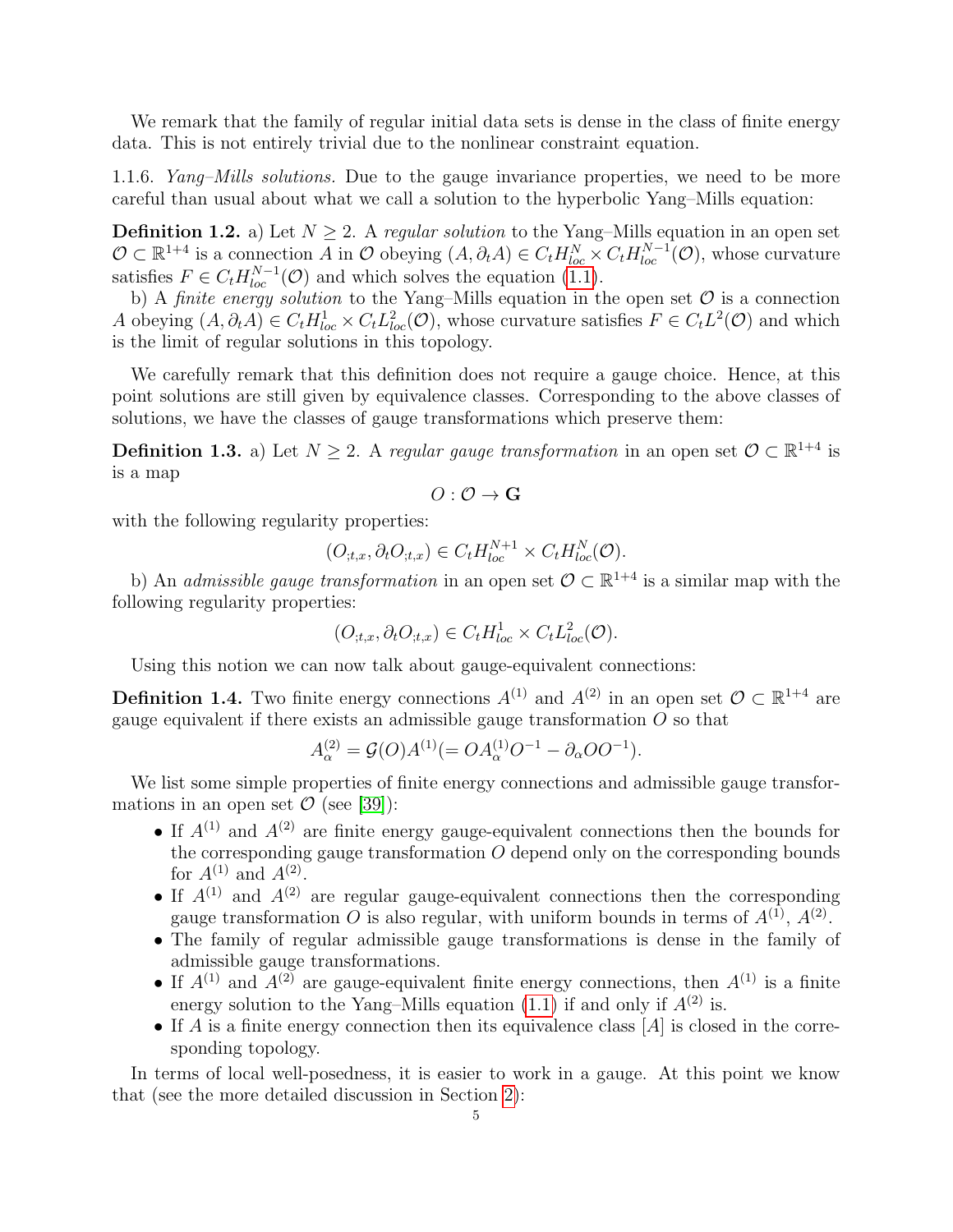We remark that the family of regular initial data sets is dense in the class of finite energy data. This is not entirely trivial due to the nonlinear constraint equation.

1.1.6. Yang–Mills solutions. Due to the gauge invariance properties, we need to be more careful than usual about what we call a solution to the hyperbolic Yang–Mills equation:

**Definition 1.2.** a) Let  $N \geq 2$ . A regular solution to the Yang–Mills equation in an open set  $\mathcal{O} \subset \mathbb{R}^{1+4}$  is a connection A in  $\mathcal{O}$  obeying  $(A, \partial_t A) \in C_t H_{loc}^N \times C_t H_{loc}^{N-1}(\mathcal{O})$ , whose curvature satisfies  $F \in C_t H^{N-1}_{loc}(\mathcal{O})$  and which solves the equation [\(1.1\)](#page-3-1).

b) A finite energy solution to the Yang–Mills equation in the open set  $\mathcal O$  is a connection A obeying  $(A, \partial_t A) \in C_t H^1_{loc} \times C_t L^2_{loc}(\mathcal{O})$ , whose curvature satisfies  $F \in C_t L^2(\mathcal{O})$  and which is the limit of regular solutions in this topology.

We carefully remark that this definition does not require a gauge choice. Hence, at this point solutions are still given by equivalence classes. Corresponding to the above classes of solutions, we have the classes of gauge transformations which preserve them:

<span id="page-5-0"></span>**Definition 1.3.** a) Let  $N \geq 2$ . A regular gauge transformation in an open set  $\mathcal{O} \subset \mathbb{R}^{1+4}$  is is a map

 $O: \mathcal{O} \rightarrow G$ 

with the following regularity properties:

$$
(O_{t,x}, \partial_t O_{t,x}) \in C_t H_{loc}^{N+1} \times C_t H_{loc}^N(\mathcal{O}).
$$

b) An *admissible gauge transformation* in an open set  $\mathcal{O} \subset \mathbb{R}^{1+4}$  is a similar map with the following regularity properties:

 $(O_{,t,x}, \partial_t O_{,t,x}) \in C_t H^1_{loc} \times C_t L^2_{loc}(\mathcal{O}).$ 

Using this notion we can now talk about gauge-equivalent connections:

**Definition 1.4.** Two finite energy connections  $A^{(1)}$  and  $A^{(2)}$  in an open set  $\mathcal{O} \subset \mathbb{R}^{1+4}$  are gauge equivalent if there exists an admissible gauge transformation  $O$  so that

$$
A_{\alpha}^{(2)} = \mathcal{G}(O)A^{(1)} (= OA_{\alpha}^{(1)}O^{-1} - \partial_{\alpha}OO^{-1}).
$$

We list some simple properties of finite energy connections and admissible gauge transformations in an open set  $\mathcal O$  (see [\[39\]](#page-64-2)):

- If  $A^{(1)}$  and  $A^{(2)}$  are finite energy gauge-equivalent connections then the bounds for the corresponding gauge transformation  $O$  depend only on the corresponding bounds for  $A^{(1)}$  and  $A^{(2)}$ .
- If  $A^{(1)}$  and  $A^{(2)}$  are regular gauge-equivalent connections then the corresponding gauge transformation O is also regular, with uniform bounds in terms of  $A^{(1)}$ ,  $A^{(2)}$ .
- The family of regular admissible gauge transformations is dense in the family of admissible gauge transformations.
- If  $A^{(1)}$  and  $A^{(2)}$  are gauge-equivalent finite energy connections, then  $A^{(1)}$  is a finite energy solution to the Yang–Mills equation  $(1.1)$  if and only if  $A^{(2)}$  is.
- If A is a finite energy connection then its equivalence class  $[A]$  is closed in the corresponding topology.

In terms of local well-posedness, it is easier to work in a gauge. At this point we know that (see the more detailed discussion in Section [2\)](#page-18-0):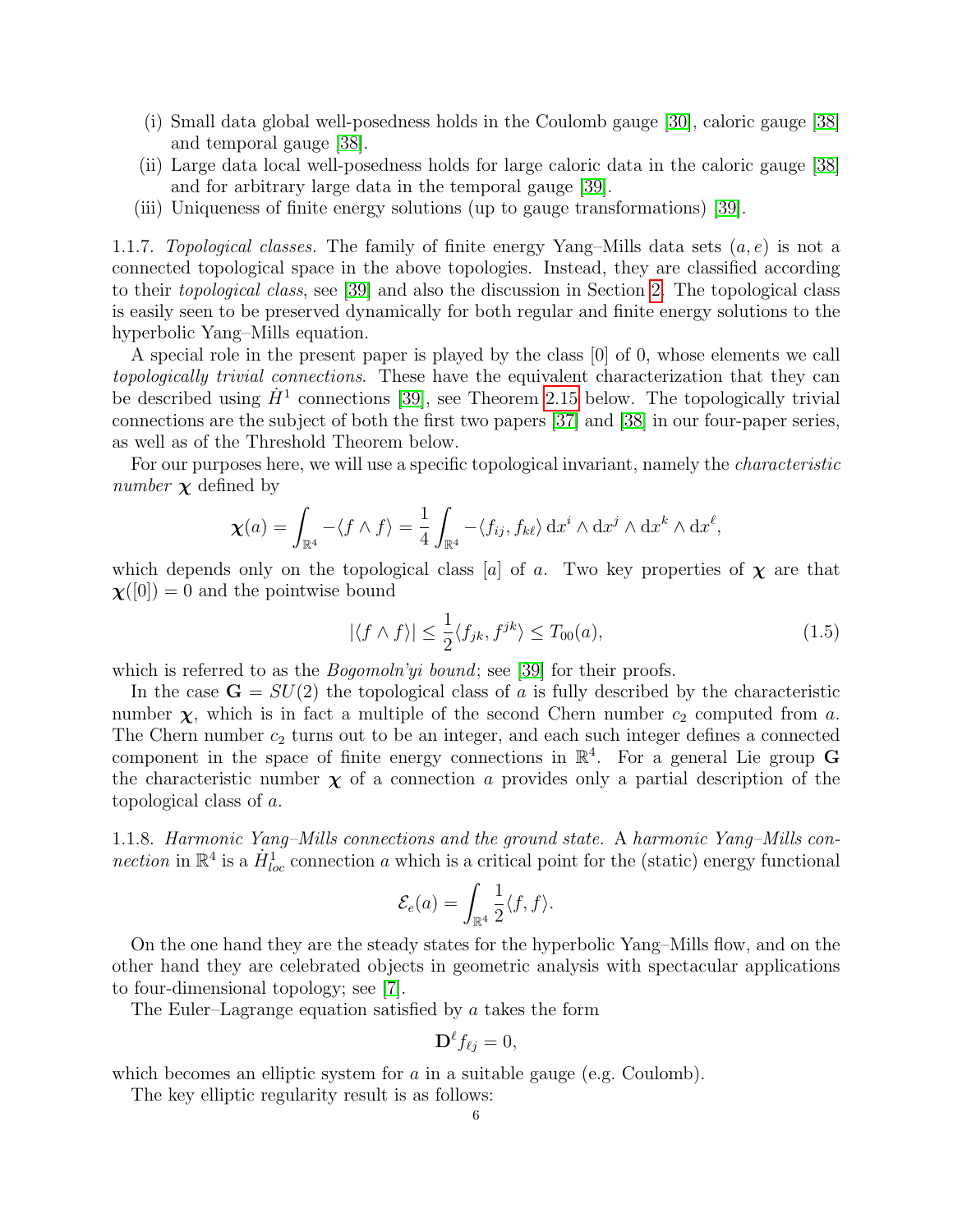- (i) Small data global well-posedness holds in the Coulomb gauge [\[30\]](#page-64-4), caloric gauge [\[38\]](#page-64-1) and temporal gauge [\[38\]](#page-64-1).
- (ii) Large data local well-posedness holds for large caloric data in the caloric gauge [\[38\]](#page-64-1) and for arbitrary large data in the temporal gauge [\[39\]](#page-64-2).
- (iii) Uniqueness of finite energy solutions (up to gauge transformations) [\[39\]](#page-64-2).

1.1.7. Topological classes. The family of finite energy Yang–Mills data sets  $(a, e)$  is not a connected topological space in the above topologies. Instead, they are classified according to their topological class, see [\[39\]](#page-64-2) and also the discussion in Section [2.](#page-18-0) The topological class is easily seen to be preserved dynamically for both regular and finite energy solutions to the hyperbolic Yang–Mills equation.

A special role in the present paper is played by the class [0] of 0, whose elements we call topologically trivial connections. These have the equivalent characterization that they can be described using  $\dot{H}^1$  connections [\[39\]](#page-64-2), see Theorem [2.15](#page-24-1) below. The topologically trivial connections are the subject of both the first two papers [\[37\]](#page-64-0) and [\[38\]](#page-64-1) in our four-paper series, as well as of the Threshold Theorem below.

For our purposes here, we will use a specific topological invariant, namely the *characteristic number*  $\chi$  defined by

$$
\chi(a) = \int_{\mathbb{R}^4} -\langle f \wedge f \rangle = \frac{1}{4} \int_{\mathbb{R}^4} -\langle f_{ij}, f_{k\ell} \rangle \, dx^i \wedge dx^j \wedge dx^k \wedge dx^{\ell},
$$

which depends only on the topological class [a] of a. Two key properties of  $\chi$  are that  $\chi([0]) = 0$  and the pointwise bound

<span id="page-6-0"></span>
$$
|\langle f \wedge f \rangle| \le \frac{1}{2} \langle f_{jk}, f^{jk} \rangle \le T_{00}(a),\tag{1.5}
$$

which is referred to as the *Bogomoln'yi bound*; see [\[39\]](#page-64-2) for their proofs.

In the case  $\mathbf{G} = SU(2)$  the topological class of a is fully described by the characteristic number  $\chi$ , which is in fact a multiple of the second Chern number  $c_2$  computed from a. The Chern number  $c_2$  turns out to be an integer, and each such integer defines a connected component in the space of finite energy connections in  $\mathbb{R}^4$ . For a general Lie group G the characteristic number  $\chi$  of a connection a provides only a partial description of the topological class of a.

1.1.8. Harmonic Yang–Mills connections and the ground state. A harmonic Yang–Mills connection in  $\mathbb{R}^4$  is a  $\dot{H}^1_{loc}$  connection a which is a critical point for the (static) energy functional

$$
\mathcal{E}_e(a) = \int_{\mathbb{R}^4} \frac{1}{2} \langle f, f \rangle.
$$

On the one hand they are the steady states for the hyperbolic Yang–Mills flow, and on the other hand they are celebrated objects in geometric analysis with spectacular applications to four-dimensional topology; see [\[7\]](#page-63-1).

The Euler–Lagrange equation satisfied by a takes the form

$$
\mathbf{D}^{\ell}f_{\ell j}=0,
$$

which becomes an elliptic system for  $a$  in a suitable gauge (e.g. Coulomb).

The key elliptic regularity result is as follows: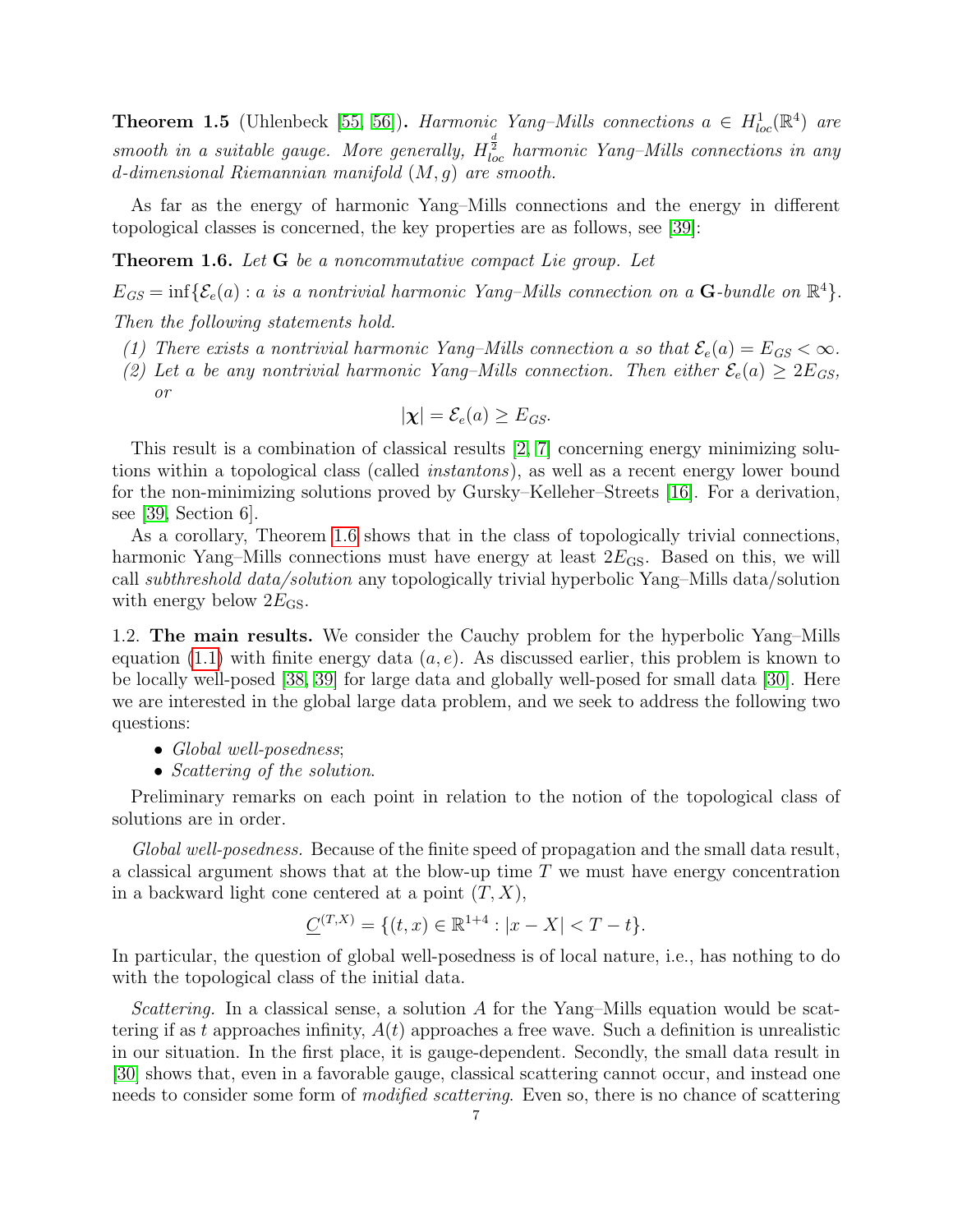<span id="page-7-2"></span>**Theorem 1.5** (Uhlenbeck [\[55,](#page-65-0) [56\]](#page-65-1)). Harmonic Yang-Mills connections  $a \in H_{loc}^1(\mathbb{R}^4)$  are smooth in a suitable gauge. More generally,  $H^{\frac{d}{2}}_{loc}$  harmonic Yang–Mills connections in any d-dimensional Riemannian manifold (M, g) are smooth.

As far as the energy of harmonic Yang–Mills connections and the energy in different topological classes is concerned, the key properties are as follows, see [\[39\]](#page-64-2):

<span id="page-7-1"></span>**Theorem 1.6.** Let **G** be a noncommutative compact Lie group. Let

 $E_{GS} = \inf \{ \mathcal{E}_e(a) : a \text{ is a nontrivial harmonic Yang-Mills connection on a } \mathbf{G}\text{-bundle on } \mathbb{R}^4 \}.$ 

Then the following statements hold.

- (1) There exists a nontrivial harmonic Yang–Mills connection a so that  $\mathcal{E}_e(a) = E_{GS} < \infty$ .
- (2) Let a be any nontrivial harmonic Yang–Mills connection. Then either  $\mathcal{E}_e(a) \geq 2E_{GS}$ , or

$$
|\chi| = \mathcal{E}_e(a) \ge E_{GS}.
$$

This result is a combination of classical results [\[2,](#page-63-2) [7\]](#page-63-1) concerning energy minimizing solutions within a topological class (called instantons), as well as a recent energy lower bound for the non-minimizing solutions proved by Gursky–Kelleher–Streets [\[16\]](#page-63-3). For a derivation, see [\[39,](#page-64-2) Section 6].

As a corollary, Theorem [1.6](#page-7-1) shows that in the class of topologically trivial connections, harmonic Yang–Mills connections must have energy at least  $2E_{\text{GS}}$ . Based on this, we will call subthreshold data/solution any topologically trivial hyperbolic Yang–Mills data/solution with energy below  $2E_{\text{GS}}$ .

<span id="page-7-0"></span>1.2. The main results. We consider the Cauchy problem for the hyperbolic Yang–Mills equation [\(1.1\)](#page-3-1) with finite energy data  $(a, e)$ . As discussed earlier, this problem is known to be locally well-posed [\[38,](#page-64-1) [39\]](#page-64-2) for large data and globally well-posed for small data [\[30\]](#page-64-4). Here we are interested in the global large data problem, and we seek to address the following two questions:

- Global well-posedness;
- Scattering of the solution.

Preliminary remarks on each point in relation to the notion of the topological class of solutions are in order.

Global well-posedness. Because of the finite speed of propagation and the small data result, a classical argument shows that at the blow-up time T we must have energy concentration in a backward light cone centered at a point  $(T, X)$ ,

$$
\underline{C}^{(T,X)} = \{ (t,x) \in \mathbb{R}^{1+4} : |x - X| < T - t \}.
$$

In particular, the question of global well-posedness is of local nature, i.e., has nothing to do with the topological class of the initial data.

Scattering. In a classical sense, a solution  $A$  for the Yang–Mills equation would be scattering if as t approaches infinity,  $A(t)$  approaches a free wave. Such a definition is unrealistic in our situation. In the first place, it is gauge-dependent. Secondly, the small data result in [\[30\]](#page-64-4) shows that, even in a favorable gauge, classical scattering cannot occur, and instead one needs to consider some form of *modified scattering*. Even so, there is no chance of scattering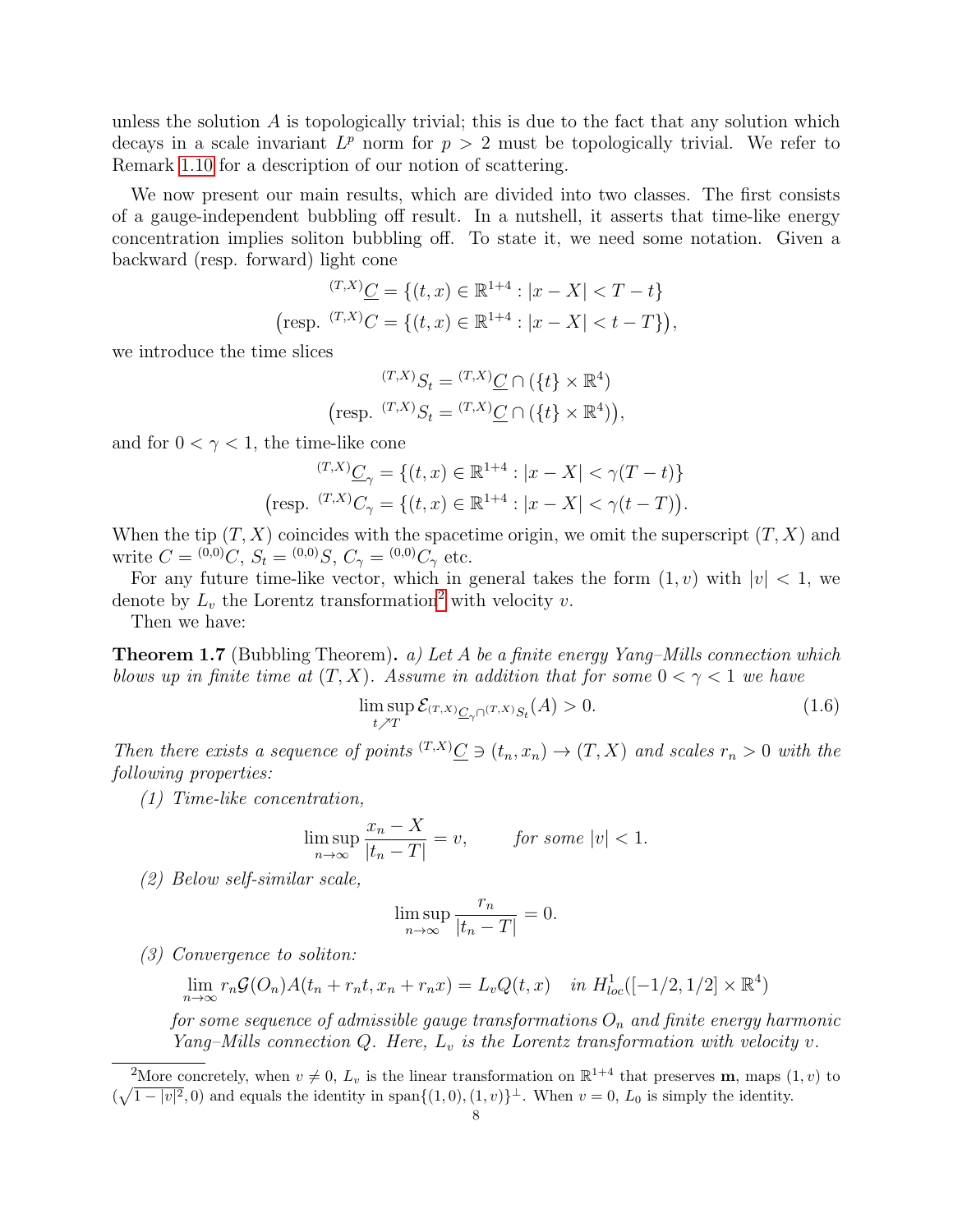unless the solution  $\vec{A}$  is topologically trivial; this is due to the fact that any solution which decays in a scale invariant  $L^p$  norm for  $p > 2$  must be topologically trivial. We refer to Remark [1.10](#page-10-1) for a description of our notion of scattering.

We now present our main results, which are divided into two classes. The first consists of a gauge-independent bubbling off result. In a nutshell, it asserts that time-like energy concentration implies soliton bubbling off. To state it, we need some notation. Given a backward (resp. forward) light cone

$$
\begin{aligned} \n\text{(T,X)} \underline{C} &= \{ (t,x) \in \mathbb{R}^{1+4} : |x - X| < T - t \} \\ \n\text{(resp. } \n\text{(T,X)} \underline{C} &= \{ (t,x) \in \mathbb{R}^{1+4} : |x - X| < t - T \} \}, \n\end{aligned}
$$

we introduce the time slices

$$
\begin{aligned} \n\text{(T,X)} \, S_t &= \n\text{(T,X)} \, C \cap \left( \{ t \} \times \mathbb{R}^4 \right) \\ \n\text{(resp. } \n\text{(T,X)} \, S_t &= \n\text{(T,X)} \, C \cap \left( \{ t \} \times \mathbb{R}^4 \right) \n\end{aligned}
$$

and for  $0 < \gamma < 1$ , the time-like cone

$$
\begin{aligned} \n\text{(T,X)} \underline{C}_{\gamma} &= \{ (t,x) \in \mathbb{R}^{1+4} : |x - X| < \gamma(T - t) \} \\ \n\text{(resp. } \n\text{(T,X)} C_{\gamma} &= \{ (t,x) \in \mathbb{R}^{1+4} : |x - X| < \gamma(t - T) \}. \n\end{aligned}
$$

When the tip  $(T, X)$  coincides with the spacetime origin, we omit the superscript  $(T, X)$  and write  $C = {}^{(0,0)}C$ ,  $S_t = {}^{(0,0)}S$ ,  $C_\gamma = {}^{(0,0)}C_\gamma$  etc.

For any future time-like vector, which in general takes the form  $(1, v)$  with  $|v| < 1$ , we denote by  $L_v$  the Lorentz transformation<sup>[2](#page-8-1)</sup> with velocity v.

Then we have:

<span id="page-8-0"></span>**Theorem 1.7** (Bubbling Theorem). a) Let A be a finite energy Yang–Mills connection which blows up in finite time at  $(T, X)$ . Assume in addition that for some  $0 < \gamma < 1$  we have

$$
\limsup_{t \nearrow T} \mathcal{E}_{(T,X)} \underline{C}_{\gamma} \cap (T,X) S_t(A) > 0. \tag{1.6}
$$

Then there exists a sequence of points  $^{(T,X)}\mathcal{C} \ni (t_n, x_n) \to (T, X)$  and scales  $r_n > 0$  with the following properties:

(1) Time-like concentration,

$$
\limsup_{n \to \infty} \frac{x_n - X}{|t_n - T|} = v, \qquad \text{for some } |v| < 1.
$$

(2) Below self-similar scale,

$$
\limsup_{n \to \infty} \frac{r_n}{|t_n - T|} = 0.
$$

(3) Convergence to soliton:

$$
\lim_{n \to \infty} r_n \mathcal{G}(O_n) A(t_n + r_n t, x_n + r_n x) = L_v Q(t, x) \quad \text{in } H^1_{loc}([-1/2, 1/2] \times \mathbb{R}^4)
$$

for some sequence of admissible gauge transformations  $O_n$  and finite energy harmonic Yang–Mills connection Q. Here,  $L_v$  is the Lorentz transformation with velocity v.

<span id="page-8-1"></span><sup>&</sup>lt;sup>2</sup>More concretely, when  $v \neq 0$ ,  $L_v$  is the linear transformation on  $\mathbb{R}^{1+4}$  that preserves **m**, maps  $(1, v)$  to  $(\sqrt{1-|v|^2},0)$  and equals the identity in span $\{(1,0),(1,v)\}^{\perp}$ . When  $v=0$ ,  $L_0$  is simply the identity.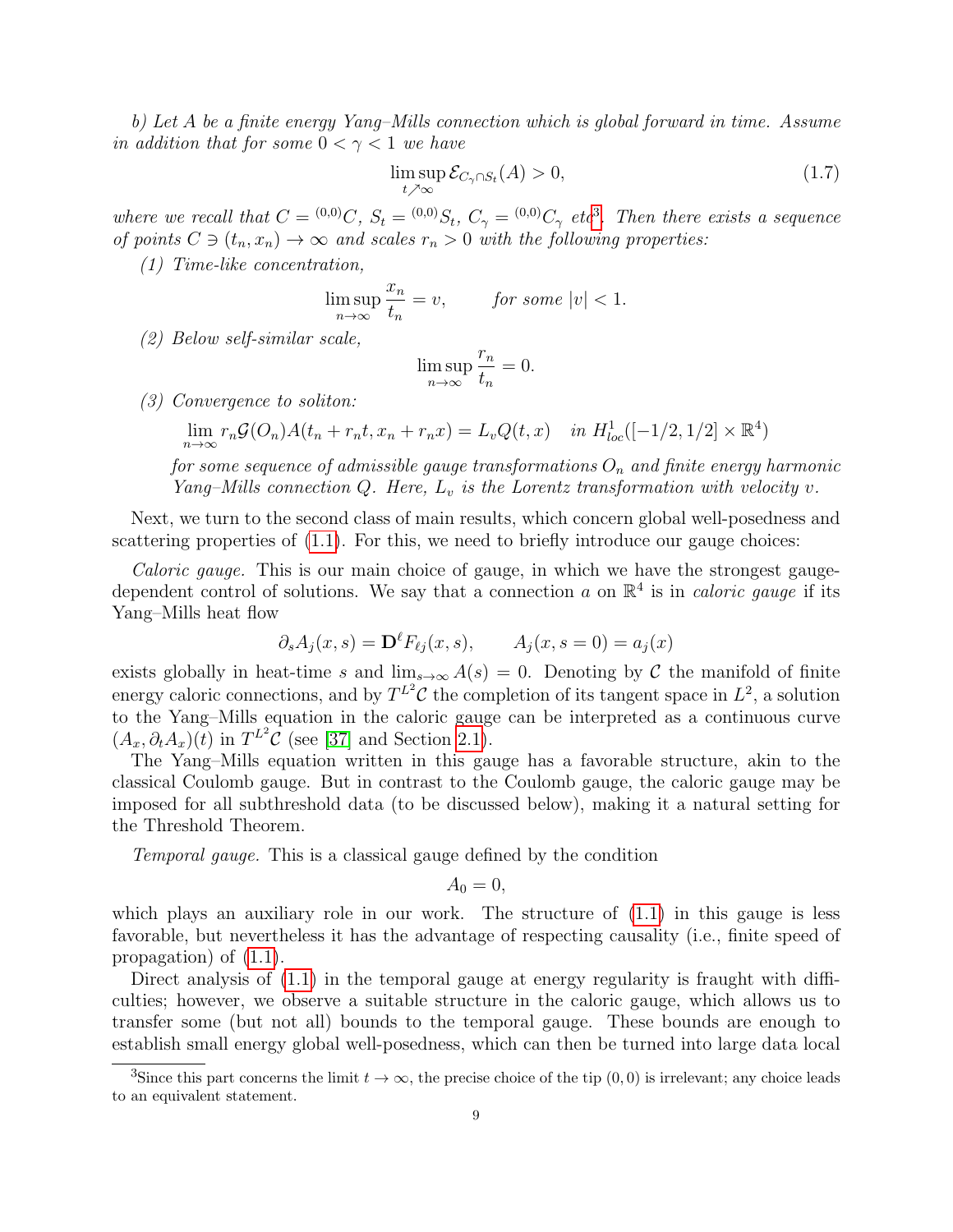b) Let A be a finite energy Yang–Mills connection which is global forward in time. Assume in addition that for some  $0 < \gamma < 1$  we have

$$
\limsup_{t \nearrow \infty} \mathcal{E}_{C_{\gamma} \cap S_t}(A) > 0,
$$
\n(1.7)

where we recall that  $C = (0,0)C$ ,  $S_t = (0,0)S_t$ ,  $C_{\gamma} = (0,0)C_{\gamma}$  etc<sup>[3](#page-9-0)</sup>. Then there exists a sequence of points  $C \ni (t_n, x_n) \to \infty$  and scales  $r_n > 0$  with the following properties:

(1) Time-like concentration,

$$
\limsup_{n \to \infty} \frac{x_n}{t_n} = v, \qquad \text{for some } |v| < 1.
$$

(2) Below self-similar scale,

$$
\limsup_{n \to \infty} \frac{r_n}{t_n} = 0.
$$

(3) Convergence to soliton:

$$
\lim_{n \to \infty} r_n \mathcal{G}(O_n) A(t_n + r_n t, x_n + r_n x) = L_v Q(t, x) \quad \text{in } H^1_{loc}([-1/2, 1/2] \times \mathbb{R}^4)
$$

for some sequence of admissible gauge transformations  $O_n$  and finite energy harmonic Yang–Mills connection Q. Here,  $L_v$  is the Lorentz transformation with velocity v.

Next, we turn to the second class of main results, which concern global well-posedness and scattering properties of  $(1.1)$ . For this, we need to briefly introduce our gauge choices:

Caloric gauge. This is our main choice of gauge, in which we have the strongest gaugedependent control of solutions. We say that a connection a on  $\mathbb{R}^4$  is in *caloric gauge* if its Yang–Mills heat flow

$$
\partial_s A_j(x, s) = \mathbf{D}^\ell F_{\ell j}(x, s), \qquad A_j(x, s = 0) = a_j(x)
$$

exists globally in heat-time s and  $\lim_{s\to\infty} A(s) = 0$ . Denoting by C the manifold of finite energy caloric connections, and by  $T^{L^2}$ C the completion of its tangent space in  $L^2$ , a solution to the Yang–Mills equation in the caloric gauge can be interpreted as a continuous curve  $(A_x, \partial_t A_x)(t)$  in  $T^{L^2}C$  (see [\[37\]](#page-64-0) and Section [2.1\)](#page-19-0).

The Yang–Mills equation written in this gauge has a favorable structure, akin to the classical Coulomb gauge. But in contrast to the Coulomb gauge, the caloric gauge may be imposed for all subthreshold data (to be discussed below), making it a natural setting for the Threshold Theorem.

Temporal gauge. This is a classical gauge defined by the condition

$$
A_0=0,
$$

which plays an auxiliary role in our work. The structure of  $(1.1)$  in this gauge is less favorable, but nevertheless it has the advantage of respecting causality (i.e., finite speed of propagation) of [\(1.1\)](#page-3-1).

Direct analysis of  $(1.1)$  in the temporal gauge at energy regularity is fraught with difficulties; however, we observe a suitable structure in the caloric gauge, which allows us to transfer some (but not all) bounds to the temporal gauge. These bounds are enough to establish small energy global well-posedness, which can then be turned into large data local

<span id="page-9-0"></span><sup>&</sup>lt;sup>3</sup>Since this part concerns the limit  $t \to \infty$ , the precise choice of the tip  $(0, 0)$  is irrelevant; any choice leads to an equivalent statement.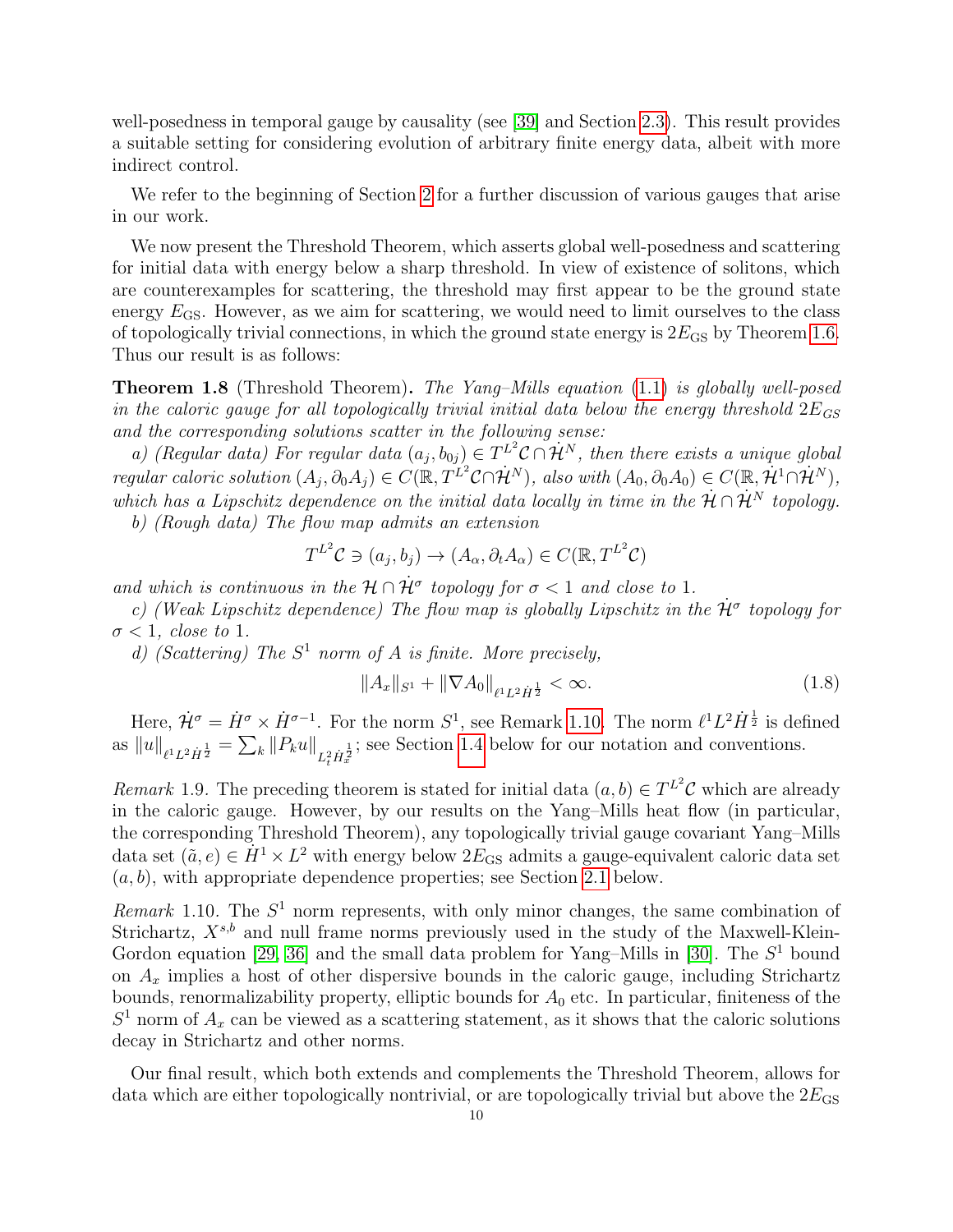well-posedness in temporal gauge by causality (see [\[39\]](#page-64-2) and Section [2.3\)](#page-24-0). This result provides a suitable setting for considering evolution of arbitrary finite energy data, albeit with more indirect control.

We refer to the beginning of Section [2](#page-18-0) for a further discussion of various gauges that arise in our work.

We now present the Threshold Theorem, which asserts global well-posedness and scattering for initial data with energy below a sharp threshold. In view of existence of solitons, which are counterexamples for scattering, the threshold may first appear to be the ground state energy  $E_{\text{GS}}$ . However, as we aim for scattering, we would need to limit ourselves to the class of topologically trivial connections, in which the ground state energy is  $2E_{GS}$  by Theorem [1.6.](#page-7-1) Thus our result is as follows:

<span id="page-10-0"></span>Theorem 1.8 (Threshold Theorem). The Yang–Mills equation [\(1.1\)](#page-3-1) is globally well-posed in the caloric gauge for all topologically trivial initial data below the energy threshold  $2E_{GS}$ and the corresponding solutions scatter in the following sense:

a) (Regular data) For regular data  $(a_j, b_{0j}) \in T^{L^2} \mathcal{C} \cap \dot{\mathcal{H}}^N$ , then there exists a unique global regular caloric solution  $(A_j, \partial_0 A_j) \in C(\mathbb{R}, T^{L^2} \mathcal{C} \cap \mathcal{H}^N)$ , also with  $(A_0, \partial_0 A_0) \in C(\mathbb{R}, \mathcal{H}^1 \cap \mathcal{H}^N)$ , which has a Lipschitz dependence on the initial data locally in time in the  $\mathcal{H} \cap \mathcal{H}^N$  topology.

b) (Rough data) The flow map admits an extension

$$
T^{L^2}\mathcal{C} \ni (a_j, b_j) \to (A_\alpha, \partial_t A_\alpha) \in C(\mathbb{R}, T^{L^2}\mathcal{C})
$$

and which is continuous in the  $\mathcal{H} \cap \dot{\mathcal{H}}^{\sigma}$  topology for  $\sigma < 1$  and close to 1.

c) (Weak Lipschitz dependence) The flow map is globally Lipschitz in the  $\dot{\mathcal{H}}^{\sigma}$  topology for  $\sigma$  < 1, close to 1.

d) (Scattering) The  $S^1$  norm of A is finite. More precisely,

$$
||A_x||_{S^1} + ||\nabla A_0||_{\ell^1 L^2 \dot{H}^{\frac{1}{2}}} < \infty.
$$
\n(1.8)

Here,  $\dot{\mathcal{H}}^{\sigma} = \dot{H}^{\sigma} \times \dot{H}^{\sigma-1}$ . For the norm  $S^1$ , see Remark [1.10.](#page-10-1) The norm  $\ell^1 L^2 \dot{H}^{\frac{1}{2}}$  is defined as  $||u||_{\ell^1 L^2 \dot{H}^{\frac{1}{2}}} = \sum_k ||P_k u||_{L^2_t \dot{H}^{\frac{1}{2}}}$ ; see Section [1.4](#page-15-0) below for our notation and conventions.

Remark 1.9. The preceding theorem is stated for initial data  $(a, b) \in T^{L^2}$ C which are already in the caloric gauge. However, by our results on the Yang–Mills heat flow (in particular, the corresponding Threshold Theorem), any topologically trivial gauge covariant Yang–Mills data set  $(\tilde{a}, e) \in \dot{H}^1 \times L^2$  with energy below  $2E_{\text{GS}}$  admits a gauge-equivalent caloric data set  $(a, b)$ , with appropriate dependence properties; see Section [2.1](#page-19-0) below.

<span id="page-10-1"></span>Remark 1.10. The  $S<sup>1</sup>$  norm represents, with only minor changes, the same combination of Strichartz,  $X^{s,b}$  and null frame norms previously used in the study of the Maxwell-Klein-Gordon equation [\[29,](#page-64-5) [36\]](#page-64-6) and the small data problem for Yang–Mills in [\[30\]](#page-64-4). The  $S<sup>1</sup>$  bound on  $A_x$  implies a host of other dispersive bounds in the caloric gauge, including Strichartz bounds, renormalizability property, elliptic bounds for  $A_0$  etc. In particular, finiteness of the  $S<sup>1</sup>$  norm of  $A_x$  can be viewed as a scattering statement, as it shows that the caloric solutions decay in Strichartz and other norms.

Our final result, which both extends and complements the Threshold Theorem, allows for data which are either topologically nontrivial, or are topologically trivial but above the  $2E_{GS}$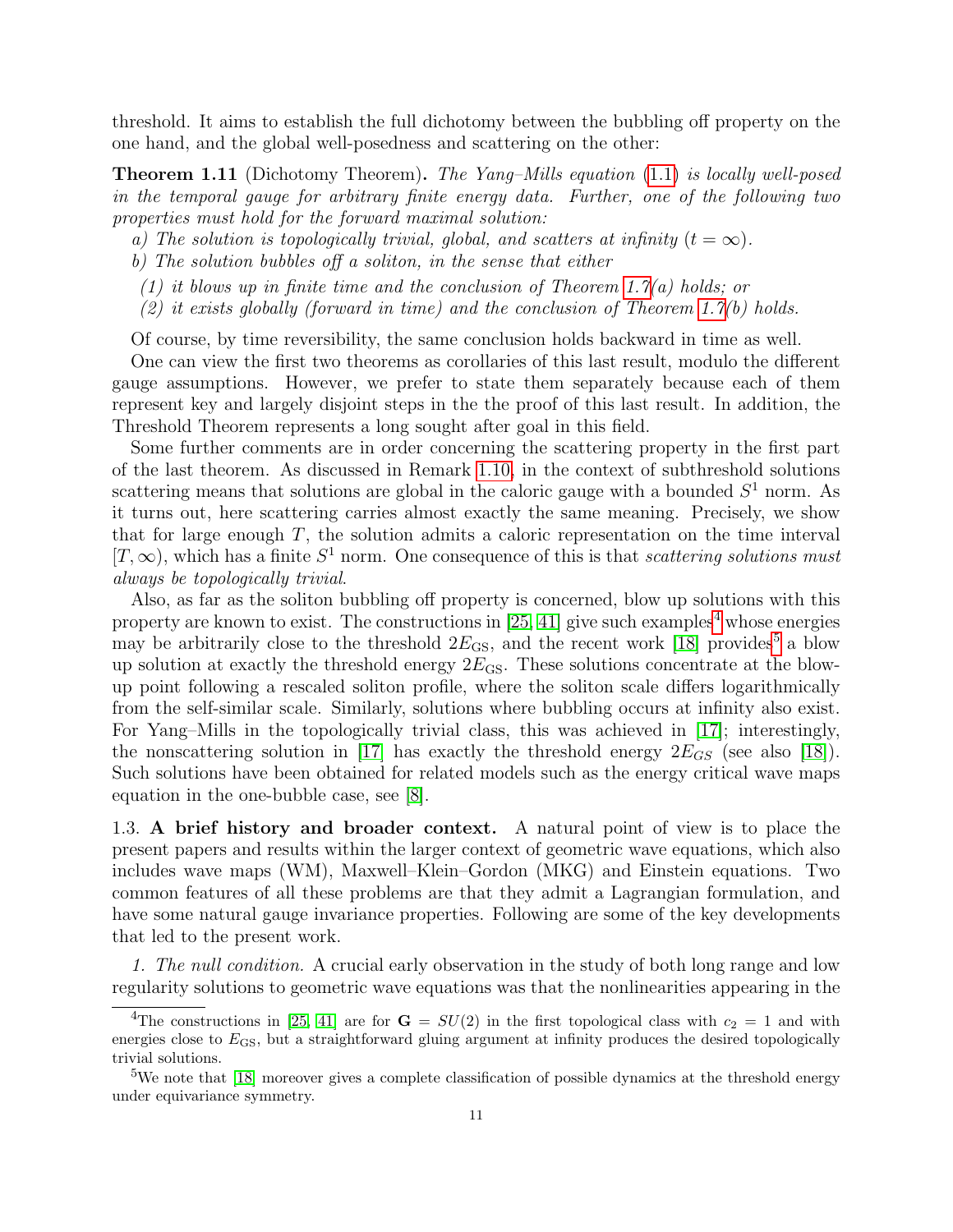threshold. It aims to establish the full dichotomy between the bubbling off property on the one hand, and the global well-posedness and scattering on the other:

<span id="page-11-1"></span>Theorem 1.11 (Dichotomy Theorem). The Yang–Mills equation [\(1.1\)](#page-3-1) is locally well-posed in the temporal gauge for arbitrary finite energy data. Further, one of the following two properties must hold for the forward maximal solution:

- a) The solution is topologically trivial, global, and scatters at infinity  $(t = \infty)$ .
- b) The solution bubbles off a soliton, in the sense that either
- (1) it blows up in finite time and the conclusion of Theorem [1.7\(](#page-8-0)a) holds; or
- (2) it exists globally (forward in time) and the conclusion of Theorem [1.7\(](#page-8-0)b) holds.

Of course, by time reversibility, the same conclusion holds backward in time as well.

One can view the first two theorems as corollaries of this last result, modulo the different gauge assumptions. However, we prefer to state them separately because each of them represent key and largely disjoint steps in the the proof of this last result. In addition, the Threshold Theorem represents a long sought after goal in this field.

Some further comments are in order concerning the scattering property in the first part of the last theorem. As discussed in Remark [1.10,](#page-10-1) in the context of subthreshold solutions scattering means that solutions are global in the caloric gauge with a bounded  $S<sup>1</sup>$  norm. As it turns out, here scattering carries almost exactly the same meaning. Precisely, we show that for large enough  $T$ , the solution admits a caloric representation on the time interval  $[T, \infty)$ , which has a finite  $S^1$  norm. One consequence of this is that scattering solutions must always be topologically trivial.

Also, as far as the soliton bubbling off property is concerned, blow up solutions with this property are known to exist. The constructions in [\[25,](#page-64-7) [41\]](#page-64-8) give such examples<sup>[4](#page-11-2)</sup> whose energies may be arbitrarily close to the threshold  $2E_{\text{GS}}$ , and the recent work [\[18\]](#page-63-4) provides<sup>[5](#page-11-3)</sup> a blow up solution at exactly the threshold energy  $2E_{\text{GS}}$ . These solutions concentrate at the blowup point following a rescaled soliton profile, where the soliton scale differs logarithmically from the self-similar scale. Similarly, solutions where bubbling occurs at infinity also exist. For Yang–Mills in the topologically trivial class, this was achieved in [\[17\]](#page-63-5); interestingly, the nonscattering solution in [\[17\]](#page-63-5) has exactly the threshold energy  $2E_{GS}$  (see also [\[18\]](#page-63-4)). Such solutions have been obtained for related models such as the energy critical wave maps equation in the one-bubble case, see [\[8\]](#page-63-6).

<span id="page-11-0"></span>1.3. A brief history and broader context. A natural point of view is to place the present papers and results within the larger context of geometric wave equations, which also includes wave maps (WM), Maxwell–Klein–Gordon (MKG) and Einstein equations. Two common features of all these problems are that they admit a Lagrangian formulation, and have some natural gauge invariance properties. Following are some of the key developments that led to the present work.

1. The null condition. A crucial early observation in the study of both long range and low regularity solutions to geometric wave equations was that the nonlinearities appearing in the

<span id="page-11-2"></span><sup>&</sup>lt;sup>4</sup>The constructions in [\[25,](#page-64-7) [41\]](#page-64-8) are for  $G = SU(2)$  in the first topological class with  $c_2 = 1$  and with energies close to  $E_{\text{GS}}$ , but a straightforward gluing argument at infinity produces the desired topologically trivial solutions.

<span id="page-11-3"></span><sup>&</sup>lt;sup>5</sup>We note that [\[18\]](#page-63-4) moreover gives a complete classification of possible dynamics at the threshold energy under equivariance symmetry.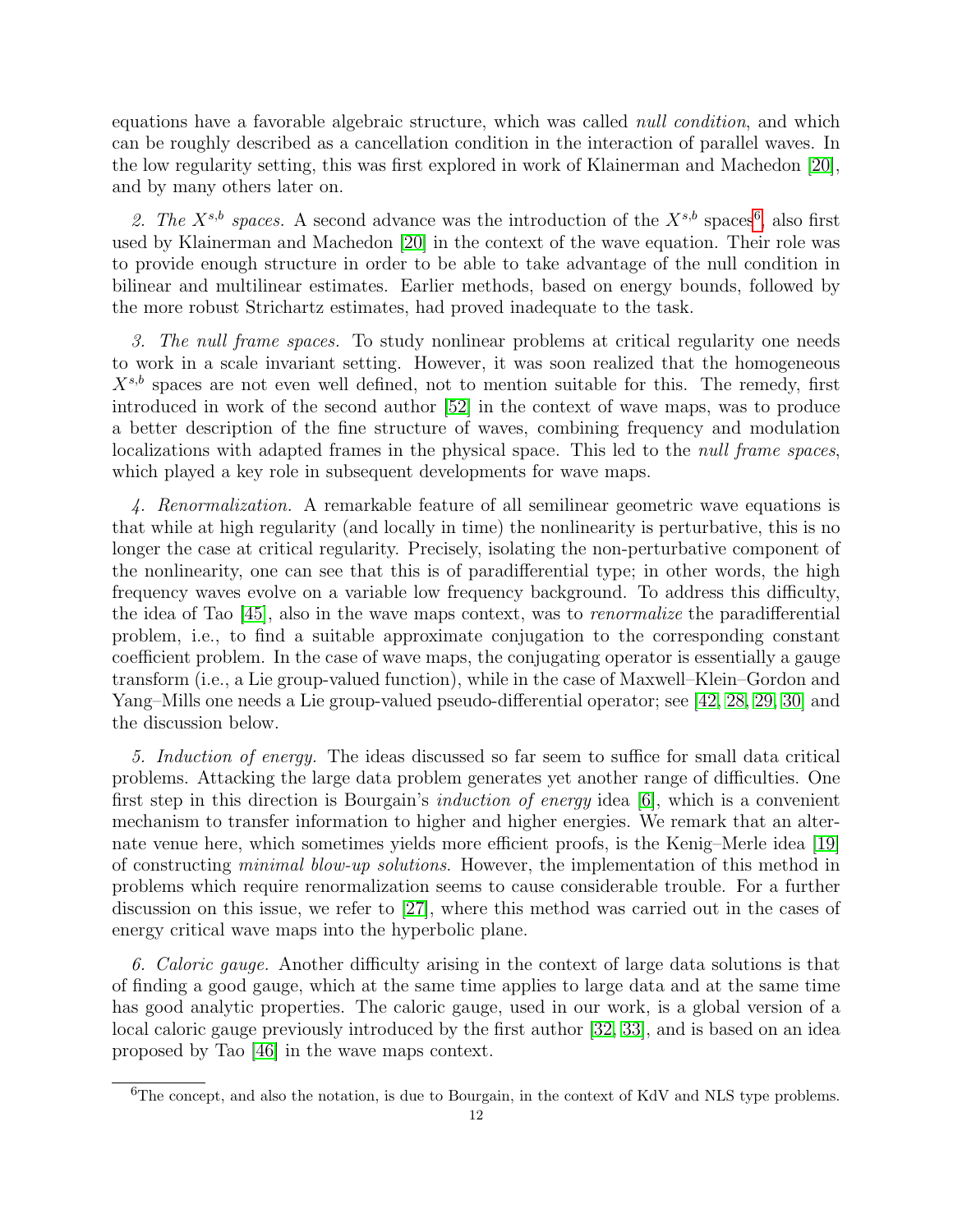equations have a favorable algebraic structure, which was called null condition, and which can be roughly described as a cancellation condition in the interaction of parallel waves. In the low regularity setting, this was first explored in work of Klainerman and Machedon [\[20\]](#page-64-9), and by many others later on.

2. The  $X^{s,b}$  spaces. A second advance was the introduction of the  $X^{s,b}$  spaces<sup>[6](#page-12-0)</sup>, also first used by Klainerman and Machedon [\[20\]](#page-64-9) in the context of the wave equation. Their role was to provide enough structure in order to be able to take advantage of the null condition in bilinear and multilinear estimates. Earlier methods, based on energy bounds, followed by the more robust Strichartz estimates, had proved inadequate to the task.

3. The null frame spaces. To study nonlinear problems at critical regularity one needs to work in a scale invariant setting. However, it was soon realized that the homogeneous  $X^{s,b}$  spaces are not even well defined, not to mention suitable for this. The remedy, first introduced in work of the second author [\[52\]](#page-65-2) in the context of wave maps, was to produce a better description of the fine structure of waves, combining frequency and modulation localizations with adapted frames in the physical space. This led to the *null frame spaces*, which played a key role in subsequent developments for wave maps.

4. Renormalization. A remarkable feature of all semilinear geometric wave equations is that while at high regularity (and locally in time) the nonlinearity is perturbative, this is no longer the case at critical regularity. Precisely, isolating the non-perturbative component of the nonlinearity, one can see that this is of paradifferential type; in other words, the high frequency waves evolve on a variable low frequency background. To address this difficulty, the idea of Tao [\[45\]](#page-64-10), also in the wave maps context, was to renormalize the paradifferential problem, i.e., to find a suitable approximate conjugation to the corresponding constant coefficient problem. In the case of wave maps, the conjugating operator is essentially a gauge transform (i.e., a Lie group-valued function), while in the case of Maxwell–Klein–Gordon and Yang–Mills one needs a Lie group-valued pseudo-differential operator; see [\[42,](#page-64-11) [28,](#page-64-12) [29,](#page-64-5) [30\]](#page-64-4) and the discussion below.

5. Induction of energy. The ideas discussed so far seem to suffice for small data critical problems. Attacking the large data problem generates yet another range of difficulties. One first step in this direction is Bourgain's induction of energy idea [\[6\]](#page-63-7), which is a convenient mechanism to transfer information to higher and higher energies. We remark that an alternate venue here, which sometimes yields more efficient proofs, is the Kenig–Merle idea [\[19\]](#page-63-8) of constructing minimal blow-up solutions. However, the implementation of this method in problems which require renormalization seems to cause considerable trouble. For a further discussion on this issue, we refer to [\[27\]](#page-64-13), where this method was carried out in the cases of energy critical wave maps into the hyperbolic plane.

6. Caloric gauge. Another difficulty arising in the context of large data solutions is that of finding a good gauge, which at the same time applies to large data and at the same time has good analytic properties. The caloric gauge, used in our work, is a global version of a local caloric gauge previously introduced by the first author [\[32,](#page-64-14) [33\]](#page-64-15), and is based on an idea proposed by Tao [\[46\]](#page-64-16) in the wave maps context.

<span id="page-12-0"></span><sup>&</sup>lt;sup>6</sup>The concept, and also the notation, is due to Bourgain, in the context of KdV and NLS type problems.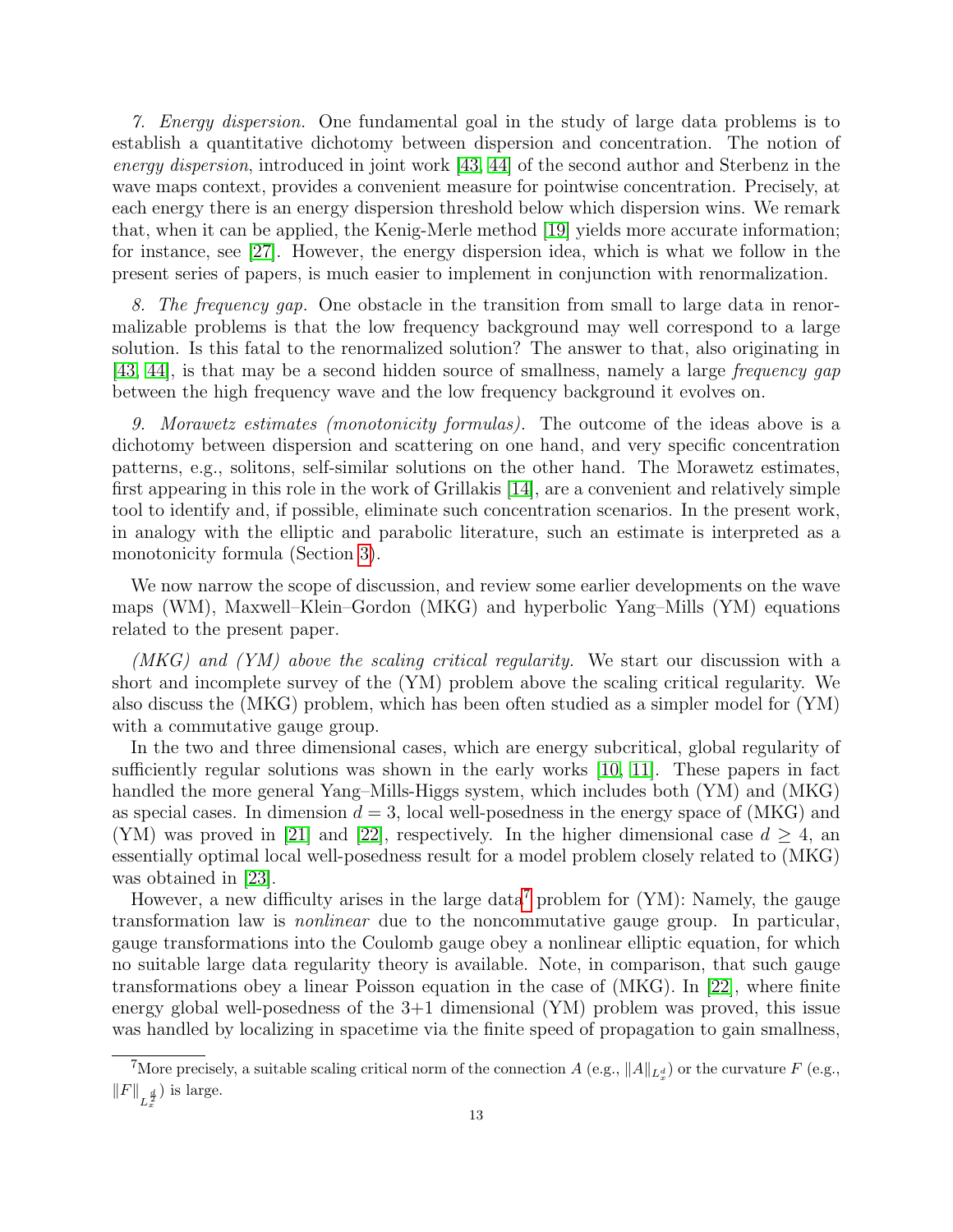7. Energy dispersion. One fundamental goal in the study of large data problems is to establish a quantitative dichotomy between dispersion and concentration. The notion of energy dispersion, introduced in joint work [\[43,](#page-64-17) [44\]](#page-64-18) of the second author and Sterbenz in the wave maps context, provides a convenient measure for pointwise concentration. Precisely, at each energy there is an energy dispersion threshold below which dispersion wins. We remark that, when it can be applied, the Kenig-Merle method [\[19\]](#page-63-8) yields more accurate information; for instance, see [\[27\]](#page-64-13). However, the energy dispersion idea, which is what we follow in the present series of papers, is much easier to implement in conjunction with renormalization.

8. The frequency gap. One obstacle in the transition from small to large data in renormalizable problems is that the low frequency background may well correspond to a large solution. Is this fatal to the renormalized solution? The answer to that, also originating in [\[43,](#page-64-17) [44\]](#page-64-18), is that may be a second hidden source of smallness, namely a large frequency gap between the high frequency wave and the low frequency background it evolves on.

9. Morawetz estimates (monotonicity formulas). The outcome of the ideas above is a dichotomy between dispersion and scattering on one hand, and very specific concentration patterns, e.g., solitons, self-similar solutions on the other hand. The Morawetz estimates, first appearing in this role in the work of Grillakis [\[14\]](#page-63-9), are a convenient and relatively simple tool to identify and, if possible, eliminate such concentration scenarios. In the present work, in analogy with the elliptic and parabolic literature, such an estimate is interpreted as a monotonicity formula (Section [3\)](#page-26-0).

We now narrow the scope of discussion, and review some earlier developments on the wave maps (WM), Maxwell–Klein–Gordon (MKG) and hyperbolic Yang–Mills (YM) equations related to the present paper.

 $(MKG)$  and  $(YM)$  above the scaling critical regularity. We start our discussion with a short and incomplete survey of the (YM) problem above the scaling critical regularity. We also discuss the (MKG) problem, which has been often studied as a simpler model for (YM) with a commutative gauge group.

In the two and three dimensional cases, which are energy subcritical, global regularity of sufficiently regular solutions was shown in the early works [\[10,](#page-63-10) [11\]](#page-63-11). These papers in fact handled the more general Yang–Mills-Higgs system, which includes both (YM) and (MKG) as special cases. In dimension  $d = 3$ , local well-posedness in the energy space of (MKG) and (YM) was proved in [\[21\]](#page-64-19) and [\[22\]](#page-64-20), respectively. In the higher dimensional case  $d \geq 4$ , an essentially optimal local well-posedness result for a model problem closely related to (MKG) was obtained in [\[23\]](#page-64-21).

However, a new difficulty arises in the large data<sup>[7](#page-13-0)</sup> problem for  $(YM)$ : Namely, the gauge transformation law is nonlinear due to the noncommutative gauge group. In particular, gauge transformations into the Coulomb gauge obey a nonlinear elliptic equation, for which no suitable large data regularity theory is available. Note, in comparison, that such gauge transformations obey a linear Poisson equation in the case of (MKG). In [\[22\]](#page-64-20), where finite energy global well-posedness of the 3+1 dimensional (YM) problem was proved, this issue was handled by localizing in spacetime via the finite speed of propagation to gain smallness,

<span id="page-13-0"></span><sup>&</sup>lt;sup>7</sup>More precisely, a suitable scaling critical norm of the connection  $A$  (e.g.,  $||A||_{L_x^d}$ ) or the curvature  $F$  (e.g.,  $||F||_{L_x^{\frac{d}{2}}}$ ) is large.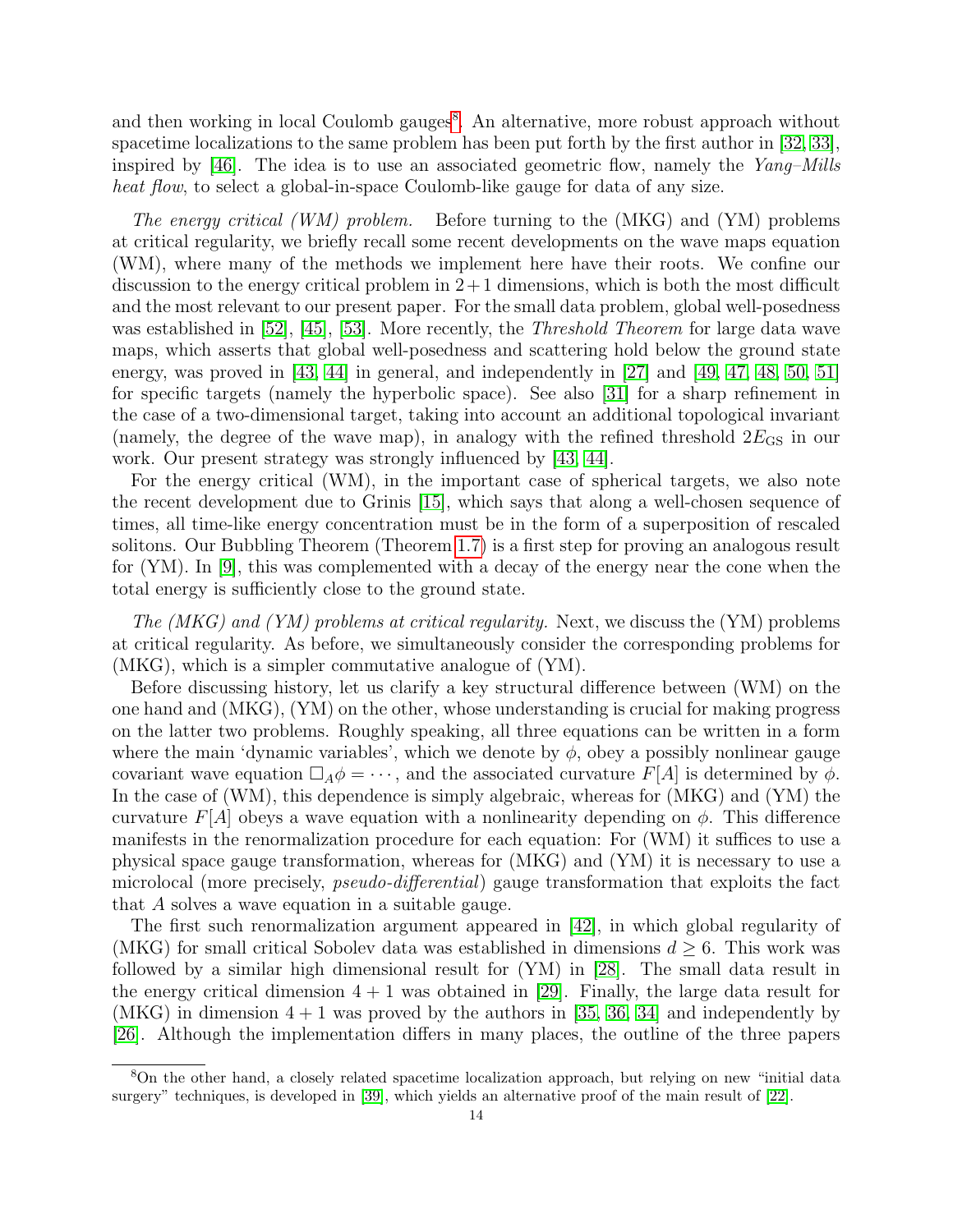and then working in local Coulomb gauges<sup>[8](#page-14-0)</sup>. An alternative, more robust approach without spacetime localizations to the same problem has been put forth by the first author in [\[32,](#page-64-14) [33\]](#page-64-15), inspired by [\[46\]](#page-64-16). The idea is to use an associated geometric flow, namely the  $Yang-Mills$ heat flow, to select a global-in-space Coulomb-like gauge for data of any size.

The energy critical (WM) problem. Before turning to the (MKG) and (YM) problems at critical regularity, we briefly recall some recent developments on the wave maps equation (WM), where many of the methods we implement here have their roots. We confine our discussion to the energy critical problem in  $2+1$  dimensions, which is both the most difficult and the most relevant to our present paper. For the small data problem, global well-posedness was established in [\[52\]](#page-65-2), [\[45\]](#page-64-10), [\[53\]](#page-65-3). More recently, the *Threshold Theorem* for large data wave maps, which asserts that global well-posedness and scattering hold below the ground state energy, was proved in [\[43,](#page-64-17) [44\]](#page-64-18) in general, and independently in [\[27\]](#page-64-13) and [\[49,](#page-65-4) [47,](#page-65-5) [48,](#page-65-6) [50,](#page-65-7) [51\]](#page-65-8) for specific targets (namely the hyperbolic space). See also [\[31\]](#page-64-22) for a sharp refinement in the case of a two-dimensional target, taking into account an additional topological invariant (namely, the degree of the wave map), in analogy with the refined threshold  $2E_{\text{GS}}$  in our work. Our present strategy was strongly influenced by [\[43,](#page-64-17) [44\]](#page-64-18).

For the energy critical (WM), in the important case of spherical targets, we also note the recent development due to Grinis [\[15\]](#page-63-12), which says that along a well-chosen sequence of times, all time-like energy concentration must be in the form of a superposition of rescaled solitons. Our Bubbling Theorem (Theorem [1.7\)](#page-8-0) is a first step for proving an analogous result for (YM). In [\[9\]](#page-63-13), this was complemented with a decay of the energy near the cone when the total energy is sufficiently close to the ground state.

The (MKG) and (YM) problems at critical regularity. Next, we discuss the (YM) problems at critical regularity. As before, we simultaneously consider the corresponding problems for (MKG), which is a simpler commutative analogue of (YM).

Before discussing history, let us clarify a key structural difference between (WM) on the one hand and (MKG), (YM) on the other, whose understanding is crucial for making progress on the latter two problems. Roughly speaking, all three equations can be written in a form where the main 'dynamic variables', which we denote by  $\phi$ , obey a possibly nonlinear gauge covariant wave equation  $\Box_A \phi = \cdots$ , and the associated curvature  $F[A]$  is determined by  $\phi$ . In the case of (WM), this dependence is simply algebraic, whereas for (MKG) and (YM) the curvature  $F[A]$  obeys a wave equation with a nonlinearity depending on  $\phi$ . This difference manifests in the renormalization procedure for each equation: For (WM) it suffices to use a physical space gauge transformation, whereas for (MKG) and (YM) it is necessary to use a microlocal (more precisely, pseudo-differential) gauge transformation that exploits the fact that A solves a wave equation in a suitable gauge.

The first such renormalization argument appeared in [\[42\]](#page-64-11), in which global regularity of (MKG) for small critical Sobolev data was established in dimensions  $d \geq 6$ . This work was followed by a similar high dimensional result for (YM) in [\[28\]](#page-64-12). The small data result in the energy critical dimension  $4 + 1$  was obtained in [\[29\]](#page-64-5). Finally, the large data result for (MKG) in dimension  $4 + 1$  was proved by the authors in [\[35,](#page-64-23) [36,](#page-64-6) [34\]](#page-64-24) and independently by [\[26\]](#page-64-25). Although the implementation differs in many places, the outline of the three papers

<span id="page-14-0"></span><sup>8</sup>On the other hand, a closely related spacetime localization approach, but relying on new "initial data surgery" techniques, is developed in [\[39\]](#page-64-2), which yields an alternative proof of the main result of [\[22\]](#page-64-20).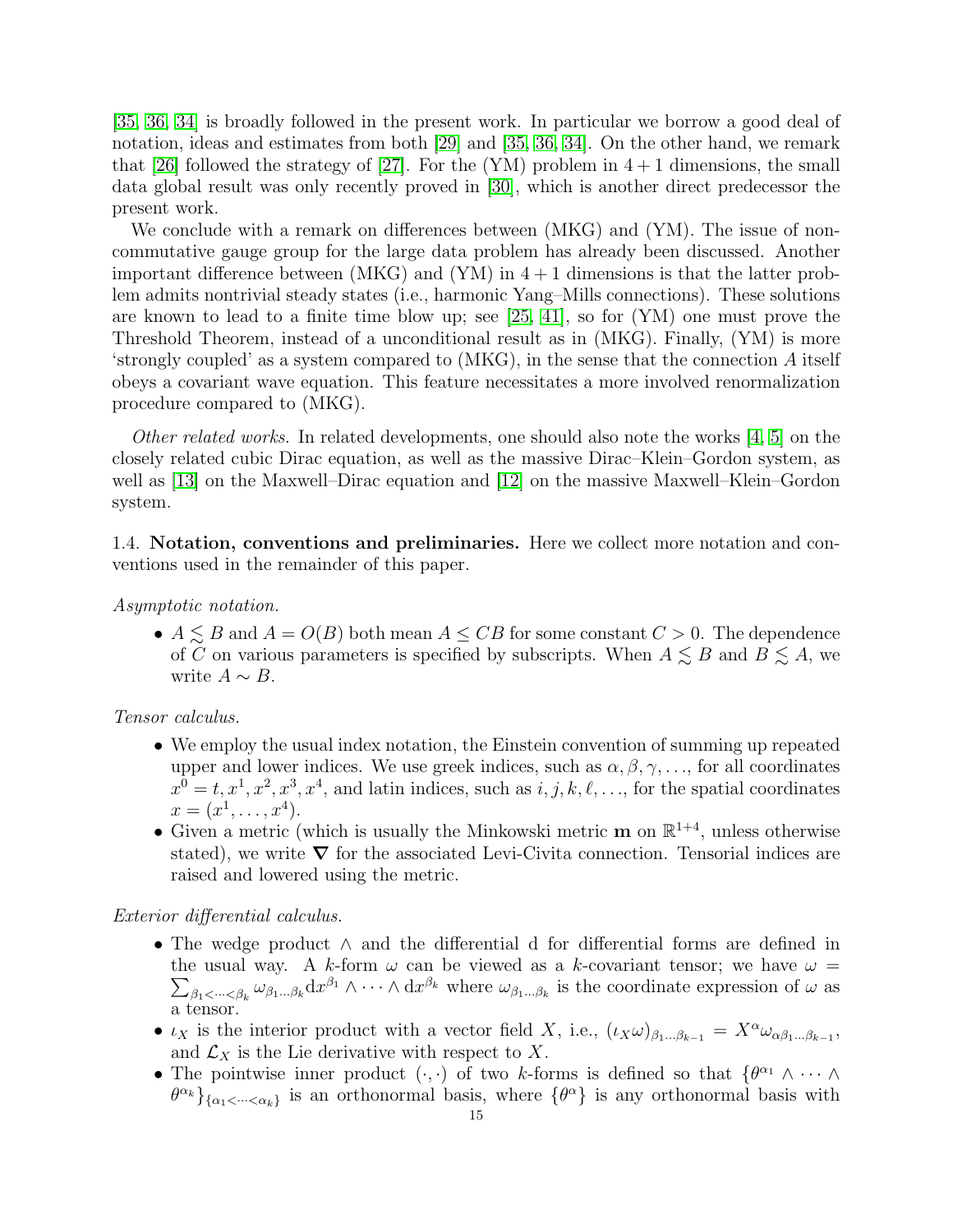[\[35,](#page-64-23) [36,](#page-64-6) [34\]](#page-64-24) is broadly followed in the present work. In particular we borrow a good deal of notation, ideas and estimates from both [\[29\]](#page-64-5) and [\[35,](#page-64-23) [36,](#page-64-6) [34\]](#page-64-24). On the other hand, we remark that [\[26\]](#page-64-25) followed the strategy of [\[27\]](#page-64-13). For the (YM) problem in  $4+1$  dimensions, the small data global result was only recently proved in [\[30\]](#page-64-4), which is another direct predecessor the present work.

We conclude with a remark on differences between (MKG) and (YM). The issue of noncommutative gauge group for the large data problem has already been discussed. Another important difference between (MKG) and (YM) in  $4+1$  dimensions is that the latter problem admits nontrivial steady states (i.e., harmonic Yang–Mills connections). These solutions are known to lead to a finite time blow up; see [\[25,](#page-64-7) [41\]](#page-64-8), so for (YM) one must prove the Threshold Theorem, instead of a unconditional result as in (MKG). Finally, (YM) is more 'strongly coupled' as a system compared to (MKG), in the sense that the connection A itself obeys a covariant wave equation. This feature necessitates a more involved renormalization procedure compared to (MKG).

Other related works. In related developments, one should also note the works [\[4,](#page-63-14) [5\]](#page-63-15) on the closely related cubic Dirac equation, as well as the massive Dirac–Klein–Gordon system, as well as [\[13\]](#page-63-16) on the Maxwell–Dirac equation and [\[12\]](#page-63-17) on the massive Maxwell–Klein–Gordon system.

<span id="page-15-0"></span>1.4. Notation, conventions and preliminaries. Here we collect more notation and conventions used in the remainder of this paper.

Asymptotic notation.

•  $A \leq B$  and  $A = O(B)$  both mean  $A \leq CB$  for some constant  $C > 0$ . The dependence of C on various parameters is specified by subscripts. When  $A \lesssim B$  and  $B \lesssim A$ , we write  $A \sim B$ .

Tensor calculus.

- We employ the usual index notation, the Einstein convention of summing up repeated upper and lower indices. We use greek indices, such as  $\alpha, \beta, \gamma, \ldots$ , for all coordinates  $x^0 = t, x^1, x^2, x^3, x^4$ , and latin indices, such as  $i, j, k, \ell, \ldots$ , for the spatial coordinates  $x = (x^1, \ldots, x^4).$
- Given a metric (which is usually the Minkowski metric  $\mathbf{m}$  on  $\mathbb{R}^{1+4}$ , unless otherwise stated), we write  $\nabla$  for the associated Levi-Civita connection. Tensorial indices are raised and lowered using the metric.

#### Exterior differential calculus.

- The wedge product ∧ and the differential d for differential forms are defined in  $\sum_{\beta_1\prec\cdots\prec\beta_k}\omega_{\beta_1\ldots\beta_k}\mathrm{d}x^{\beta_1}\wedge\cdots\wedge\mathrm{d}x^{\beta_k}$  where  $\omega_{\beta_1\ldots\beta_k}$  is the coordinate expression of  $\omega$  as the usual way. A k-form  $\omega$  can be viewed as a k-covariant tensor; we have  $\omega$  = a tensor.
- $\iota_X$  is the interior product with a vector field X, i.e.,  $(\iota_X \omega)_{\beta_1...\beta_{k-1}} = X^{\alpha} \omega_{\alpha\beta_1...\beta_{k-1}},$ and  $\mathcal{L}_X$  is the Lie derivative with respect to X.
- The pointwise inner product  $( \cdot, \cdot)$  of two k-forms is defined so that  $\{ \theta^{\alpha_1} \wedge \cdots \wedge \theta^{\alpha_n} \}$  ${\theta}^{\alpha_k}$ <sub>{ $\alpha_1$ < $\ldots$  < $\alpha_k$ } is an orthonormal basis, where { $\theta^{\alpha}$ } is any orthonormal basis with</sub>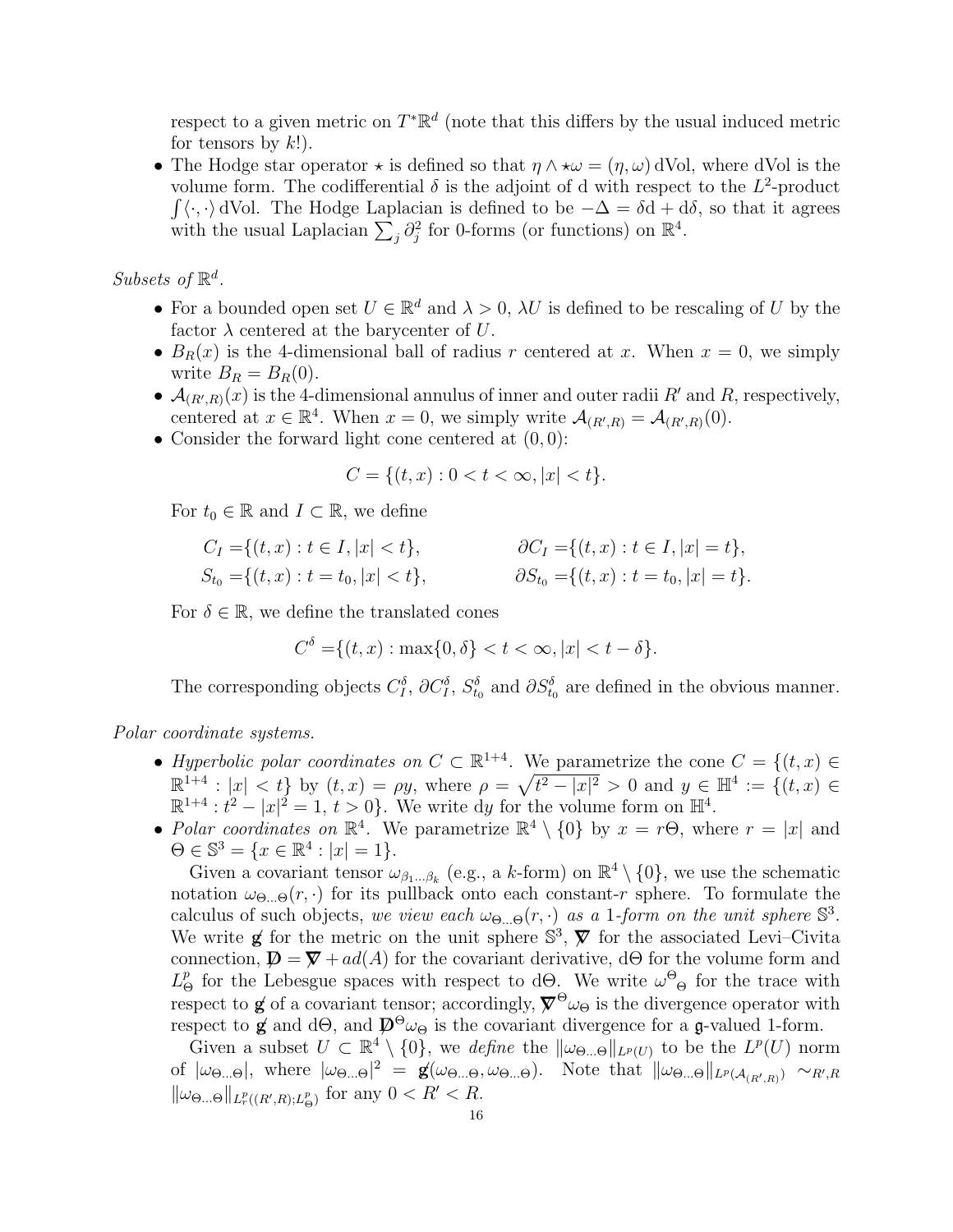respect to a given metric on  $T^*\mathbb{R}^d$  (note that this differs by the usual induced metric for tensors by  $k!$ ).

• The Hodge star operator  $\star$  is defined so that  $\eta \wedge \star \omega = (\eta, \omega)$  dVol, where dVol is the volume form. The codifferential  $\delta$  is the adjoint of d with respect to the  $L^2$ -product  $\int \langle \cdot, \cdot \rangle$  dVol. The Hodge Laplacian is defined to be  $-\Delta = \delta d + d\delta$ , so that it agrees with the usual Laplacian  $\sum_j \partial_j^2$  for 0-forms (or functions) on  $\mathbb{R}^4$ .

Subsets of  $\mathbb{R}^d$ .

- For a bounded open set  $U \in \mathbb{R}^d$  and  $\lambda > 0$ ,  $\lambda U$  is defined to be rescaling of U by the factor  $\lambda$  centered at the barycenter of U.
- $B_R(x)$  is the 4-dimensional ball of radius r centered at x. When  $x = 0$ , we simply write  $B_R = B_R(0)$ .
- $\mathcal{A}_{(R',R)}(x)$  is the 4-dimensional annulus of inner and outer radii R' and R, respectively, centered at  $x \in \mathbb{R}^4$ . When  $x = 0$ , we simply write  $\mathcal{A}_{(R',R)} = \mathcal{A}_{(R',R)}(0)$ .
- Consider the forward light cone centered at  $(0, 0)$ :

$$
C = \{(t, x) : 0 < t < \infty, |x| < t\}.
$$

For  $t_0 \in \mathbb{R}$  and  $I \subset \mathbb{R}$ , we define

$$
C_I = \{(t, x) : t \in I, |x| < t\}, \qquad \partial C_I = \{(t, x) : t \in I, |x| = t\},
$$
\n
$$
S_{t_0} = \{(t, x) : t = t_0, |x| < t\}, \qquad \partial S_{t_0} = \{(t, x) : t = t_0, |x| = t\}.
$$

For  $\delta \in \mathbb{R}$ , we define the translated cones

$$
C^{\delta} = \{(t, x) : \max\{0, \delta\} < t < \infty, |x| < t - \delta\}.
$$

The corresponding objects  $C_I^{\delta}$ ,  $\partial C_I^{\delta}$ ,  $S_{t_0}^{\delta}$  and  $\partial S_{t_0}^{\delta}$  are defined in the obvious manner.

Polar coordinate systems.

- Hyperbolic polar coordinates on  $C \subset \mathbb{R}^{1+4}$ . We parametrize the cone  $C = \{(t, x) \in$  $\mathbb{R}^{1+4} : |x| < t$  by  $(t, x) = \rho y$ , where  $\rho = \sqrt{t^2 - |x|^2} > 0$  and  $y \in \mathbb{H}^4 := \{(t, x) \in$  $\mathbb{R}^{1+4}: t^2 - |x|^2 = 1, t > 0$ . We write dy for the volume form on  $\mathbb{H}^4$ .
- Polar coordinates on  $\mathbb{R}^4$ . We parametrize  $\mathbb{R}^4 \setminus \{0\}$  by  $x = r\Theta$ , where  $r = |x|$  and  $\Theta \in \mathbb{S}^3 = \{x \in \mathbb{R}^4 : |x| = 1\}.$

Given a covariant tensor  $\omega_{\beta_1...\beta_k}$  (e.g., a k-form) on  $\mathbb{R}^4 \setminus \{0\}$ , we use the schematic notation  $\omega_{\Theta}(\mathbf{r},\cdot)$  for its pullback onto each constant-r sphere. To formulate the calculus of such objects, we view each  $\omega_{\Theta...\Theta}(r, \cdot)$  as a 1-form on the unit sphere  $\mathbb{S}^3$ . We write **g** for the metric on the unit sphere  $\mathbb{S}^3$ ,  $\mathbb{V}$  for the associated Levi–Civita connection,  $\mathbf{D} = \nabla + ad(A)$  for the covariant derivative, dΘ for the volume form and  $L^p_{\Theta}$  for the Lebesgue spaces with respect to d $\Theta$ . We write  $\omega^{\Theta}$  for the trace with respect to **g** of a covariant tensor; accordingly,  $\nabla^{\Theta}\omega_{\Theta}$  is the divergence operator with respect to **g** and d $\Theta$ , and  $\mathcal{D}^{\Theta}\omega_{\Theta}$  is the covariant divergence for a **g**-valued 1-form.

Given a subset  $U \subset \mathbb{R}^4 \setminus \{0\}$ , we define the  $\|\omega_{\Theta\ldots\Theta}\|_{L^p(U)}$  to be the  $L^p(U)$  norm of  $|\omega_{\Theta}$ ... $_{\Theta}|$ , where  $|\omega_{\Theta}||_2 = \mathbf{g}(\omega_{\Theta}||\omega_{\Theta}||)$ . Note that  $||\omega_{\Theta}||_{L^p(\mathcal{A}_{(R',R)})} \sim_{R',R}$  $\|\omega_{\Theta\ldots\Theta}\|_{L^p_r((R',R);L^p_\Theta)}$  for any  $0 < R' < R$ .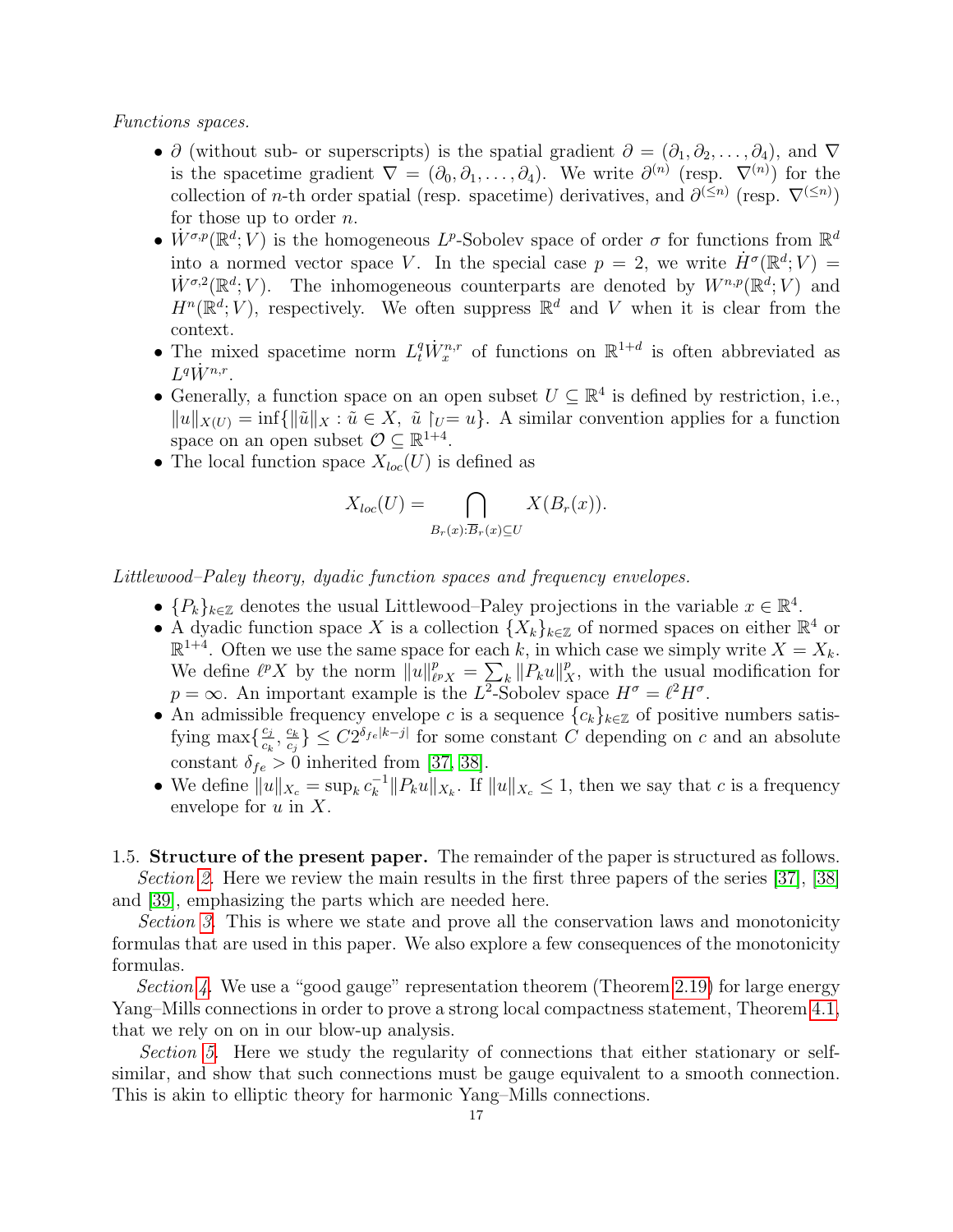Functions spaces.

- ∂ (without sub- or superscripts) is the spatial gradient  $\partial = (\partial_1, \partial_2, \dots, \partial_4)$ , and  $\nabla$ is the spacetime gradient  $\nabla = (\partial_0, \partial_1, \dots, \partial_4)$ . We write  $\partial^{(n)}$  (resp.  $\nabla^{(n)}$ ) for the collection of *n*-th order spatial (resp. spacetime) derivatives, and  $\partial^{(\leq n)}$  (resp.  $\nabla^{(\leq n)}$ ) for those up to order  $n$ .
- $\dot{W}^{\sigma,p}(\mathbb{R}^d; V)$  is the homogeneous L<sup>p</sup>-Sobolev space of order  $\sigma$  for functions from  $\mathbb{R}^d$ into a normed vector space V. In the special case  $p = 2$ , we write  $\dot{H}^{\sigma}(\mathbb{R}^d; V) =$  $\dot{W}^{\sigma,2}(\mathbb{R}^d;V)$ . The inhomogeneous counterparts are denoted by  $W^{n,p}(\mathbb{R}^d;V)$  and  $H^n(\mathbb{R}^d; V)$ , respectively. We often suppress  $\mathbb{R}^d$  and V when it is clear from the context.
- The mixed spacetime norm  $L_t^q \dot{W}_x^{n,r}$  of functions on  $\mathbb{R}^{1+d}$  is often abbreviated as  $L^q \dot W^{n,r}.$
- Generally, a function space on an open subset  $U \subseteq \mathbb{R}^4$  is defined by restriction, i.e.,  $||u||_{X(U)} = \inf{||\tilde{u}||_X : \tilde{u} \in X, \tilde{u}|_U = u}$ . A similar convention applies for a function space on an open subset  $\mathcal{O} \subseteq \mathbb{R}^{1+4}$ .
- The local function space  $X_{loc}(U)$  is defined as

$$
X_{loc}(U) = \bigcap_{B_r(x): \overline{B}_r(x) \subseteq U} X(B_r(x)).
$$

Littlewood–Paley theory, dyadic function spaces and frequency envelopes.

- $\{P_k\}_{k\in\mathbb{Z}}$  denotes the usual Littlewood–Paley projections in the variable  $x \in \mathbb{R}^4$ .
- A dyadic function space X is a collection  $\{X_k\}_{k\in\mathbb{Z}}$  of normed spaces on either  $\mathbb{R}^4$  or  $\mathbb{R}^{1+4}$ . Often we use the same space for each k, in which case we simply write  $X = X_k$ . We define  $\ell^p X$  by the norm  $\|u\|_{\ell^p}^p$  $P_{\ell^p X} = \sum_k \|P_k u\|_X^p$ , with the usual modification for  $p = \infty$ . An important example is the L<sup>2</sup>-Sobolev space  $H^{\sigma} = \ell^2 H^{\sigma}$ .
- An admissible frequency envelope c is a sequence  ${c_k}_{k \in \mathbb{Z}}$  of positive numbers satisfying max $\left\{\frac{c_j}{c_j}\right\}$  $\frac{c_j}{c_k}, \frac{c_k}{c_j}$  $\left\{ \frac{c_k}{c_j} \right\} \leq C2^{\delta_{fe}[k-j]}$  for some constant C depending on c and an absolute constant  $\delta_{fe} > 0$  inherited from [\[37,](#page-64-0) [38\]](#page-64-1).
- We define  $||u||_{X_c} = \sup_k c_k^{-1}$  $\|k^{-1}\|P_ku\|_{X_k}$ . If  $\|u\|_{X_c} \leq 1$ , then we say that c is a frequency envelope for  $u$  in  $X$ .

<span id="page-17-0"></span>1.5. Structure of the present paper. The remainder of the paper is structured as follows. Section [2.](#page-18-0) Here we review the main results in the first three papers of the series [\[37\]](#page-64-0), [\[38\]](#page-64-1) and [\[39\]](#page-64-2), emphasizing the parts which are needed here.

Section [3.](#page-26-0) This is where we state and prove all the conservation laws and monotonicity formulas that are used in this paper. We also explore a few consequences of the monotonicity formulas.

Section [4.](#page-29-0) We use a "good gauge" representation theorem (Theorem [2.19\)](#page-25-0) for large energy Yang–Mills connections in order to prove a strong local compactness statement, Theorem [4.1,](#page-29-1) that we rely on on in our blow-up analysis.

Section [5.](#page-31-0) Here we study the regularity of connections that either stationary or selfsimilar, and show that such connections must be gauge equivalent to a smooth connection. This is akin to elliptic theory for harmonic Yang–Mills connections.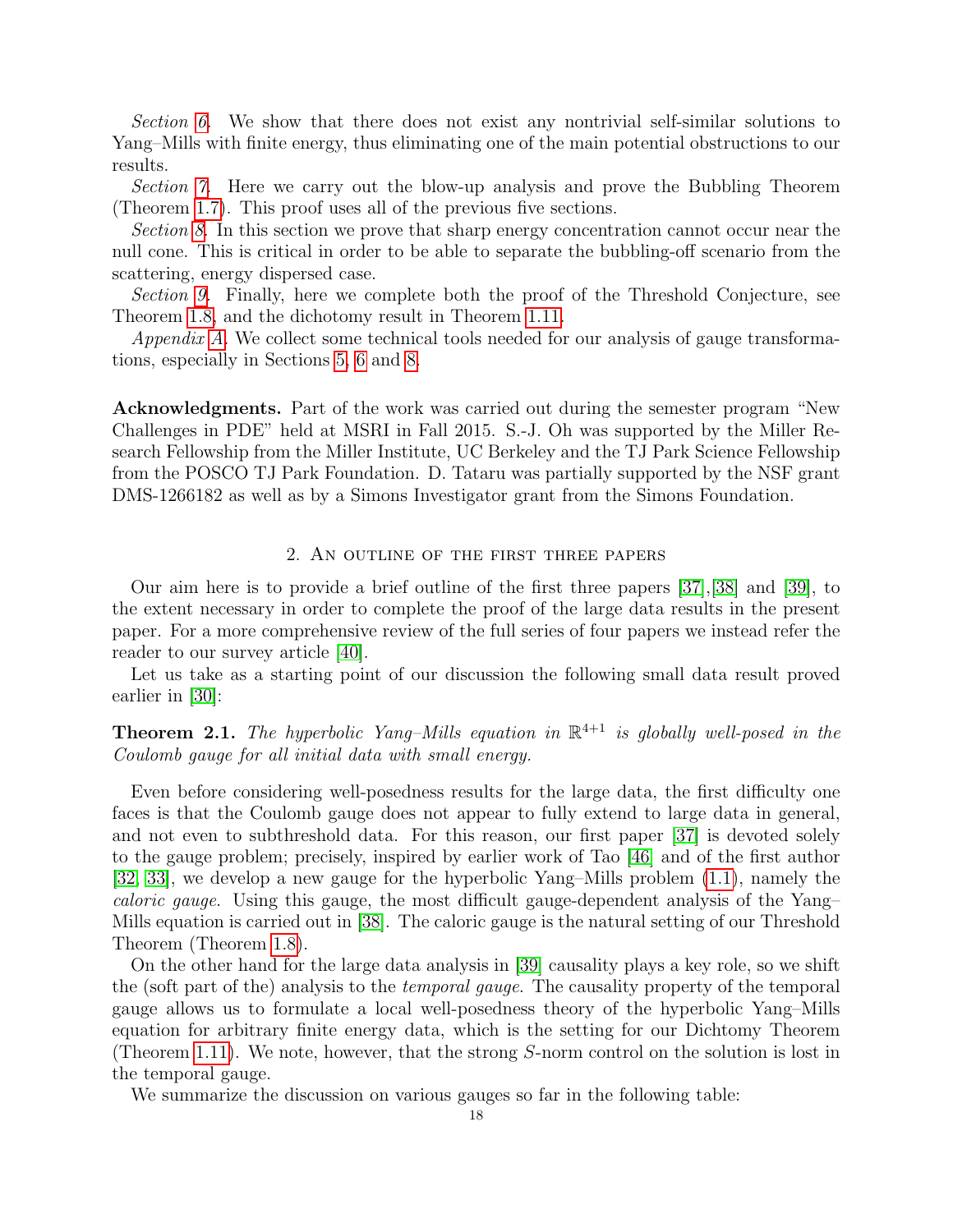Section [6.](#page-35-0) We show that there does not exist any nontrivial self-similar solutions to Yang–Mills with finite energy, thus eliminating one of the main potential obstructions to our results.

Section [7.](#page-38-0) Here we carry out the blow-up analysis and prove the Bubbling Theorem (Theorem [1.7\)](#page-8-0). This proof uses all of the previous five sections.

Section [8.](#page-42-0) In this section we prove that sharp energy concentration cannot occur near the null cone. This is critical in order to be able to separate the bubbling-off scenario from the scattering, energy dispersed case.

Section [9.](#page-54-0) Finally, here we complete both the proof of the Threshold Conjecture, see Theorem [1.8,](#page-10-0) and the dichotomy result in Theorem [1.11.](#page-11-1)

Appendix [A.](#page-57-0) We collect some technical tools needed for our analysis of gauge transformations, especially in Sections [5,](#page-31-0) [6](#page-35-0) and [8.](#page-42-0)

Acknowledgments. Part of the work was carried out during the semester program "New Challenges in PDE" held at MSRI in Fall 2015. S.-J. Oh was supported by the Miller Research Fellowship from the Miller Institute, UC Berkeley and the TJ Park Science Fellowship from the POSCO TJ Park Foundation. D. Tataru was partially supported by the NSF grant DMS-1266182 as well as by a Simons Investigator grant from the Simons Foundation.

### 2. An outline of the first three papers

<span id="page-18-0"></span>Our aim here is to provide a brief outline of the first three papers [\[37\]](#page-64-0),[\[38\]](#page-64-1) and [\[39\]](#page-64-2), to the extent necessary in order to complete the proof of the large data results in the present paper. For a more comprehensive review of the full series of four papers we instead refer the reader to our survey article [\[40\]](#page-64-3).

Let us take as a starting point of our discussion the following small data result proved earlier in [\[30\]](#page-64-4):

<span id="page-18-1"></span>**Theorem 2.1.** The hyperbolic Yang–Mills equation in  $\mathbb{R}^{4+1}$  is globally well-posed in the Coulomb gauge for all initial data with small energy.

Even before considering well-posedness results for the large data, the first difficulty one faces is that the Coulomb gauge does not appear to fully extend to large data in general, and not even to subthreshold data. For this reason, our first paper [\[37\]](#page-64-0) is devoted solely to the gauge problem; precisely, inspired by earlier work of Tao [\[46\]](#page-64-16) and of the first author [\[32,](#page-64-14) [33\]](#page-64-15), we develop a new gauge for the hyperbolic Yang–Mills problem [\(1.1\)](#page-3-1), namely the caloric gauge. Using this gauge, the most difficult gauge-dependent analysis of the Yang– Mills equation is carried out in [\[38\]](#page-64-1). The caloric gauge is the natural setting of our Threshold Theorem (Theorem [1.8\)](#page-10-0).

On the other hand for the large data analysis in [\[39\]](#page-64-2) causality plays a key role, so we shift the (soft part of the) analysis to the temporal gauge. The causality property of the temporal gauge allows us to formulate a local well-posedness theory of the hyperbolic Yang–Mills equation for arbitrary finite energy data, which is the setting for our Dichtomy Theorem (Theorem [1.11\)](#page-11-1). We note, however, that the strong S-norm control on the solution is lost in the temporal gauge.

We summarize the discussion on various gauges so far in the following table: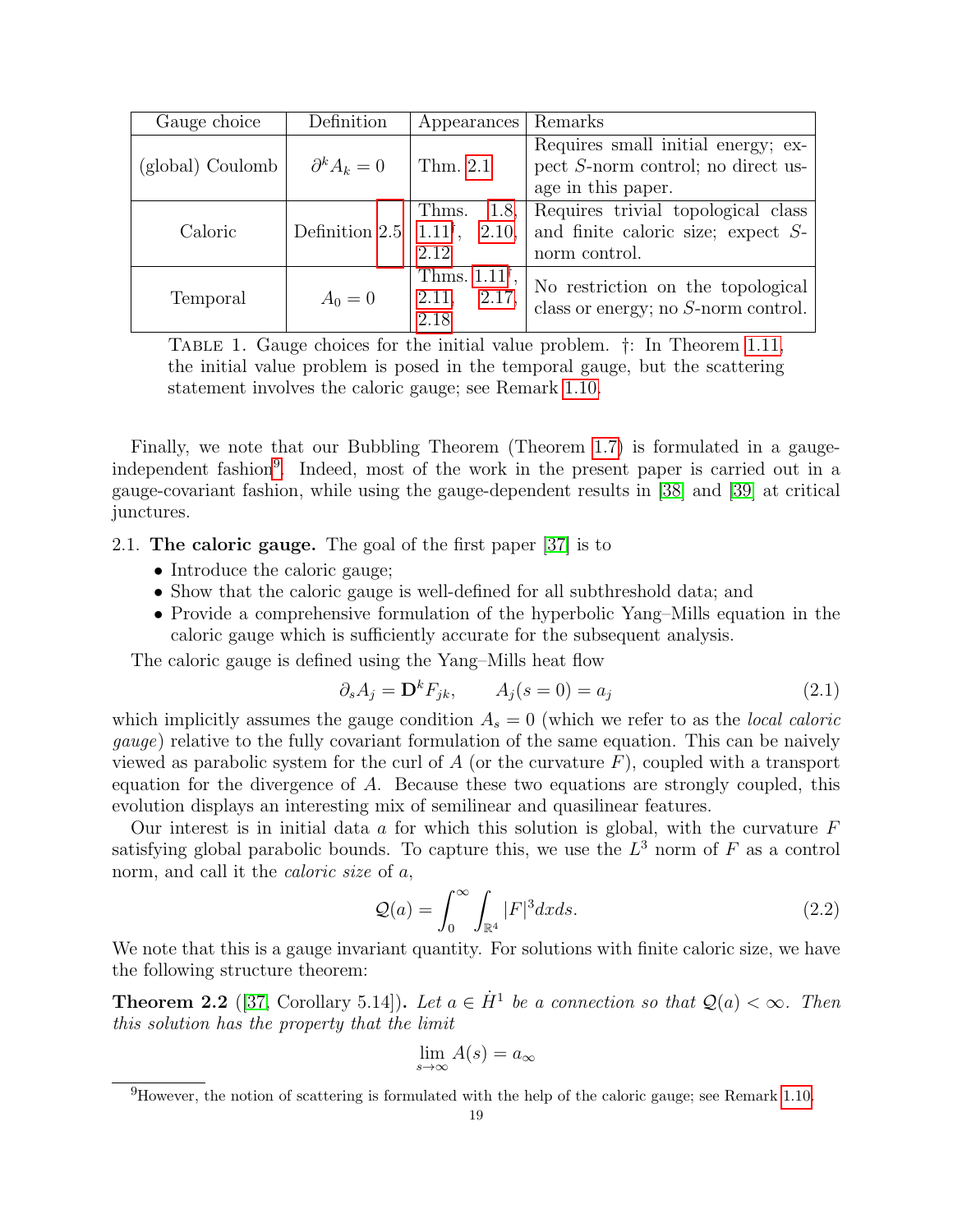| Gauge choice     | Definition           | Appearances                                        | Remarks                                                                                           |
|------------------|----------------------|----------------------------------------------------|---------------------------------------------------------------------------------------------------|
| (global) Coulomb | $\partial^k A_k = 0$ | Thm. 2.1                                           | Requires small initial energy; ex-<br>pect S-norm control; no direct us-<br>age in this paper.    |
| Caloric          | Definition 2.5 $ $   | Thms.<br>$1.11^{\dagger}$ , 2.10,<br>2.12          | 1.8, Requires trivial topological class<br>and finite caloric size; expect $S$ -<br>norm control. |
| Temporal         | $A_0 = 0$            | Thms. $1.11^{\dagger}$ ,<br>2.11,<br>2.17,<br>2.18 | No restriction on the topological<br>class or energy; no $S$ -norm control.                       |

Table 1. Gauge choices for the initial value problem. †: In Theorem [1.11,](#page-11-1) the initial value problem is posed in the temporal gauge, but the scattering statement involves the caloric gauge; see Remark [1.10.](#page-10-1)

Finally, we note that our Bubbling Theorem (Theorem [1.7\)](#page-8-0) is formulated in a gauge-independent fashion<sup>[9](#page-19-1)</sup>. Indeed, most of the work in the present paper is carried out in a gauge-covariant fashion, while using the gauge-dependent results in [\[38\]](#page-64-1) and [\[39\]](#page-64-2) at critical junctures.

<span id="page-19-0"></span>2.1. The caloric gauge. The goal of the first paper [\[37\]](#page-64-0) is to

- Introduce the caloric gauge;
- Show that the caloric gauge is well-defined for all subthreshold data; and
- Provide a comprehensive formulation of the hyperbolic Yang–Mills equation in the caloric gauge which is sufficiently accurate for the subsequent analysis.

The caloric gauge is defined using the Yang–Mills heat flow

$$
\partial_s A_j = \mathbf{D}^k F_{jk}, \qquad A_j(s=0) = a_j \tag{2.1}
$$

which implicitly assumes the gauge condition  $A_s = 0$  (which we refer to as the *local caloric* gauge) relative to the fully covariant formulation of the same equation. This can be naively viewed as parabolic system for the curl of  $A$  (or the curvature  $F$ ), coupled with a transport equation for the divergence of A. Because these two equations are strongly coupled, this evolution displays an interesting mix of semilinear and quasilinear features.

Our interest is in initial data a for which this solution is global, with the curvature  $F$ satisfying global parabolic bounds. To capture this, we use the  $L^3$  norm of F as a control norm, and call it the *caloric size* of a,

$$
\mathcal{Q}(a) = \int_0^\infty \int_{\mathbb{R}^4} |F|^3 dx ds. \tag{2.2}
$$

We note that this is a gauge invariant quantity. For solutions with finite caloric size, we have the following structure theorem:

**Theorem 2.2** ([\[37,](#page-64-0) Corollary 5.14]). Let  $a \in \dot{H}^1$  be a connection so that  $\mathcal{Q}(a) < \infty$ . Then this solution has the property that the limit

$$
\lim_{s \to \infty} A(s) = a_{\infty}
$$

<span id="page-19-1"></span> $^{9}$ However, the notion of scattering is formulated with the help of the caloric gauge; see Remark [1.10.](#page-10-1)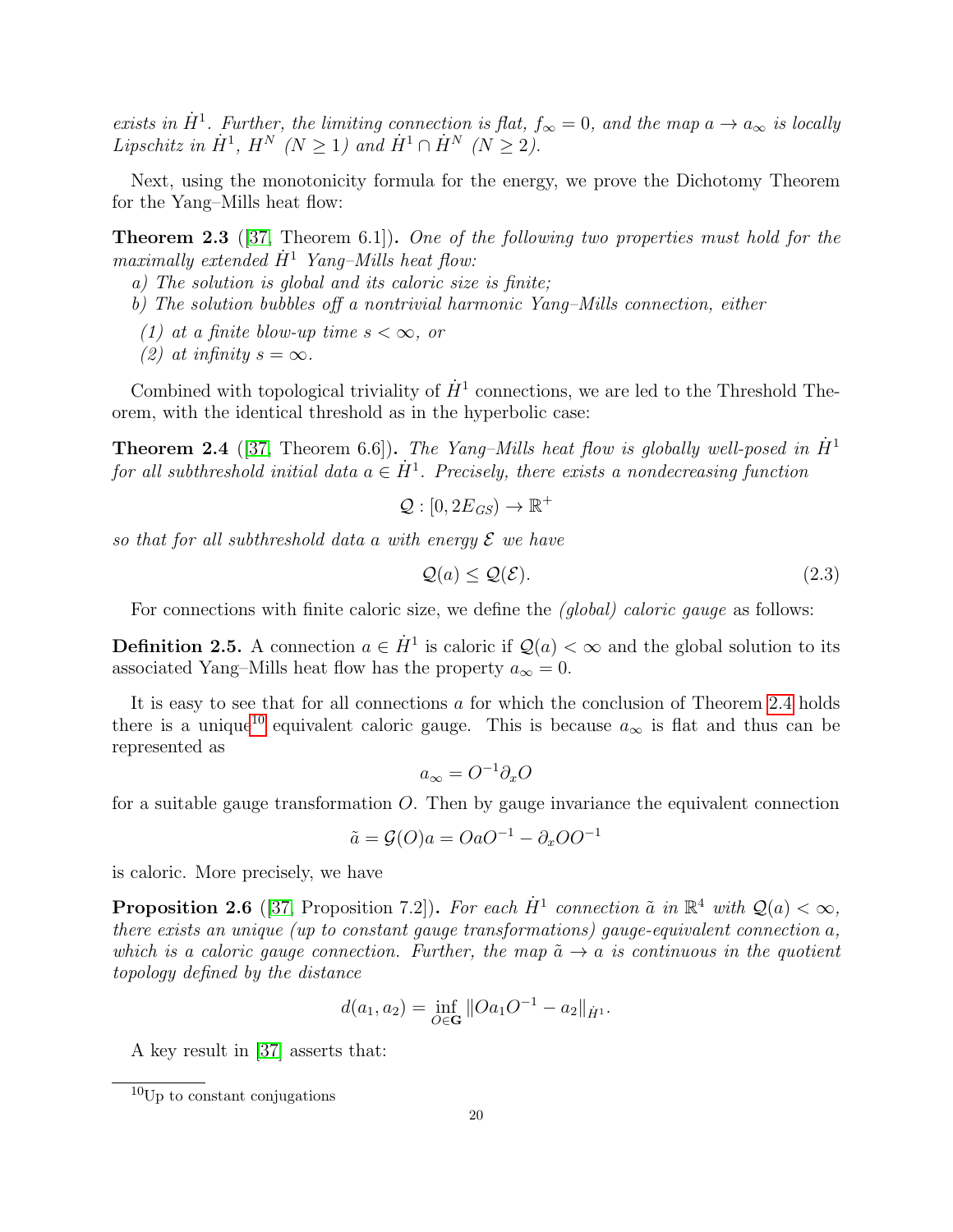exists in  $\dot{H}^1$ . Further, the limiting connection is flat,  $f_{\infty} = 0$ , and the map  $a \to a_{\infty}$  is locally Lipschitz in  $\dot{H}^1$ ,  $H^N$  ( $N \geq 1$ ) and  $\dot{H}^1 \cap \dot{H}^N$  ( $N \geq 2$ ).

Next, using the monotonicity formula for the energy, we prove the Dichotomy Theorem for the Yang–Mills heat flow:

Theorem 2.3 ([\[37,](#page-64-0) Theorem 6.1]). One of the following two properties must hold for the maximally extended  $\dot{H}^1$  Yang–Mills heat flow:

a) The solution is global and its caloric size is finite;

b) The solution bubbles off a nontrivial harmonic Yang–Mills connection, either

- (1) at a finite blow-up time  $s < \infty$ , or
- (2) at infinity  $s = \infty$ .

Combined with topological triviality of  $\dot{H}^1$  connections, we are led to the Threshold Theorem, with the identical threshold as in the hyperbolic case:

<span id="page-20-1"></span>**Theorem 2.4** ([\[37,](#page-64-0) Theorem 6.6]). The Yang–Mills heat flow is globally well-posed in  $\dot{H}^1$ for all subthreshold initial data  $a \in \dot{H}^1$ . Precisely, there exists a nondecreasing function

$$
\mathcal{Q}: [0, 2E_{GS}) \to \mathbb{R}^+
$$

so that for all subthreshold data a with energy  $\mathcal E$  we have

$$
\mathcal{Q}(a) \le \mathcal{Q}(\mathcal{E}).\tag{2.3}
$$

For connections with finite caloric size, we define the *(global) caloric gauge* as follows:

<span id="page-20-0"></span>**Definition 2.5.** A connection  $a \in \dot{H}^1$  is caloric if  $\mathcal{Q}(a) < \infty$  and the global solution to its associated Yang–Mills heat flow has the property  $a_{\infty} = 0$ .

It is easy to see that for all connections  $a$  for which the conclusion of Theorem [2.4](#page-20-1) holds there is a unique<sup>[10](#page-20-2)</sup> equivalent caloric gauge. This is because  $a_{\infty}$  is flat and thus can be represented as

$$
a_{\infty} = O^{-1}\partial_x O
$$

for a suitable gauge transformation  $O$ . Then by gauge invariance the equivalent connection

$$
\tilde{a} = \mathcal{G}(O)a = OaO^{-1} - \partial_x O O^{-1}
$$

is caloric. More precisely, we have

<span id="page-20-3"></span>**Proposition 2.6** ([\[37,](#page-64-0) Proposition 7.2]). For each  $\dot{H}^1$  connection  $\tilde{a}$  in  $\mathbb{R}^4$  with  $\mathcal{Q}(a) < \infty$ , there exists an unique (up to constant gauge transformations) gauge-equivalent connection a, which is a caloric gauge connection. Further, the map  $\tilde{a} \rightarrow a$  is continuous in the quotient topology defined by the distance

$$
d(a_1, a_2) = \inf_{O \in \mathbf{G}} ||Oa_1O^{-1} - a_2||_{\dot{H}^1}.
$$

A key result in [\[37\]](#page-64-0) asserts that:

<span id="page-20-2"></span><sup>10</sup>Up to constant conjugations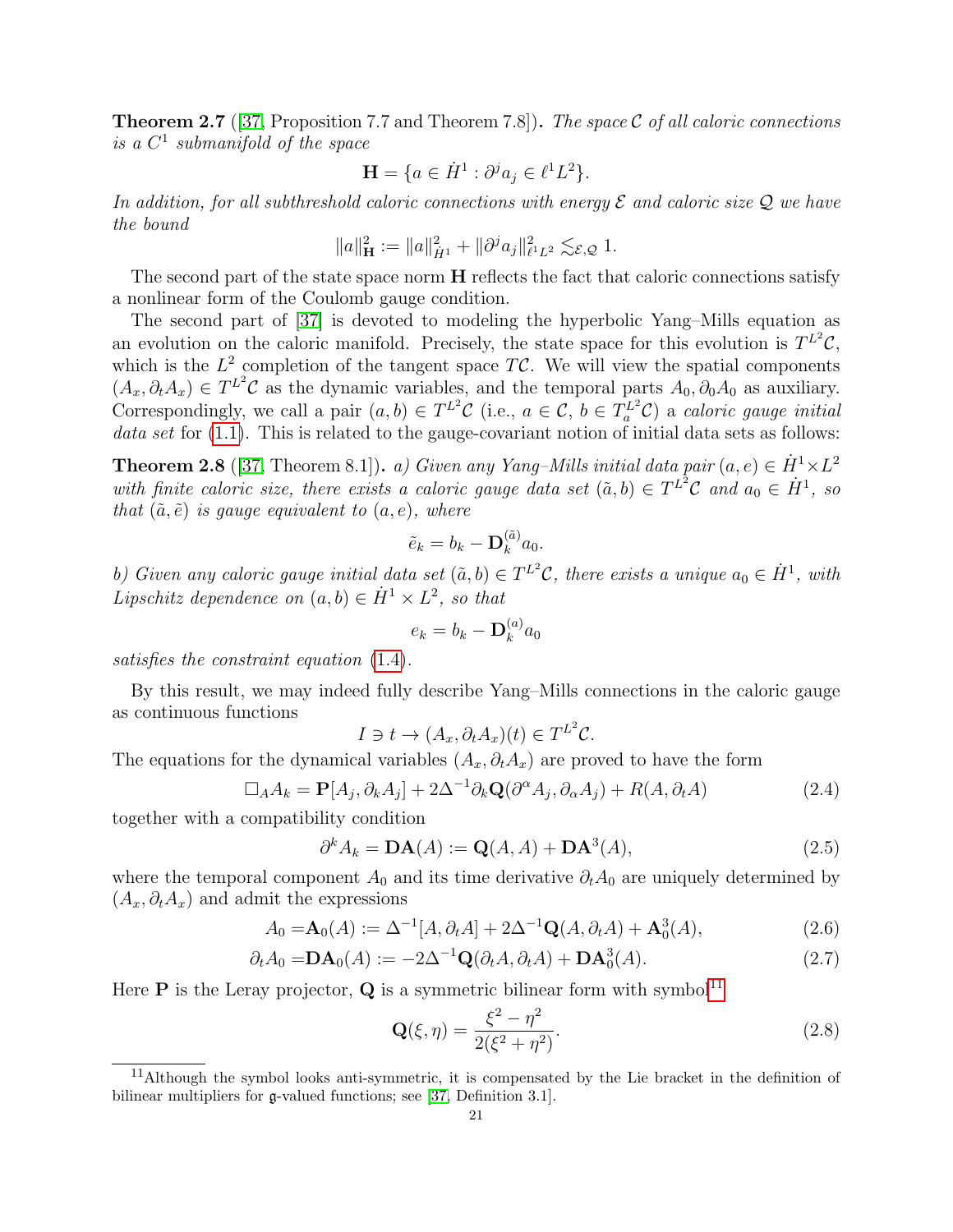**Theorem 2.7** ([\[37,](#page-64-0) Proposition 7.7 and Theorem 7.8]). The space C of all caloric connections is a  $C^1$  submanifold of the space

$$
\mathbf{H} = \{ a \in \dot{H}^1 : \partial^j a_j \in \ell^1 L^2 \}.
$$

In addition, for all subthreshold caloric connections with energy  $\mathcal E$  and caloric size  $\mathcal Q$  we have the bound

$$
||a||_H^2 := ||a||_{\dot{H}^1}^2 + ||\partial^j a_j||_{\ell^1 L^2}^2 \lesssim_{\mathcal{E},\mathcal{Q}} 1.
$$

The second part of the state space norm **H** reflects the fact that caloric connections satisfy a nonlinear form of the Coulomb gauge condition.

The second part of [\[37\]](#page-64-0) is devoted to modeling the hyperbolic Yang–Mills equation as an evolution on the caloric manifold. Precisely, the state space for this evolution is  $T^{L^2}\mathcal{C}$ , which is the  $L^2$  completion of the tangent space TC. We will view the spatial components  $(A_x, \partial_t A_x) \in T^{L^2}$ C as the dynamic variables, and the temporal parts  $A_0, \partial_0 A_0$  as auxiliary. Correspondingly, we call a pair  $(a, b) \in T^{L^2}C$  (i.e.,  $a \in C$ ,  $b \in T_a^{L^2}C$ ) a *caloric gauge initial* data set for  $(1.1)$ . This is related to the gauge-covariant notion of initial data sets as follows:

**Theorem 2.8** ([\[37,](#page-64-0) Theorem 8.1]). a) Given any Yang–Mills initial data pair  $(a, e) \in \dot{H}^1 \times L^2$ with finite caloric size, there exists a caloric gauge data set  $(\tilde{a},b) \in T^{L^2}C$  and  $a_0 \in \dot{H}^1$ , so that  $(\tilde{a}, \tilde{e})$  is gauge equivalent to  $(a, e)$ , where

$$
\tilde{e}_k = b_k - \mathbf{D}_k^{(\tilde{a})} a_0.
$$

b) Given any caloric gauge initial data set  $(\tilde{a},b) \in T^{L^2}\mathcal{C}$ , there exists a unique  $a_0 \in \dot{H}^1$ , with Lipschitz dependence on  $(a, b) \in \dot{H}^1 \times L^2$ , so that

$$
e_k = b_k - \mathbf{D}_k^{(a)} a_0
$$

satisfies the constraint equation [\(1.4\)](#page-4-0).

By this result, we may indeed fully describe Yang–Mills connections in the caloric gauge as continuous functions

$$
I \ni t \to (A_x, \partial_t A_x)(t) \in T^{L^2}C.
$$

The equations for the dynamical variables  $(A_x, \partial_t A_x)$  are proved to have the form

$$
\Box_A A_k = \mathbf{P}[A_j, \partial_k A_j] + 2\Delta^{-1} \partial_k \mathbf{Q}(\partial^\alpha A_j, \partial_\alpha A_j) + R(A, \partial_t A)
$$
\n(2.4)

together with a compatibility condition

$$
\partial^k A_k = \mathbf{DA}(A) := \mathbf{Q}(A, A) + \mathbf{DA}^3(A),\tag{2.5}
$$

where the temporal component  $A_0$  and its time derivative  $\partial_t A_0$  are uniquely determined by  $(A_x, \partial_t A_x)$  and admit the expressions

$$
A_0 = \mathbf{A}_0(A) := \Delta^{-1}[A, \partial_t A] + 2\Delta^{-1}\mathbf{Q}(A, \partial_t A) + \mathbf{A}_0^3(A), \tag{2.6}
$$

$$
\partial_t A_0 = \mathbf{DA}_0(A) := -2\Delta^{-1} \mathbf{Q}(\partial_t A, \partial_t A) + \mathbf{DA}_0^3(A). \tag{2.7}
$$

Here **P** is the Leray projector, **Q** is a symmetric bilinear form with symbol<sup>[11](#page-21-0)</sup>

$$
\mathbf{Q}(\xi, \eta) = \frac{\xi^2 - \eta^2}{2(\xi^2 + \eta^2)}.
$$
\n(2.8)

<span id="page-21-0"></span><sup>11</sup>Although the symbol looks anti-symmetric, it is compensated by the Lie bracket in the definition of bilinear multipliers for g-valued functions; see [\[37,](#page-64-0) Definition 3.1].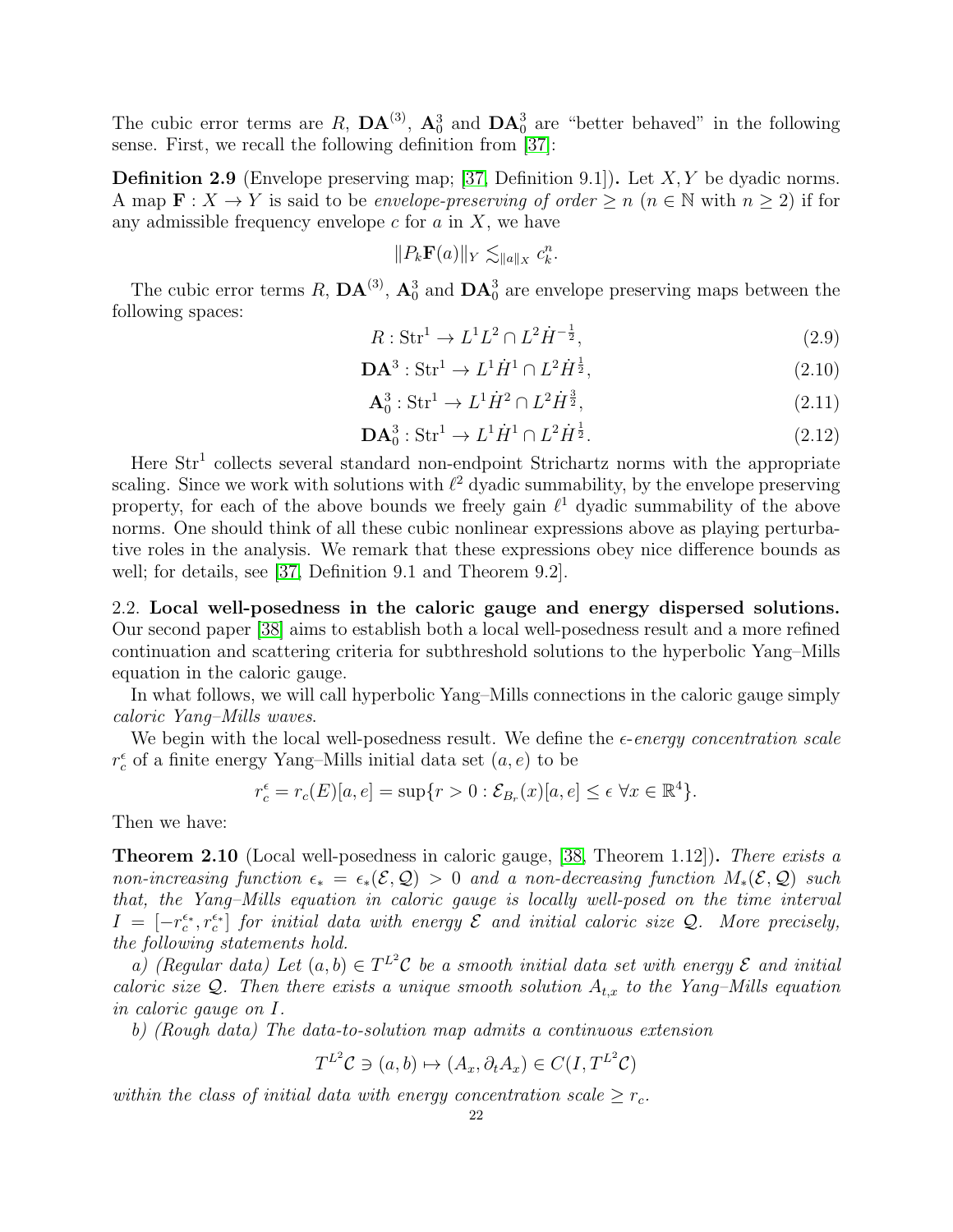The cubic error terms are R,  $\mathbf{DA}^{(3)}$ ,  $\mathbf{A}_0^3$  and  $\mathbf{DA}_0^3$  are "better behaved" in the following sense. First, we recall the following definition from [\[37\]](#page-64-0):

**Definition 2.9** (Envelope preserving map; [\[37,](#page-64-0) Definition 9.1]). Let  $X, Y$  be dyadic norms. A map  $\mathbf{F}: X \to Y$  is said to be envelope-preserving of order  $\geq n$   $(n \in \mathbb{N}$  with  $n \geq 2)$  if for any admissible frequency envelope  $c$  for  $a$  in  $X$ , we have

$$
||P_k \mathbf{F}(a)||_Y \lesssim_{||a||_X} c_k^n.
$$

The cubic error terms R,  $\mathbf{DA}^{(3)}$ ,  $\mathbf{A}_0^3$  and  $\mathbf{DA}_0^3$  are envelope preserving maps between the following spaces:

$$
R: \text{Str}^1 \to L^1 L^2 \cap L^2 \dot{H}^{-\frac{1}{2}},\tag{2.9}
$$

$$
\mathbf{DA}^3: \operatorname{Str}^1 \to L^1 \dot{H}^1 \cap L^2 \dot{H}^{\frac{1}{2}},\tag{2.10}
$$

$$
\mathbf{A}_0^3 : \operatorname{Str}^1 \to L^1 \dot{H}^2 \cap L^2 \dot{H}^{\frac{3}{2}},\tag{2.11}
$$

$$
DA_0^3: \text{Str}^1 \to L^1 \dot{H}^1 \cap L^2 \dot{H}^{\frac{1}{2}}.
$$
 (2.12)

Here  $Str<sup>1</sup>$  collects several standard non-endpoint Strichartz norms with the appropriate scaling. Since we work with solutions with  $\ell^2$  dyadic summability, by the envelope preserving property, for each of the above bounds we freely gain  $\ell^1$  dyadic summability of the above norms. One should think of all these cubic nonlinear expressions above as playing perturbative roles in the analysis. We remark that these expressions obey nice difference bounds as well; for details, see [\[37,](#page-64-0) Definition 9.1 and Theorem 9.2].

<span id="page-22-0"></span>2.2. Local well-posedness in the caloric gauge and energy dispersed solutions. Our second paper [\[38\]](#page-64-1) aims to establish both a local well-posedness result and a more refined continuation and scattering criteria for subthreshold solutions to the hyperbolic Yang–Mills equation in the caloric gauge.

In what follows, we will call hyperbolic Yang–Mills connections in the caloric gauge simply caloric Yang–Mills waves.

We begin with the local well-posedness result. We define the  $\epsilon$ -energy concentration scale  $r_c^\epsilon$  of a finite energy Yang–Mills initial data set  $(a,e)$  to be

$$
r_c^{\epsilon} = r_c(E)[a, e] = \sup\{r > 0 : \mathcal{E}_{B_r}(x)[a, e] \le \epsilon \,\forall x \in \mathbb{R}^4\}.
$$

Then we have:

<span id="page-22-1"></span>**Theorem 2.10** (Local well-posedness in caloric gauge, [\[38,](#page-64-1) Theorem 1.12]). There exists a non-increasing function  $\epsilon_* = \epsilon_*(\mathcal{E}, \mathcal{Q}) > 0$  and a non-decreasing function  $M_*(\mathcal{E}, \mathcal{Q})$  such that, the Yang–Mills equation in caloric gauge is locally well-posed on the time interval  $I = [-r_c^{\epsilon_r}, r_c^{\epsilon_r}]$  for initial data with energy  $\mathcal E$  and initial caloric size  $\mathcal Q$ . More precisely, the following statements hold.

a) (Regular data) Let  $(a, b) \in T^{L^2}C$  be a smooth initial data set with energy  $\mathcal E$  and initial caloric size Q. Then there exists a unique smooth solution  $A_{t,x}$  to the Yang–Mills equation in caloric gauge on I.

b) (Rough data) The data-to-solution map admits a continuous extension

$$
T^{L^2}\mathcal{C} \ni (a, b) \mapsto (A_x, \partial_t A_x) \in C(I, T^{L^2}\mathcal{C})
$$

within the class of initial data with energy concentration scale  $\geq r_c$ .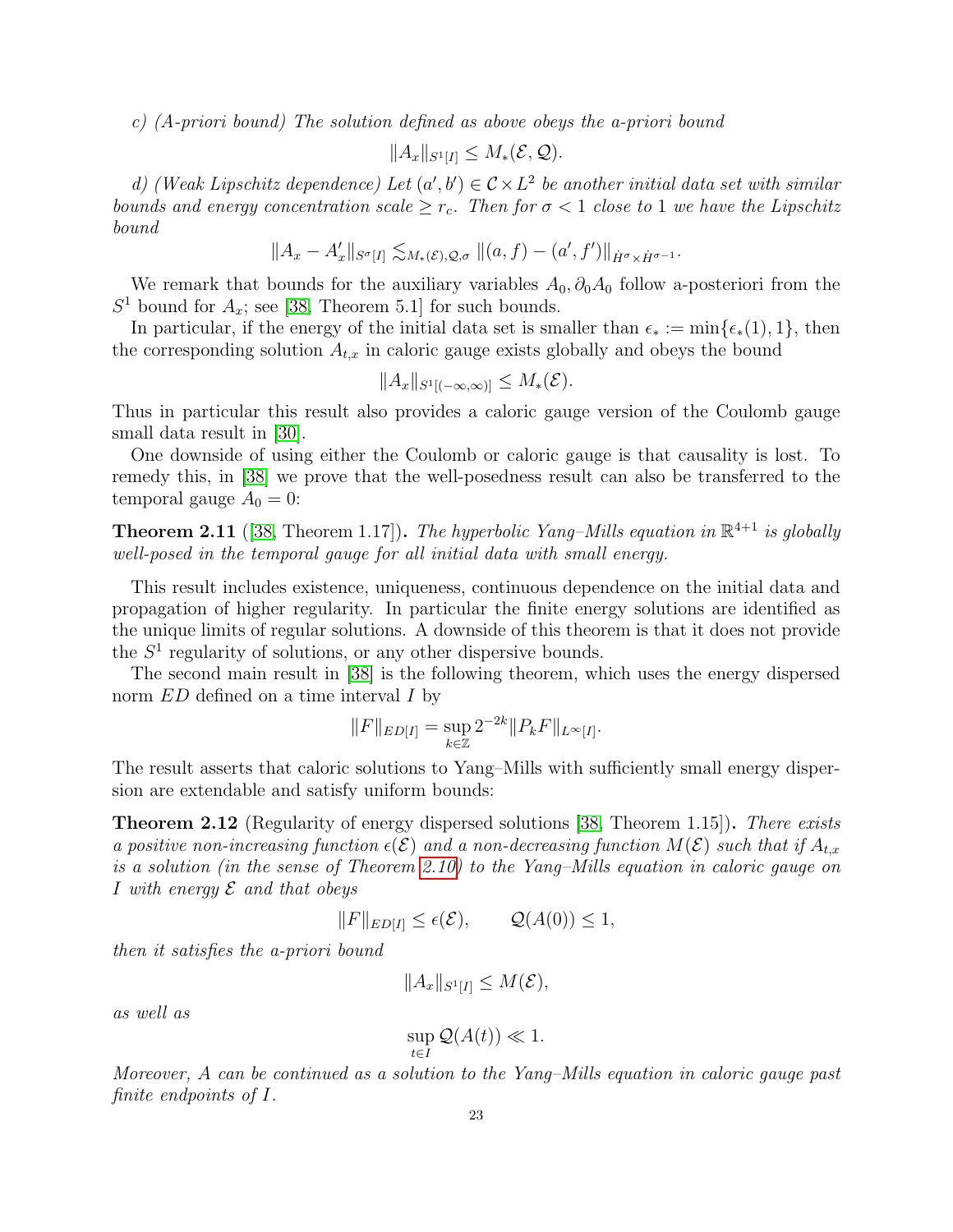c) (A-priori bound) The solution defined as above obeys the a-priori bound

$$
||A_x||_{S^1[I]} \leq M_*(\mathcal{E}, \mathcal{Q}).
$$

d) (Weak Lipschitz dependence) Let  $(a',b') \in C \times L^2$  be another initial data set with similar bounds and energy concentration scale  $\geq r_c$ . Then for  $\sigma < 1$  close to 1 we have the Lipschitz bound

$$
||A_x - A'_x||_{S^{\sigma}[I]} \lesssim_{M_*(\mathcal{E}), \mathcal{Q}, \sigma} ||(a, f) - (a', f')||_{\dot{H}^{\sigma} \times \dot{H}^{\sigma-1}}.
$$

We remark that bounds for the auxiliary variables  $A_0$ ,  $\partial_0 A_0$  follow a-posteriori from the  $S<sup>1</sup>$  bound for  $A_x$ ; see [\[38,](#page-64-1) Theorem 5.1] for such bounds.

In particular, if the energy of the initial data set is smaller than  $\epsilon_* := \min{\{\epsilon_*(1), 1\}}$ , then the corresponding solution  $A_{t,x}$  in caloric gauge exists globally and obeys the bound

$$
||A_x||_{S^1[(-\infty,\infty)]} \leq M_*({\mathcal E}).
$$

Thus in particular this result also provides a caloric gauge version of the Coulomb gauge small data result in [\[30\]](#page-64-4).

One downside of using either the Coulomb or caloric gauge is that causality is lost. To remedy this, in [\[38\]](#page-64-1) we prove that the well-posedness result can also be transferred to the temporal gauge  $A_0 = 0$ :

<span id="page-23-1"></span>**Theorem 2.11** ([\[38,](#page-64-1) Theorem 1.17]). The hyperbolic Yang–Mills equation in  $\mathbb{R}^{4+1}$  is globally well-posed in the temporal gauge for all initial data with small energy.

This result includes existence, uniqueness, continuous dependence on the initial data and propagation of higher regularity. In particular the finite energy solutions are identified as the unique limits of regular solutions. A downside of this theorem is that it does not provide the  $S<sup>1</sup>$  regularity of solutions, or any other dispersive bounds.

The second main result in [\[38\]](#page-64-1) is the following theorem, which uses the energy dispersed norm  $ED$  defined on a time interval I by

$$
||F||_{ED[I]} = \sup_{k \in \mathbb{Z}} 2^{-2k} ||P_k F||_{L^{\infty}[I]}.
$$

The result asserts that caloric solutions to Yang–Mills with sufficiently small energy dispersion are extendable and satisfy uniform bounds:

<span id="page-23-0"></span>**Theorem 2.12** (Regularity of energy dispersed solutions [\[38,](#page-64-1) Theorem 1.15]). There exists a positive non-increasing function  $\epsilon(\mathcal{E})$  and a non-decreasing function  $M(\mathcal{E})$  such that if  $A_{t,x}$ is a solution (in the sense of Theorem [2.10\)](#page-22-1) to the Yang–Mills equation in caloric gauge on I with energy  $\mathcal E$  and that obeys

$$
||F||_{ED[I]} \le \epsilon(\mathcal{E}), \qquad \mathcal{Q}(A(0)) \le 1,
$$

then it satisfies the a-priori bound

$$
||A_x||_{S^1[I]} \leq M(\mathcal{E}),
$$

as well as

$$
\sup_{t \in I} \mathcal{Q}(A(t)) \ll 1.
$$

Moreover, A can be continued as a solution to the Yang–Mills equation in caloric gauge past finite endpoints of I.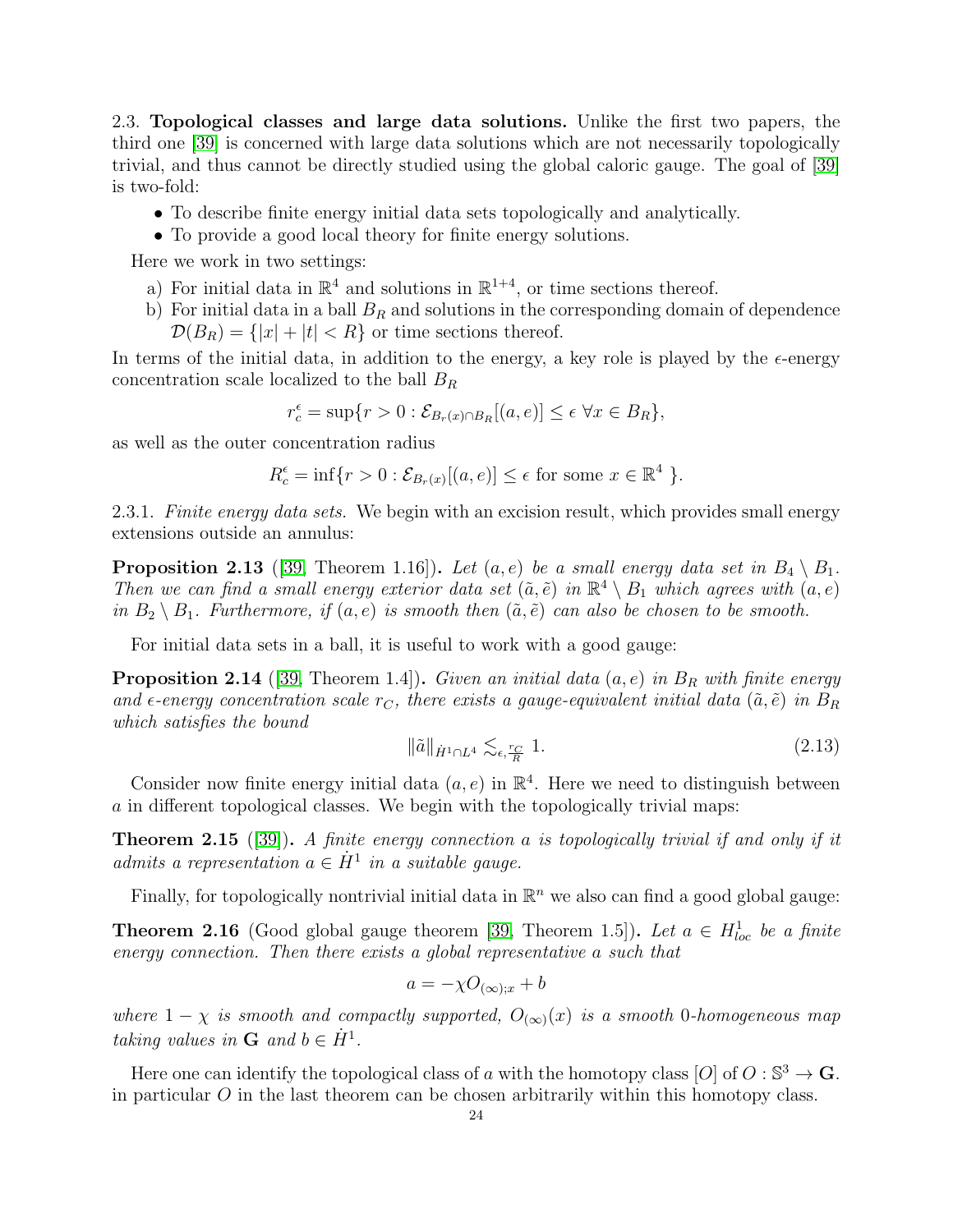<span id="page-24-0"></span>2.3. Topological classes and large data solutions. Unlike the first two papers, the third one [\[39\]](#page-64-2) is concerned with large data solutions which are not necessarily topologically trivial, and thus cannot be directly studied using the global caloric gauge. The goal of [\[39\]](#page-64-2) is two-fold:

- To describe finite energy initial data sets topologically and analytically.
- To provide a good local theory for finite energy solutions.

Here we work in two settings:

- a) For initial data in  $\mathbb{R}^4$  and solutions in  $\mathbb{R}^{1+4}$ , or time sections thereof.
- b) For initial data in a ball  $B_R$  and solutions in the corresponding domain of dependence  $\mathcal{D}(B_R) = \{|x| + |t| < R\}$  or time sections thereof.

In terms of the initial data, in addition to the energy, a key role is played by the  $\epsilon$ -energy concentration scale localized to the ball  $B_R$ 

 $r_c^{\epsilon} = \sup\{r > 0 : \mathcal{E}_{B_r(x) \cap B_R}[(a, e)] \le \epsilon \ \forall x \in B_R\},\$ 

as well as the outer concentration radius

$$
R_c^{\epsilon} = \inf \{ r > 0 : \mathcal{E}_{B_r(x)}[(a, e)] \le \epsilon \text{ for some } x \in \mathbb{R}^4 \}.
$$

2.3.1. Finite energy data sets. We begin with an excision result, which provides small energy extensions outside an annulus:

<span id="page-24-2"></span>**Proposition 2.13** ([\[39,](#page-64-2) Theorem 1.16]). Let  $(a, e)$  be a small energy data set in  $B_4 \setminus B_1$ . Then we can find a small energy exterior data set  $(\tilde{a}, \tilde{e})$  in  $\mathbb{R}^4 \setminus B_1$  which agrees with  $(a, e)$ in  $B_2 \setminus B_1$ . Furthermore, if  $(a, e)$  is smooth then  $(\tilde{a}, \tilde{e})$  can also be chosen to be smooth.

For initial data sets in a ball, it is useful to work with a good gauge:

**Proposition 2.14** ([\[39,](#page-64-2) Theorem 1.4]). Given an initial data  $(a, e)$  in  $B_R$  with finite energy and  $\epsilon$ -energy concentration scale  $r<sub>C</sub>$ , there exists a gauge-equivalent initial data ( $\tilde{a}, \tilde{e}$ ) in  $B_R$ which satisfies the bound

$$
\|\tilde{a}\|_{\dot{H}^1 \cap L^4} \lesssim_{\epsilon, \frac{r_C}{R}} 1. \tag{2.13}
$$

Consider now finite energy initial data  $(a, e)$  in  $\mathbb{R}^4$ . Here we need to distinguish between a in different topological classes. We begin with the topologically trivial maps:

<span id="page-24-1"></span>**Theorem 2.15** ([\[39\]](#page-64-2)). A finite energy connection a is topologically trivial if and only if it admits a representation  $a \in \dot{H}^1$  in a suitable gauge.

Finally, for topologically nontrivial initial data in  $\mathbb{R}^n$  we also can find a good global gauge:

**Theorem 2.16** (Good global gauge theorem [\[39,](#page-64-2) Theorem 1.5]). Let  $a \in H_{loc}^1$  be a finite energy connection. Then there exists a global representative a such that

$$
a = -\chi O_{(\infty);x} + b
$$

where  $1 - \chi$  is smooth and compactly supported,  $O_{(\infty)}(x)$  is a smooth 0-homogeneous map taking values in **G** and  $b \in \dot{H}^1$ .

Here one can identify the topological class of a with the homotopy class [O] of  $O : \mathbb{S}^3 \to \mathbb{G}$ . in particular  $O$  in the last theorem can be chosen arbitrarily within this homotopy class.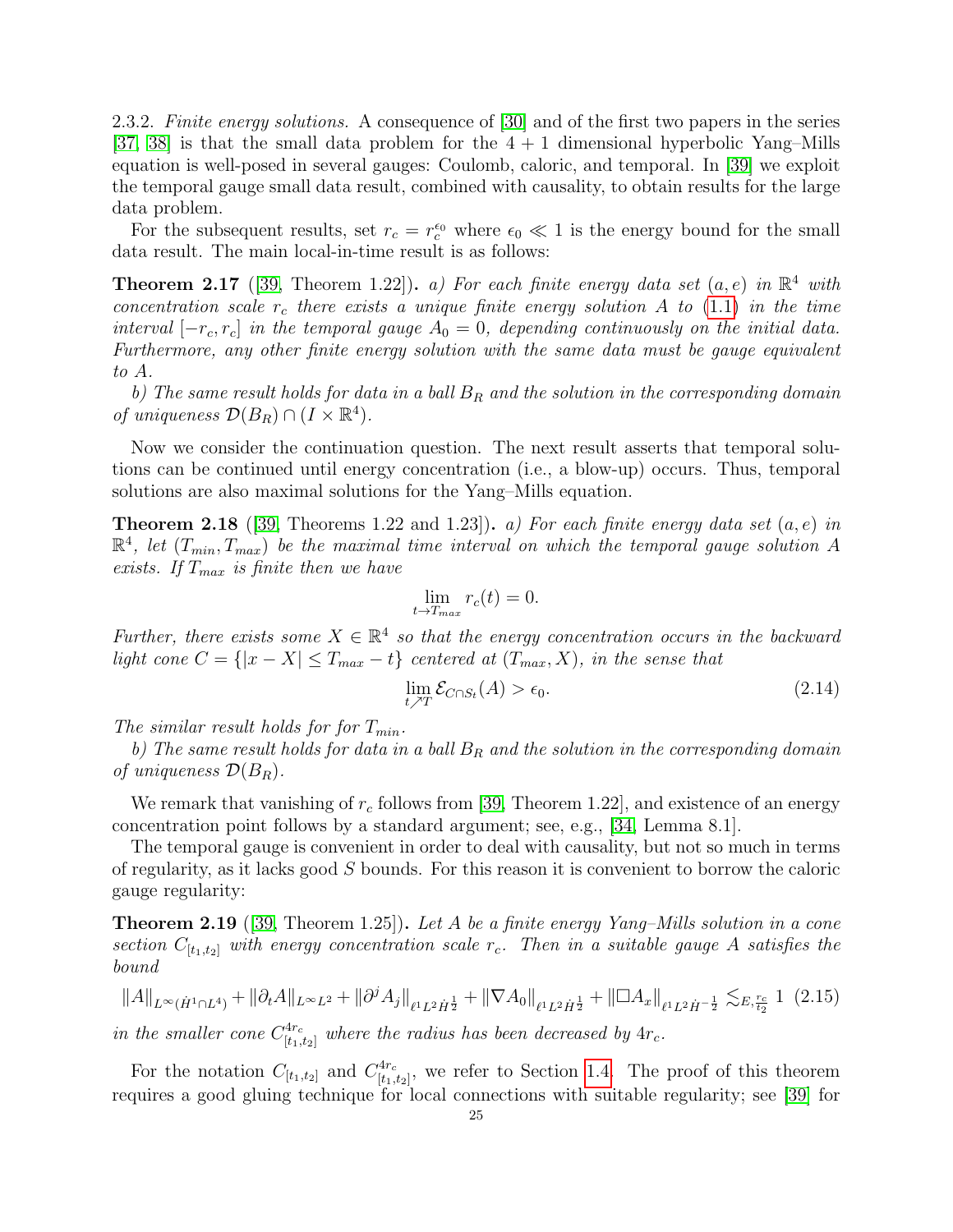2.3.2. Finite energy solutions. A consequence of [\[30\]](#page-64-4) and of the first two papers in the series [\[37,](#page-64-0) [38\]](#page-64-1) is that the small data problem for the  $4 + 1$  dimensional hyperbolic Yang–Mills equation is well-posed in several gauges: Coulomb, caloric, and temporal. In [\[39\]](#page-64-2) we exploit the temporal gauge small data result, combined with causality, to obtain results for the large data problem.

For the subsequent results, set  $r_c = r_c^{\epsilon_0}$  where  $\epsilon_0 \ll 1$  is the energy bound for the small data result. The main local-in-time result is as follows:

<span id="page-25-1"></span>**Theorem 2.17** ([\[39,](#page-64-2) Theorem 1.22]). a) For each finite energy data set  $(a, e)$  in  $\mathbb{R}^4$  with concentration scale  $r_c$  there exists a unique finite energy solution A to [\(1.1\)](#page-3-1) in the time interval  $[-r_c, r_c]$  in the temporal gauge  $A_0 = 0$ , depending continuously on the initial data. Furthermore, any other finite energy solution with the same data must be gauge equivalent to A.

b) The same result holds for data in a ball  $B_R$  and the solution in the corresponding domain of uniqueness  $\mathcal{D}(B_R) \cap (I \times \mathbb{R}^4)$ .

Now we consider the continuation question. The next result asserts that temporal solutions can be continued until energy concentration (i.e., a blow-up) occurs. Thus, temporal solutions are also maximal solutions for the Yang–Mills equation.

<span id="page-25-2"></span>**Theorem 2.18** ([\[39,](#page-64-2) Theorems 1.22 and 1.23]). a) For each finite energy data set  $(a, e)$  in  $\mathbb{R}^4$ , let  $(T_{min}, T_{max})$  be the maximal time interval on which the temporal gauge solution A exists. If  $T_{max}$  is finite then we have

$$
\lim_{t \to T_{max}} r_c(t) = 0.
$$

Further, there exists some  $X \in \mathbb{R}^4$  so that the energy concentration occurs in the backward light cone  $C = \{ |x - X| \leq T_{max} - t \}$  centered at  $(T_{max}, X)$ , in the sense that

$$
\lim_{t \nearrow T} \mathcal{E}_{C \cap S_t}(A) > \epsilon_0.
$$
\n(2.14)

The similar result holds for for  $T_{min}$ .

b) The same result holds for data in a ball  $B_R$  and the solution in the corresponding domain of uniqueness  $\mathcal{D}(B_R)$ .

We remark that vanishing of  $r_c$  follows from [\[39,](#page-64-2) Theorem 1.22], and existence of an energy concentration point follows by a standard argument; see, e.g., [\[34,](#page-64-24) Lemma 8.1].

The temporal gauge is convenient in order to deal with causality, but not so much in terms of regularity, as it lacks good S bounds. For this reason it is convenient to borrow the caloric gauge regularity:

<span id="page-25-0"></span>**Theorem 2.19** ([\[39,](#page-64-2) Theorem 1.25]). Let A be a finite energy Yang–Mills solution in a cone section  $C_{[t_1,t_2]}$  with energy concentration scale  $r_c$ . Then in a suitable gauge A satisfies the bound

<span id="page-25-3"></span>
$$
||A||_{L^{\infty}(\dot{H}^{1}\cap L^{4})} + ||\partial_{t}A||_{L^{\infty}L^{2}} + ||\partial^{j}A_{j}||_{\ell^{1}L^{2}\dot{H}^{\frac{1}{2}}} + ||\nabla A_{0}||_{\ell^{1}L^{2}\dot{H}^{\frac{1}{2}}} + ||\Box A_{x}||_{\ell^{1}L^{2}\dot{H}^{-\frac{1}{2}}} \lesssim_{E, \frac{r_{c}}{t_{2}}} 1 \tag{2.15}
$$

in the smaller cone  $C_{[t_1,t_2]}^{4r_c}$  where the radius has been decreased by  $4r_c$ .

For the notation  $C_{[t_1,t_2]}$  and  $C_{[t_1,t_2]}^{4r_c}$  $\frac{f_1f_2}{[t_1,t_2]}$ , we refer to Section [1.4.](#page-15-0) The proof of this theorem requires a good gluing technique for local connections with suitable regularity; see [\[39\]](#page-64-2) for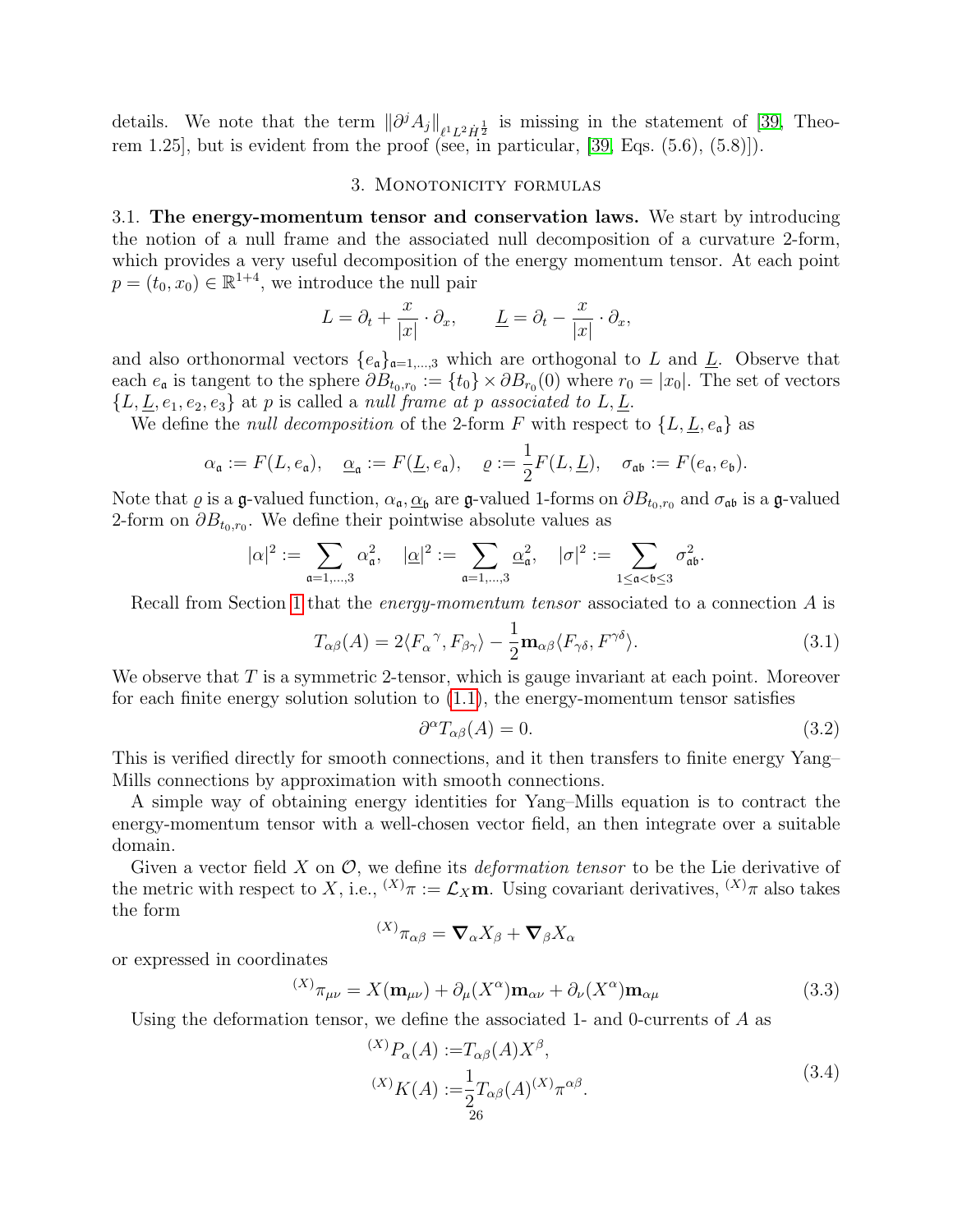details. We note that the term  $\|\partial^j A_j\|_{\ell^1 L^2 \dot{H}^{\frac{1}{2}}}$  is missing in the statement of [\[39,](#page-64-2) Theorem 1.25], but is evident from the proof (see, in particular,  $[39, Eqs. (5.6), (5.8)]$ ).

#### 3. MONOTONICITY FORMULAS

<span id="page-26-1"></span><span id="page-26-0"></span>3.1. The energy-momentum tensor and conservation laws. We start by introducing the notion of a null frame and the associated null decomposition of a curvature 2-form, which provides a very useful decomposition of the energy momentum tensor. At each point  $p = (t_0, x_0) \in \mathbb{R}^{1+4}$ , we introduce the null pair

$$
L = \partial_t + \frac{x}{|x|} \cdot \partial_x, \qquad \underline{L} = \partial_t - \frac{x}{|x|} \cdot \partial_x,
$$

and also orthonormal vectors  ${e_a}_{a=1,\dots,3}$  which are orthogonal to L and L. Observe that each  $e_{\mathfrak{a}}$  is tangent to the sphere  $\partial B_{t_0,r_0} := \{t_0\} \times \partial B_{r_0}(0)$  where  $r_0 = |x_0|$ . The set of vectors  ${L, \underline{L}, e_1, e_2, e_3}$  at p is called a null frame at p associated to  $L, \underline{L}$ .

We define the *null decomposition* of the 2-form F with respect to  $\{L, L, e_{\mathfrak{a}}\}$  as

$$
\alpha_{\mathfrak{a}} := F(L, e_{\mathfrak{a}}), \quad \underline{\alpha}_{\mathfrak{a}} := F(\underline{L}, e_{\mathfrak{a}}), \quad \varrho := \frac{1}{2}F(L, \underline{L}), \quad \sigma_{\mathfrak{a}\mathfrak{b}} := F(e_{\mathfrak{a}}, e_{\mathfrak{b}}).
$$

Note that  $\varrho$  is a g-valued function,  $\alpha_{\mathfrak{a}}, \underline{\alpha}_{\mathfrak{b}}$  are g-valued 1-forms on  $\partial B_{t_0,r_0}$  and  $\sigma_{\mathfrak{a}\mathfrak{b}}$  is a g-valued 2-form on  $\partial B_{t_0,r_0}$ . We define their pointwise absolute values as

$$
|\alpha|^2:=\sum_{\mathfrak{a}=1,\ldots,3}\alpha_{\mathfrak{a}}^2,\quad |\underline{\alpha}|^2:=\sum_{\mathfrak{a}=1,\ldots,3}\underline{\alpha}_{\mathfrak{a}}^2,\quad |\sigma|^2:=\sum_{1\leq \mathfrak{a}<\mathfrak{b}\leq 3}\sigma_{\mathfrak{a}\mathfrak{b}}^2.
$$

Recall from Section [1](#page-2-0) that the *energy-momentum tensor* associated to a connection A is

$$
T_{\alpha\beta}(A) = 2\langle F_{\alpha}{}^{\gamma}, F_{\beta\gamma} \rangle - \frac{1}{2} \mathbf{m}_{\alpha\beta} \langle F_{\gamma\delta}, F^{\gamma\delta} \rangle.
$$
 (3.1)

We observe that  $T$  is a symmetric 2-tensor, which is gauge invariant at each point. Moreover for each finite energy solution solution to  $(1.1)$ , the energy-momentum tensor satisfies

<span id="page-26-2"></span>
$$
\partial^{\alpha}T_{\alpha\beta}(A) = 0. \tag{3.2}
$$

This is verified directly for smooth connections, and it then transfers to finite energy Yang– Mills connections by approximation with smooth connections.

A simple way of obtaining energy identities for Yang–Mills equation is to contract the energy-momentum tensor with a well-chosen vector field, an then integrate over a suitable domain.

Given a vector field X on  $\mathcal{O}$ , we define its *deformation tensor* to be the Lie derivative of the metric with respect to X, i.e.,  $^{(X)}\pi := \mathcal{L}_X \mathbf{m}$ . Using covariant derivatives,  $^{(X)}\pi$  also takes the form

$$
^{(X)}\pi_{\alpha\beta}=\mathbf{\nabla}_{\alpha}X_{\beta}+\mathbf{\nabla}_{\beta}X_{\alpha}
$$

or expressed in coordinates

$$
^{(X)}\pi_{\mu\nu} = X(\mathbf{m}_{\mu\nu}) + \partial_{\mu}(X^{\alpha})\mathbf{m}_{\alpha\nu} + \partial_{\nu}(X^{\alpha})\mathbf{m}_{\alpha\mu} \tag{3.3}
$$

Using the deformation tensor, we define the associated 1- and 0-currents of A as

$$
^{(X)}P_{\alpha}(A) := T_{\alpha\beta}(A)X^{\beta},
$$
  
\n
$$
^{(X)}K(A) := \frac{1}{2}T_{\alpha\beta}(A)^{(X)}\pi^{\alpha\beta}.
$$
\n(3.4)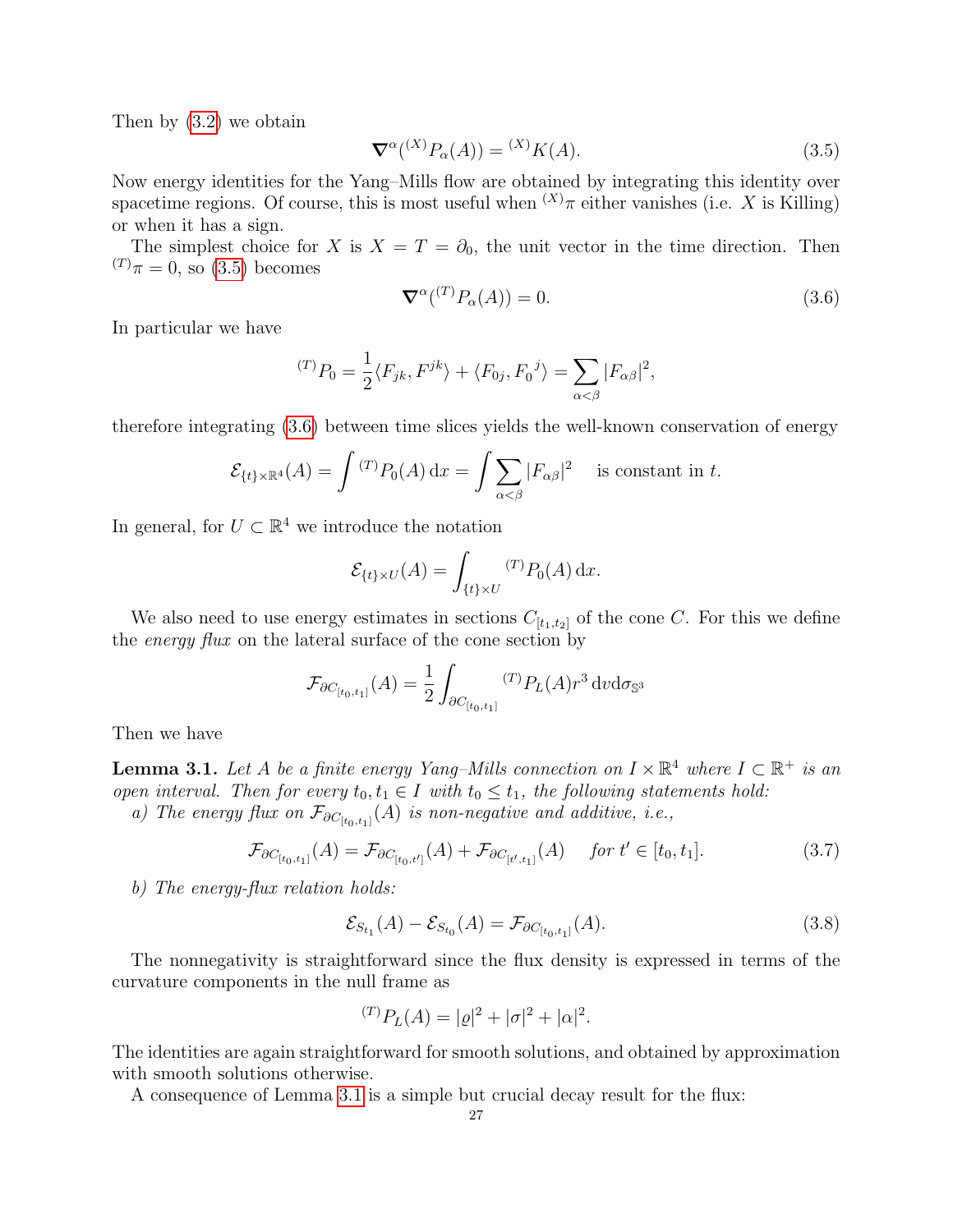Then by [\(3.2\)](#page-26-2) we obtain

<span id="page-27-0"></span>
$$
\nabla^{\alpha}({}^{(X)}P_{\alpha}(A)) = {}^{(X)}K(A). \tag{3.5}
$$

Now energy identities for the Yang–Mills flow are obtained by integrating this identity over spacetime regions. Of course, this is most useful when  $^{(X)}\pi$  either vanishes (i.e. X is Killing) or when it has a sign.

The simplest choice for X is  $X = T = \partial_0$ , the unit vector in the time direction. Then  $(T)_{\pi} = 0$ , so [\(3.5\)](#page-27-0) becomes

<span id="page-27-1"></span>
$$
\nabla^{\alpha}({}^{(T)}P_{\alpha}(A)) = 0. \tag{3.6}
$$

In particular we have

$$
{}^{(T)}P_0 = \frac{1}{2} \langle F_{jk}, F^{jk} \rangle + \langle F_{0j}, F_0^j \rangle = \sum_{\alpha < \beta} |F_{\alpha\beta}|^2,
$$

therefore integrating [\(3.6\)](#page-27-1) between time slices yields the well-known conservation of energy

$$
\mathcal{E}_{\{t\}\times\mathbb{R}^4}(A) = \int {}^{(T)}P_0(A) dx = \int \sum_{\alpha < \beta} |F_{\alpha\beta}|^2 \quad \text{ is constant in } t.
$$

In general, for  $U \subset \mathbb{R}^4$  we introduce the notation

$$
\mathcal{E}_{\{t\}\times U}(A) = \int_{\{t\}\times U} {}^{(T)}P_0(A) \, \mathrm{d}x.
$$

We also need to use energy estimates in sections  $C_{[t_1,t_2]}$  of the cone C. For this we define the *energy flux* on the lateral surface of the cone section by

$$
\mathcal{F}_{\partial C_{[t_0,t_1]}}(A) = \frac{1}{2} \int_{\partial C_{[t_0,t_1]}} {}^{(T)}P_L(A) r^3 dv d\sigma_{\mathbb{S}^3}
$$

Then we have

<span id="page-27-2"></span>**Lemma 3.1.** Let A be a finite energy Yang–Mills connection on  $I \times \mathbb{R}^4$  where  $I \subset \mathbb{R}^+$  is an open interval. Then for every  $t_0, t_1 \in I$  with  $t_0 \leq t_1$ , the following statements hold: a) The energy flux on  $\mathcal{F}_{\partial C_{[t_0,t_1]}}(A)$  is non-negative and additive, i.e.,

$$
\mathcal{F}_{\partial C_{[t_0,t_1]}}(A) = \mathcal{F}_{\partial C_{[t_0,t']}}(A) + \mathcal{F}_{\partial C_{[t',t_1]}}(A) \quad \text{for } t' \in [t_0,t_1].
$$
 (3.7)

b) The energy-flux relation holds:

<span id="page-27-3"></span>
$$
\mathcal{E}_{S_{t_1}}(A) - \mathcal{E}_{S_{t_0}}(A) = \mathcal{F}_{\partial C_{[t_0, t_1]}}(A). \tag{3.8}
$$

The nonnegativity is straightforward since the flux density is expressed in terms of the curvature components in the null frame as

$$
{}^{(T)}P_L(A) = |\varrho|^2 + |\sigma|^2 + |\alpha|^2.
$$

The identities are again straightforward for smooth solutions, and obtained by approximation with smooth solutions otherwise.

A consequence of Lemma [3.1](#page-27-2) is a simple but crucial decay result for the flux: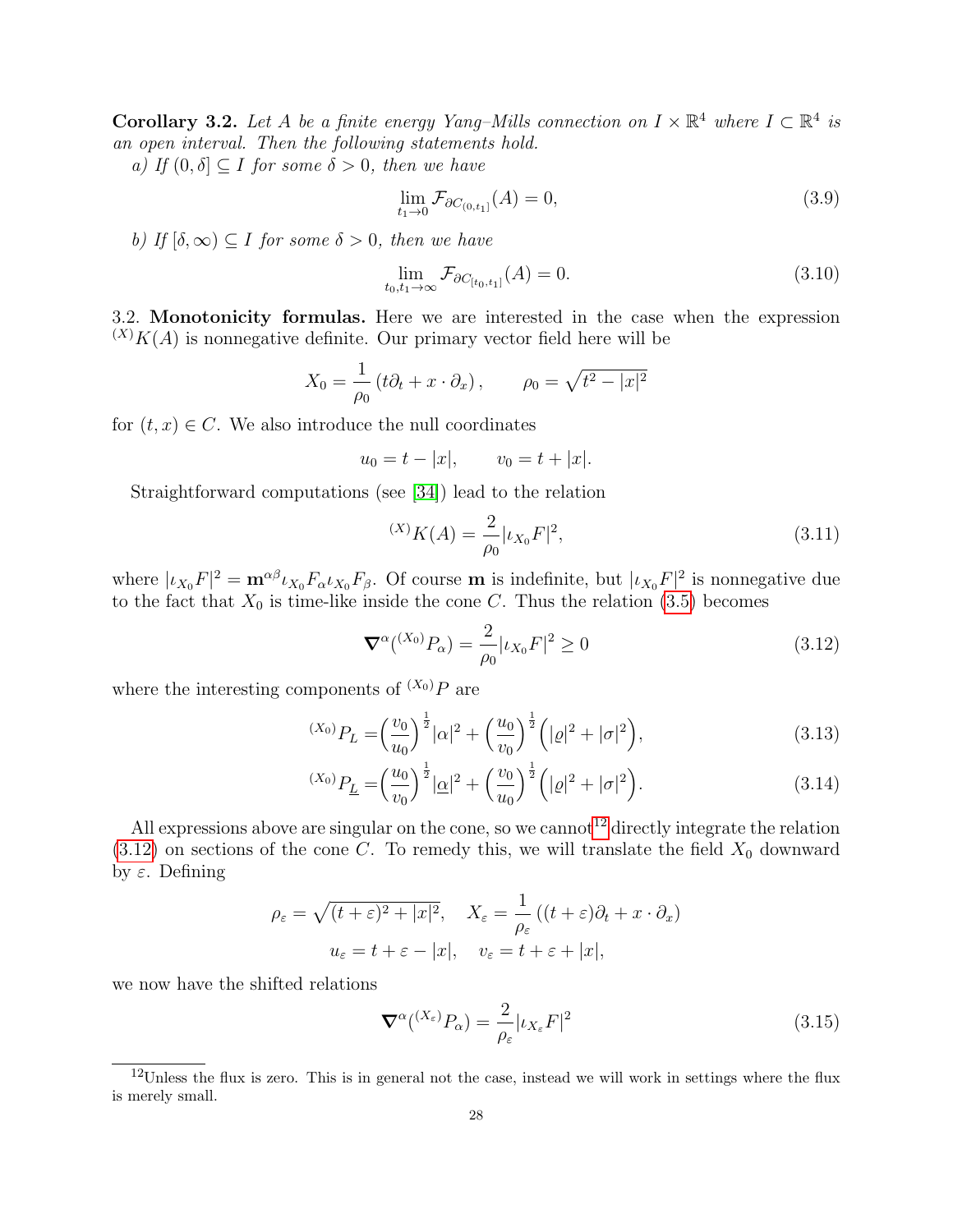**Corollary 3.2.** Let A be a finite energy Yang–Mills connection on  $I \times \mathbb{R}^4$  where  $I \subset \mathbb{R}^4$  is an open interval. Then the following statements hold.

a) If  $(0, \delta] \subset I$  for some  $\delta > 0$ , then we have

$$
\lim_{t_1 \to 0} \mathcal{F}_{\partial C_{(0,t_1]}}(A) = 0,\tag{3.9}
$$

b) If  $[\delta, \infty) \subset I$  for some  $\delta > 0$ , then we have

$$
\lim_{t_0, t_1 \to \infty} \mathcal{F}_{\partial C_{[t_0, t_1]}}(A) = 0.
$$
\n(3.10)

<span id="page-28-0"></span>3.2. Monotonicity formulas. Here we are interested in the case when the expression  $(X)K(A)$  is nonnegative definite. Our primary vector field here will be

$$
X_0 = \frac{1}{\rho_0} \left( t \partial_t + x \cdot \partial_x \right), \qquad \rho_0 = \sqrt{t^2 - |x|^2}
$$

for  $(t, x) \in C$ . We also introduce the null coordinates

$$
u_0 = t - |x|,
$$
  $v_0 = t + |x|.$ 

Straightforward computations (see [\[34\]](#page-64-24)) lead to the relation

$$
^{(X)}K(A) = \frac{2}{\rho_0} |\iota_{X_0} F|^2, \tag{3.11}
$$

where  $|\iota_{X_0} F|^2 = \mathbf{m}^{\alpha\beta} \iota_{X_0} F_{\alpha} \iota_{X_0} F_{\beta}$ . Of course **m** is indefinite, but  $|\iota_{X_0} F|^2$  is nonnegative due to the fact that  $X_0$  is time-like inside the cone C. Thus the relation [\(3.5\)](#page-27-0) becomes

<span id="page-28-2"></span>
$$
\nabla^{\alpha}({}^{(X_0)}P_{\alpha}) = \frac{2}{\rho_0} |\iota_{X_0} F|^2 \ge 0
$$
\n(3.12)

where the interesting components of  $(X_0)P$  are

$$
^{(X_0)}P_L = \left(\frac{v_0}{u_0}\right)^{\frac{1}{2}}|\alpha|^2 + \left(\frac{u_0}{v_0}\right)^{\frac{1}{2}}\left(|\varrho|^2 + |\sigma|^2\right),\tag{3.13}
$$

$$
^{(X_0)}P_{\underline{L}} = \left(\frac{u_0}{v_0}\right)^{\frac{1}{2}} |\underline{\alpha}|^2 + \left(\frac{v_0}{u_0}\right)^{\frac{1}{2}} \left(|\varrho|^2 + |\sigma|^2\right).
$$
\n(3.14)

All expressions above are singular on the cone, so we cannot<sup>[12](#page-28-1)</sup> directly integrate the relation  $(3.12)$  on sections of the cone C. To remedy this, we will translate the field  $X_0$  downward by  $ε$ . Defining

$$
\rho_{\varepsilon} = \sqrt{(t+\varepsilon)^2 + |x|^2}, \quad X_{\varepsilon} = \frac{1}{\rho_{\varepsilon}}((t+\varepsilon)\partial_t + x \cdot \partial_x)
$$

$$
u_{\varepsilon} = t + \varepsilon - |x|, \quad v_{\varepsilon} = t + \varepsilon + |x|,
$$

we now have the shifted relations

$$
\nabla^{\alpha}({}^{(X_{\varepsilon})}P_{\alpha}) = \frac{2}{\rho_{\varepsilon}}|\iota_{X_{\varepsilon}}F|^{2}
$$
\n(3.15)

<span id="page-28-1"></span><sup>12</sup>Unless the flux is zero. This is in general not the case, instead we will work in settings where the flux is merely small.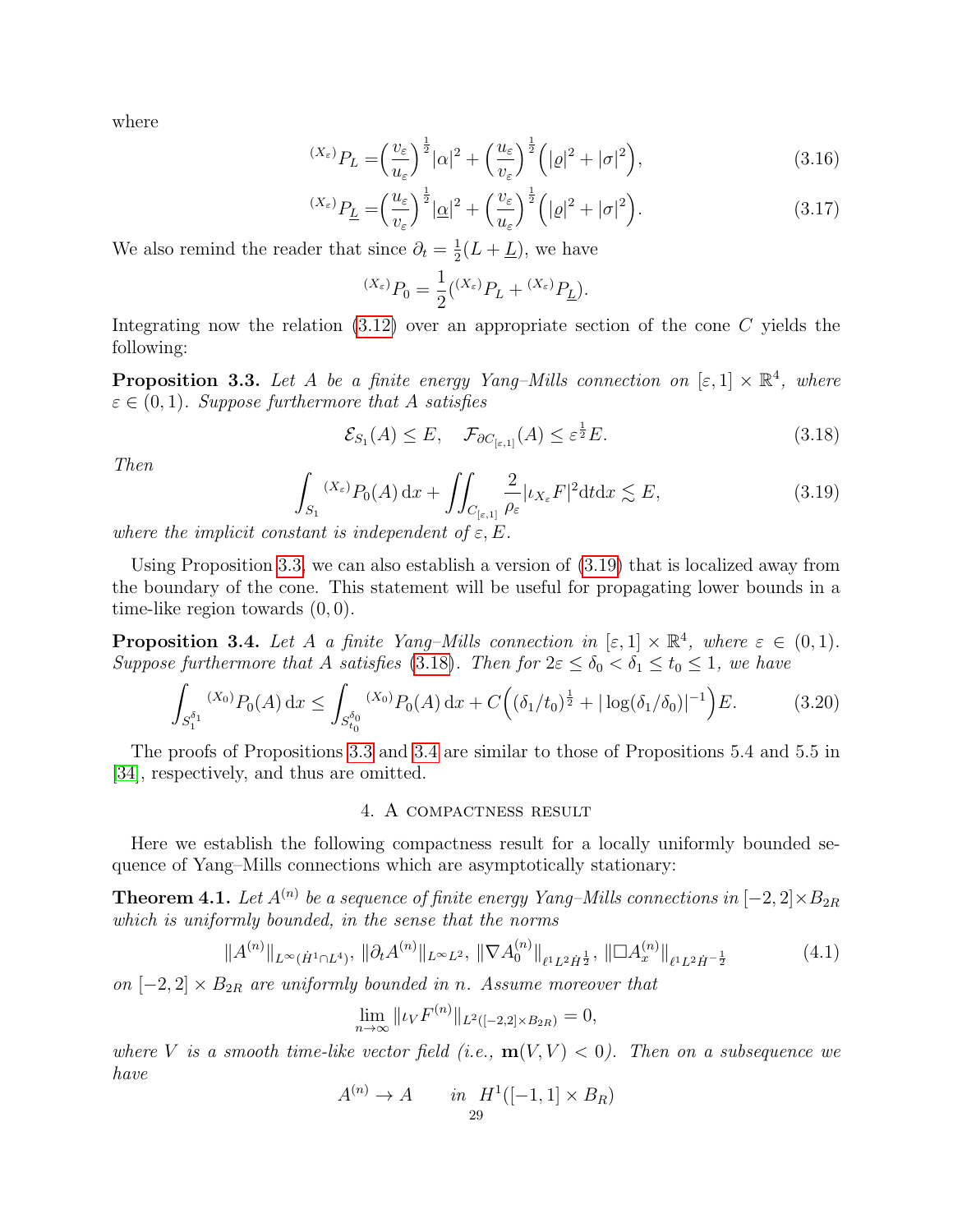where

$$
^{(X_{\varepsilon})}P_{L} = \left(\frac{v_{\varepsilon}}{u_{\varepsilon}}\right)^{\frac{1}{2}}|\alpha|^{2} + \left(\frac{u_{\varepsilon}}{v_{\varepsilon}}\right)^{\frac{1}{2}}\left(|\varrho|^{2} + |\sigma|^{2}\right),\tag{3.16}
$$

$$
^{(X_{\varepsilon})}P_{\underline{L}} = \left(\frac{u_{\varepsilon}}{v_{\varepsilon}}\right)^{\frac{1}{2}} |\underline{\alpha}|^2 + \left(\frac{v_{\varepsilon}}{u_{\varepsilon}}\right)^{\frac{1}{2}} \left(|\varrho|^2 + |\sigma|^2\right). \tag{3.17}
$$

We also remind the reader that since  $\partial_t = \frac{1}{2}$  $\frac{1}{2}(L+\underline{L})$ , we have

<span id="page-29-8"></span><span id="page-29-7"></span>
$$
^{(X_{\varepsilon})}P_{0} = \frac{1}{2}({}^{(X_{\varepsilon})}P_{L} + {}^{(X_{\varepsilon})}P_{\underline{L}}).
$$

Integrating now the relation  $(3.12)$  over an appropriate section of the cone C yields the following:

<span id="page-29-2"></span>**Proposition 3.3.** Let A be a finite energy Yang–Mills connection on  $[\epsilon, 1] \times \mathbb{R}^4$ , where  $\varepsilon \in (0,1)$ . Suppose furthermore that A satisfies

<span id="page-29-4"></span>
$$
\mathcal{E}_{S_1}(A) \le E, \quad \mathcal{F}_{\partial C_{[\varepsilon,1]}}(A) \le \varepsilon^{\frac{1}{2}} E. \tag{3.18}
$$

Then

<span id="page-29-3"></span>
$$
\int_{S_1} {}^{(X_{\varepsilon})} P_0(A) \, \mathrm{d}x + \iint_{C_{\left[\varepsilon, 1\right]}} \frac{2}{\rho_{\varepsilon}} |\iota_{X_{\varepsilon}} F|^2 \mathrm{d}t \mathrm{d}x \lesssim E,\tag{3.19}
$$

where the implicit constant is independent of  $\varepsilon, E$ .

Using Proposition [3.3,](#page-29-2) we can also establish a version of [\(3.19\)](#page-29-3) that is localized away from the boundary of the cone. This statement will be useful for propagating lower bounds in a time-like region towards (0, 0).

<span id="page-29-5"></span>**Proposition 3.4.** Let A a finite Yang–Mills connection in  $[\epsilon, 1] \times \mathbb{R}^4$ , where  $\epsilon \in (0, 1)$ . Suppose furthermore that A satisfies [\(3.18\)](#page-29-4). Then for  $2\varepsilon \leq \delta_0 < \delta_1 \leq t_0 \leq 1$ , we have

$$
\int_{S_1^{\delta_1}} {}^{(X_0)}P_0(A) dx \le \int_{S_{t_0}^{\delta_0}} {}^{(X_0)}P_0(A) dx + C \Big( (\delta_1/t_0)^{\frac{1}{2}} + |\log(\delta_1/\delta_0)|^{-1} \Big) E. \tag{3.20}
$$

The proofs of Propositions [3.3](#page-29-2) and [3.4](#page-29-5) are similar to those of Propositions 5.4 and 5.5 in [\[34\]](#page-64-24), respectively, and thus are omitted.

#### 4. A compactness result

<span id="page-29-0"></span>Here we establish the following compactness result for a locally uniformly bounded sequence of Yang–Mills connections which are asymptotically stationary:

<span id="page-29-1"></span>**Theorem 4.1.** Let  $A^{(n)}$  be a sequence of finite energy Yang–Mills connections in  $[-2,2]\times B_{2R}$ which is uniformly bounded, in the sense that the norms

<span id="page-29-6"></span>
$$
\|A^{(n)}\|_{L^{\infty}(\dot{H}^1 \cap L^4)}, \|\partial_t A^{(n)}\|_{L^{\infty}L^2}, \|\nabla A_0^{(n)}\|_{\ell^1 L^2 \dot{H}^{\frac{1}{2}}}, \|\Box A_x^{(n)}\|_{\ell^1 L^2 \dot{H}^{-\frac{1}{2}}} \tag{4.1}
$$

on  $[-2, 2] \times B_{2R}$  are uniformly bounded in n. Assume moreover that

$$
\lim_{n \to \infty} ||\iota_V F^{(n)}||_{L^2([-2,2] \times B_{2R})} = 0,
$$

where V is a smooth time-like vector field (i.e.,  $\mathbf{m}(V, V) < 0$ ). Then on a subsequence we have

$$
A^{(n)} \to A \qquad in \quad H^1([-1,1] \times B_R)
$$
  
29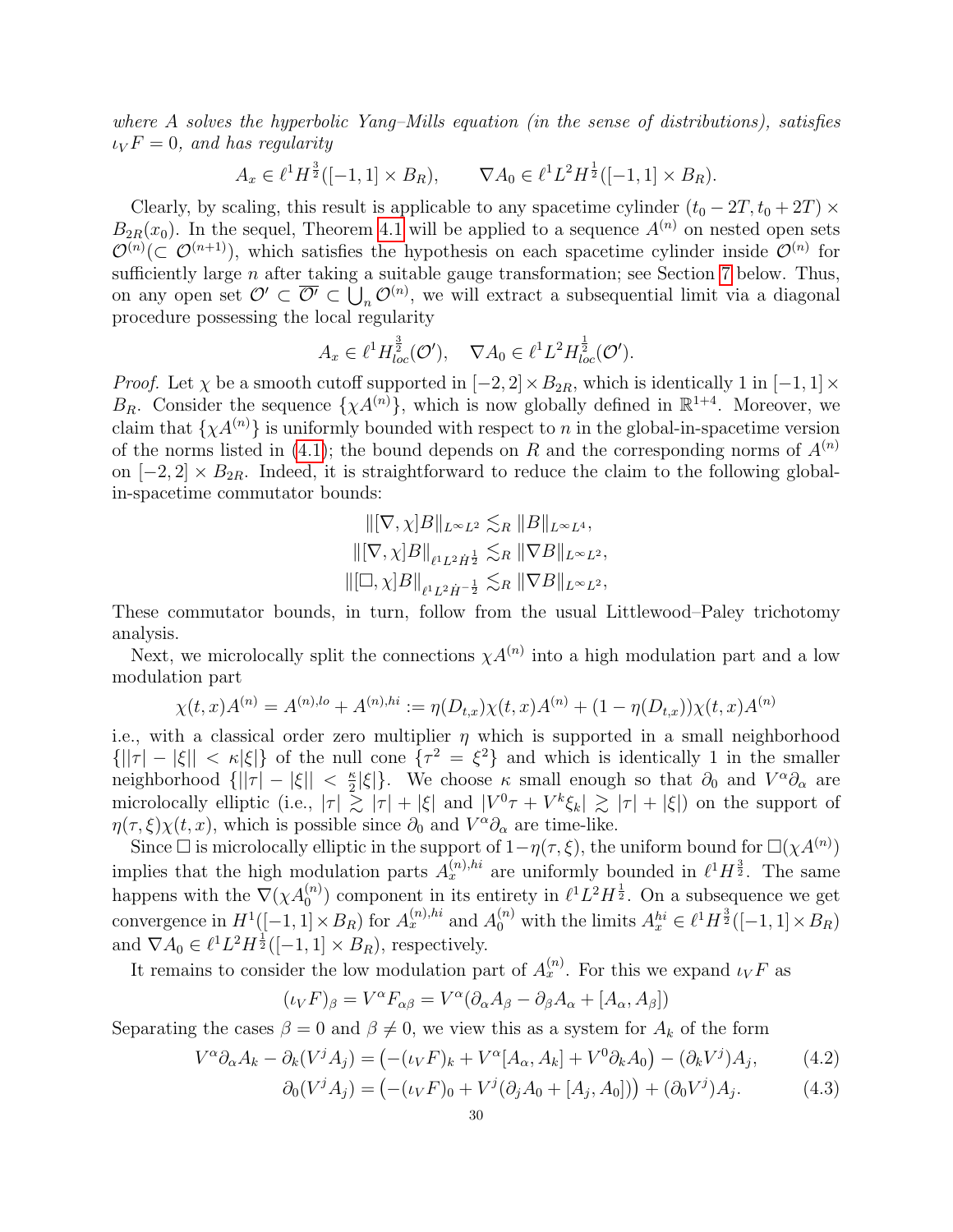where A solves the hyperbolic Yang–Mills equation (in the sense of distributions), satisfies  $\iota_V F = 0$ , and has regularity

$$
A_x \in \ell^1 H^{\frac{3}{2}}([-1,1] \times B_R), \qquad \nabla A_0 \in \ell^1 L^2 H^{\frac{1}{2}}([-1,1] \times B_R).
$$

Clearly, by scaling, this result is applicable to any spacetime cylinder  $(t_0 - 2T, t_0 + 2T) \times$  $B_{2R}(x_0)$ . In the sequel, Theorem [4.1](#page-29-1) will be applied to a sequence  $A^{(n)}$  on nested open sets  $\mathcal{O}^{(n)}(\subset \mathcal{O}^{(n+1)})$ , which satisfies the hypothesis on each spacetime cylinder inside  $\mathcal{O}^{(n)}$  for sufficiently large  $n$  after taking a suitable gauge transformation; see Section [7](#page-38-0) below. Thus, on any open set  $\mathcal{O}' \subset \overline{\mathcal{O}'} \subset \bigcup_n \mathcal{O}^{(n)}$ , we will extract a subsequential limit via a diagonal procedure possessing the local regularity

$$
A_x \in \ell^1 H_{loc}^{\frac{3}{2}}(\mathcal{O}'), \quad \nabla A_0 \in \ell^1 L^2 H_{loc}^{\frac{1}{2}}(\mathcal{O}').
$$

*Proof.* Let  $\chi$  be a smooth cutoff supported in  $[-2, 2] \times B_{2R}$ , which is identically 1 in  $[-1, 1] \times$  $B_R$ . Consider the sequence  $\{\chi A^{(n)}\}$ , which is now globally defined in  $\mathbb{R}^{1+4}$ . Moreover, we claim that  $\{\chi A^{(n)}\}$  is uniformly bounded with respect to n in the global-in-spacetime version of the norms listed in [\(4.1\)](#page-29-6); the bound depends on R and the corresponding norms of  $A^{(n)}$ on  $[-2, 2] \times B_{2R}$ . Indeed, it is straightforward to reduce the claim to the following globalin-spacetime commutator bounds:

$$
\begin{aligned} &\| [\nabla,\chi] B\|_{L^\infty L^2} \lesssim_R \| B\|_{L^\infty L^4},\\ &\| [\nabla,\chi] B\|_{\ell^1 L^2 \dot H^{\frac{1}{2}}} \lesssim_R \| \nabla B\|_{L^\infty L^2},\\ &\| [\Box,\chi] B\|_{\ell^1 L^2 \dot H^{-\frac{1}{2}}} \lesssim_R \| \nabla B\|_{L^\infty L^2}, \end{aligned}
$$

These commutator bounds, in turn, follow from the usual Littlewood–Paley trichotomy analysis.

Next, we microlocally split the connections  $\chi A^{(n)}$  into a high modulation part and a low modulation part

$$
\chi(t,x)A^{(n)} = A^{(n),lo} + A^{(n),hi} := \eta(D_{t,x})\chi(t,x)A^{(n)} + (1 - \eta(D_{t,x}))\chi(t,x)A^{(n)}
$$

i.e., with a classical order zero multiplier  $\eta$  which is supported in a small neighborhood  $\{||\tau| - |\xi|| < \kappa |\xi|\}$  of the null cone  $\{\tau^2 = \xi^2\}$  and which is identically 1 in the smaller neighborhood  $\{||\tau| - |\xi|| < \frac{\kappa}{2}\}$  $\frac{\kappa}{2}|\xi|$ . We choose  $\kappa$  small enough so that  $\partial_0$  and  $V^{\alpha}\partial_{\alpha}$  are microlocally elliptic (i.e.,  $|\tau| \gtrsim |\tau| + |\xi|$  and  $|V^0\tau + V^k \xi_k| \gtrsim |\tau| + |\xi|$ ) on the support of  $\eta(\tau,\xi)\chi(t,x)$ , which is possible since  $\partial_0$  and  $V^{\alpha}\partial_{\alpha}$  are time-like.

Since  $\Box$  is microlocally elliptic in the support of  $1-\eta(\tau,\xi)$ , the uniform bound for  $\Box(\chi A^{(n)})$ implies that the high modulation parts  $A_x^{(n),hi}$  are uniformly bounded in  $\ell^1 H^{\frac{3}{2}}$ . The same happens with the  $\nabla(\chi A_0^{(n)})$  component in its entirety in  $\ell^1 L^2 H^{\frac{1}{2}}$ . On a subsequence we get convergence in  $H^1([-1, 1] \times B_R)$  for  $A_x^{(n),hi}$  and  $A_0^{(n)}$  with the limits  $A_x^{hi} \in \ell^1 H^{\frac{3}{2}}([-1, 1] \times B_R)$ and  $\nabla A_0 \in \ell^1 L^2 H^{\frac{1}{2}}([-1,1] \times B_R)$ , respectively.

It remains to consider the low modulation part of  $A_x^{(n)}$ . For this we expand  $\iota_V F$  as

<span id="page-30-1"></span><span id="page-30-0"></span>
$$
(\iota_V F)_{\beta} = V^{\alpha} F_{\alpha\beta} = V^{\alpha} (\partial_{\alpha} A_{\beta} - \partial_{\beta} A_{\alpha} + [A_{\alpha}, A_{\beta}])
$$

Separating the cases  $\beta = 0$  and  $\beta \neq 0$ , we view this as a system for  $A_k$  of the form

$$
V^{\alpha}\partial_{\alpha}A_{k} - \partial_{k}(V^{j}A_{j}) = \left( -(\iota_{V}F)_{k} + V^{\alpha}[A_{\alpha},A_{k}] + V^{0}\partial_{k}A_{0} \right) - (\partial_{k}V^{j})A_{j},\tag{4.2}
$$

$$
\partial_0(V^j A_j) = \left( -(\iota_V F)_0 + V^j (\partial_j A_0 + [A_j, A_0]) \right) + (\partial_0 V^j) A_j.
$$
 (4.3)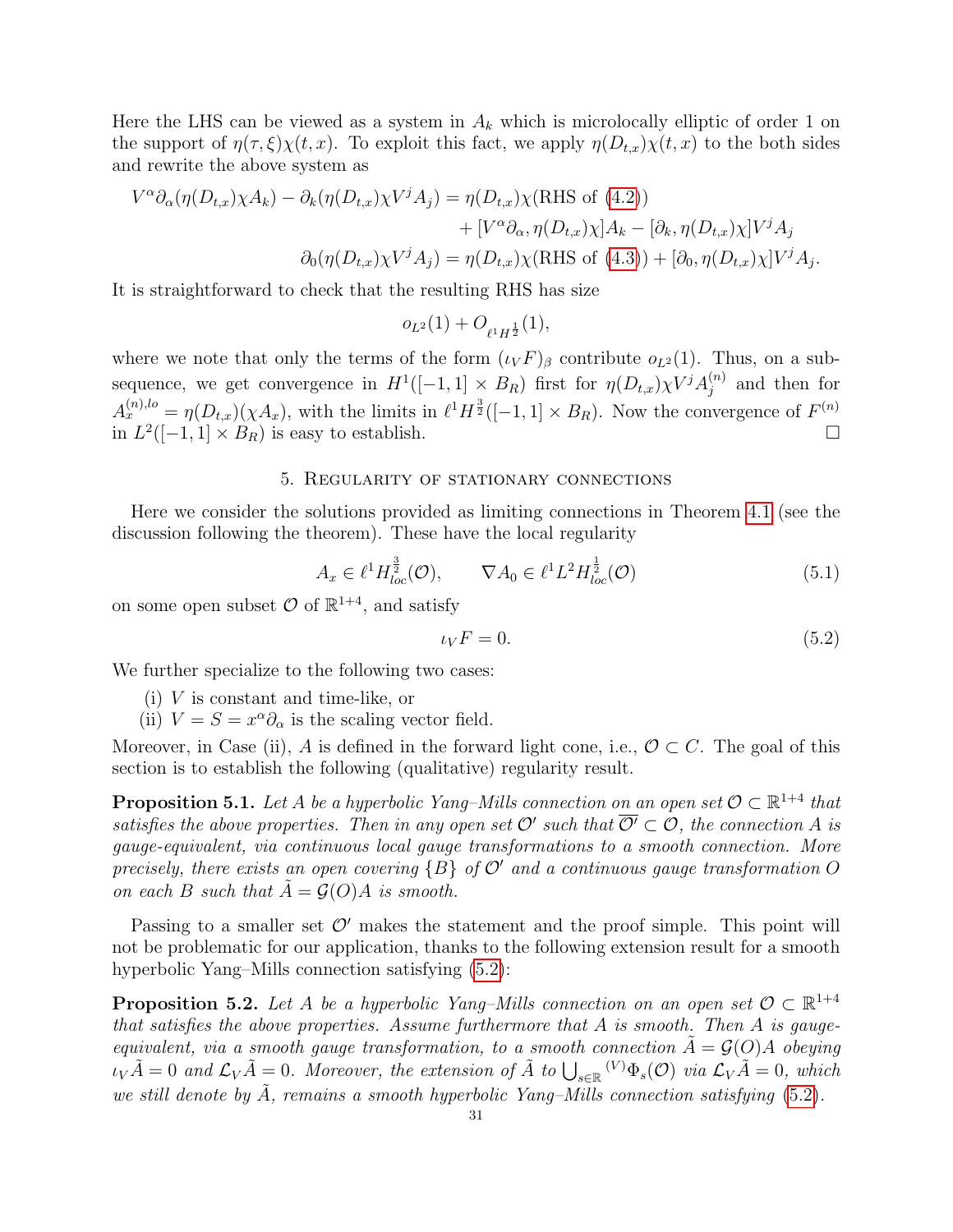Here the LHS can be viewed as a system in  $A_k$  which is microlocally elliptic of order 1 on the support of  $\eta(\tau,\xi)\chi(t,x)$ . To exploit this fact, we apply  $\eta(D_{t,x})\chi(t,x)$  to the both sides and rewrite the above system as

$$
V^{\alpha}\partial_{\alpha}(\eta(D_{t,x})\chi A_{k}) - \partial_{k}(\eta(D_{t,x})\chi V^{j}A_{j}) = \eta(D_{t,x})\chi(\text{RHS of (4.2)})
$$

$$
+ [V^{\alpha}\partial_{\alpha}, \eta(D_{t,x})\chi]A_{k} - [\partial_{k}, \eta(D_{t,x})\chi]V^{j}A_{j}
$$

$$
\partial_{0}(\eta(D_{t,x})\chi V^{j}A_{j}) = \eta(D_{t,x})\chi(\text{RHS of (4.3)}) + [\partial_{0}, \eta(D_{t,x})\chi]V^{j}A_{j}.
$$

It is straightforward to check that the resulting RHS has size

$$
o_{L^2}(1) + O_{\ell^1 H^{\frac{1}{2}}}(1),
$$

where we note that only the terms of the form  $(\iota_V F)_{\beta}$  contribute  $o_{L^2}(1)$ . Thus, on a subsequence, we get convergence in  $H^1([-1,1] \times B_R)$  first for  $\eta(D_{t,x}) \chi^{Vj} A_i^{(n)}$  $j^{(n)}$  and then for  $A_x^{(n),lo} = \eta(D_{t,x})(\chi A_x)$ , with the limits in  $\ell^1 H^{\frac{3}{2}}([-1,1] \times B_R)$ . Now the convergence of  $F^{(n)}$ in  $L^2([-1,1] \times B_R)$  is easy to establish.

#### 5. Regularity of stationary connections

<span id="page-31-0"></span>Here we consider the solutions provided as limiting connections in Theorem [4.1](#page-29-1) (see the discussion following the theorem). These have the local regularity

<span id="page-31-3"></span>
$$
A_x \in \ell^1 H^{\frac{3}{2}}_{loc}(\mathcal{O}), \qquad \nabla A_0 \in \ell^1 L^2 H^{\frac{1}{2}}_{loc}(\mathcal{O})
$$
\n(5.1)

on some open subset  $\mathcal{O}$  of  $\mathbb{R}^{1+4}$ , and satisfy

<span id="page-31-1"></span>
$$
\iota_V F = 0. \tag{5.2}
$$

We further specialize to the following two cases:

- (i) V is constant and time-like, or
- (ii)  $V = S = x^{\alpha} \partial_{\alpha}$  is the scaling vector field.

Moreover, in Case (ii), A is defined in the forward light cone, i.e.,  $\mathcal{O} \subset C$ . The goal of this section is to establish the following (qualitative) regularity result.

<span id="page-31-2"></span>**Proposition 5.1.** Let A be a hyperbolic Yang–Mills connection on an open set  $\mathcal{O} \subset \mathbb{R}^{1+4}$  that satisfies the above properties. Then in any open set  $\mathcal{O}'$  such that  $\overline{\mathcal{O}'} \subset \mathcal{O}$ , the connection A is gauge-equivalent, via continuous local gauge transformations to a smooth connection. More precisely, there exists an open covering  ${B}$  of  $O'$  and a continuous gauge transformation O on each B such that  $A = \mathcal{G}(O)A$  is smooth.

Passing to a smaller set  $\mathcal{O}'$  makes the statement and the proof simple. This point will not be problematic for our application, thanks to the following extension result for a smooth hyperbolic Yang–Mills connection satisfying [\(5.2\)](#page-31-1):

<span id="page-31-4"></span>**Proposition 5.2.** Let A be a hyperbolic Yang–Mills connection on an open set  $\mathcal{O} \subset \mathbb{R}^{1+4}$ that satisfies the above properties. Assume furthermore that A is smooth. Then A is gaugeequivalent, via a smooth gauge transformation, to a smooth connection  $A = \mathcal{G}(O)A$  obeying  $\iota_V \tilde{A} = 0$  and  $\mathcal{L}_V \tilde{A} = 0$ . Moreover, the extension of  $\tilde{A}$  to  $\bigcup_{s \in \mathbb{R}} (V) \Phi_s(\mathcal{O})$  via  $\mathcal{L}_V \tilde{A} = 0$ , which we still denote by  $\tilde{A}$ , remains a smooth hyperbolic Yang–Mills connection satisfying [\(5.2\)](#page-31-1).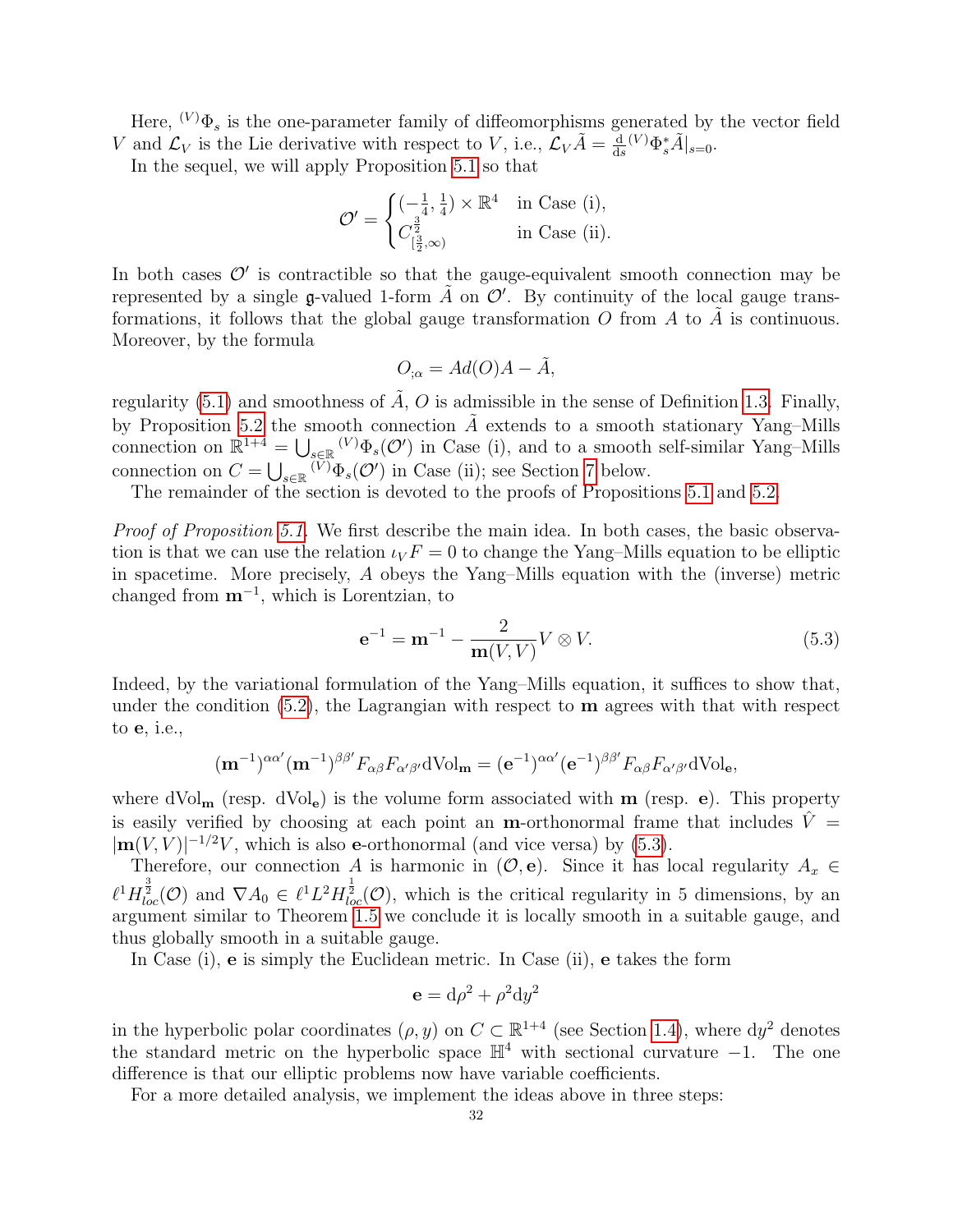Here,  $(V)\Phi_s$  is the one-parameter family of diffeomorphisms generated by the vector field V and  $\mathcal{L}_V$  is the Lie derivative with respect to V, i.e.,  $\mathcal{L}_V \tilde{A} = \frac{d}{dt}$  $\frac{d}{ds}(V)\Phi_s^*\tilde{A}\big|_{s=0}.$ 

In the sequel, we will apply Proposition [5.1](#page-31-2) so that

$$
\mathcal{O}' = \begin{cases}\n\left(-\frac{1}{4}, \frac{1}{4}\right) \times \mathbb{R}^4 & \text{in Case (i)}, \\
C_{\left[\frac{3}{2}, \infty\right)}^{\frac{3}{2}} & \text{in Case (ii)}.\n\end{cases}
$$

In both cases  $\mathcal{O}'$  is contractible so that the gauge-equivalent smooth connection may be represented by a single g-valued 1-form  $\tilde{A}$  on  $\mathcal{O}'$ . By continuity of the local gauge transformations, it follows that the global gauge transformation  $O$  from  $A$  to  $\overline{A}$  is continuous. Moreover, by the formula

$$
O_{;\alpha} = Ad(O)A - \tilde{A},
$$

regularity [\(5.1\)](#page-31-3) and smoothness of  $\tilde{A}$ ,  $O$  is admissible in the sense of Definition [1.3.](#page-5-0) Finally, by Proposition [5.2](#page-31-4) the smooth connection  $\tilde{A}$  extends to a smooth stationary Yang–Mills connection on  $\mathbb{R}^{1+4} = \bigcup_{s \in \mathbb{R}} V^s \Phi_s(\mathcal{O}^t)$  in Case (i), and to a smooth self-similar Yang–Mills connection on  $C = \bigcup_{s \in \mathbb{R}} V^{\dagger} \Phi_s(\mathcal{O}^{\prime})$  in Case (ii); see Section [7](#page-38-0) below.

The remainder of the section is devoted to the proofs of Propositions [5.1](#page-31-2) and [5.2.](#page-31-4)

Proof of Proposition [5.1.](#page-31-2) We first describe the main idea. In both cases, the basic observation is that we can use the relation  $\iota_V F = 0$  to change the Yang–Mills equation to be elliptic in spacetime. More precisely, A obeys the Yang–Mills equation with the (inverse) metric changed from  $m^{-1}$ , which is Lorentzian, to

<span id="page-32-0"></span>
$$
e^{-1} = m^{-1} - \frac{2}{m(V, V)} V \otimes V.
$$
 (5.3)

Indeed, by the variational formulation of the Yang–Mills equation, it suffices to show that, under the condition  $(5.2)$ , the Lagrangian with respect to **m** agrees with that with respect to e, i.e.,

$$
(\mathbf{m}^{-1})^{\alpha\alpha'}(\mathbf{m}^{-1})^{\beta\beta'}F_{\alpha\beta}F_{\alpha'\beta'}d\mathrm{Vol}_{\mathbf{m}}=(\mathbf{e}^{-1})^{\alpha\alpha'}(\mathbf{e}^{-1})^{\beta\beta'}F_{\alpha\beta}F_{\alpha'\beta'}d\mathrm{Vol}_{\mathbf{e}},
$$

where  $dVol_{\bf m}$  (resp.  $dVol_{\bf e}$ ) is the volume form associated with  ${\bf m}$  (resp.  ${\bf e}$ ). This property is easily verified by choosing at each point an **m**-orthonormal frame that includes  $\hat{V} =$  $|\mathbf{m}(V, V)|^{-1/2}V$ , which is also e-orthonormal (and vice versa) by [\(5.3\)](#page-32-0).

Therefore, our connection A is harmonic in  $(\mathcal{O}, e)$ . Since it has local regularity  $A_x \in$  $\ell^1 H_{loc}^{\frac{3}{2}}(\mathcal{O})$  and  $\nabla A_0 \in \ell^1 L^2 H_{loc}^{\frac{1}{2}}(\mathcal{O})$ , which is the critical regularity in 5 dimensions, by an argument similar to Theorem [1.5](#page-7-2) we conclude it is locally smooth in a suitable gauge, and thus globally smooth in a suitable gauge.

In Case (i), e is simply the Euclidean metric. In Case (ii), e takes the form

$$
\mathbf{e} = d\rho^2 + \rho^2 dy^2
$$

in the hyperbolic polar coordinates  $(\rho, y)$  on  $C \subset \mathbb{R}^{1+4}$  (see Section [1.4\)](#page-15-0), where  $dy^2$  denotes the standard metric on the hyperbolic space  $\mathbb{H}^4$  with sectional curvature  $-1$ . The one difference is that our elliptic problems now have variable coefficients.

For a more detailed analysis, we implement the ideas above in three steps: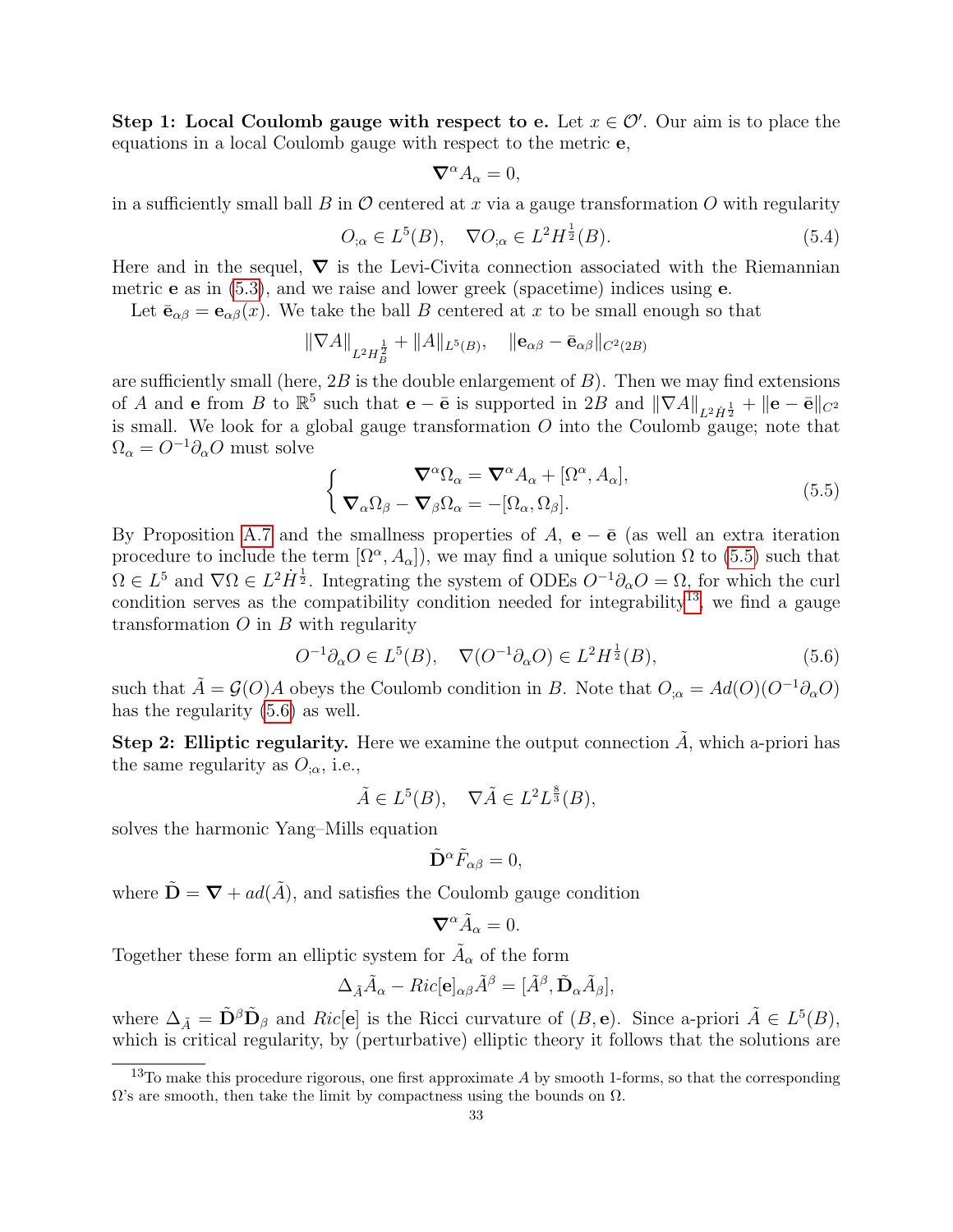Step 1: Local Coulomb gauge with respect to e. Let  $x \in \mathcal{O}'$ . Our aim is to place the equations in a local Coulomb gauge with respect to the metric e,

$$
\nabla^{\alpha} A_{\alpha} = 0,
$$

in a sufficiently small ball B in  $\mathcal O$  centered at x via a gauge transformation O with regularity

$$
O_{;\alpha} \in L^{5}(B), \quad \nabla O_{;\alpha} \in L^{2}H^{\frac{1}{2}}(B). \tag{5.4}
$$

Here and in the sequel,  $\nabla$  is the Levi-Civita connection associated with the Riemannian metric e as in [\(5.3\)](#page-32-0), and we raise and lower greek (spacetime) indices using e.

Let  $\bar{\mathbf{e}}_{\alpha\beta} = \mathbf{e}_{\alpha\beta}(x)$ . We take the ball B centered at x to be small enough so that

$$
\|\nabla A\|_{L^2 H_B^{\frac{1}{2}}} + \|A\|_{L^5(B)}, \quad \|{\bf e}_{\alpha\beta} - \bar{\bf e}_{\alpha\beta}\|_{C^2(2B)}
$$

are sufficiently small (here,  $2B$  is the double enlargement of  $B$ ). Then we may find extensions of A and e from B to  $\mathbb{R}^5$  such that  $\mathbf{e} - \bar{\mathbf{e}}$  is supported in  $2B$  and  $\|\nabla A\|_{L^2 \dot{H}^{\frac{1}{2}}} + \|\mathbf{e} - \bar{\mathbf{e}}\|_{C^2}$ is small. We look for a global gauge transformation  $O$  into the Coulomb gauge; note that  $\Omega_{\alpha} = O^{-1}\partial_{\alpha}O$  must solve

<span id="page-33-0"></span>
$$
\begin{cases}\n\nabla^{\alpha}\Omega_{\alpha} = \nabla^{\alpha}A_{\alpha} + [\Omega^{\alpha}, A_{\alpha}], \\
\nabla_{\alpha}\Omega_{\beta} - \nabla_{\beta}\Omega_{\alpha} = -[\Omega_{\alpha}, \Omega_{\beta}].\n\end{cases}
$$
\n(5.5)

By Proposition [A.7](#page-60-0) and the smallness properties of A,  $e - \bar{e}$  (as well an extra iteration procedure to include the term  $[\Omega^{\alpha}, A_{\alpha}]$ , we may find a unique solution  $\Omega$  to [\(5.5\)](#page-33-0) such that  $\Omega \in L^5$  and  $\nabla \Omega \in L^2 \dot{H}^{\frac{1}{2}}$ . Integrating the system of ODEs  $O^{-1}\partial_\alpha O = \Omega$ , for which the curl condition serves as the compatibility condition needed for integrability<sup>[13](#page-33-1)</sup>, we find a gauge transformation  $O$  in  $B$  with regularity

<span id="page-33-2"></span>
$$
O^{-1}\partial_{\alpha}O \in L^{5}(B), \quad \nabla(O^{-1}\partial_{\alpha}O) \in L^{2}H^{\frac{1}{2}}(B), \tag{5.6}
$$

such that  $\tilde{A} = \mathcal{G}(O)A$  obeys the Coulomb condition in B. Note that  $O_{;\alpha} = Ad(O)(O^{-1}\partial_{\alpha}O)$ has the regularity  $(5.6)$  as well.

Step 2: Elliptic regularity. Here we examine the output connection  $\tilde{A}$ , which a-priori has the same regularity as  $O_{,\alpha}$ , i.e.,

$$
\tilde{A} \in L^5(B), \quad \nabla \tilde{A} \in L^2 L^{\frac{8}{3}}(B),
$$

solves the harmonic Yang–Mills equation

$$
\tilde{\mathbf{D}}^{\alpha}\tilde{F}_{\alpha\beta}=0,
$$

where  $\tilde{\mathbf{D}} = \nabla + ad(\tilde{A})$ , and satisfies the Coulomb gauge condition

$$
\nabla^{\alpha}\tilde{A}_{\alpha}=0.
$$

Together these form an elliptic system for  $\tilde{A}_{\alpha}$  of the form

$$
\Delta_{\tilde{A}}\tilde{A}_{\alpha}-Ric[\mathbf{e}]_{\alpha\beta}\tilde{A}^{\beta}=[\tilde{A}^{\beta},\tilde{\mathbf{D}}_{\alpha}\tilde{A}_{\beta}],
$$

where  $\Delta_{\tilde{A}} = \tilde{\mathbf{D}}^{\beta} \tilde{\mathbf{D}}_{\beta}$  and  $Ric[\mathbf{e}]$  is the Ricci curvature of  $(B, \mathbf{e})$ . Since a-priori  $\tilde{A} \in L^5(B)$ , which is critical regularity, by (perturbative) elliptic theory it follows that the solutions are

<span id="page-33-1"></span> $13$ To make this procedure rigorous, one first approximate A by smooth 1-forms, so that the corresponding  $\Omega$ 's are smooth, then take the limit by compactness using the bounds on  $\Omega$ .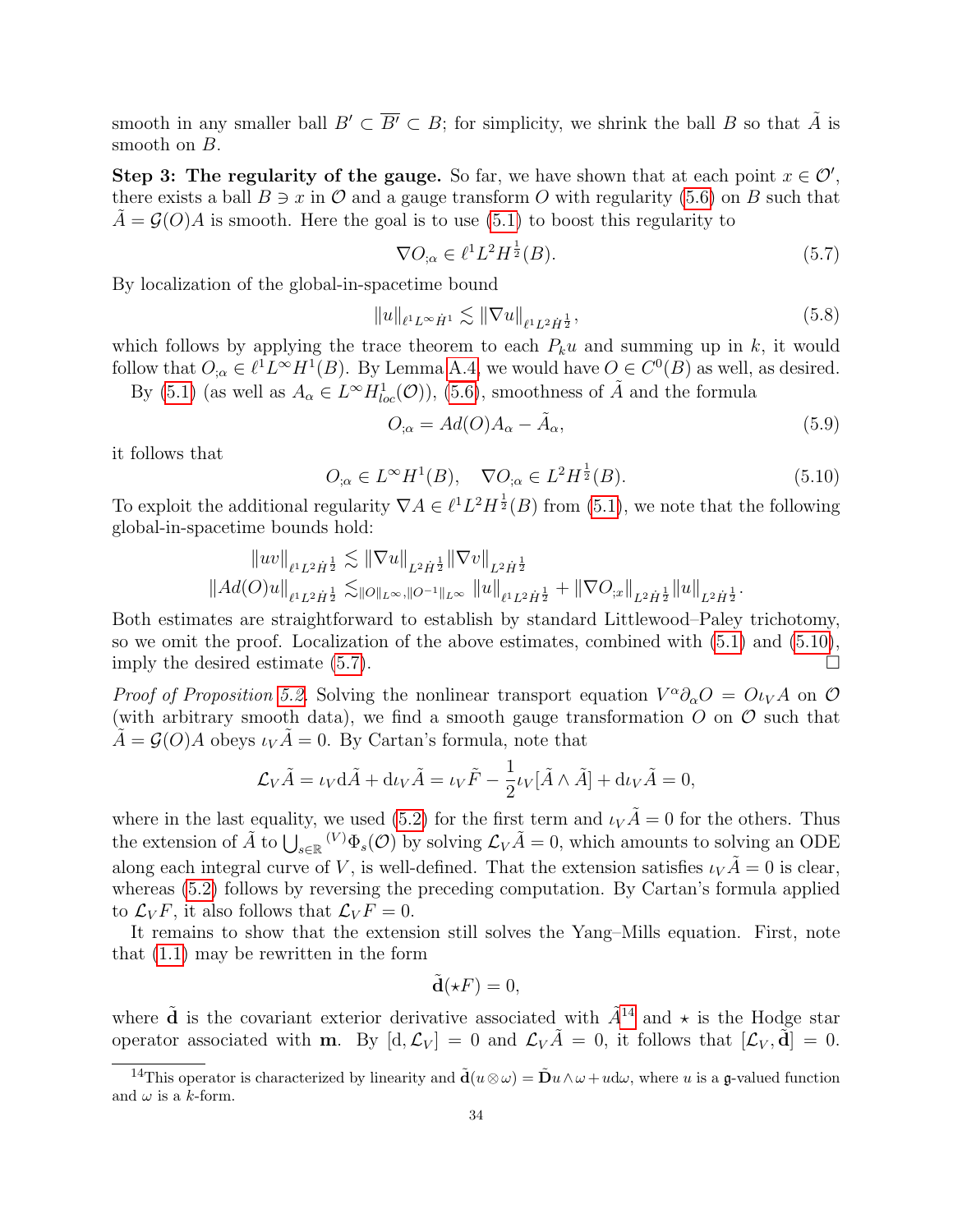smooth in any smaller ball  $B' \subset \overline{B'} \subset B$ ; for simplicity, we shrink the ball B so that  $\tilde{A}$  is smooth on  $B$ .

Step 3: The regularity of the gauge. So far, we have shown that at each point  $x \in \mathcal{O}'$ , there exists a ball  $B \ni x$  in  $\mathcal O$  and a gauge transform O with regularity [\(5.6\)](#page-33-2) on B such that  $A = \mathcal{G}(O)A$  is smooth. Here the goal is to use [\(5.1\)](#page-31-3) to boost this regularity to

<span id="page-34-1"></span>
$$
\nabla O_{;\alpha} \in \ell^1 L^2 H^{\frac{1}{2}}(B). \tag{5.7}
$$

By localization of the global-in-spacetime bound

$$
||u||_{\ell^1 L^\infty \dot{H}^1} \lesssim ||\nabla u||_{\ell^1 L^2 \dot{H}^{\frac{1}{2}}}, \tag{5.8}
$$

which follows by applying the trace theorem to each  $P_ku$  and summing up in k, it would follow that  $O_{;\alpha} \in \ell^1 L^\infty H^1(B)$ . By Lemma [A.4,](#page-57-2) we would have  $O \in C^0(B)$  as well, as desired. By [\(5.1\)](#page-31-3) (as well as  $A_{\alpha} \in L^{\infty}H_{loc}^{1}(\mathcal{O})$ ), [\(5.6\)](#page-33-2), smoothness of  $\tilde{A}$  and the formula

$$
O_{;\alpha} = Ad(O)A_{\alpha} - \tilde{A}_{\alpha},\tag{5.9}
$$

it follows that

<span id="page-34-0"></span>
$$
O_{;\alpha} \in L^{\infty}H^1(B), \quad \nabla O_{;\alpha} \in L^2H^{\frac{1}{2}}(B). \tag{5.10}
$$

To exploit the additional regularity  $\nabla A \in \ell^1 L^2 H^{\frac{1}{2}}(B)$  from [\(5.1\)](#page-31-3), we note that the following global-in-spacetime bounds hold:

$$
\begin{array}{l} \left\|uv\right\|_{\ell^1L^2\dot{H}^\frac{1}{2}}\lesssim \left\|\nabla u\right\|_{L^2\dot{H}^\frac{1}{2}}\left\|\nabla v\right\|_{L^2\dot{H}^\frac{1}{2}}\\ \left\|Ad(O)u\right\|_{\ell^1L^2\dot{H}^\frac{1}{2}}\lesssim_{\left\|O\right\|_{L^\infty}, \left\|O^{-1}\right\|_{L^\infty}}\left\|u\right\|_{\ell^1L^2\dot{H}^\frac{1}{2}}+\left\|\nabla O_{;x}\right\|_{L^2\dot{H}^\frac{1}{2}}\left\|u\right\|_{L^2\dot{H}^\frac{1}{2}}.\end{array}
$$

Both estimates are straightforward to establish by standard Littlewood–Paley trichotomy, so we omit the proof. Localization of the above estimates, combined with [\(5.1\)](#page-31-3) and [\(5.10\)](#page-34-0), imply the desired estimate  $(5.7)$ .

*Proof of Proposition [5.2.](#page-31-4)* Solving the nonlinear transport equation  $V^{\alpha}\partial_{\alpha}O = O_{V}A$  on  $O$ (with arbitrary smooth data), we find a smooth gauge transformation  $O$  on  $O$  such that  $\tilde{A} = \mathcal{G}(O)A$  obeys  $\iota_V \tilde{A} = 0$ . By Cartan's formula, note that

$$
\mathcal{L}_V \tilde{A} = \iota_V \mathrm{d}\tilde{A} + \mathrm{d}\iota_V \tilde{A} = \iota_V \tilde{F} - \frac{1}{2} \iota_V [\tilde{A} \wedge \tilde{A}] + \mathrm{d}\iota_V \tilde{A} = 0,
$$

where in the last equality, we used [\(5.2\)](#page-31-1) for the first term and  $\iota_V \tilde{A} = 0$  for the others. Thus the extension of  $\tilde{A}$  to  $\bigcup_{s\in\mathbb{R}} (V)\Phi_s(\mathcal{O})$  by solving  $\mathcal{L}_V\tilde{A}=0$ , which amounts to solving an ODE along each integral curve of V, is well-defined. That the extension satisfies  $\iota_V \tilde{A} = 0$  is clear, whereas  $(5.2)$  follows by reversing the preceding computation. By Cartan's formula applied to  $\mathcal{L}_V F$ , it also follows that  $\mathcal{L}_V F = 0$ .

It remains to show that the extension still solves the Yang–Mills equation. First, note that [\(1.1\)](#page-3-1) may be rewritten in the form

$$
\tilde{\mathbf{d}}(\star F) = 0,
$$

where  $\tilde{d}$  is the covariant exterior derivative associated with  $\tilde{A}^{14}$  $\tilde{A}^{14}$  $\tilde{A}^{14}$  and  $\star$  is the Hodge star operator associated with **m**. By  $[d, \mathcal{L}_V] = 0$  and  $\mathcal{L}_V \tilde{A} = 0$ , it follows that  $[\mathcal{L}_V, \tilde{d}] = 0$ .

<span id="page-34-2"></span><sup>&</sup>lt;sup>14</sup>This operator is characterized by linearity and  $\tilde{\mathbf{d}}(u\otimes\omega) = \tilde{\mathbf{D}}u\wedge\omega + u d\omega$ , where u is a g-valued function and  $\omega$  is a k-form.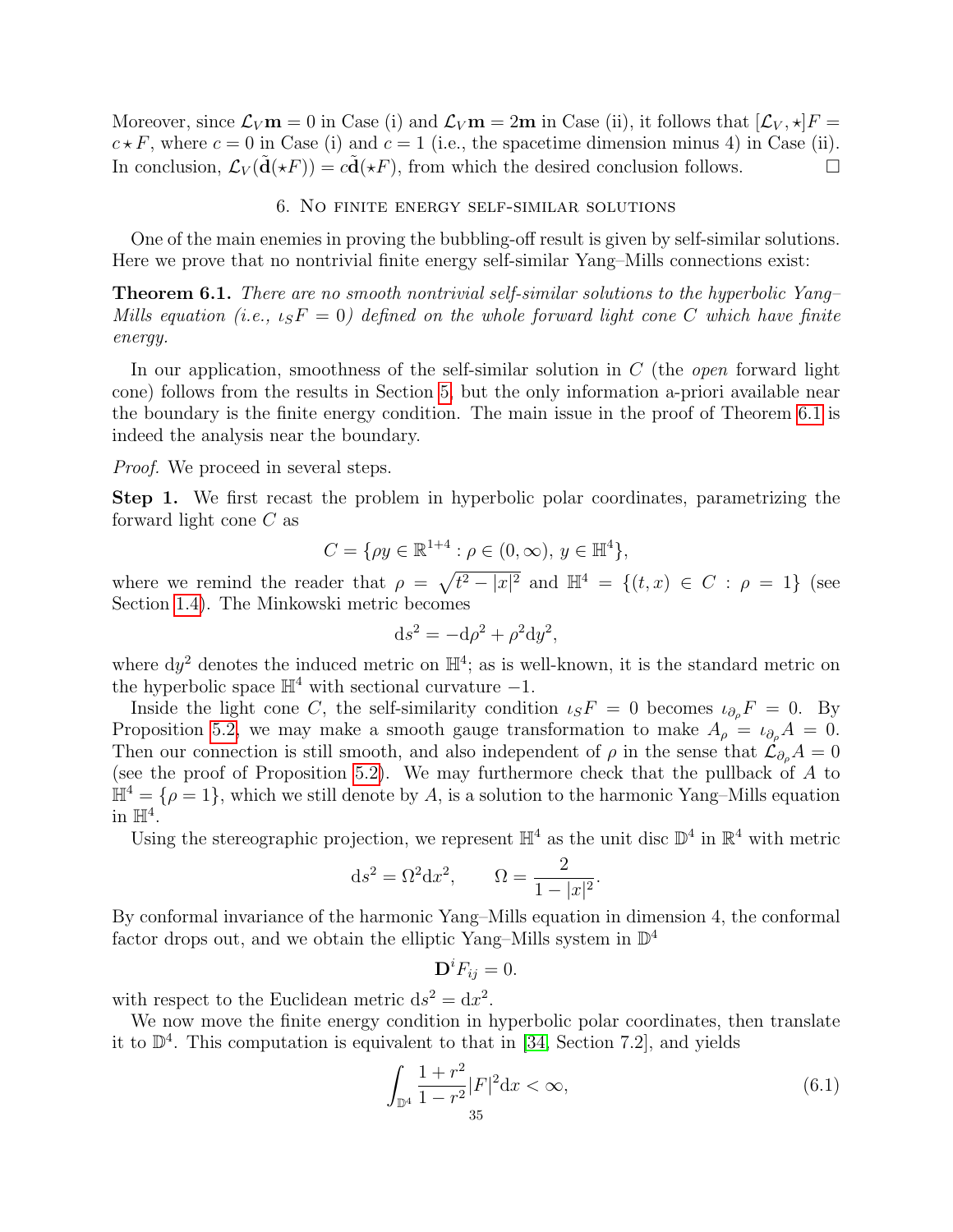Moreover, since  $\mathcal{L}_V \mathbf{m} = 0$  in Case (i) and  $\mathcal{L}_V \mathbf{m} = 2\mathbf{m}$  in Case (ii), it follows that  $[\mathcal{L}_V, \star]F =$  $c \star F$ , where  $c = 0$  in Case (i) and  $c = 1$  (i.e., the spacetime dimension minus 4) in Case (ii). In conclusion,  $\mathcal{L}_V(\mathbf{d}(\star F)) = c\mathbf{d}(\star F)$ , from which the desired conclusion follows.

#### 6. No finite energy self-similar solutions

<span id="page-35-0"></span>One of the main enemies in proving the bubbling-off result is given by self-similar solutions. Here we prove that no nontrivial finite energy self-similar Yang–Mills connections exist:

<span id="page-35-1"></span>Theorem 6.1. There are no smooth nontrivial self-similar solutions to the hyperbolic Yang– Mills equation (i.e.,  $\iota_S F = 0$ ) defined on the whole forward light cone C which have finite energy.

In our application, smoothness of the self-similar solution in  $C$  (the *open* forward light cone) follows from the results in Section [5,](#page-31-0) but the only information a-priori available near the boundary is the finite energy condition. The main issue in the proof of Theorem [6.1](#page-35-1) is indeed the analysis near the boundary.

*Proof.* We proceed in several steps.

Step 1. We first recast the problem in hyperbolic polar coordinates, parametrizing the forward light cone C as

$$
C = \{ \rho y \in \mathbb{R}^{1+4} : \rho \in (0, \infty), y \in \mathbb{H}^4 \},\
$$

where we remind the reader that  $\rho = \sqrt{t^2 - |x|^2}$  and  $\mathbb{H}^4 = \{(t, x) \in C : \rho = 1\}$  (see Section [1.4\)](#page-15-0). The Minkowski metric becomes

$$
ds^2 = -d\rho^2 + \rho^2 dy^2,
$$

where  $dy^2$  denotes the induced metric on  $\mathbb{H}^4$ ; as is well-known, it is the standard metric on the hyperbolic space  $\mathbb{H}^4$  with sectional curvature  $-1$ .

Inside the light cone C, the self-similarity condition  $\iota_S F = 0$  becomes  $\iota_{\partial_o} F = 0$ . By Proposition [5.2,](#page-31-4) we may make a smooth gauge transformation to make  $A_{\rho} = \iota_{\partial_{\rho}} A = 0$ . Then our connection is still smooth, and also independent of  $\rho$  in the sense that  $\mathcal{L}_{\partial_{\rho}}A = 0$ (see the proof of Proposition [5.2\)](#page-31-4). We may furthermore check that the pullback of A to  $\mathbb{H}^4 = \{ \rho = 1 \}$ , which we still denote by A, is a solution to the harmonic Yang–Mills equation in  $\mathbb{H}^4$ .

Using the stereographic projection, we represent  $\mathbb{H}^4$  as the unit disc  $\mathbb{D}^4$  in  $\mathbb{R}^4$  with metric

$$
ds^2 = \Omega^2 dx^2, \qquad \Omega = \frac{2}{1 - |x|^2}.
$$

By conformal invariance of the harmonic Yang–Mills equation in dimension 4, the conformal factor drops out, and we obtain the elliptic Yang–Mills system in  $\mathbb{D}^4$ 

$$
\mathbf{D}^i F_{ij} = 0.
$$

with respect to the Euclidean metric  $ds^2 = dx^2$ .

We now move the finite energy condition in hyperbolic polar coordinates, then translate it to  $\mathbb{D}^4$ . This computation is equivalent to that in [\[34,](#page-64-24) Section 7.2], and yields

<span id="page-35-2"></span>
$$
\int_{\mathbb{D}^4} \frac{1+r^2}{1-r^2} |F|^2 \, \mathrm{d}x < \infty,\tag{6.1}
$$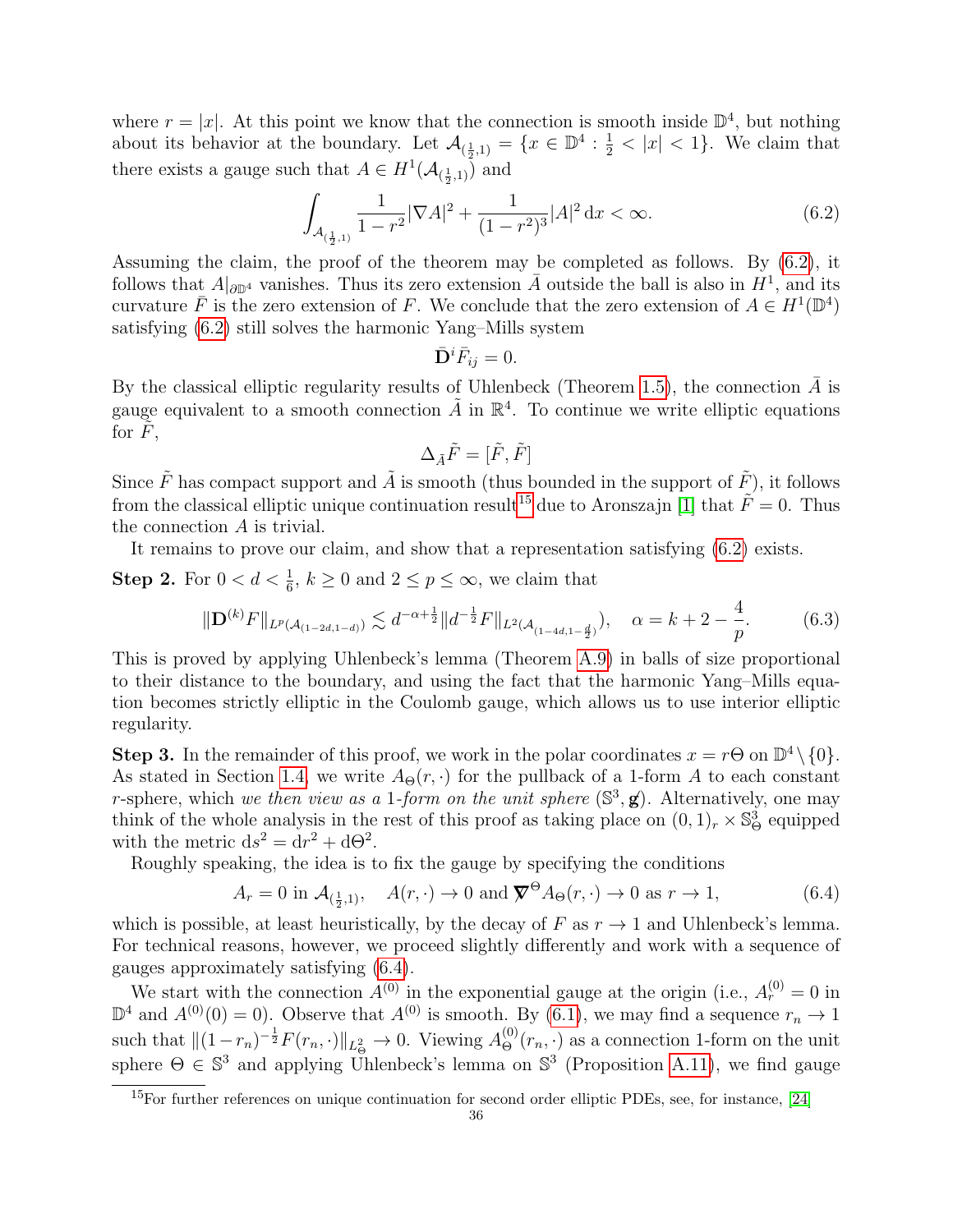where  $r = |x|$ . At this point we know that the connection is smooth inside  $\mathbb{D}^4$ , but nothing about its behavior at the boundary. Let  $\mathcal{A}_{(\frac{1}{2},1)} = \{x \in \mathbb{D}^4 : \frac{1}{2} < |x| < 1\}$ . We claim that there exists a gauge such that  $A \in H^1(\mathcal{A}_{(\frac{1}{2},1)})$  and

<span id="page-36-0"></span>
$$
\int_{\mathcal{A}_{(\frac{1}{2},1)}} \frac{1}{1-r^2} |\nabla A|^2 + \frac{1}{(1-r^2)^3} |A|^2 \, \mathrm{d}x < \infty. \tag{6.2}
$$

Assuming the claim, the proof of the theorem may be completed as follows. By [\(6.2\)](#page-36-0), it follows that  $A|_{\partial \mathbb{D}^4}$  vanishes. Thus its zero extension  $\bar{A}$  outside the ball is also in  $H^1$ , and its curvature  $\overline{F}$  is the zero extension of F. We conclude that the zero extension of  $A \in H^1(\mathbb{D}^4)$ satisfying [\(6.2\)](#page-36-0) still solves the harmonic Yang–Mills system

$$
\bar{\mathbf{D}}^i \bar{F}_{ij} = 0.
$$

By the classical elliptic regularity results of Uhlenbeck (Theorem [1.5\)](#page-7-2), the connection  $\overline{A}$  is gauge equivalent to a smooth connection  $\tilde{A}$  in  $\mathbb{R}^4$ . To continue we write elliptic equations for  $F$ ,

$$
\Delta_{\tilde{A}}\tilde{F}=[\tilde{F},\tilde{F}]
$$

Since  $\tilde{F}$  has compact support and  $\tilde{A}$  is smooth (thus bounded in the support of  $\tilde{F}$ ), it follows from the classical elliptic unique continuation result<sup>[15](#page-36-1)</sup> due to Aronszajn [\[1\]](#page-63-18) that  $\tilde{F} = 0$ . Thus the connection A is trivial.

It remains to prove our claim, and show that a representation satisfying [\(6.2\)](#page-36-0) exists.

**Step 2.** For  $0 < d < \frac{1}{6}$ ,  $k \ge 0$  and  $2 \le p \le \infty$ , we claim that

<span id="page-36-3"></span>
$$
\|\mathbf{D}^{(k)}F\|_{L^p(\mathcal{A}_{(1-2d,1-d)})} \lesssim d^{-\alpha + \frac{1}{2}} \|d^{-\frac{1}{2}}F\|_{L^2(\mathcal{A}_{(1-4d,1-\frac{d}{2})})}, \quad \alpha = k+2-\frac{4}{p}.\tag{6.3}
$$

This is proved by applying Uhlenbeck's lemma (Theorem [A.9\)](#page-62-1) in balls of size proportional to their distance to the boundary, and using the fact that the harmonic Yang–Mills equation becomes strictly elliptic in the Coulomb gauge, which allows us to use interior elliptic regularity.

**Step 3.** In the remainder of this proof, we work in the polar coordinates  $x = r\Theta$  on  $\mathbb{D}^4 \setminus \{0\}$ . As stated in Section [1.4,](#page-15-0) we write  $A_{\Theta}(r, \cdot)$  for the pullback of a 1-form A to each constant r-sphere, which we then view as a 1-form on the unit sphere  $(\mathbb{S}^3, \mathbf{g})$ . Alternatively, one may think of the whole analysis in the rest of this proof as taking place on  $(0,1)_r \times \mathbb{S}^3_{\Theta}$  equipped with the metric  $ds^2 = dr^2 + d\Theta^2$ .

Roughly speaking, the idea is to fix the gauge by specifying the conditions

<span id="page-36-2"></span>
$$
A_r = 0 \text{ in } \mathcal{A}_{(\frac{1}{2},1)}, \quad A(r,\cdot) \to 0 \text{ and } \nabla^{\Theta} A_{\Theta}(r,\cdot) \to 0 \text{ as } r \to 1,
$$
 (6.4)

which is possible, at least heuristically, by the decay of F as  $r \to 1$  and Uhlenbeck's lemma. For technical reasons, however, we proceed slightly differently and work with a sequence of gauges approximately satisfying [\(6.4\)](#page-36-2).

We start with the connection  $A^{(0)}$  in the exponential gauge at the origin (i.e.,  $A_r^{(0)} = 0$  in  $\mathbb{D}^4$  and  $A^{(0)}(0) = 0$ ). Observe that  $A^{(0)}$  is smooth. By [\(6.1\)](#page-35-2), we may find a sequence  $r_n \to 1$ such that  $||(1-r_n)^{-\frac{1}{2}}F(r_n,\cdot)||_{L^2_{\Theta}} \to 0$ . Viewing  $A_{\Theta}^{(0)}(r_n,\cdot)$  as a connection 1-form on the unit sphere  $\Theta \in \mathbb{S}^3$  and applying Unlenbeck's lemma on  $\mathbb{S}^3$  (Proposition [A.11\)](#page-62-2), we find gauge

<span id="page-36-1"></span><sup>&</sup>lt;sup>15</sup>For further references on unique continuation for second order elliptic PDEs, see, for instance, [\[24\]](#page-64-26)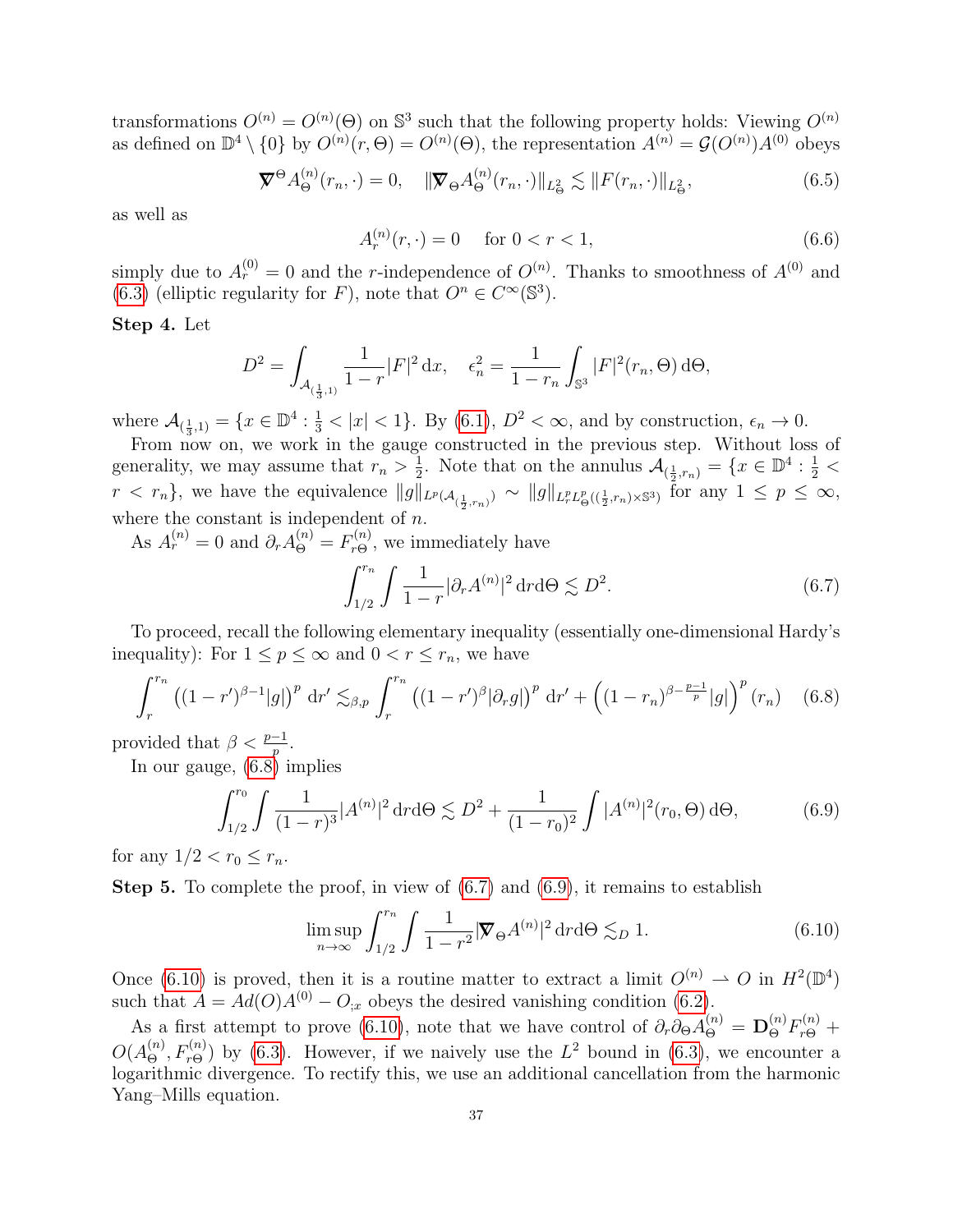transformations  $O^{(n)} = O^{(n)}(\Theta)$  on  $\mathbb{S}^3$  such that the following property holds: Viewing  $O^{(n)}$ as defined on  $\mathbb{D}^4 \setminus \{0\}$  by  $O^{(n)}(r,\Theta) = O^{(n)}(\Theta)$ , the representation  $A^{(n)} = \mathcal{G}(O^{(n)})A^{(0)}$  obeys

<span id="page-37-4"></span>
$$
\nabla^{\Theta} A_{\Theta}^{(n)}(r_n, \cdot) = 0, \quad \|\nabla_{\Theta} A_{\Theta}^{(n)}(r_n, \cdot)\|_{L^2_{\Theta}} \lesssim \|F(r_n, \cdot)\|_{L^2_{\Theta}}, \tag{6.5}
$$

as well as

$$
A_r^{(n)}(r, \cdot) = 0 \quad \text{ for } 0 < r < 1,\tag{6.6}
$$

simply due to  $A_r^{(0)} = 0$  and the r-independence of  $O^{(n)}$ . Thanks to smoothness of  $A^{(0)}$  and [\(6.3\)](#page-36-3) (elliptic regularity for F), note that  $O<sup>n</sup> \in C^{\infty}(\mathbb{S}^{3})$ .

### Step 4. Let

$$
D^{2} = \int_{\mathcal{A}_{(\frac{1}{3},1)}} \frac{1}{1-r} |F|^{2} dx, \quad \epsilon_{n}^{2} = \frac{1}{1-r_{n}} \int_{\mathbb{S}^{3}} |F|^{2}(r_{n}, \Theta) d\Theta,
$$

where  $\mathcal{A}_{(\frac{1}{3},1)} = \{x \in \mathbb{D}^4 : \frac{1}{3} < |x| < 1\}$ . By  $(6.1)$ ,  $D^2 < \infty$ , and by construction,  $\epsilon_n \to 0$ .

From now on, we work in the gauge constructed in the previous step. Without loss of generality, we may assume that  $r_n > \frac{1}{2}$  $\frac{1}{2}$ . Note that on the annulus  $\mathcal{A}_{(\frac{1}{2},r_n)} = \{x \in \mathbb{D}^4 : \frac{1}{2}$  $r < r_n$ , we have the equivalence  $||g||_{L^p(\mathcal{A}_{(\frac{1}{2},r_n)})} \sim ||g||_{L_r^pL^p_{\Theta}((\frac{1}{2},r_n)\times\mathbb{S}^3)}$  for any  $1 \leq p \leq \infty$ , where the constant is independent of  $n$ .

As  $A_r^{(n)} = 0$  and  $\partial_r A_{\Theta}^{(n)} = F_{r\Theta}^{(n)}$ , we immediately have

<span id="page-37-1"></span>
$$
\int_{1/2}^{r_n} \int \frac{1}{1-r} |\partial_r A^{(n)}|^2 \, dr \, d\Theta \lesssim D^2. \tag{6.7}
$$

To proceed, recall the following elementary inequality (essentially one-dimensional Hardy's inequality): For  $1 \le p \le \infty$  and  $0 < r \le r_n$ , we have

<span id="page-37-0"></span>
$$
\int_{r}^{r_n} ((1-r')^{\beta-1}|g|)^p \, dr' \lesssim_{\beta,p} \int_{r}^{r_n} ((1-r')^{\beta}|\partial_r g|)^p \, dr' + ((1-r_n)^{\beta-\frac{p-1}{p}}|g|)^p (r_n) \quad (6.8)
$$

provided that  $\beta < \frac{p-1}{p}$ .

In our gauge, [\(6.8\)](#page-37-0) implies

<span id="page-37-2"></span>
$$
\int_{1/2}^{r_0} \int \frac{1}{(1-r)^3} |A^{(n)}|^2 \, dr \, d\Theta \lesssim D^2 + \frac{1}{(1-r_0)^2} \int |A^{(n)}|^2 (r_0, \Theta) \, d\Theta,\tag{6.9}
$$

for any  $1/2 < r_0 \leq r_n$ .

**Step 5.** To complete the proof, in view of  $(6.7)$  and  $(6.9)$ , it remains to establish

<span id="page-37-3"></span>
$$
\limsup_{n \to \infty} \int_{1/2}^{r_n} \int \frac{1}{1 - r^2} |\nabla \Theta A^{(n)}|^2 \, \mathrm{d}r \, \mathrm{d}\Theta \lesssim_D 1. \tag{6.10}
$$

Once [\(6.10\)](#page-37-3) is proved, then it is a routine matter to extract a limit  $O^{(n)} \rightharpoonup O$  in  $H^2(\mathbb{D}^4)$ such that  $A = Ad(O)A^{(0)} - O_{;x}$  obeys the desired vanishing condition [\(6.2\)](#page-36-0).

As a first attempt to prove [\(6.10\)](#page-37-3), note that we have control of  $\partial_r \partial_{\Theta} A_{\Theta}^{(n)} = \mathbf{D}_{\Theta}^{(n)} F_{r\Theta}^{(n)} +$  $O(A_{\Theta}^{(n)}, F_{r\Theta}^{(n)})$  by [\(6.3\)](#page-36-3). However, if we naively use the  $L^2$  bound in (6.3), we encounter a logarithmic divergence. To rectify this, we use an additional cancellation from the harmonic Yang–Mills equation.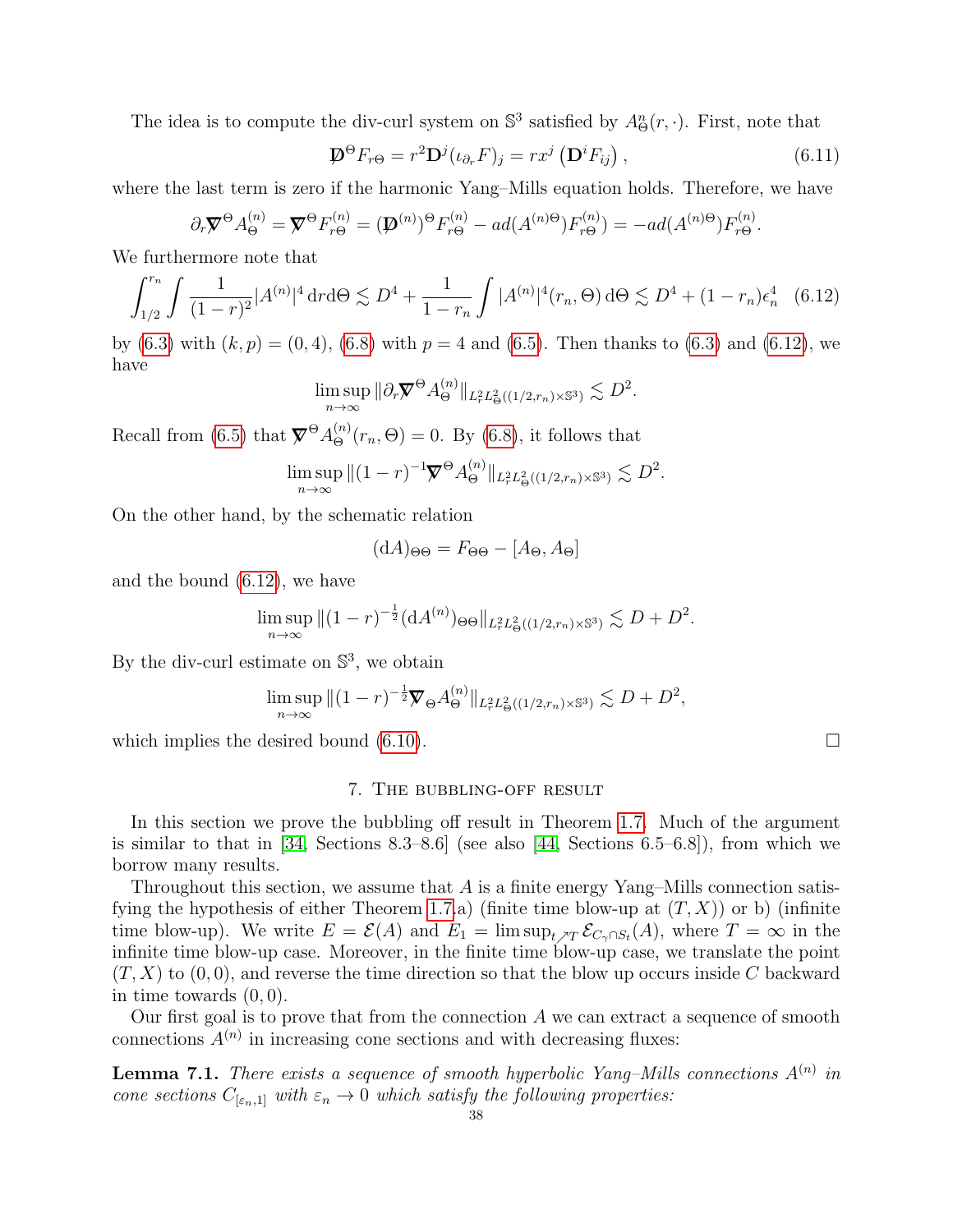The idea is to compute the div-curl system on  $\mathbb{S}^3$  satisfied by  $A_{\Theta}^n(r, \cdot)$ . First, note that

$$
\mathbf{D}^{\Theta} F_{r\Theta} = r^2 \mathbf{D}^j (\iota_{\partial_r} F)_j = r x^j \left( \mathbf{D}^i F_{ij} \right), \qquad (6.11)
$$

where the last term is zero if the harmonic Yang–Mills equation holds. Therefore, we have

$$
\partial_r \nabla^{\Theta} A_{\Theta}^{(n)} = \nabla^{\Theta} F_{r\Theta}^{(n)} = (\nabla^{(n)})^{\Theta} F_{r\Theta}^{(n)} - ad(A^{(n)\Theta}) F_{r\Theta}^{(n)} = -ad(A^{(n)\Theta}) F_{r\Theta}^{(n)}.
$$

We furthermore note that

<span id="page-38-1"></span>
$$
\int_{1/2}^{r_n} \int \frac{1}{(1-r)^2} |A^{(n)}|^4 \, \mathrm{d}r \, \mathrm{d}\Theta \lesssim D^4 + \frac{1}{1-r_n} \int |A^{(n)}|^4 (r_n, \Theta) \, \mathrm{d}\Theta \lesssim D^4 + (1-r_n) \epsilon_n^4 \quad (6.12)
$$

by [\(6.3\)](#page-36-3) with  $(k, p) = (0, 4)$ , [\(6.8\)](#page-37-0) with  $p = 4$  and [\(6.5\)](#page-37-4). Then thanks to (6.3) and [\(6.12\)](#page-38-1), we have

$$
\limsup_{n\to\infty} \|\partial_r \mathbf{\overline{Y}}^{\Theta} A_{\Theta}^{(n)}\|_{L^2_r L^2_{\Theta}((1/2,r_n)\times\mathbb{S}^3)} \lesssim D^2.
$$

Recall from [\(6.5\)](#page-37-4) that  $\nabla^{\Theta} A_{\Theta}^{(n)}(r_n, \Theta) = 0$ . By [\(6.8\)](#page-37-0), it follows that

$$
\limsup_{n \to \infty} \|(1-r)^{-1} \nabla^{\Theta} A_{\Theta}^{(n)} \|_{L_r^2 L^2_{\Theta}((1/2, r_n) \times \mathbb{S}^3)} \lesssim D^2.
$$

On the other hand, by the schematic relation

$$
(\mathrm{d}A)_{\Theta\Theta} = F_{\Theta\Theta} - [A_{\Theta}, A_{\Theta}]
$$

and the bound [\(6.12\)](#page-38-1), we have

$$
\limsup_{n \to \infty} \|(1-r)^{-\frac{1}{2}} (dA^{(n)})_{\Theta\Theta}\|_{L_r^2 L^2_{\Theta}((1/2,r_n)\times \mathbb{S}^3)} \lesssim D + D^2.
$$

By the div-curl estimate on  $\mathbb{S}^3$ , we obtain

$$
\limsup_{n \to \infty} \|(1-r)^{-\frac{1}{2}} \nabla_{\Theta} A_{\Theta}^{(n)} \|_{L_r^2 L_{\Theta}^2((1/2, r_n) \times \mathbb{S}^3)} \lesssim D + D^2,
$$

which implies the desired bound  $(6.10)$ .

#### 7. The bubbling-off result

<span id="page-38-0"></span>In this section we prove the bubbling off result in Theorem [1.7.](#page-8-0) Much of the argument is similar to that in  $[34, \text{ Sections } 8.3-8.6]$  (see also  $[44, \text{ Sections } 6.5-6.8]$ ), from which we borrow many results.

Throughout this section, we assume that  $A$  is a finite energy Yang–Mills connection satis-fying the hypothesis of either Theorem [1.7.](#page-8-0)a) (finite time blow-up at  $(T, X)$ ) or b) (infinite time blow-up). We write  $E = \mathcal{E}(A)$  and  $E_1 = \limsup_{t \nearrow T} \mathcal{E}_{C_{\gamma} \cap S_t}(A)$ , where  $T = \infty$  in the infinite time blow-up case. Moreover, in the finite time blow-up case, we translate the point  $(T, X)$  to  $(0, 0)$ , and reverse the time direction so that the blow up occurs inside C backward in time towards  $(0, 0)$ .

Our first goal is to prove that from the connection  $A$  we can extract a sequence of smooth connections  $A^{(n)}$  in increasing cone sections and with decreasing fluxes:

**Lemma 7.1.** There exists a sequence of smooth hyperbolic Yang–Mills connections  $A^{(n)}$  in cone sections  $C_{[\varepsilon_n,1]}$  with  $\varepsilon_n\to 0$  which satisfy the following properties: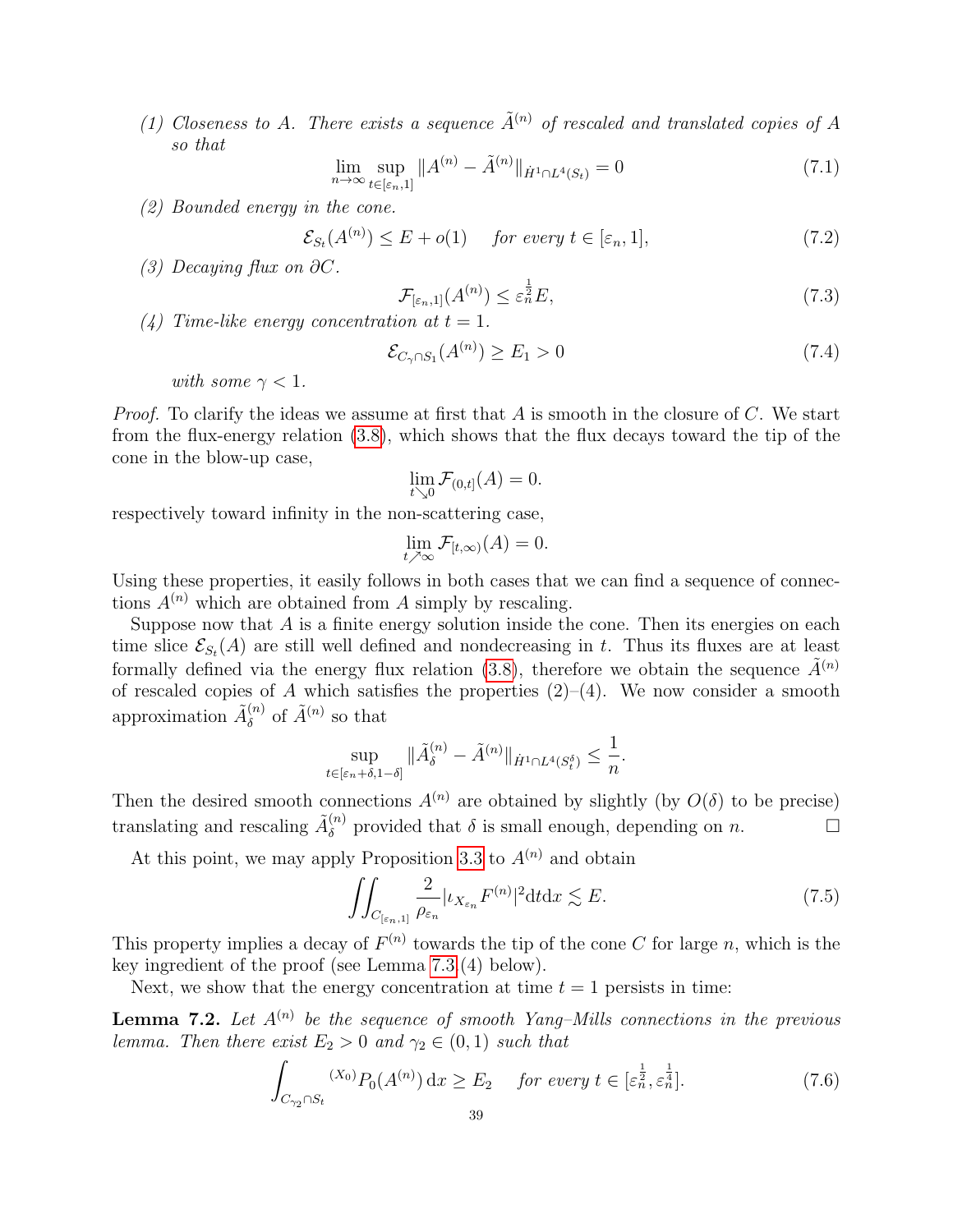(1) Closeness to A. There exists a sequence  $\tilde{A}^{(n)}$  of rescaled and translated copies of A so that

$$
\lim_{n \to \infty} \sup_{t \in [\varepsilon_n, 1]} \|A^{(n)} - \tilde{A}^{(n)}\|_{\dot{H}^1 \cap L^4(S_t)} = 0 \tag{7.1}
$$

(2) Bounded energy in the cone.

$$
\mathcal{E}_{S_t}(A^{(n)}) \le E + o(1) \quad \text{for every } t \in [\varepsilon_n, 1], \tag{7.2}
$$

(3) Decaying flux on  $\partial C$ .

$$
\mathcal{F}_{\lbrack\varepsilon_n,1\rbrack}(A^{(n)}) \leq \varepsilon_n^{\frac{1}{2}} E,\tag{7.3}
$$

(4) Time-like energy concentration at  $t = 1$ .

$$
\mathcal{E}_{C_{\gamma} \cap S_1}(A^{(n)}) \ge E_1 > 0 \tag{7.4}
$$

with some  $\gamma < 1$ .

*Proof.* To clarify the ideas we assume at first that A is smooth in the closure of C. We start from the flux-energy relation [\(3.8\)](#page-27-3), which shows that the flux decays toward the tip of the cone in the blow-up case,

$$
\lim_{t \searrow 0} \mathcal{F}_{(0,t]}(A) = 0.
$$

respectively toward infinity in the non-scattering case,

$$
\lim_{t \nearrow \infty} \mathcal{F}_{[t,\infty)}(A) = 0.
$$

Using these properties, it easily follows in both cases that we can find a sequence of connections  $A^{(n)}$  which are obtained from A simply by rescaling.

Suppose now that  $A$  is a finite energy solution inside the cone. Then its energies on each time slice  $\mathcal{E}_{S_t}(A)$  are still well defined and nondecreasing in t. Thus its fluxes are at least formally defined via the energy flux relation [\(3.8\)](#page-27-3), therefore we obtain the sequence  $\tilde{A}^{(n)}$ of rescaled copies of A which satisfies the properties  $(2)$ – $(4)$ . We now consider a smooth approximation  $\tilde{A}_{\delta}^{(n)}$  $\delta^{(n)}$  of  $\tilde{A}^{(n)}$  so that

$$
\sup_{t\in[\varepsilon_n+\delta,1-\delta]}\|\tilde{A}^{(n)}_{\delta}-\tilde{A}^{(n)}\|_{\dot{H}^1\cap L^4(S_t^\delta)}\leq\frac{1}{n}.
$$

Then the desired smooth connections  $A^{(n)}$  are obtained by slightly (by  $O(\delta)$  to be precise) translating and rescaling  $\tilde{A}_{\delta}^{(n)}$  $\delta^{(n)}$  provided that  $\delta$  is small enough, depending on n.

At this point, we may apply Proposition [3.3](#page-29-2) to  $A^{(n)}$  and obtain

<span id="page-39-2"></span>
$$
\iint_{C_{\left[\varepsilon_{n},1\right]}} \frac{2}{\rho_{\varepsilon_{n}}} |\iota_{X_{\varepsilon_{n}}} F^{(n)}|^{2} \, \mathrm{d} t \, \mathrm{d} x \lesssim E. \tag{7.5}
$$

This property implies a decay of  $F^{(n)}$  towards the tip of the cone C for large n, which is the key ingredient of the proof (see Lemma [7.3.](#page-40-0)(4) below).

Next, we show that the energy concentration at time  $t = 1$  persists in time:

<span id="page-39-1"></span>**Lemma 7.2.** Let  $A^{(n)}$  be the sequence of smooth Yang–Mills connections in the previous lemma. Then there exist  $E_2 > 0$  and  $\gamma_2 \in (0,1)$  such that

<span id="page-39-0"></span>
$$
\int_{C_{\gamma_2} \cap S_t} (X_0) P_0(A^{(n)}) \, dx \ge E_2 \quad \text{for every } t \in [\varepsilon_n^{\frac{1}{2}}, \varepsilon_n^{\frac{1}{4}}]. \tag{7.6}
$$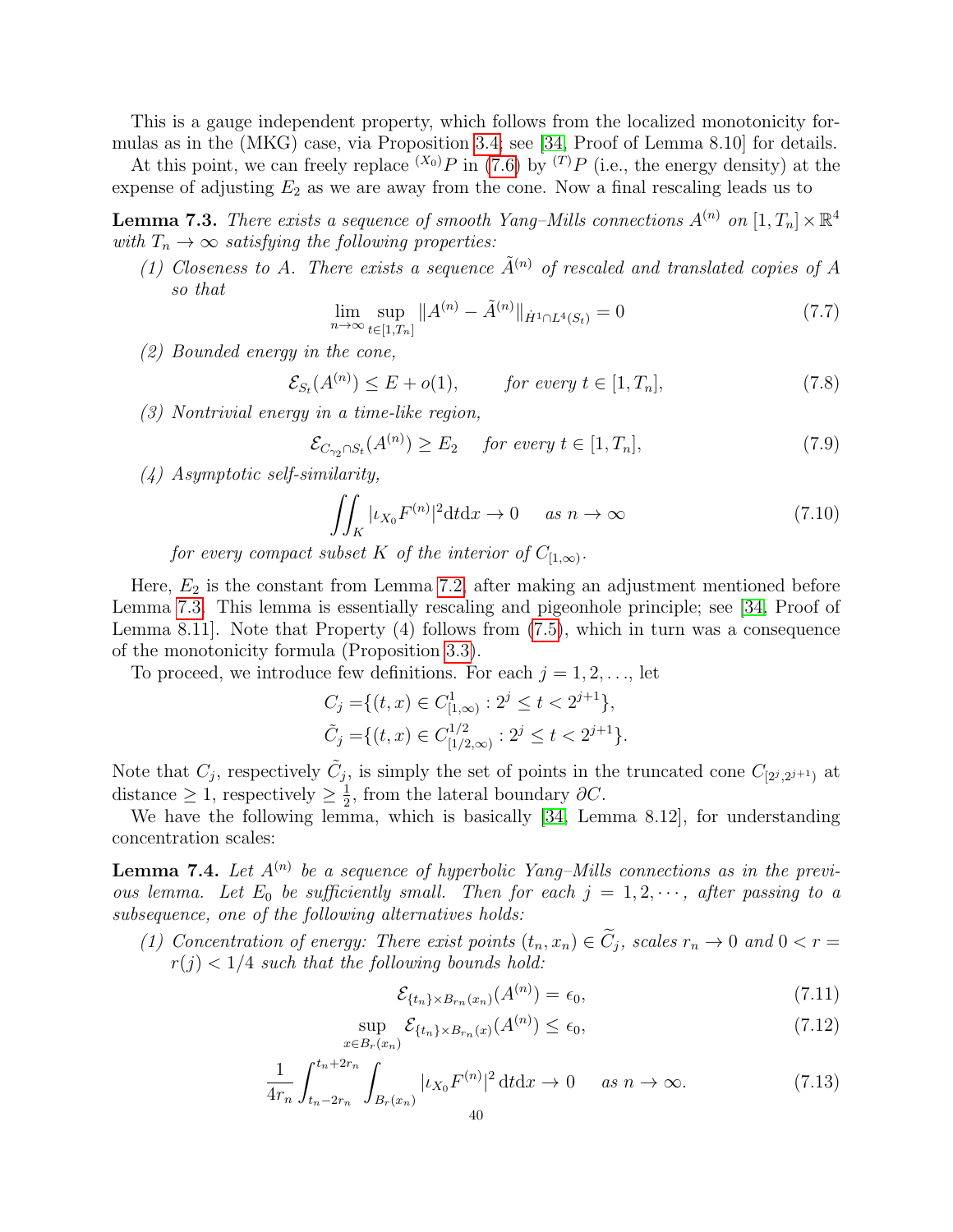This is a gauge independent property, which follows from the localized monotonicity formulas as in the (MKG) case, via Proposition [3.4;](#page-29-5) see [\[34,](#page-64-24) Proof of Lemma 8.10] for details.

At this point, we can freely replace  $(X_0)P$  in [\(7.6\)](#page-39-0) by  $(T)P$  (i.e., the energy density) at the expense of adjusting  $E_2$  as we are away from the cone. Now a final rescaling leads us to

<span id="page-40-0"></span>**Lemma 7.3.** There exists a sequence of smooth Yang-Mills connections  $A^{(n)}$  on  $[1, T_n] \times \mathbb{R}^4$ with  $T_n \to \infty$  satisfying the following properties:

(1) Closeness to A. There exists a sequence  $\tilde{A}^{(n)}$  of rescaled and translated copies of A so that

$$
\lim_{n \to \infty} \sup_{t \in [1, T_n]} \|A^{(n)} - \tilde{A}^{(n)}\|_{\dot{H}^1 \cap L^4(S_t)} = 0 \tag{7.7}
$$

(2) Bounded energy in the cone,

$$
\mathcal{E}_{S_t}(A^{(n)}) \le E + o(1), \qquad \text{for every } t \in [1, T_n], \tag{7.8}
$$

(3) Nontrivial energy in a time-like region,

$$
\mathcal{E}_{C_{\gamma_2} \cap S_t}(A^{(n)}) \ge E_2 \quad \text{for every } t \in [1, T_n], \tag{7.9}
$$

(4) Asymptotic self-similarity,

$$
\iint_{K} |\iota_{X_{0}} F^{(n)}|^{2} dt dx \to 0 \quad \text{as } n \to \infty \tag{7.10}
$$

for every compact subset K of the interior of  $C_{[1,\infty)}$ .

Here,  $E_2$  is the constant from Lemma [7.2,](#page-39-1) after making an adjustment mentioned before Lemma [7.3.](#page-40-0) This lemma is essentially rescaling and pigeonhole principle; see [\[34,](#page-64-24) Proof of Lemma 8.11]. Note that Property (4) follows from [\(7.5\)](#page-39-2), which in turn was a consequence of the monotonicity formula (Proposition [3.3\)](#page-29-2).

To proceed, we introduce few definitions. For each  $j = 1, 2, \ldots$ , let

 $x$ 

$$
C_j = \{(t, x) \in C^1_{[1,\infty)} : 2^j \le t < 2^{j+1}\},
$$
  
\n
$$
\tilde{C}_j = \{(t, x) \in C^{1/2}_{[1/2,\infty)} : 2^j \le t < 2^{j+1}\}.
$$

Note that  $C_j$ , respectively  $\tilde{C}_j$ , is simply the set of points in the truncated cone  $C_{[2^j,2^{j+1})}$  at distance  $\geq 1$ , respectively  $\geq \frac{1}{2}$  $\frac{1}{2}$ , from the lateral boundary  $\partial C$ .

We have the following lemma, which is basically [\[34,](#page-64-24) Lemma 8.12], for understanding concentration scales:

**Lemma 7.4.** Let  $A^{(n)}$  be a sequence of hyperbolic Yang–Mills connections as in the previous lemma. Let  $E_0$  be sufficiently small. Then for each  $j = 1, 2, \cdots$ , after passing to a subsequence, one of the following alternatives holds:

(1) Concentration of energy: There exist points  $(t_n, x_n) \in C_j$ , scales  $r_n \to 0$  and  $0 < r =$  $r(j) < 1/4$  such that the following bounds hold:

$$
\mathcal{E}_{\{t_n\} \times B_{r_n}(x_n)}(A^{(n)}) = \epsilon_0,\tag{7.11}
$$

$$
\sup_{\in B_r(x_n)} \mathcal{E}_{\{t_n\} \times B_{r_n}(x)}(A^{(n)}) \le \epsilon_0,
$$
\n(7.12)

$$
\frac{1}{4r_n} \int_{t_n - 2r_n}^{t_n + 2r_n} \int_{B_r(x_n)} |i_{X_0} F^{(n)}|^2 dt dx \to 0 \quad \text{as } n \to \infty.
$$
 (7.13)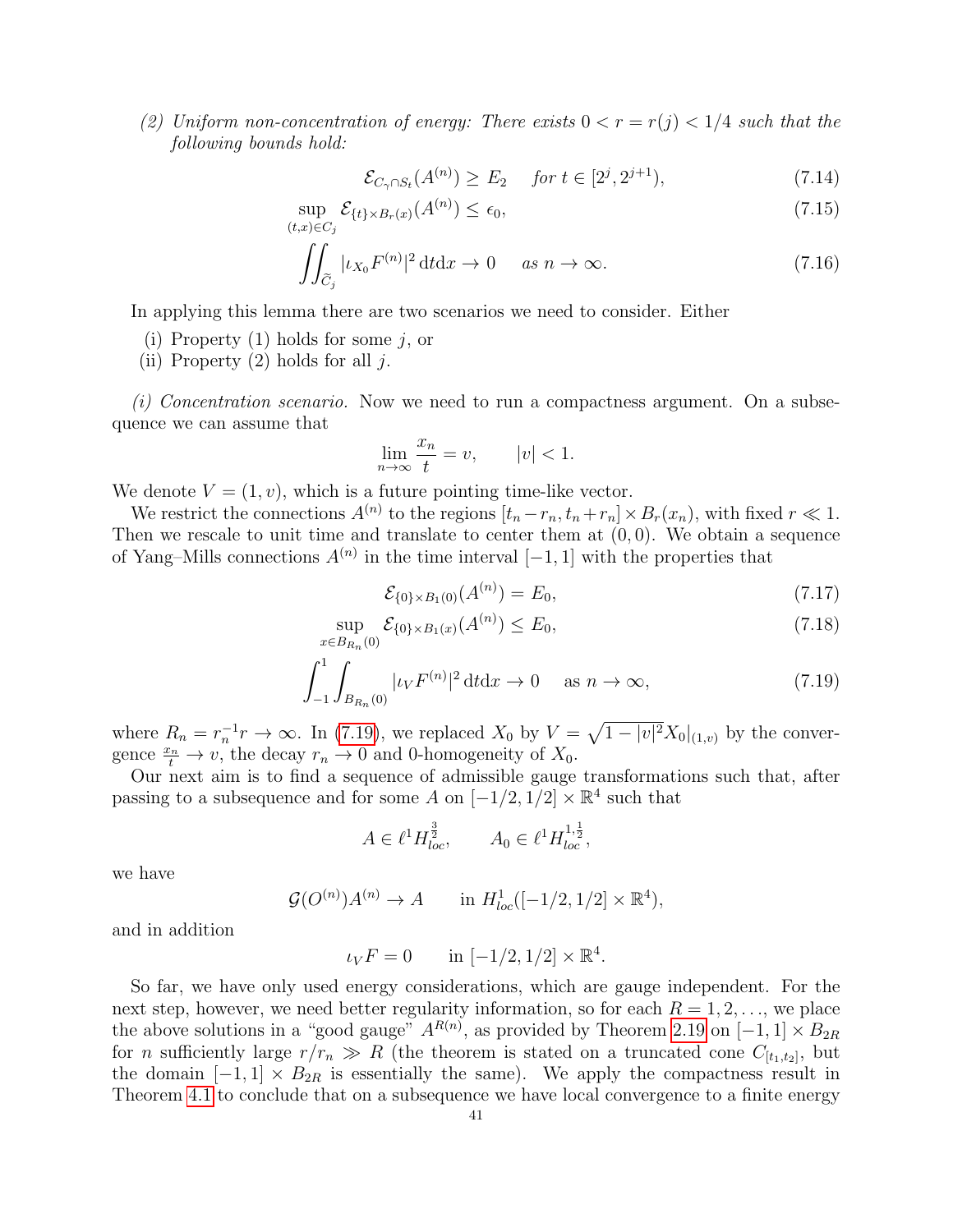(2) Uniform non-concentration of energy: There exists  $0 < r = r(j) < 1/4$  such that the following bounds hold:

<span id="page-41-1"></span>
$$
\mathcal{E}_{C_{\gamma} \cap S_t}(A^{(n)}) \ge E_2 \quad \text{for } t \in [2^j, 2^{j+1}), \tag{7.14}
$$

$$
\sup_{(t,x)\in C_j} \mathcal{E}_{\{t\}\times B_r(x)}(A^{(n)}) \le \epsilon_0,\tag{7.15}
$$

$$
\iint_{\widetilde{C}_j} |\iota_{X_0} F^{(n)}|^2 \, \mathrm{d} t \, \mathrm{d} x \to 0 \quad \text{as } n \to \infty. \tag{7.16}
$$

In applying this lemma there are two scenarios we need to consider. Either

- (i) Property  $(1)$  holds for some j, or
- (ii) Property  $(2)$  holds for all j.

(i) Concentration scenario. Now we need to run a compactness argument. On a subsequence we can assume that

$$
\lim_{n \to \infty} \frac{x_n}{t} = v, \qquad |v| < 1.
$$

We denote  $V = (1, v)$ , which is a future pointing time-like vector.

We restrict the connections  $A^{(n)}$  to the regions  $[t_n - r_n, t_n + r_n] \times B_r(x_n)$ , with fixed  $r \ll 1$ . Then we rescale to unit time and translate to center them at  $(0, 0)$ . We obtain a sequence of Yang–Mills connections  $A^{(n)}$  in the time interval  $[-1, 1]$  with the properties that

$$
\mathcal{E}_{\{0\} \times B_1(0)}(A^{(n)}) = E_0,\tag{7.17}
$$

<span id="page-41-0"></span>.

$$
\sup_{x \in B_{R_n}(0)} \mathcal{E}_{\{0\} \times B_1(x)}(A^{(n)}) \le E_0,
$$
\n(7.18)

$$
\int_{-1}^{1} \int_{B_{R_n}(0)} |\iota_V F^{(n)}|^2 dt dx \to 0 \quad \text{as } n \to \infty,
$$
 (7.19)

where  $R_n = r_n^{-1}r \to \infty$ . In [\(7.19\)](#page-41-0), we replaced  $X_0$  by  $V = \sqrt{1 - |v|^2}X_0|_{(1,v)}$  by the convergence  $\frac{x_n}{t} \to v$ , the decay  $r_n \to 0$  and 0-homogeneity of  $X_0$ .

Our next aim is to find a sequence of admissible gauge transformations such that, after passing to a subsequence and for some A on  $[-1/2, 1/2] \times \mathbb{R}^4$  such that

$$
A \in \ell^1 H^{\frac{3}{2}}_{loc}, \qquad A_0 \in \ell^1 H^{1,\frac{1}{2}}_{loc},
$$

we have

$$
\mathcal{G}(O^{(n)})A^{(n)} \to A \qquad \text{in } H^1_{loc}([-1/2, 1/2] \times \mathbb{R}^4),
$$

and in addition

$$
\iota_V F = 0
$$
 in  $[-1/2, 1/2] \times \mathbb{R}^4$ 

So far, we have only used energy considerations, which are gauge independent. For the next step, however, we need better regularity information, so for each  $R = 1, 2, \ldots$ , we place the above solutions in a "good gauge"  $A^{R(n)}$ , as provided by Theorem [2.19](#page-25-0) on [-1, 1] ×  $B_{2R}$ for *n* sufficiently large  $r/r_n \gg R$  (the theorem is stated on a truncated cone  $C_{[t_1,t_2]}$ , but the domain  $[-1, 1] \times B_{2R}$  is essentially the same). We apply the compactness result in Theorem [4.1](#page-29-1) to conclude that on a subsequence we have local convergence to a finite energy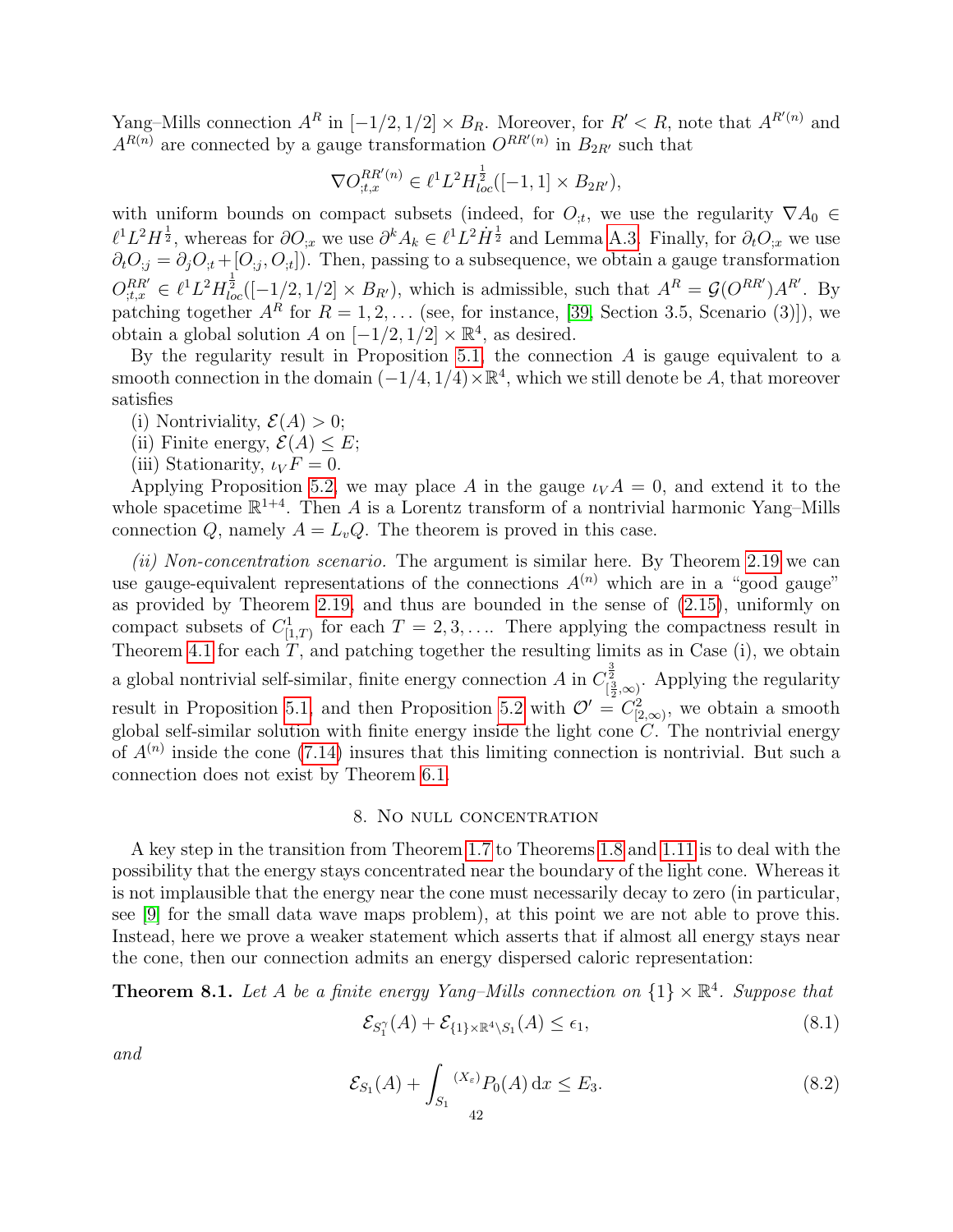Yang–Mills connection  $A^R$  in  $[-1/2, 1/2] \times B_R$ . Moreover, for  $R' < R$ , note that  $A^{R'(n)}$  and  $A^{R(n)}$  are connected by a gauge transformation  $O^{RR'(n)}$  in  $B_{2R'}$  such that

$$
\nabla O_{t,x}^{RR'(n)} \in \ell^1 L^2 H_{loc}^{\frac{1}{2}}([-1,1] \times B_{2R'}),
$$

with uniform bounds on compact subsets (indeed, for  $O_{,t}$ , we use the regularity  $\nabla A_0 \in$  $\ell^1 L^2 H^{\frac{1}{2}}$ , whereas for  $\partial O_{;x}$  we use  $\partial^k A_k \in \ell^1 L^2 H^{\frac{1}{2}}$  and Lemma [A.3.](#page-57-3) Finally, for  $\partial_t O_{;x}$  we use  $\partial_t O_{i,j} = \partial_j O_{i,t} + [O_{i,j}, O_{i,t}]$ . Then, passing to a subsequence, we obtain a gauge transformation  $O_{;t,x}^{RR'} \in \ell^1 L^2 H_{loc}^{\frac{1}{2}}([-1/2,1/2] \times B_{R'})$ , which is admissible, such that  $A^R = \mathcal{G}(O^{RR'})A^{R'}$ . By patching together  $A^R$  for  $R = 1, 2, \ldots$  (see, for instance, [\[39,](#page-64-2) Section 3.5, Scenario (3)]), we obtain a global solution A on  $[-1/2, 1/2] \times \mathbb{R}^4$ , as desired.

By the regularity result in Proposition [5.1,](#page-31-2) the connection  $A$  is gauge equivalent to a smooth connection in the domain  $(-1/4, 1/4) \times \mathbb{R}^4$ , which we still denote be A, that moreover satisfies

- (i) Nontriviality,  $\mathcal{E}(A) > 0$ ;
- (ii) Finite energy,  $\mathcal{E}(A) \leq E$ ;
- (iii) Stationarity,  $\iota_V F = 0$ .

Applying Proposition [5.2,](#page-31-4) we may place A in the gauge  $\iota_V A = 0$ , and extend it to the whole spacetime  $\mathbb{R}^{1+4}$ . Then A is a Lorentz transform of a nontrivial harmonic Yang–Mills connection Q, namely  $A = L_v Q$ . The theorem is proved in this case.

(ii) Non-concentration scenario. The argument is similar here. By Theorem [2.19](#page-25-0) we can use gauge-equivalent representations of the connections  $A^{(n)}$  which are in a "good gauge" as provided by Theorem [2.19,](#page-25-0) and thus are bounded in the sense of [\(2.15\)](#page-25-3), uniformly on compact subsets of  $C^1_{[1,T]}$  for each  $T = 2, 3, \ldots$  There applying the compactness result in Theorem [4.1](#page-29-1) for each  $T$ , and patching together the resulting limits as in Case (i), we obtain a global nontrivial self-similar, finite energy connection A in  $C_{[\frac{3}{2},\infty)}^{\frac{3}{2}}$ . Applying the regularity result in Proposition [5.1,](#page-31-2) and then Proposition [5.2](#page-31-4) with  $\mathcal{O}' = C_{[2,\infty)}^2$ , we obtain a smooth global self-similar solution with finite energy inside the light cone  $C$ . The nontrivial energy of  $A^{(n)}$  inside the cone [\(7.14\)](#page-41-1) insures that this limiting connection is nontrivial. But such a connection does not exist by Theorem [6.1.](#page-35-1)

#### 8. No null concentration

<span id="page-42-0"></span>A key step in the transition from Theorem [1.7](#page-8-0) to Theorems [1.8](#page-10-0) and [1.11](#page-11-1) is to deal with the possibility that the energy stays concentrated near the boundary of the light cone. Whereas it is not implausible that the energy near the cone must necessarily decay to zero (in particular, see [\[9\]](#page-63-13) for the small data wave maps problem), at this point we are not able to prove this. Instead, here we prove a weaker statement which asserts that if almost all energy stays near the cone, then our connection admits an energy dispersed caloric representation:

<span id="page-42-2"></span>**Theorem 8.1.** Let A be a finite energy Yang–Mills connection on  $\{1\} \times \mathbb{R}^4$ . Suppose that

<span id="page-42-3"></span>
$$
\mathcal{E}_{S_1^{\gamma}}(A) + \mathcal{E}_{\{1\} \times \mathbb{R}^4 \setminus S_1}(A) \le \epsilon_1,\tag{8.1}
$$

and

<span id="page-42-1"></span>
$$
\mathcal{E}_{S_1}(A) + \int_{S_1} {}^{(X_{\varepsilon})} P_0(A) \, dx \le E_3.
$$
 (8.2)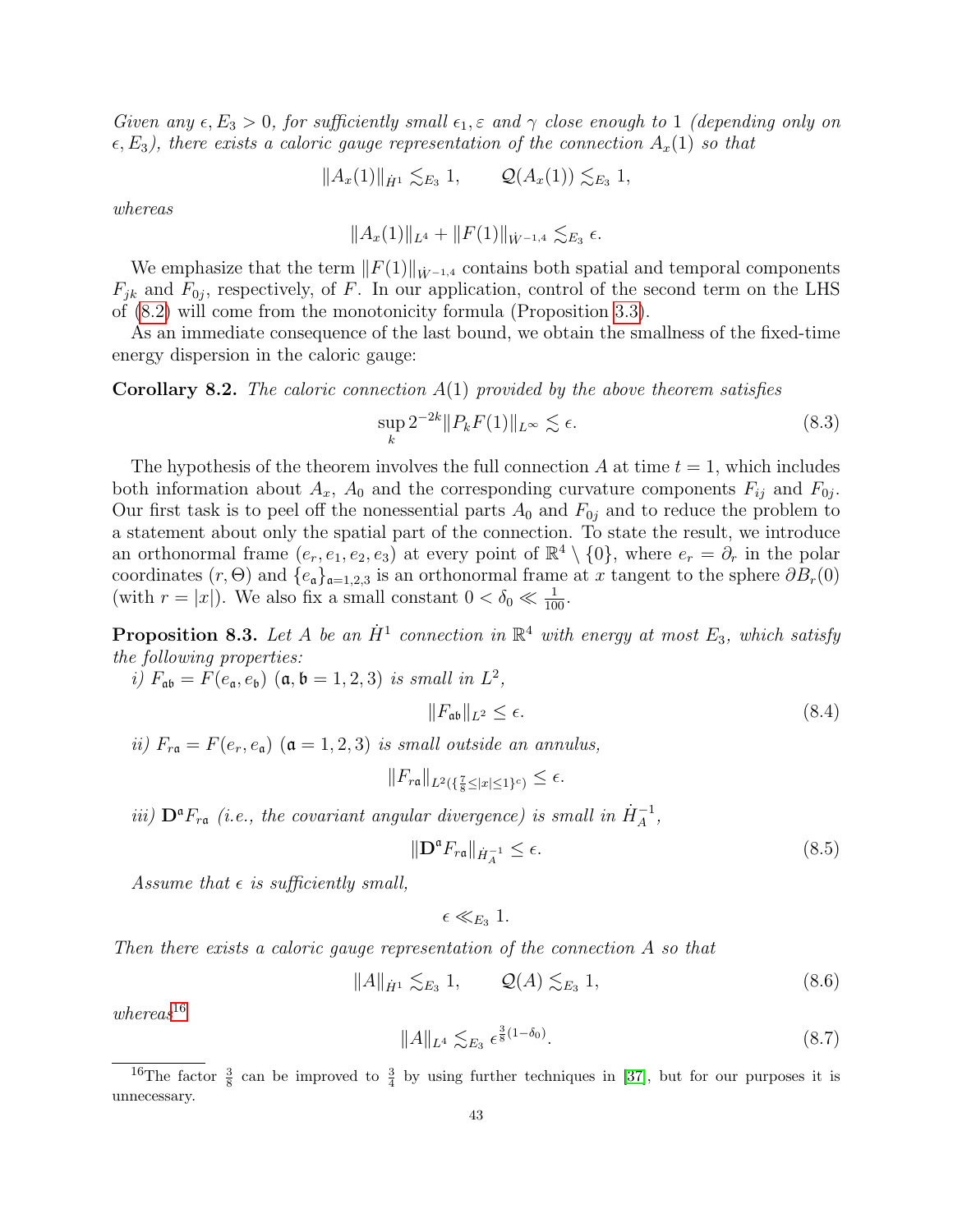Given any  $\epsilon, E_3 > 0$ , for sufficiently small  $\epsilon_1, \epsilon$  and  $\gamma$  close enough to 1 (depending only on  $\epsilon, E_3$ ), there exists a caloric gauge representation of the connection  $A_x(1)$  so that

$$
||A_x(1)||_{\dot{H}^1} \lesssim_{E_3} 1, \qquad Q(A_x(1)) \lesssim_{E_3} 1,
$$

whereas

$$
||A_x(1)||_{L^4} + ||F(1)||_{\dot{W}^{-1,4}} \lesssim_{E_3} \epsilon.
$$

We emphasize that the term  $||F(1)||_{\dot{W}^{-1,4}}$  contains both spatial and temporal components  $F_{jk}$  and  $F_{0j}$ , respectively, of F. In our application, control of the second term on the LHS of [\(8.2\)](#page-42-1) will come from the monotonicity formula (Proposition [3.3\)](#page-29-2).

As an immediate consequence of the last bound, we obtain the smallness of the fixed-time energy dispersion in the caloric gauge:

**Corollary 8.2.** The caloric connection  $A(1)$  provided by the above theorem satisfies

$$
\sup_{k} 2^{-2k} \|P_k F(1)\|_{L^\infty} \lesssim \epsilon. \tag{8.3}
$$

The hypothesis of the theorem involves the full connection A at time  $t = 1$ , which includes both information about  $A_x$ ,  $A_0$  and the corresponding curvature components  $F_{ij}$  and  $F_{0j}$ . Our first task is to peel off the nonessential parts  $A_0$  and  $F_{0j}$  and to reduce the problem to a statement about only the spatial part of the connection. To state the result, we introduce an orthonormal frame  $(e_r, e_1, e_2, e_3)$  at every point of  $\mathbb{R}^4 \setminus \{0\}$ , where  $e_r = \partial_r$  in the polar coordinates  $(r, \Theta)$  and  $\{e_{\mathfrak{a}}\}_{{\mathfrak{a}}=1,2,3}$  is an orthonormal frame at x tangent to the sphere  $\partial B_r(0)$ (with  $r = |x|$ ). We also fix a small constant  $0 < \delta_0 \ll \frac{1}{100}$ .

<span id="page-43-1"></span>**Proposition 8.3.** Let A be an  $\dot{H}^1$  connection in  $\mathbb{R}^4$  with energy at most  $E_3$ , which satisfy the following properties:

i)  $F_{\mathfrak{a}\mathfrak{b}} = F(e_{\mathfrak{a}}, e_{\mathfrak{b}})$  ( $\mathfrak{a}, \mathfrak{b} = 1, 2, 3$ ) is small in  $L^2$ ,

$$
||F_{\mathfrak{a}\mathfrak{b}}||_{L^2} \le \epsilon. \tag{8.4}
$$

ii)  $F_{r\mathfrak{a}} = F(e_r, e_{\mathfrak{a}})$   $(\mathfrak{a} = 1, 2, 3)$  is small outside an annulus,

$$
||F_{r\mathfrak{a}}||_{L^2(\{\frac{7}{8}\leq|x|\leq 1\}^c)}\leq \epsilon.
$$

iii)  $\mathbf{D}^{\mathfrak{a}} F_{r\mathfrak{a}}$  (i.e., the covariant angular divergence) is small in  $\dot{H}_{A}^{-1}$ ,

<span id="page-43-2"></span>
$$
\|\mathbf{D}^{\mathfrak{a}}F_{r\mathfrak{a}}\|_{\dot{H}_{A}^{-1}} \leq \epsilon. \tag{8.5}
$$

Assume that  $\epsilon$  is sufficiently small,

$$
\epsilon \ll_{E_3} 1.
$$

Then there exists a caloric gauge representation of the connection A so that

$$
||A||_{\dot{H}^1} \lesssim_{E_3} 1, \qquad Q(A) \lesssim_{E_3} 1,
$$
\n(8.6)

 $whereas<sup>16</sup>$  $whereas<sup>16</sup>$  $whereas<sup>16</sup>$ 

<span id="page-43-3"></span>
$$
||A||_{L^{4}} \lesssim_{E_3} \epsilon^{\frac{3}{8}(1-\delta_0)}.
$$
\n(8.7)

<span id="page-43-0"></span><sup>&</sup>lt;sup>16</sup>The factor  $\frac{3}{8}$  can be improved to  $\frac{3}{4}$  by using further techniques in [\[37\]](#page-64-0), but for our purposes it is unnecessary.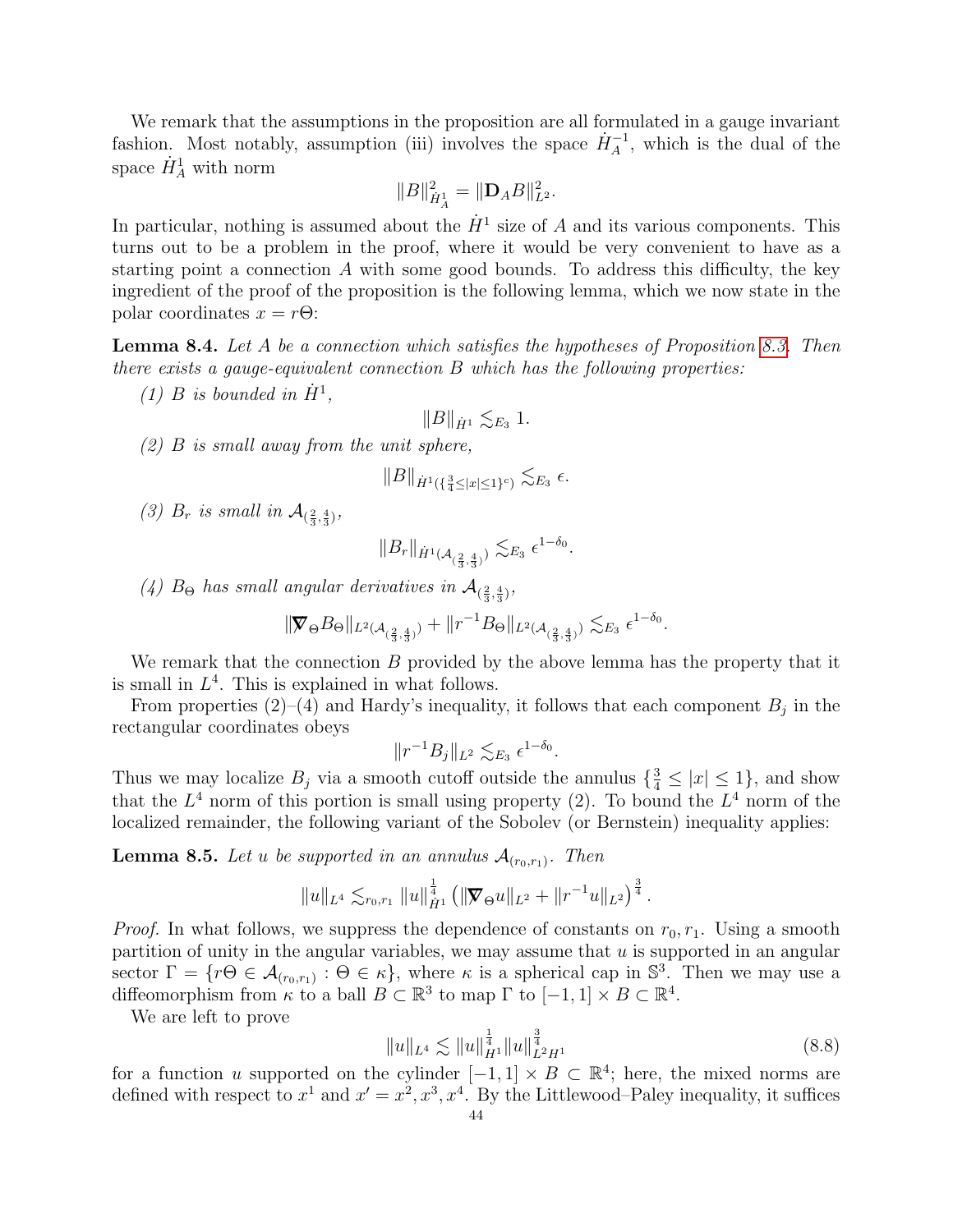We remark that the assumptions in the proposition are all formulated in a gauge invariant fashion. Most notably, assumption (iii) involves the space  $\dot{H}_A^{-1}$ , which is the dual of the space  $\dot{H}^1_A$  with norm

$$
||B||_{\dot{H}_A^1}^2 = ||\mathbf{D}_A B||_{L^2}^2.
$$

In particular, nothing is assumed about the  $\dot{H}^1$  size of A and its various components. This turns out to be a problem in the proof, where it would be very convenient to have as a starting point a connection  $A$  with some good bounds. To address this difficulty, the key ingredient of the proof of the proposition is the following lemma, which we now state in the polar coordinates  $x = r\Theta$ :

<span id="page-44-0"></span>Lemma 8.4. Let A be a connection which satisfies the hypotheses of Proposition [8.3.](#page-43-1) Then there exists a gauge-equivalent connection B which has the following properties:

(1) B is bounded in  $\dot{H}^1$ ,

$$
\|B\|_{\dot{H}^1}\lesssim_{E_3} 1.
$$

(2) B is small away from the unit sphere,

$$
\|B\|_{\dot{H}^1(\{\frac{3}{4}\leq |x|\leq 1\}^c)} \lesssim_{E_3} \epsilon.
$$

(3)  $B_r$  is small in  $\mathcal{A}_{(\frac{2}{3},\frac{4}{3})}$ ,

$$
\|B_r\|_{\dot{H}^1(\mathcal{A}_{(\frac{2}{3},\frac{4}{3})})} \lesssim_{E_3} \epsilon^{1-\delta_0}.
$$

(4) B<sub> $\Theta$ </sub> has small angular derivatives in  $\mathcal{A}_{(\frac{2}{3},\frac{4}{3})}$ ,

$$
\| \nabla_{\Theta} B_{\Theta} \|_{L^2(\mathcal{A}_{(\frac{2}{3}, \frac{4}{3})})} + \| r^{-1} B_{\Theta} \|_{L^2(\mathcal{A}_{(\frac{2}{3}, \frac{4}{3})})} \lesssim_{E_3} \epsilon^{1 - \delta_0}.
$$

We remark that the connection  $B$  provided by the above lemma has the property that it is small in  $L<sup>4</sup>$ . This is explained in what follows.

From properties  $(2)-(4)$  and Hardy's inequality, it follows that each component  $B_j$  in the rectangular coordinates obeys

$$
||r^{-1}B_j||_{L^2} \lesssim_{E_3} \epsilon^{1-\delta_0}.
$$

Thus we may localize  $B_j$  via a smooth cutoff outside the annulus  $\{\frac{3}{4} \leq |x| \leq 1\}$ , and show that the  $L^4$  norm of this portion is small using property (2). To bound the  $L^4$  norm of the localized remainder, the following variant of the Sobolev (or Bernstein) inequality applies:

<span id="page-44-1"></span>**Lemma 8.5.** Let u be supported in an annulus  $\mathcal{A}_{(r_0,r_1)}$ . Then

$$
||u||_{L^4} \lesssim_{r_0,r_1} ||u||_{\dot{H}^1}^{\frac{1}{4}} \left(||\nabla \Theta u||_{L^2} + ||r^{-1}u||_{L^2}\right)^{\frac{3}{4}}.
$$

*Proof.* In what follows, we suppress the dependence of constants on  $r_0, r_1$ . Using a smooth partition of unity in the angular variables, we may assume that  $u$  is supported in an angular sector  $\Gamma = \{r \Theta \in \mathcal{A}_{(r_0,r_1)} : \Theta \in \kappa\}$ , where  $\kappa$  is a spherical cap in  $\mathbb{S}^3$ . Then we may use a diffeomorphism from  $\kappa$  to a ball  $B \subset \mathbb{R}^3$  to map  $\Gamma$  to  $[-1,1] \times B \subset \mathbb{R}^4$ .

We are left to prove

$$
||u||_{L^{4}} \lesssim ||u||_{H^{1}}^{\frac{1}{4}} ||u||_{L^{2}H^{1}}^{\frac{3}{4}}
$$
\n(8.8)

for a function u supported on the cylinder  $[-1,1] \times B \subset \mathbb{R}^4$ ; here, the mixed norms are defined with respect to  $x^1$  and  $x' = x^2, x^3, x^4$ . By the Littlewood–Paley inequality, it suffices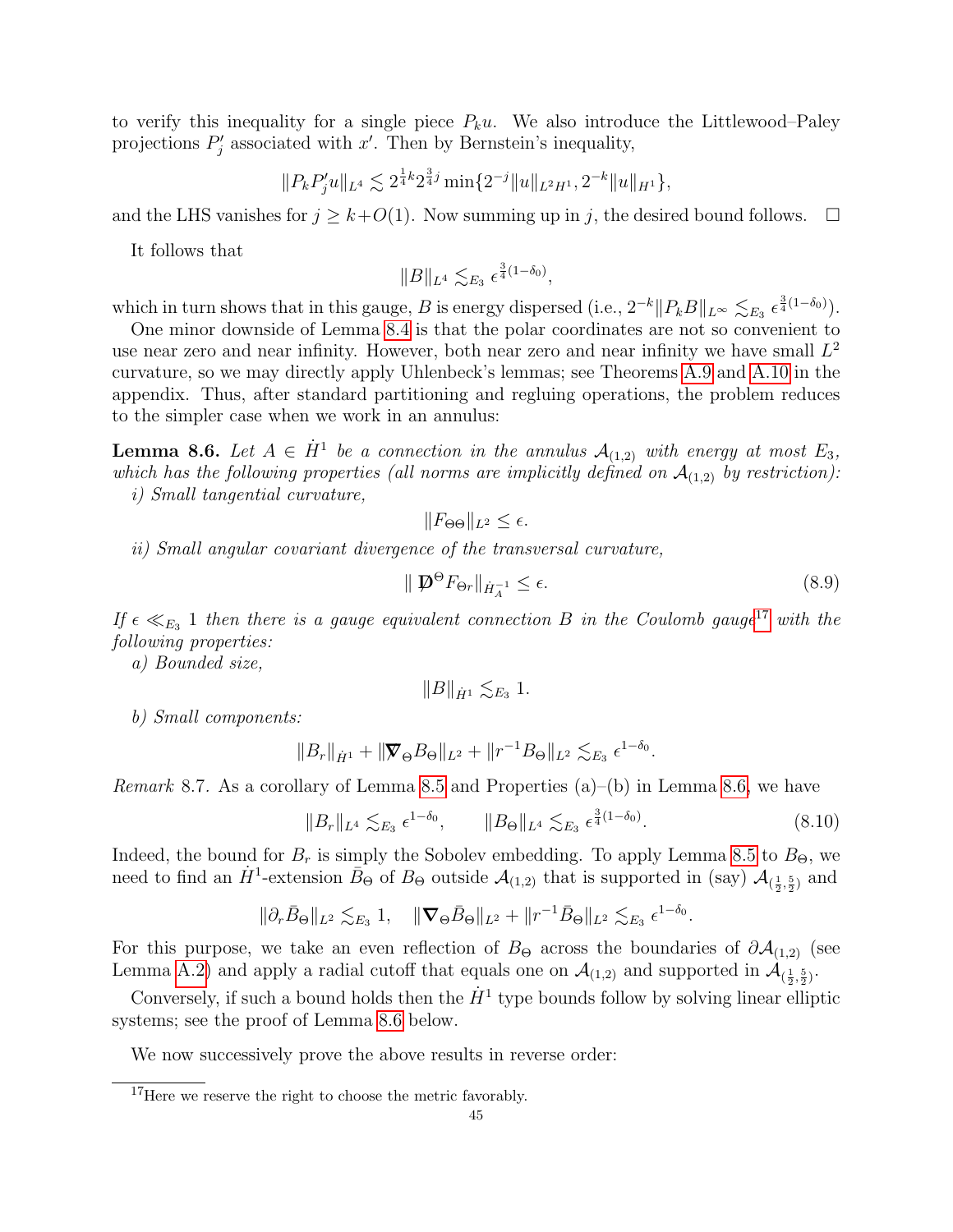to verify this inequality for a single piece  $P_ku$ . We also introduce the Littlewood–Paley projections  $P'_j$  associated with x'. Then by Bernstein's inequality,

$$
||P_k P_j'u||_{L^4} \lesssim 2^{\frac{1}{4}k} 2^{\frac{3}{4}j} \min\{2^{-j}||u||_{L^2H^1}, 2^{-k}||u||_{H^1}\},
$$

and the LHS vanishes for  $j \geq k+O(1)$ . Now summing up in j, the desired bound follows.  $\Box$ 

It follows that

$$
||B||_{L^4} \lesssim_{E_3} \epsilon^{\frac{3}{4}(1-\delta_0)},
$$

which in turn shows that in this gauge, B is energy dispersed (i.e.,  $2^{-k} ||P_kB||_{L^{\infty}} \lesssim_{E_3} \epsilon^{\frac{3}{4}(1-\delta_0)}$ ).

One minor downside of Lemma [8.4](#page-44-0) is that the polar coordinates are not so convenient to use near zero and near infinity. However, both near zero and near infinity we have small  $L^2$ curvature, so we may directly apply Uhlenbeck's lemmas; see Theorems [A.9](#page-62-1) and [A.10](#page-62-3) in the appendix. Thus, after standard partitioning and regluing operations, the problem reduces to the simpler case when we work in an annulus:

<span id="page-45-1"></span>**Lemma 8.6.** Let  $A \in \dot{H}^1$  be a connection in the annulus  $\mathcal{A}_{(1,2)}$  with energy at most  $E_3$ , which has the following properties (all norms are implicitly defined on  $\mathcal{A}_{(1,2)}$  by restriction): i) Small tangential curvature,

$$
||F_{\Theta\Theta}||_{L^2} \leq \epsilon.
$$

ii) Small angular covariant divergence of the transversal curvature,

<span id="page-45-3"></span>
$$
\|\mathbf{D}^{\Theta}F_{\Theta r}\|_{\dot{H}_A^{-1}} \le \epsilon. \tag{8.9}
$$

If  $\epsilon \ll_{E_3} 1$  then there is a gauge equivalent connection B in the Coulomb gauge<sup>[17](#page-45-0)</sup> with the following properties:

a) Bounded size,

$$
||B||_{\dot{H}^1}\lesssim_{E_3} 1.
$$

b) Small components:

$$
||B_r||_{\dot{H}^1} + ||\nabla_{\Theta} B_{\Theta}||_{L^2} + ||r^{-1}B_{\Theta}||_{L^2} \lesssim_{E_3} \epsilon^{1-\delta_0}.
$$

<span id="page-45-2"></span>Remark 8.7. As a corollary of Lemma [8.5](#page-44-1) and Properties (a)–(b) in Lemma [8.6,](#page-45-1) we have

$$
||B_r||_{L^4} \lesssim_{E_3} \epsilon^{1-\delta_0}, \qquad ||B_\Theta||_{L^4} \lesssim_{E_3} \epsilon^{\frac{3}{4}(1-\delta_0)}.
$$
 (8.10)

Indeed, the bound for  $B_r$  is simply the Sobolev embedding. To apply Lemma [8.5](#page-44-1) to  $B_{\Theta}$ , we need to find an  $\dot{H}^1$ -extension  $\bar{B}_{\Theta}$  of  $B_{\Theta}$  outside  $\mathcal{A}_{(1,2)}$  that is supported in (say)  $\mathcal{A}_{(\frac{1}{2},\frac{5}{2})}$  and

$$
\|\partial_r \bar{B}_{\Theta}\|_{L^2} \lesssim_{E_3} 1, \quad \|\nabla_{\Theta} \bar{B}_{\Theta}\|_{L^2} + \|r^{-1} \bar{B}_{\Theta}\|_{L^2} \lesssim_{E_3} \epsilon^{1-\delta_0}.
$$

For this purpose, we take an even reflection of  $B_{\Theta}$  across the boundaries of  $\partial A_{(1,2)}$  (see Lemma [A.2\)](#page-57-4) and apply a radial cutoff that equals one on  $\mathcal{A}_{(1,2)}$  and supported in  $\mathcal{A}_{(\frac{1}{2},\frac{5}{2})}$ .

Conversely, if such a bound holds then the  $\dot{H}^1$  type bounds follow by solving linear elliptic systems; see the proof of Lemma [8.6](#page-45-1) below.

We now successively prove the above results in reverse order:

<span id="page-45-0"></span><sup>17</sup>Here we reserve the right to choose the metric favorably.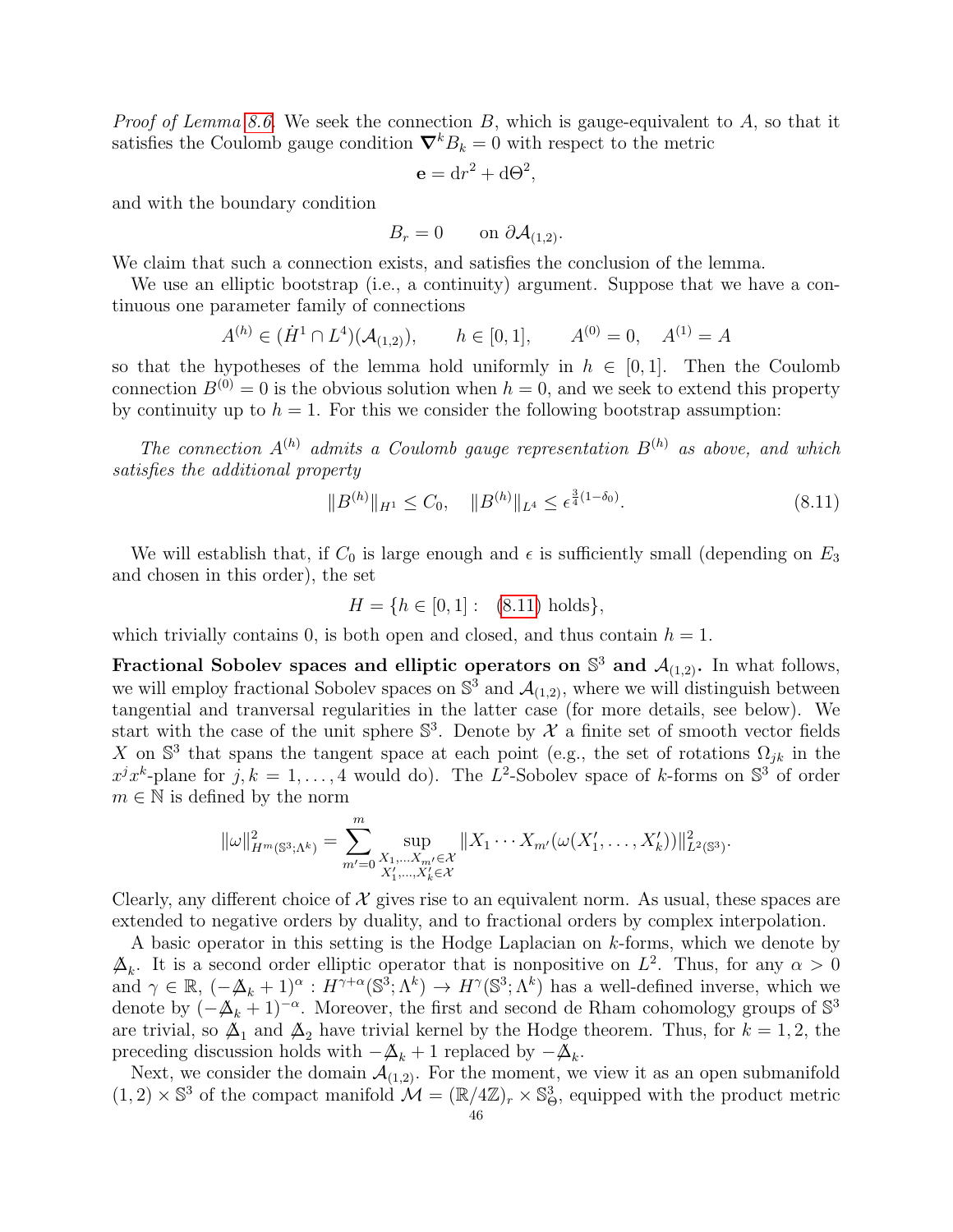*Proof of Lemma [8.6.](#page-45-1)* We seek the connection  $B$ , which is gauge-equivalent to  $A$ , so that it satisfies the Coulomb gauge condition  $\nabla^k B_k = 0$  with respect to the metric

$$
\mathbf{e} = dr^2 + d\Theta^2,
$$

and with the boundary condition

$$
B_r = 0 \qquad \text{on } \partial \mathcal{A}_{(1,2)}.
$$

We claim that such a connection exists, and satisfies the conclusion of the lemma.

We use an elliptic bootstrap (i.e., a continuity) argument. Suppose that we have a continuous one parameter family of connections

$$
A^{(h)} \in (\dot{H}^1 \cap L^4)(\mathcal{A}_{(1,2)}), \qquad h \in [0,1], \qquad A^{(0)} = 0, \quad A^{(1)} = A
$$

so that the hypotheses of the lemma hold uniformly in  $h \in [0,1]$ . Then the Coulomb connection  $B^{(0)} = 0$  is the obvious solution when  $h = 0$ , and we seek to extend this property by continuity up to  $h = 1$ . For this we consider the following bootstrap assumption:

The connection  $A^{(h)}$  admits a Coulomb gauge representation  $B^{(h)}$  as above, and which satisfies the additional property

<span id="page-46-0"></span>
$$
||B^{(h)}||_{H^1} \le C_0, \quad ||B^{(h)}||_{L^4} \le \epsilon^{\frac{3}{4}(1-\delta_0)}.
$$
\n(8.11)

We will establish that, if  $C_0$  is large enough and  $\epsilon$  is sufficiently small (depending on  $E_3$ ) and chosen in this order), the set

$$
H = \{ h \in [0, 1] : (8.11) holds \},
$$

which trivially contains 0, is both open and closed, and thus contain  $h = 1$ .

Fractional Sobolev spaces and elliptic operators on  $\mathbb{S}^3$  and  $\mathcal{A}_{(1,2)}$ . In what follows, we will employ fractional Sobolev spaces on  $\mathbb{S}^3$  and  $\mathcal{A}_{(1,2)}$ , where we will distinguish between tangential and tranversal regularities in the latter case (for more details, see below). We start with the case of the unit sphere  $\mathbb{S}^3$ . Denote by  $\mathcal X$  a finite set of smooth vector fields X on  $\mathbb{S}^3$  that spans the tangent space at each point (e.g., the set of rotations  $\Omega_{jk}$  in the  $x^j x^k$ -plane for  $j, k = 1, ..., 4$  would do). The L<sup>2</sup>-Sobolev space of k-forms on  $\mathbb{S}^3$  of order  $m \in \mathbb{N}$  is defined by the norm

$$
\|\omega\|_{H^m(\mathbb{S}^3; \Lambda^k)}^2 = \sum_{m'=0}^m \sup_{\substack{X_1, \dots, X_{m'} \in \mathcal{X} \\ X'_1, \dots, X'_k \in \mathcal{X}}} \|X_1 \cdots X_{m'}(\omega(X'_1, \dots, X'_k))\|_{L^2(\mathbb{S}^3)}^2.
$$

Clearly, any different choice of  $\mathcal X$  gives rise to an equivalent norm. As usual, these spaces are extended to negative orders by duality, and to fractional orders by complex interpolation.

A basic operator in this setting is the Hodge Laplacian on  $k$ -forms, which we denote by  $\Delta_k$ . It is a second order elliptic operator that is nonpositive on  $L^2$ . Thus, for any  $\alpha > 0$ and  $\gamma \in \mathbb{R}$ ,  $(-\mathbb{A}_k + 1)^\alpha : H^{\gamma+\alpha}(\mathbb{S}^3; \Lambda^k) \to H^\gamma(\mathbb{S}^3; \Lambda^k)$  has a well-defined inverse, which we denote by  $(-\mathbb{A}_k + 1)^{-\alpha}$ . Moreover, the first and second de Rham cohomology groups of  $\mathbb{S}^3$ are trivial, so  $\Delta_1$  and  $\Delta_2$  have trivial kernel by the Hodge theorem. Thus, for  $k = 1, 2$ , the preceding discussion holds with  $-\mathbb{A}_k + 1$  replaced by  $-\mathbb{A}_k$ .

Next, we consider the domain  $\mathcal{A}_{(1,2)}$ . For the moment, we view it as an open submanifold  $(1, 2) \times \mathbb{S}^3$  of the compact manifold  $\mathcal{M} = (\mathbb{R}/4\mathbb{Z})_r \times \mathbb{S}^3_{\Theta}$ , equipped with the product metric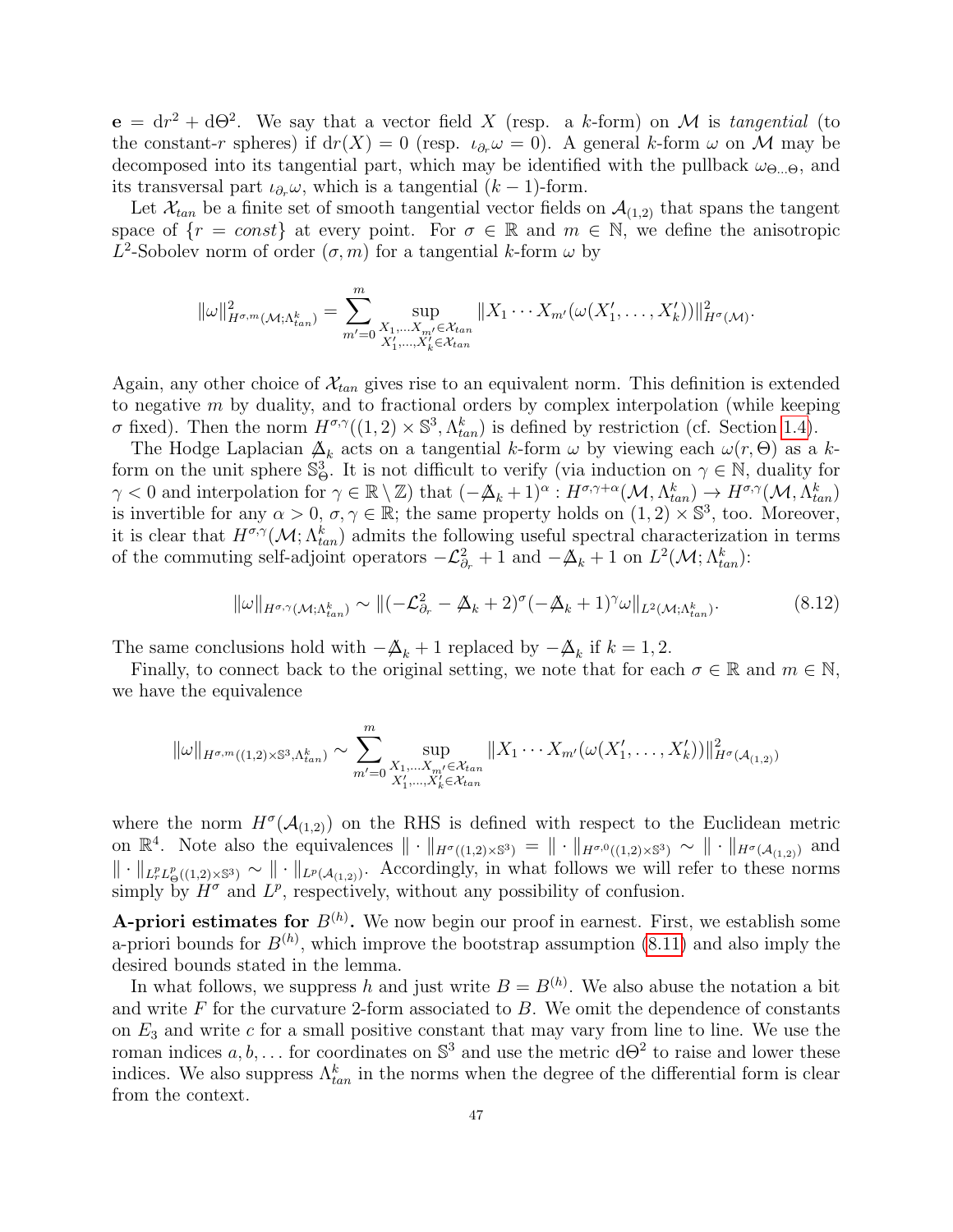$e = dr^2 + d\Theta^2$ . We say that a vector field X (resp. a k-form) on M is tangential (to the constant-r spheres) if  $dr(X) = 0$  (resp.  $\iota_{\partial_r}\omega = 0$ ). A general k-form  $\omega$  on M may be decomposed into its tangential part, which may be identified with the pullback  $\omega_{\Theta_{\dots},\Theta}$ , and its transversal part  $\iota_{\partial_r}\omega$ , which is a tangential  $(k-1)$ -form.

Let  $\mathcal{X}_{tan}$  be a finite set of smooth tangential vector fields on  $\mathcal{A}_{(1,2)}$  that spans the tangent space of  $\{r = const\}$  at every point. For  $\sigma \in \mathbb{R}$  and  $m \in \mathbb{N}$ , we define the anisotropic  $L^2$ -Sobolev norm of order  $(\sigma, m)$  for a tangential k-form  $\omega$  by

$$
\|\omega\|_{H^{\sigma,m}(\mathcal{M};\Lambda_{tan}^k)}^2 = \sum_{m'=0}^m \sup_{\substack{X_1,\ldots,X_{m'} \in \mathcal{X}_{tan} \\ X'_1,\ldots,X'_k \in \mathcal{X}_{tan}}} \|X_1 \cdots X_{m'}(\omega(X'_1,\ldots,X'_k))\|_{H^{\sigma}(\mathcal{M})}^2.
$$

Again, any other choice of  $\mathcal{X}_{tan}$  gives rise to an equivalent norm. This definition is extended to negative  $m$  by duality, and to fractional orders by complex interpolation (while keeping σ fixed). Then the norm  $H^{\sigma,\gamma}((1,2) \times \mathbb{S}^3, \Lambda_{tan}^k)$  is defined by restriction (cf. Section [1.4\)](#page-15-0).

The Hodge Laplacian  $\Delta_k$  acts on a tangential k-form  $\omega$  by viewing each  $\omega(r, \Theta)$  as a kform on the unit sphere  $\mathbb{S}_{\Theta}^3$ . It is not difficult to verify (via induction on  $\gamma \in \mathbb{N}$ , duality for  $\gamma < 0$  and interpolation for  $\gamma \in \mathbb{R} \setminus \mathbb{Z}$  that  $(-\mathbb{A}_k + 1)^\alpha : H^{\sigma, \gamma + \alpha}(\mathcal{M}, \Lambda_{tan}^k) \to H^{\sigma, \gamma}(\mathcal{M}, \Lambda_{tan}^k)$ is invertible for any  $\alpha > 0$ ,  $\sigma, \gamma \in \mathbb{R}$ ; the same property holds on  $(1, 2) \times \mathbb{S}^3$ , too. Moreover, it is clear that  $H^{\sigma,\gamma}(\mathcal{M}; \Lambda^k_{tan})$  admits the following useful spectral characterization in terms of the commuting self-adjoint operators  $-\mathcal{L}_{\partial r}^2 + 1$  and  $-\mathcal{A}_k + 1$  on  $L^2(\mathcal{M}; \Lambda_{tan}^k)$ :

<span id="page-47-0"></span>
$$
\|\omega\|_{H^{\sigma,\gamma}(\mathcal{M};\Lambda_{tan}^k)} \sim \|(-\mathcal{L}_{\partial_r}^2 - \mathbb{A}_k + 2)^{\sigma}(-\mathbb{A}_k + 1)^{\gamma}\omega\|_{L^2(\mathcal{M};\Lambda_{tan}^k)}.
$$
\n(8.12)

The same conclusions hold with  $-\mathbb{A}_k + 1$  replaced by  $-\mathbb{A}_k$  if  $k = 1, 2$ .

Finally, to connect back to the original setting, we note that for each  $\sigma \in \mathbb{R}$  and  $m \in \mathbb{N}$ , we have the equivalence

$$
\|\omega\|_{H^{\sigma,m}((1,2)\times\mathbb{S}^3,\Lambda_{tan}^k)} \sim \sum_{m'=0}^m \sup_{\substack{X_1,\ldots,X_{m'}\in\mathcal{X}_{tan}\\X_1',\ldots,X_k'\in\mathcal{X}_{tan}}} \|X_1\cdots X_{m'}(\omega(X_1',\ldots,X_k'))\|_{H^{\sigma}(\mathcal{A}_{(1,2)})}^2
$$

where the norm  $H^{\sigma}(\mathcal{A}_{(1,2)})$  on the RHS is defined with respect to the Euclidean metric on  $\mathbb{R}^4$ . Note also the equivalences  $\|\cdot\|_{H^{\sigma}((1,2)\times\mathbb{S}^3)} = \|\cdot\|_{H^{\sigma,0}((1,2)\times\mathbb{S}^3)} \sim \|\cdot\|_{H^{\sigma}(\mathcal{A}_{(1,2)})}$  and  $\|\cdot\|_{L_r^p L^p_{\Theta}((1,2)\times\mathbb{S}^3)} \sim \|\cdot\|_{L^p(\mathcal{A}_{(1,2)})}$ . Accordingly, in what follows we will refer to these norms simply by  $H^{\sigma}$  and  $L^{p}$ , respectively, without any possibility of confusion.

**A-priori estimates for**  $B^{(h)}$ . We now begin our proof in earnest. First, we establish some a-priori bounds for  $B^{(h)}$ , which improve the bootstrap assumption [\(8.11\)](#page-46-0) and also imply the desired bounds stated in the lemma.

In what follows, we suppress h and just write  $B = B^{(h)}$ . We also abuse the notation a bit and write  $F$  for the curvature 2-form associated to  $B$ . We omit the dependence of constants on  $E_3$  and write c for a small positive constant that may vary from line to line. We use the roman indices  $a, b, \ldots$  for coordinates on  $\mathbb{S}^3$  and use the metric  $d\Theta^2$  to raise and lower these indices. We also suppress  $\Lambda_{tan}^k$  in the norms when the degree of the differential form is clear from the context.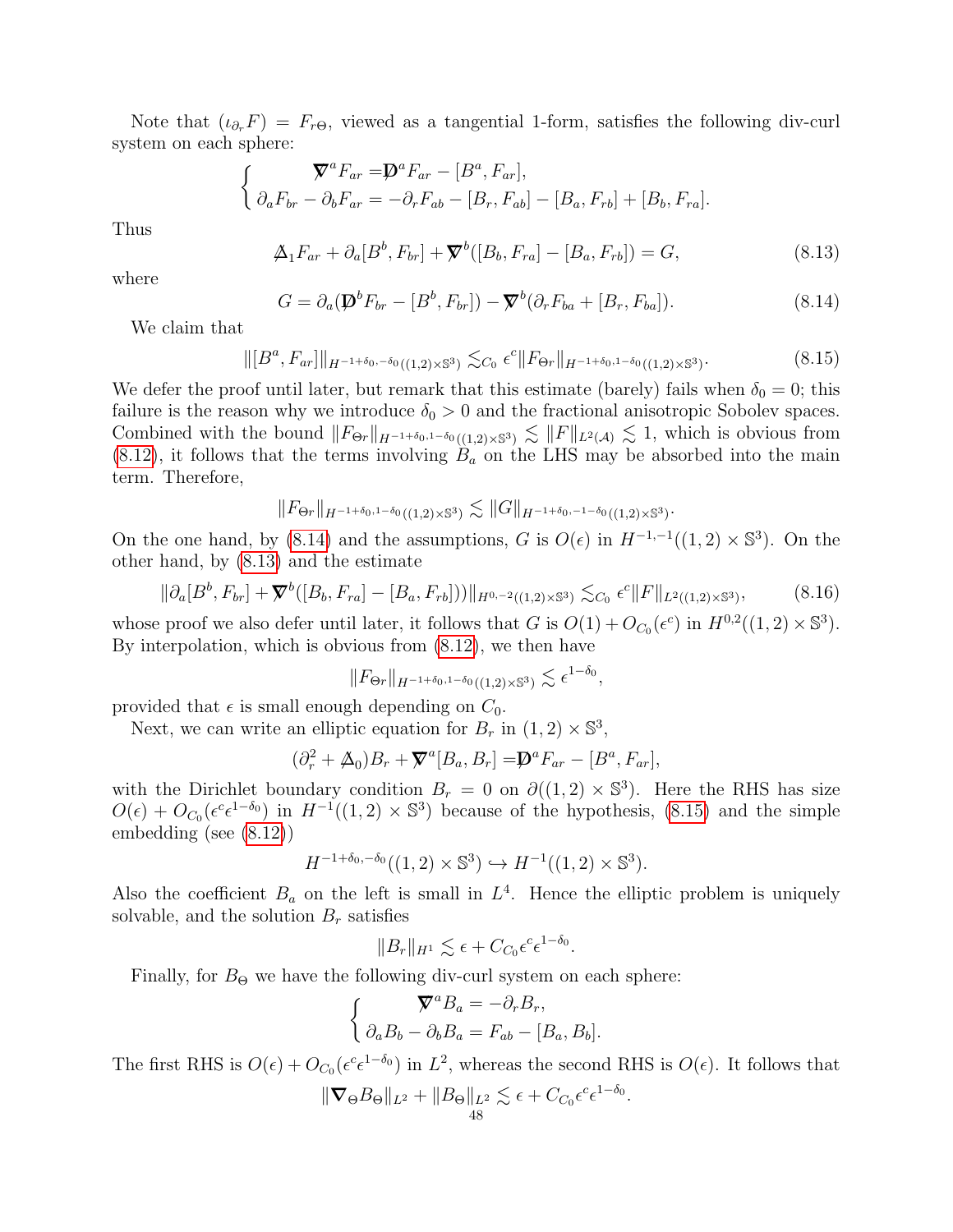Note that  $(\iota_{\partial_r}F) = F_{r\Theta}$ , viewed as a tangential 1-form, satisfies the following div-curl system on each sphere:

$$
\begin{cases}\n\mathbf{\nabla}^a F_{ar} = \mathbf{D}^a F_{ar} - [B^a, F_{ar}], \\
\partial_a F_{br} - \partial_b F_{ar} = -\partial_r F_{ab} - [B_r, F_{ab}] - [B_a, F_{rb}] + [B_b, F_{ra}].\n\end{cases}
$$

Thus

<span id="page-48-1"></span>
$$
\Delta_1 F_{ar} + \partial_a [B^b, F_{br}] + \nabla^b ([B_b, F_{ra}] - [B_a, F_{rb}]) = G,
$$
\n(8.13)

where

<span id="page-48-0"></span>
$$
G = \partial_a(\mathbf{D}^b F_{br} - [B^b, F_{br}]) - \mathbf{\nabla}^b(\partial_r F_{ba} + [B_r, F_{ba}]). \qquad (8.14)
$$

.

We claim that

<span id="page-48-2"></span>
$$
\|[B^a, F_{ar}]\|_{H^{-1+\delta_0, -\delta_0}((1,2)\times\mathbb{S}^3)} \lesssim_{C_0} \epsilon^c \|F_{\Theta r}\|_{H^{-1+\delta_0, 1-\delta_0}((1,2)\times\mathbb{S}^3)}.
$$
\n(8.15)

We defer the proof until later, but remark that this estimate (barely) fails when  $\delta_0 = 0$ ; this failure is the reason why we introduce  $\delta_0 > 0$  and the fractional anisotropic Sobolev spaces. Combined with the bound  $||F_{\Theta r}||_{H^{-1+\delta_0,1-\delta_0}((1,2)\times\mathbb{S}^3)} \lesssim ||F||_{L^2(\mathcal{A})} \lesssim 1$ , which is obvious from  $(8.12)$ , it follows that the terms involving  $B_a$  on the LHS may be absorbed into the main term. Therefore,

$$
\|F_{\Theta r}\|_{H^{-1+\delta_0,1-\delta_0}((1,2)\times \mathbb{S}^3)}\lesssim \|G\|_{H^{-1+\delta_0,-1-\delta_0}((1,2)\times \mathbb{S}^3)}
$$

On the one hand, by [\(8.14\)](#page-48-0) and the assumptions, G is  $O(\epsilon)$  in  $H^{-1,-1}((1,2) \times \mathbb{S}^3)$ . On the other hand, by [\(8.13\)](#page-48-1) and the estimate

<span id="page-48-3"></span>
$$
\|\partial_a[B^b, F_{br}] + \nabla^b([B_b, F_{ra}] - [B_a, F_{rb}]))\|_{H^{0,-2}((1,2)\times\mathbb{S}^3)} \lesssim_{C_0} \epsilon^c \|F\|_{L^2((1,2)\times\mathbb{S}^3)},\tag{8.16}
$$

whose proof we also defer until later, it follows that G is  $O(1) + O_{C_0}(\epsilon^c)$  in  $H^{0,2}((1,2) \times \mathbb{S}^3)$ . By interpolation, which is obvious from [\(8.12\)](#page-47-0), we then have

$$
||F_{\Theta r}||_{H^{-1+\delta_0,1-\delta_0}((1,2)\times\mathbb{S}^3)} \lesssim \epsilon^{1-\delta_0},
$$

provided that  $\epsilon$  is small enough depending on  $C_0$ .

Next, we can write an elliptic equation for  $B_r$  in  $(1, 2) \times \mathbb{S}^3$ ,

$$
(\partial_r^2 + \mathcal{A}_0)B_r + \nabla^a[B_a, B_r] = \mathcal{D}^a F_{ar} - [B^a, F_{ar}],
$$

with the Dirichlet boundary condition  $B_r = 0$  on  $\partial((1,2) \times \mathbb{S}^3)$ . Here the RHS has size  $O(\epsilon) + O_{C_0}(\epsilon^c \epsilon^{1-\delta_0})$  in  $H^{-1}((1,2) \times \mathbb{S}^3)$  because of the hypothesis, [\(8.15\)](#page-48-2) and the simple embedding (see [\(8.12\)](#page-47-0))

$$
H^{-1+\delta_0, -\delta_0}((1, 2) \times \mathbb{S}^3) \hookrightarrow H^{-1}((1, 2) \times \mathbb{S}^3).
$$

Also the coefficient  $B_a$  on the left is small in  $L^4$ . Hence the elliptic problem is uniquely solvable, and the solution  $B_r$  satisfies

$$
||B_r||_{H^1} \lesssim \epsilon + C_{C_0} \epsilon^c \epsilon^{1-\delta_0}.
$$

Finally, for  $B_{\Theta}$  we have the following div-curl system on each sphere:

$$
\begin{cases}\n\nabla^a B_a = -\partial_r B_r, \\
\partial_a B_b - \partial_b B_a = F_{ab} - [B_a, B_b].\n\end{cases}
$$

The first RHS is  $O(\epsilon) + O_{C_0}(\epsilon^c \epsilon^{1-\delta_0})$  in  $L^2$ , whereas the second RHS is  $O(\epsilon)$ . It follows that

$$
\|\nabla_{\Theta}B_{\Theta}\|_{L^2} + \|B_{\Theta}\|_{L^2} \lesssim \epsilon + C_{C_0} \epsilon^c \epsilon^{1-\delta_0}.
$$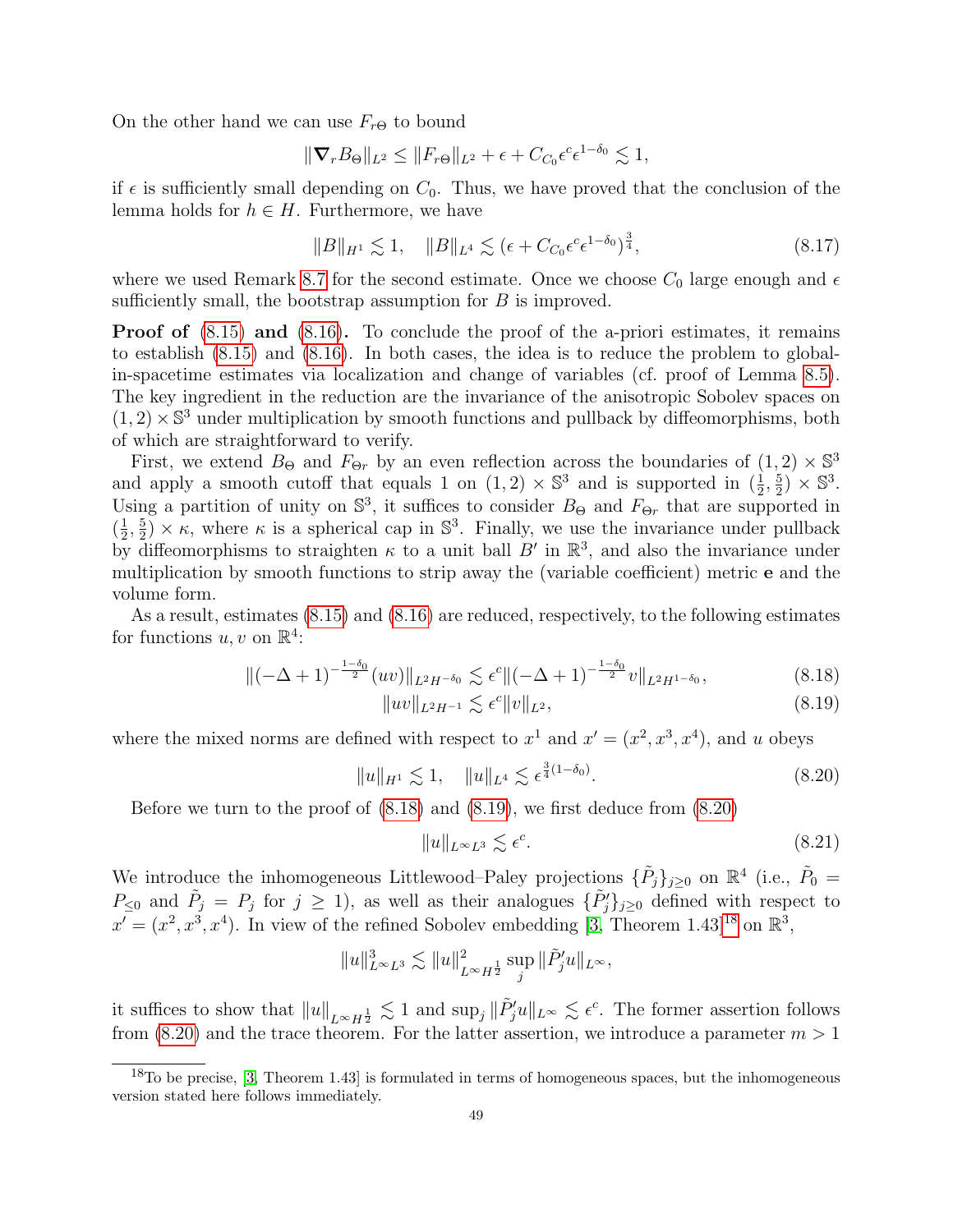On the other hand we can use  $F_{r\Theta}$  to bound

$$
\|\nabla_r B_{\Theta}\|_{L^2} \le \|F_{r\Theta}\|_{L^2} + \epsilon + C_{C_0} \epsilon^c \epsilon^{1-\delta_0} \lesssim 1,
$$

if  $\epsilon$  is sufficiently small depending on  $C_0$ . Thus, we have proved that the conclusion of the lemma holds for  $h \in H$ . Furthermore, we have

<span id="page-49-5"></span>
$$
||B||_{H^1} \lesssim 1, \quad ||B||_{L^4} \lesssim (\epsilon + C_{C_0} \epsilon^c \epsilon^{1-\delta_0})^{\frac{3}{4}}, \tag{8.17}
$$

where we used Remark [8.7](#page-45-2) for the second estimate. Once we choose  $C_0$  large enough and  $\epsilon$ sufficiently small, the bootstrap assumption for B is improved.

**Proof of**  $(8.15)$  and  $(8.16)$ . To conclude the proof of the a-priori estimates, it remains to establish [\(8.15\)](#page-48-2) and [\(8.16\)](#page-48-3). In both cases, the idea is to reduce the problem to globalin-spacetime estimates via localization and change of variables (cf. proof of Lemma [8.5\)](#page-44-1). The key ingredient in the reduction are the invariance of the anisotropic Sobolev spaces on  $(1, 2) \times \mathbb{S}^3$  under multiplication by smooth functions and pullback by diffeomorphisms, both of which are straightforward to verify.

First, we extend  $B_{\Theta}$  and  $F_{\Theta r}$  by an even reflection across the boundaries of  $(1,2) \times \mathbb{S}^3$ and apply a smooth cutoff that equals 1 on  $(1,2) \times \mathbb{S}^3$  and is supported in  $(\frac{1}{2},\frac{5}{2})$  $\left(\frac{5}{2}\right) \times \mathbb{S}^3$ . Using a partition of unity on  $\mathbb{S}^3$ , it suffices to consider  $B_{\Theta}$  and  $F_{\Theta r}$  that are supported in  $\left(\frac{1}{2}\right)$  $\frac{1}{2}$ ,  $\frac{5}{2}$  $\frac{5}{2}$   $\times$   $\kappa$ , where  $\kappa$  is a spherical cap in  $\mathbb{S}^3$ . Finally, we use the invariance under pullback by diffeomorphisms to straighten  $\kappa$  to a unit ball B' in  $\mathbb{R}^3$ , and also the invariance under multiplication by smooth functions to strip away the (variable coefficient) metric e and the volume form.

As a result, estimates [\(8.15\)](#page-48-2) and [\(8.16\)](#page-48-3) are reduced, respectively, to the following estimates for functions  $u, v$  on  $\mathbb{R}^4$ :

$$
\|(-\Delta + 1)^{-\frac{1-\delta_0}{2}}(uv)\|_{L^2H^{-\delta_0}} \lesssim \epsilon^c \|(-\Delta + 1)^{-\frac{1-\delta_0}{2}}v\|_{L^2H^{1-\delta_0}},\tag{8.18}
$$

$$
||uv||_{L^2H^{-1}} \lesssim \epsilon^c ||v||_{L^2},\tag{8.19}
$$

where the mixed norms are defined with respect to  $x^1$  and  $x' = (x^2, x^3, x^4)$ , and u obeys

<span id="page-49-2"></span>
$$
||u||_{H^1} \lesssim 1, \quad ||u||_{L^4} \lesssim \epsilon^{\frac{3}{4}(1-\delta_0)}.
$$
\n(8.20)

Before we turn to the proof of [\(8.18\)](#page-49-0) and [\(8.19\)](#page-49-1), we first deduce from [\(8.20\)](#page-49-2)

<span id="page-49-4"></span><span id="page-49-1"></span><span id="page-49-0"></span>
$$
||u||_{L^{\infty}L^{3}} \lesssim \epsilon^{c}.
$$
\n(8.21)

We introduce the inhomogeneous Littlewood–Paley projections  $\{\tilde{P}_j\}_{j\geq 0}$  on  $\mathbb{R}^4$  (i.e.,  $\tilde{P}_0 =$  $P_{\leq 0}$  and  $\tilde{P}_j = P_j$  for  $j \geq 1$ , as well as their analogues  $\{\tilde{P}'_j\}_{j\geq 0}$  defined with respect to  $x' = (x^2, x^3, x^4)$ . In view of the refined Sobolev embedding [\[3,](#page-63-19) Theorem 1.43]<sup>[18](#page-49-3)</sup> on  $\mathbb{R}^3$ ,

$$
||u||_{L^{\infty}L^{3}}^{3} \lesssim ||u||_{L^{\infty}H^{\frac{1}{2}}}^{2} \sup_{j} ||\tilde{P}_{j}'u||_{L^{\infty}},
$$

it suffices to show that  $||u||_{L^{\infty}H^{\frac{1}{2}}} \lesssim 1$  and  $\sup_j ||\tilde{P}'_j u||_{L^{\infty}} \lesssim \epsilon^c$ . The former assertion follows from [\(8.20\)](#page-49-2) and the trace theorem. For the latter assertion, we introduce a parameter  $m > 1$ 

<span id="page-49-3"></span> $18$ To be precise, [\[3,](#page-63-19) Theorem 1.43] is formulated in terms of homogeneous spaces, but the inhomogeneous version stated here follows immediately.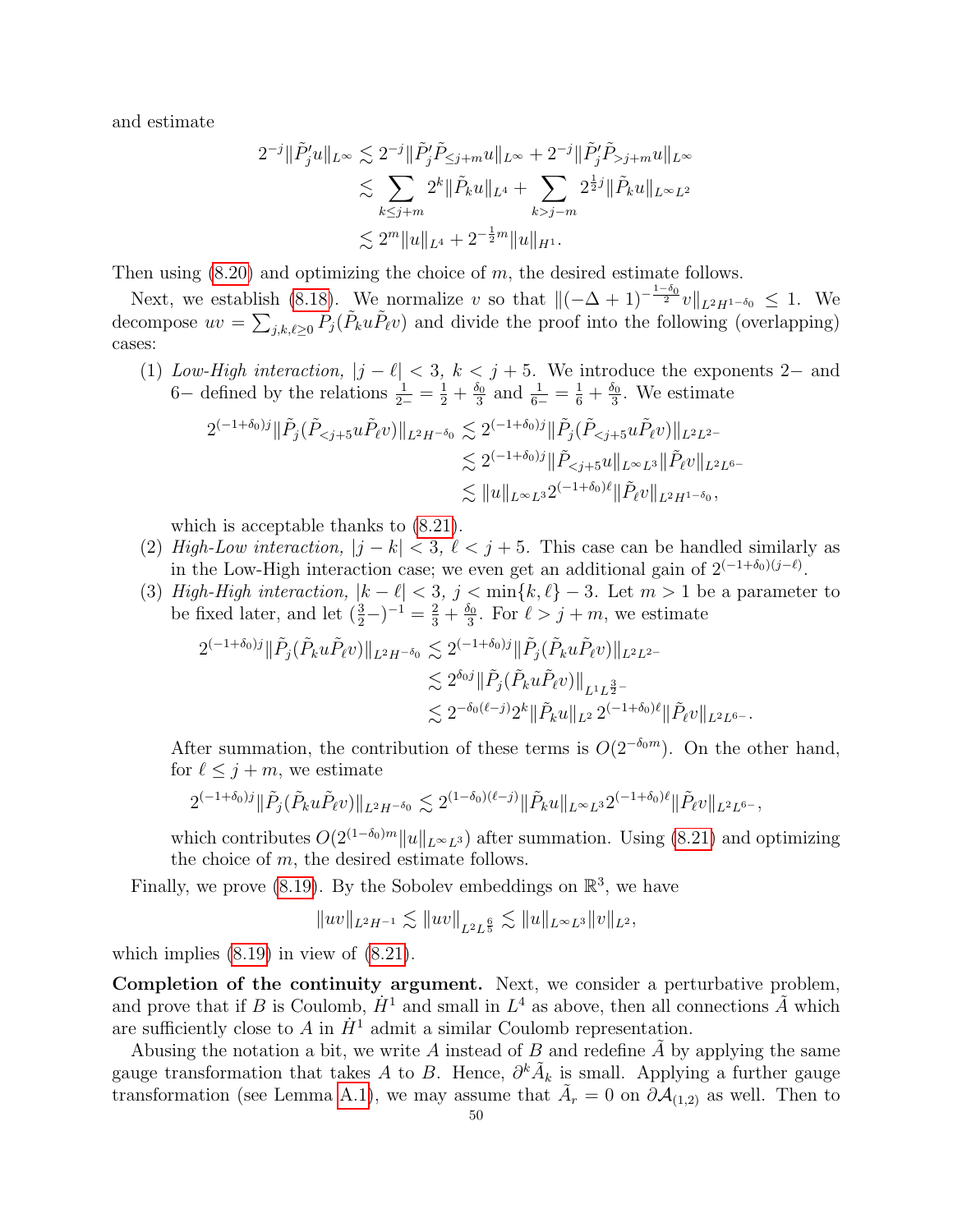and estimate

$$
2^{-j} \|\tilde{P}'_j u\|_{L^{\infty}} \lesssim 2^{-j} \|\tilde{P}'_j \tilde{P}_{\leq j+m} u\|_{L^{\infty}} + 2^{-j} \|\tilde{P}'_j \tilde{P}_{>j+m} u\|_{L^{\infty}}
$$
  

$$
\lesssim \sum_{k \leq j+m} 2^k \|\tilde{P}_k u\|_{L^4} + \sum_{k > j-m} 2^{\frac{1}{2}j} \|\tilde{P}_k u\|_{L^{\infty} L^2}
$$
  

$$
\lesssim 2^m \|u\|_{L^4} + 2^{-\frac{1}{2}m} \|u\|_{H^1}.
$$

Then using  $(8.20)$  and optimizing the choice of m, the desired estimate follows.

Next, we establish [\(8.18\)](#page-49-0). We normalize v so that  $\|(-\Delta + 1)^{-\frac{1-\delta_0}{2}}v\|_{L^2H^{1-\delta_0}} \leq 1$ . We decompose  $uv = \sum_{j,k,\ell \geq 0} \tilde{P}_j(\tilde{P}_k u \tilde{P}_{\ell} v)$  and divide the proof into the following (overlapping) cases:

(1) Low-High interaction,  $|j - \ell| < 3$ ,  $k < j + 5$ . We introduce the exponents 2– and 6– defined by the relations  $\frac{1}{2-} = \frac{1}{2} + \frac{\delta_0}{3}$  $\frac{\delta_0}{3}$  and  $\frac{1}{6-} = \frac{1}{6} + \frac{\delta_0}{3}$  $\frac{\partial}{\partial 3}$ . We estimate

$$
\begin{split} 2^{(-1+\delta_0)j}\|\tilde{P}_j(\tilde{P}_{
$$

which is acceptable thanks to [\(8.21\)](#page-49-4).

- (2) High-Low interaction,  $|j k| < 3$ ,  $\ell < j + 5$ . This case can be handled similarly as in the Low-High interaction case; we even get an additional gain of  $2^{(-1+\delta_0)(j-\ell)}$ .
- (3) High-High interaction,  $|k \ell| < 3$ ,  $j < \min\{k, \ell\} 3$ . Let  $m > 1$  be a parameter to be fixed later, and let  $(\frac{3}{2}-)^{-1} = \frac{2}{3} + \frac{\delta_0}{3}$  $\frac{\delta_0}{3}$ . For  $\ell > j + m$ , we estimate

$$
\begin{split} 2^{(-1+\delta_0)j}\|\tilde{P}_j(\tilde{P}_ku\tilde{P}_\ell v)\|_{L^2H^{-\delta_0}}&\lesssim 2^{(-1+\delta_0)j}\|\tilde{P}_j(\tilde{P}_ku\tilde{P}_\ell v)\|_{L^2L^2-}\\ &\lesssim 2^{\delta_0j}\|\tilde{P}_j(\tilde{P}_ku\tilde{P}_\ell v)\|_{L^1L^{\frac{3}{2}-}}\\ &\lesssim 2^{-\delta_0(\ell-j)}2^k\|\tilde{P}_ku\|_{L^2} \, 2^{(-1+\delta_0)\ell}\|\tilde{P}_\ell v\|_{L^2L^6-}. \end{split}
$$

After summation, the contribution of these terms is  $O(2^{-\delta_0 m})$ . On the other hand, for  $\ell \leq j + m$ , we estimate

$$
2^{(-1+\delta_0)j}\|\tilde{P}_j(\tilde{P}_ku\tilde{P}_\ell v)\|_{L^2H^{-\delta_0}}\lesssim 2^{(1-\delta_0)(\ell-j)}\|\tilde{P}_ku\|_{L^\infty L^3}2^{(-1+\delta_0)\ell}\|\tilde{P}_\ell v\|_{L^2L^{6-}},
$$

which contributes  $O(2^{(1-\delta_0)m}||u||_{L^{\infty}L^3})$  after summation. Using [\(8.21\)](#page-49-4) and optimizing the choice of  $m$ , the desired estimate follows.

Finally, we prove [\(8.19\)](#page-49-1). By the Sobolev embeddings on  $\mathbb{R}^3$ , we have

$$
\|uv\|_{L^2H^{-1}}\lesssim \|uv\|_{L^2L^{\frac65}}\lesssim \|u\|_{L^\infty L^3}\|v\|_{L^2},
$$

which implies  $(8.19)$  in view of  $(8.21)$ .

Completion of the continuity argument. Next, we consider a perturbative problem, and prove that if B is Coulomb,  $\dot{H}^1$  and small in  $L^4$  as above, then all connections  $\tilde{A}$  which are sufficiently close to A in  $\dot{H}^1$  admit a similar Coulomb representation.

Abusing the notation a bit, we write  $A$  instead of  $B$  and redefine  $A$  by applying the same gauge transformation that takes A to B. Hence,  $\partial^k \tilde{A}_k$  is small. Applying a further gauge transformation (see Lemma [A.1\)](#page-57-5), we may assume that  $\tilde{A}_r = 0$  on  $\partial \mathcal{A}_{(1,2)}$  as well. Then to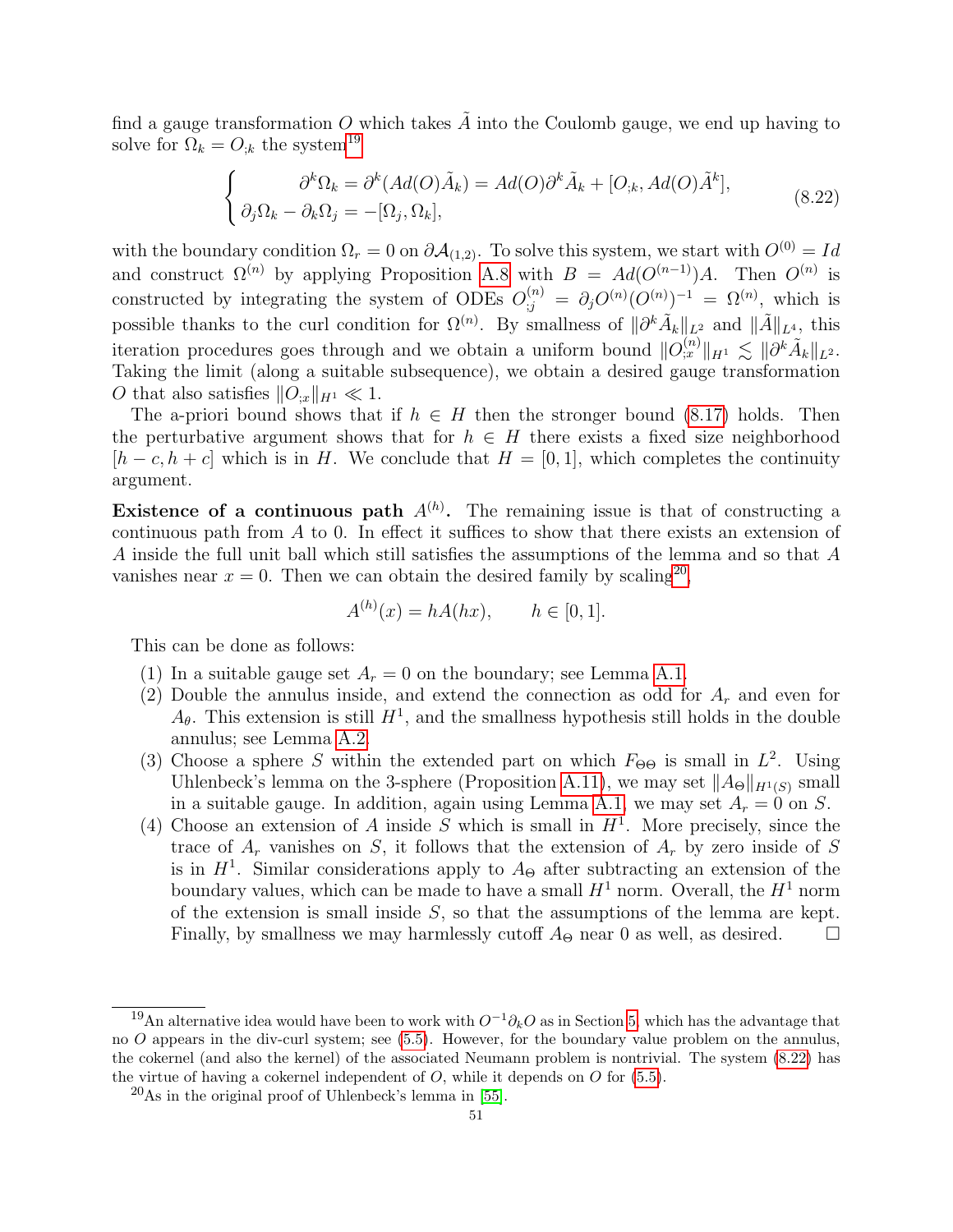find a gauge transformation O which takes  $\tilde{A}$  into the Coulomb gauge, we end up having to solve for  $\Omega_k = O_{ik}$  the system<sup>[19](#page-51-0)</sup>

<span id="page-51-2"></span>
$$
\begin{cases}\n\partial^k \Omega_k = \partial^k (Ad(O)\tilde{A}_k) = Ad(O)\partial^k \tilde{A}_k + [O_{;k}, Ad(O)\tilde{A}^k], \\
\partial_j \Omega_k - \partial_k \Omega_j = -[\Omega_j, \Omega_k],\n\end{cases} (8.22)
$$

with the boundary condition  $\Omega_r = 0$  on  $\partial A_{(1,2)}$ . To solve this system, we start with  $O^{(0)} = Id$ and construct  $\Omega^{(n)}$  by applying Proposition [A.8](#page-61-0) with  $B = Ad(O^{(n-1)})A$ . Then  $O^{(n)}$  is constructed by integrating the system of ODEs  $O_{;j}^{(n)} = \partial_j O^{(n)}(O^{(n)})^{-1} = \Omega^{(n)}$ , which is possible thanks to the curl condition for  $\Omega^{(n)}$ . By smallness of  $\|\partial^k \tilde{A}_k\|_{L^2}$  and  $\|\tilde{A}\|_{L^4}$ , this iteration procedures goes through and we obtain a uniform bound  $||O^{(n)}_{;x}||_{H^1} \lesssim ||\partial^k \tilde{A}_k||_{L^2}$ . Taking the limit (along a suitable subsequence), we obtain a desired gauge transformation O that also satisfies  $||O_{x}||_{H^1} \ll 1$ .

The a-priori bound shows that if  $h \in H$  then the stronger bound [\(8.17\)](#page-49-5) holds. Then the perturbative argument shows that for  $h \in H$  there exists a fixed size neighborhood  $[h - c, h + c]$  which is in H. We conclude that  $H = [0, 1]$ , which completes the continuity argument.

**Existence of a continuous path**  $A^{(h)}$ . The remaining issue is that of constructing a continuous path from A to 0. In effect it suffices to show that there exists an extension of A inside the full unit ball which still satisfies the assumptions of the lemma and so that A vanishes near  $x = 0$ . Then we can obtain the desired family by scaling<sup>[20](#page-51-1)</sup>,

$$
A^{(h)}(x) = hA(hx), \quad h \in [0, 1].
$$

This can be done as follows:

- (1) In a suitable gauge set  $A_r = 0$  on the boundary; see Lemma [A.1.](#page-57-5)
- (2) Double the annulus inside, and extend the connection as odd for  $A_r$  and even for  $A_{\theta}$ . This extension is still  $H^1$ , and the smallness hypothesis still holds in the double annulus; see Lemma [A.2.](#page-57-4)
- (3) Choose a sphere S within the extended part on which  $F_{\Theta\Theta}$  is small in  $L^2$ . Using Uhlenbeck's lemma on the 3-sphere (Proposition [A.11\)](#page-62-2), we may set  $||A_{\Theta}||_{H^1(S)}$  small in a suitable gauge. In addition, again using Lemma [A.1,](#page-57-5) we may set  $A_r = 0$  on S.
- (4) Choose an extension of A inside S which is small in  $H<sup>1</sup>$ . More precisely, since the trace of  $A_r$  vanishes on S, it follows that the extension of  $A_r$  by zero inside of S is in  $H<sup>1</sup>$ . Similar considerations apply to  $A_{\Theta}$  after subtracting an extension of the boundary values, which can be made to have a small  $H^1$  norm. Overall, the  $H^1$  norm of the extension is small inside  $S$ , so that the assumptions of the lemma are kept. Finally, by smallness we may harmlessly cutoff  $A_{\Theta}$  near 0 as well, as desired.  $\square$

<span id="page-51-0"></span><sup>&</sup>lt;sup>19</sup>An alternative idea would have been to work with  $O^{-1}\partial_kO$  as in Section [5,](#page-31-0) which has the advantage that no O appears in the div-curl system; see [\(5.5\)](#page-33-0). However, for the boundary value problem on the annulus, the cokernel (and also the kernel) of the associated Neumann problem is nontrivial. The system [\(8.22\)](#page-51-2) has the virtue of having a cokernel independent of  $O$ , while it depends on  $O$  for  $(5.5)$ .

<span id="page-51-1"></span> $^{20}$ As in the original proof of Uhlenbeck's lemma in [\[55\]](#page-65-0).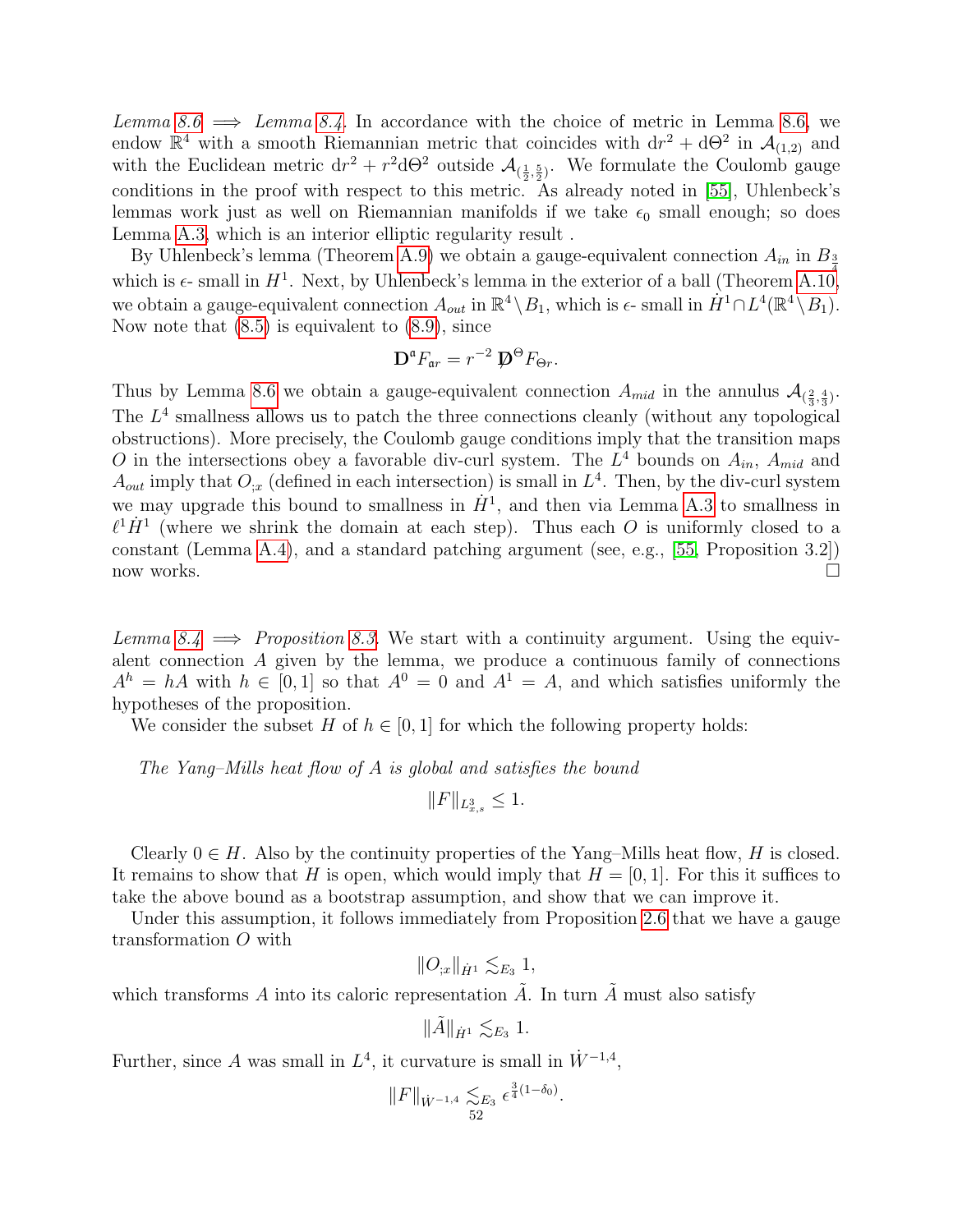Lemma [8.6](#page-45-1)  $\implies$  Lemma [8.4.](#page-44-0) In accordance with the choice of metric in Lemma [8.6,](#page-45-1) we endow  $\mathbb{R}^4$  with a smooth Riemannian metric that coincides with  $dr^2 + d\Theta^2$  in  $\mathcal{A}_{(1,2)}$  and with the Euclidean metric  $dr^2 + r^2 d\Theta^2$  outside  $\mathcal{A}_{(\frac{1}{2},\frac{5}{2})}$ . We formulate the Coulomb gauge conditions in the proof with respect to this metric. As already noted in [\[55\]](#page-65-0), Uhlenbeck's lemmas work just as well on Riemannian manifolds if we take  $\epsilon_0$  small enough; so does Lemma [A.3,](#page-57-3) which is an interior elliptic regularity result .

By Uhlenbeck's lemma (Theorem [A.9\)](#page-62-1) we obtain a gauge-equivalent connection  $A_{in}$  in  $B_{\frac{3}{2}}$ which is  $\epsilon$ - small in  $H^1$ . Next, by Uhlenbeck's lemma in the exterior of a ball (Theorem [A.10,](#page-62-3) we obtain a gauge-equivalent connection  $A_{out}$  in  $\mathbb{R}^4 \setminus B_1$ , which is  $\epsilon$ -small in  $\dot{H}^1 \cap L^4(\mathbb{R}^4 \setminus B_1)$ . Now note that  $(8.5)$  is equivalent to  $(8.9)$ , since

$$
\mathbf{D}^{\mathfrak{a}} F_{\mathfrak{a}r} = r^{-2} \mathbf{D}^{\Theta} F_{\Theta r}.
$$

Thus by Lemma [8.6](#page-45-1) we obtain a gauge-equivalent connection  $A_{mid}$  in the annulus  $\mathcal{A}_{(\frac{2}{3},\frac{4}{3})}$ . The  $L<sup>4</sup>$  smallness allows us to patch the three connections cleanly (without any topological obstructions). More precisely, the Coulomb gauge conditions imply that the transition maps O in the intersections obey a favorable div-curl system. The  $L^4$  bounds on  $A_{in}$ ,  $A_{mid}$  and  $A_{out}$  imply that  $O_{ix}$  (defined in each intersection) is small in  $L<sup>4</sup>$ . Then, by the div-curl system we may upgrade this bound to smallness in  $\dot{H}^1$ , and then via Lemma [A.3](#page-57-3) to smallness in  $\ell^1 \dot{H}^1$  (where we shrink the domain at each step). Thus each O is uniformly closed to a constant (Lemma [A.4\)](#page-57-2), and a standard patching argument (see, e.g., [\[55,](#page-65-0) Proposition 3.2]) now works.  $\square$ 

Lemma [8.4](#page-44-0)  $\implies$  Proposition [8.3.](#page-43-1) We start with a continuity argument. Using the equivalent connection  $A$  given by the lemma, we produce a continuous family of connections  $A^h = hA$  with  $h \in [0,1]$  so that  $A^0 = 0$  and  $A^1 = A$ , and which satisfies uniformly the hypotheses of the proposition.

We consider the subset H of  $h \in [0, 1]$  for which the following property holds:

The Yang–Mills heat flow of A is global and satisfies the bound

$$
||F||_{L^3_{x,s}} \le 1.
$$

Clearly  $0 \in H$ . Also by the continuity properties of the Yang–Mills heat flow, H is closed. It remains to show that H is open, which would imply that  $H = [0, 1]$ . For this it suffices to take the above bound as a bootstrap assumption, and show that we can improve it.

Under this assumption, it follows immediately from Proposition [2.6](#page-20-3) that we have a gauge transformation O with

$$
||O_{;x}||_{\dot{H}^1} \lesssim_{E_3} 1,
$$

which transforms  $A$  into its caloric representation  $A$ . In turn  $A$  must also satisfy

$$
\|\tilde{A}\|_{\dot{H}^1} \lesssim_{E_3} 1.
$$

Further, since A was small in  $L^4$ , it curvature is small in  $\dot{W}^{-1,4}$ ,

$$
||F||_{\dot{W}^{-1,4}} \lesssim_{E_3} \epsilon^{\frac{3}{4}(1-\delta_0)}.
$$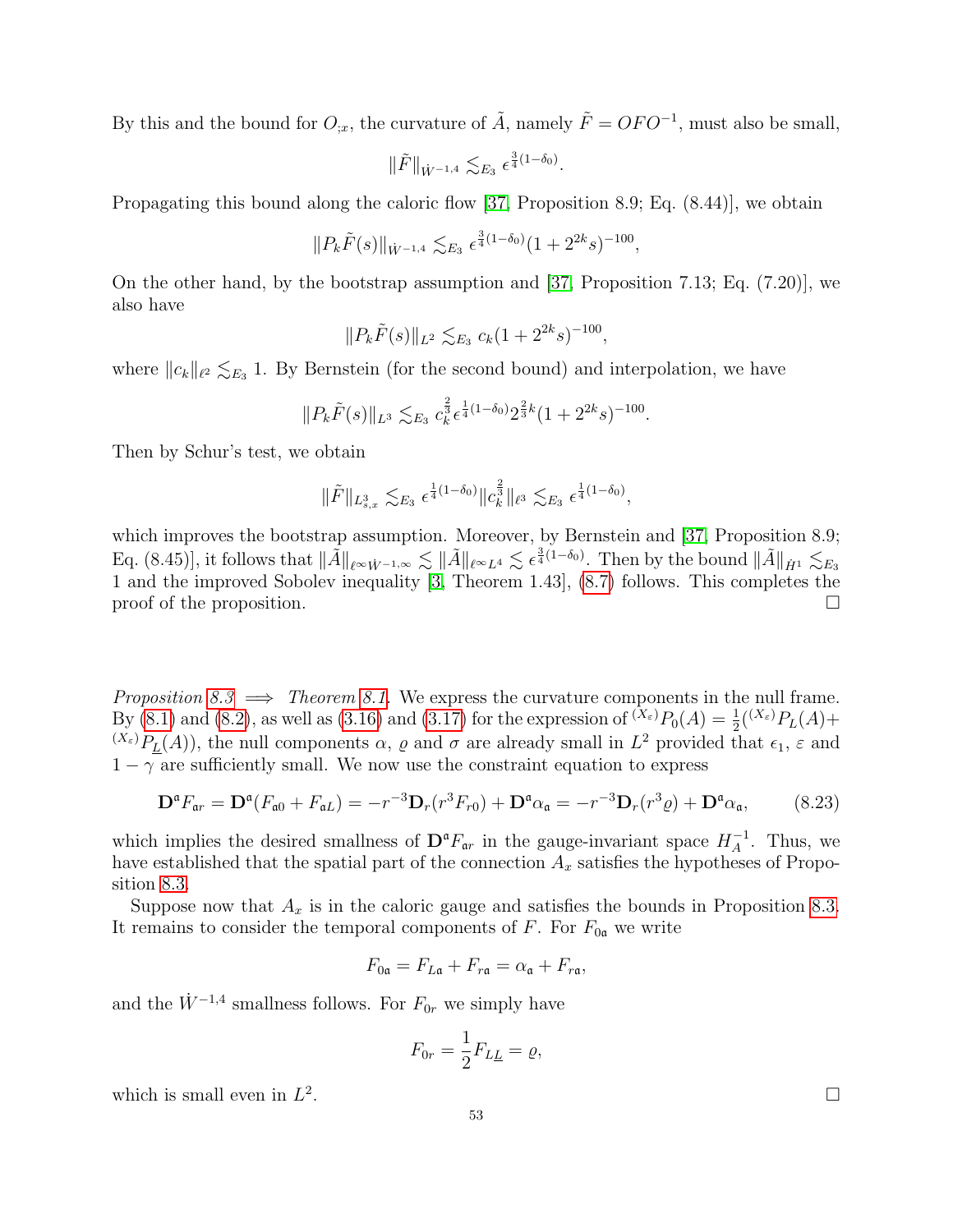By this and the bound for  $O_{;x}$ , the curvature of  $\tilde{A}$ , namely  $\tilde{F} = OFO^{-1}$ , must also be small,

$$
\|\tilde{F}\|_{\dot{W}^{-1,4}} \lesssim_{E_3} \epsilon^{\frac{3}{4}(1-\delta_0)}.
$$

Propagating this bound along the caloric flow [\[37,](#page-64-0) Proposition 8.9; Eq.  $(8.44)$ ], we obtain

$$
||P_k \tilde{F}(s)||_{\dot{W}^{-1,4}} \lesssim_{E_3} \epsilon^{\frac{3}{4}(1-\delta_0)} (1+2^{2k}s)^{-100},
$$

On the other hand, by the bootstrap assumption and [\[37,](#page-64-0) Proposition 7.13; Eq. (7.20)], we also have

$$
||P_k \tilde{F}(s)||_{L^2} \lesssim_{E_3} c_k (1 + 2^{2k} s)^{-100},
$$

where  $||c_k||_{\ell^2} \lesssim_{E_3} 1$ . By Bernstein (for the second bound) and interpolation, we have

$$
||P_k \tilde{F}(s)||_{L^3} \lesssim_{E_3} c_k^{\frac{2}{3}} \epsilon^{\frac{1}{4}(1-\delta_0)} 2^{\frac{2}{3}k} (1+2^{2k}s)^{-100}.
$$

Then by Schur's test, we obtain

$$
\|\tilde{F}\|_{L^3_{s,x}} \lesssim_{E_3} \epsilon^{\frac{1}{4}(1-\delta_0)} \|c_k^{\frac{2}{3}}\|_{\ell^3} \lesssim_{E_3} \epsilon^{\frac{1}{4}(1-\delta_0)},
$$

which improves the bootstrap assumption. Moreover, by Bernstein and [\[37,](#page-64-0) Proposition 8.9;  $\text{Eq. (8.45)], it follows that } \|\tilde{A}\|_{\ell^{\infty}\dot{W}^{-1,\infty}} \lesssim \|\tilde{A}\|_{\ell^{\infty}L^4} \lesssim \epsilon^{\frac{3}{4}(1-\delta_0)}.$  Then by the bound  $\|\tilde{A}\|_{\dot{H}^1} \lesssim_{E_3}$ 1 and the improved Sobolev inequality [\[3,](#page-63-19) Theorem 1.43], [\(8.7\)](#page-43-3) follows. This completes the proof of the proposition.  $\Box$ 

Proposition [8.3](#page-43-1)  $\implies$  Theorem [8.1.](#page-42-2) We express the curvature components in the null frame. By [\(8.1\)](#page-42-3) and [\(8.2\)](#page-42-1), as well as [\(3.16\)](#page-29-7) and [\(3.17\)](#page-29-8) for the expression of  $^{(X_{\varepsilon})}P_0(A) = \frac{1}{2}({}^{(X_{\varepsilon})}P_L(A) +$  $(X_{\varepsilon})P_{\underline{L}}(A)$ , the null components  $\alpha$ ,  $\varrho$  and  $\sigma$  are already small in  $L^2$  provided that  $\epsilon_1$ ,  $\varepsilon$  and  $1 - \gamma$  are sufficiently small. We now use the constraint equation to express

$$
\mathbf{D}^{\mathfrak{a}}F_{\mathfrak{a}r} = \mathbf{D}^{\mathfrak{a}}(F_{\mathfrak{a}0} + F_{\mathfrak{a}L}) = -r^{-3}\mathbf{D}_r(r^3 F_{r0}) + \mathbf{D}^{\mathfrak{a}}\alpha_{\mathfrak{a}} = -r^{-3}\mathbf{D}_r(r^3 \varrho) + \mathbf{D}^{\mathfrak{a}}\alpha_{\mathfrak{a}},\tag{8.23}
$$

which implies the desired smallness of  $\mathbf{D}^{\mathfrak{a}} F_{\mathfrak{a}r}$  in the gauge-invariant space  $H_A^{-1}$  $A^{\text{-1}}$ . Thus, we have established that the spatial part of the connection  $A_x$  satisfies the hypotheses of Proposition [8.3.](#page-43-1)

Suppose now that  $A_x$  is in the caloric gauge and satisfies the bounds in Proposition [8.3.](#page-43-1) It remains to consider the temporal components of F. For  $F_{0a}$  we write

$$
F_{0\mathfrak{a}} = F_{L\mathfrak{a}} + F_{r\mathfrak{a}} = \alpha_{\mathfrak{a}} + F_{r\mathfrak{a}},
$$

and the  $\dot{W}^{-1,4}$  smallness follows. For  $F_{0r}$  we simply have

$$
F_{0r} = \frac{1}{2} F_{L\underline{L}} = \varrho,
$$

which is small even in  $L^2$ 

. В последните поставите на селото на селото на селото на селото на селото на селото на селото на селото на се<br>В селото на селото на селото на селото на селото на селото на селото на селото на селото на селото на селото н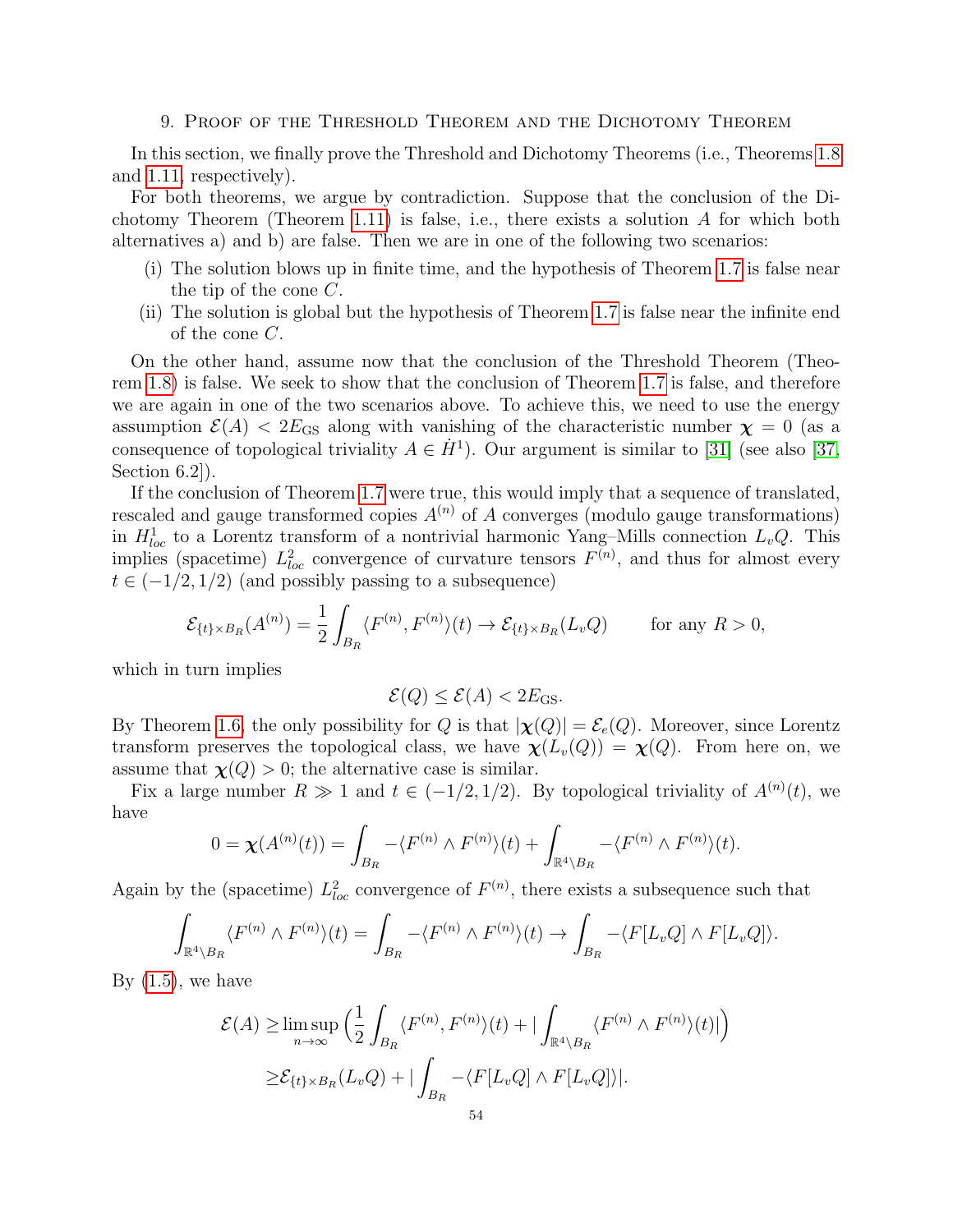#### 9. Proof of the Threshold Theorem and the Dichotomy Theorem

<span id="page-54-0"></span>In this section, we finally prove the Threshold and Dichotomy Theorems (i.e., Theorems [1.8](#page-10-0) and [1.11,](#page-11-1) respectively).

For both theorems, we argue by contradiction. Suppose that the conclusion of the Di-chotomy Theorem (Theorem [1.11\)](#page-11-1) is false, i.e., there exists a solution  $A$  for which both alternatives a) and b) are false. Then we are in one of the following two scenarios:

- (i) The solution blows up in finite time, and the hypothesis of Theorem [1.7](#page-8-0) is false near the tip of the cone C.
- (ii) The solution is global but the hypothesis of Theorem [1.7](#page-8-0) is false near the infinite end of the cone C.

On the other hand, assume now that the conclusion of the Threshold Theorem (Theorem [1.8\)](#page-10-0) is false. We seek to show that the conclusion of Theorem [1.7](#page-8-0) is false, and therefore we are again in one of the two scenarios above. To achieve this, we need to use the energy assumption  $\mathcal{E}(A) < 2E_{\text{GS}}$  along with vanishing of the characteristic number  $\chi = 0$  (as a consequence of topological triviality  $A \in \dot{H}^1$ ). Our argument is similar to [\[31\]](#page-64-22) (see also [\[37,](#page-64-0) Section 6.2]).

If the conclusion of Theorem [1.7](#page-8-0) were true, this would imply that a sequence of translated, rescaled and gauge transformed copies  $A^{(n)}$  of A converges (modulo gauge transformations) in  $H_{loc}^1$  to a Lorentz transform of a nontrivial harmonic Yang–Mills connection  $L_vQ$ . This implies (spacetime)  $L^2_{loc}$  convergence of curvature tensors  $F^{(n)}$ , and thus for almost every  $t \in (-1/2, 1/2)$  (and possibly passing to a subsequence)

$$
\mathcal{E}_{\{t\}\times B_R}(A^{(n)}) = \frac{1}{2} \int_{B_R} \langle F^{(n)}, F^{(n)} \rangle(t) \to \mathcal{E}_{\{t\}\times B_R}(L_v Q) \quad \text{for any } R > 0,
$$

which in turn implies

$$
\mathcal{E}(Q) \le \mathcal{E}(A) < 2E_{\rm GS}.
$$

By Theorem [1.6,](#page-7-1) the only possibility for Q is that  $|\chi(Q)| = \mathcal{E}_e(Q)$ . Moreover, since Lorentz transform preserves the topological class, we have  $\chi(L_v(Q)) = \chi(Q)$ . From here on, we assume that  $\chi(Q) > 0$ ; the alternative case is similar.

Fix a large number  $R \gg 1$  and  $t \in (-1/2, 1/2)$ . By topological triviality of  $A^{(n)}(t)$ , we have

$$
0 = \chi(A^{(n)}(t)) = \int_{B_R} -\langle F^{(n)} \wedge F^{(n)} \rangle(t) + \int_{\mathbb{R}^4 \setminus B_R} -\langle F^{(n)} \wedge F^{(n)} \rangle(t).
$$

Again by the (spacetime)  $L^2_{loc}$  convergence of  $F^{(n)}$ , there exists a subsequence such that

$$
\int_{\mathbb{R}^4 \setminus B_R} \langle F^{(n)} \wedge F^{(n)} \rangle(t) = \int_{B_R} -\langle F^{(n)} \wedge F^{(n)} \rangle(t) \to \int_{B_R} -\langle F[L_v Q] \wedge F[L_v Q] \rangle.
$$

By  $(1.5)$ , we have

$$
\mathcal{E}(A) \ge \limsup_{n \to \infty} \left( \frac{1}{2} \int_{B_R} \langle F^{(n)}, F^{(n)} \rangle(t) + |\int_{\mathbb{R}^4 \setminus B_R} \langle F^{(n)} \wedge F^{(n)} \rangle(t)| \right)
$$
  
 
$$
\ge \mathcal{E}_{\{t\} \times B_R}(L_v Q) + |\int_{B_R} -\langle F[L_v Q] \wedge F[L_v Q] \rangle|.
$$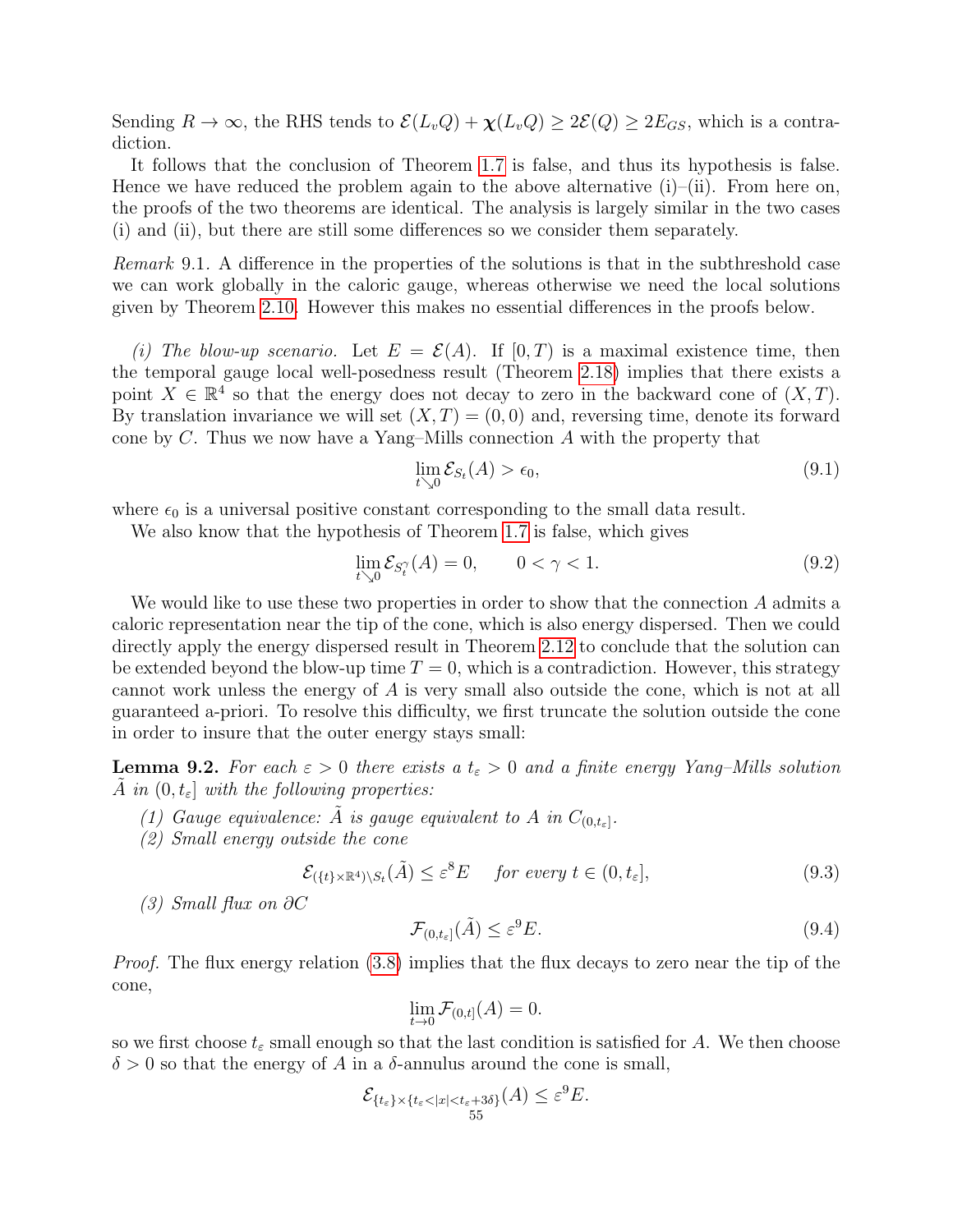Sending  $R \to \infty$ , the RHS tends to  $\mathcal{E}(L_vQ) + \chi(L_vQ) \geq 2\mathcal{E}(Q) \geq 2E_{GS}$ , which is a contradiction.

It follows that the conclusion of Theorem [1.7](#page-8-0) is false, and thus its hypothesis is false. Hence we have reduced the problem again to the above alternative  $(i)$ – $(ii)$ . From here on, the proofs of the two theorems are identical. The analysis is largely similar in the two cases (i) and (ii), but there are still some differences so we consider them separately.

Remark 9.1. A difference in the properties of the solutions is that in the subthreshold case we can work globally in the caloric gauge, whereas otherwise we need the local solutions given by Theorem [2.10.](#page-22-1) However this makes no essential differences in the proofs below.

(i) The blow-up scenario. Let  $E = \mathcal{E}(A)$ . If  $[0, T)$  is a maximal existence time, then the temporal gauge local well-posedness result (Theorem [2.18\)](#page-25-2) implies that there exists a point  $X \in \mathbb{R}^4$  so that the energy does not decay to zero in the backward cone of  $(X, T)$ . By translation invariance we will set  $(X, T) = (0, 0)$  and, reversing time, denote its forward cone by C. Thus we now have a Yang–Mills connection  $A$  with the property that

<span id="page-55-0"></span>
$$
\lim_{t \searrow 0} \mathcal{E}_{S_t}(A) > \epsilon_0,\tag{9.1}
$$

where  $\epsilon_0$  is a universal positive constant corresponding to the small data result.

We also know that the hypothesis of Theorem [1.7](#page-8-0) is false, which gives

<span id="page-55-1"></span>
$$
\lim_{t \searrow 0} \mathcal{E}_{S_t^{\gamma}}(A) = 0, \qquad 0 < \gamma < 1.
$$
\n(9.2)

We would like to use these two properties in order to show that the connection A admits a caloric representation near the tip of the cone, which is also energy dispersed. Then we could directly apply the energy dispersed result in Theorem [2.12](#page-23-0) to conclude that the solution can be extended beyond the blow-up time  $T = 0$ , which is a contradiction. However, this strategy cannot work unless the energy of A is very small also outside the cone, which is not at all guaranteed a-priori. To resolve this difficulty, we first truncate the solution outside the cone in order to insure that the outer energy stays small:

<span id="page-55-3"></span>**Lemma 9.2.** For each  $\varepsilon > 0$  there exists a  $t_{\varepsilon} > 0$  and a finite energy Yang–Mills solution A in  $(0, t_{\varepsilon})$  with the following properties:

- (1) Gauge equivalence:  $\tilde{A}$  is gauge equivalent to A in  $C_{(0,t_{\varepsilon})}$ .
- (2) Small energy outside the cone

<span id="page-55-2"></span>
$$
\mathcal{E}_{(\{t\}\times\mathbb{R}^4)\backslash S_t}(\tilde{A}) \le \varepsilon^8 E \quad \text{for every } t \in (0, t_\varepsilon],\tag{9.3}
$$

(3) Small flux on ∂C

$$
\mathcal{F}_{(0,t_{\varepsilon}]}(\tilde{A}) \le \varepsilon^9 E. \tag{9.4}
$$

Proof. The flux energy relation [\(3.8\)](#page-27-3) implies that the flux decays to zero near the tip of the cone,

$$
\lim_{t \to 0} \mathcal{F}_{(0,t]}(A) = 0.
$$

so we first choose  $t_{\varepsilon}$  small enough so that the last condition is satisfied for A. We then choose  $\delta > 0$  so that the energy of A in a  $\delta$ -annulus around the cone is small,

$$
\mathcal{E}_{\{t_{\varepsilon}\}\times\{t_{\varepsilon}<|x|
$$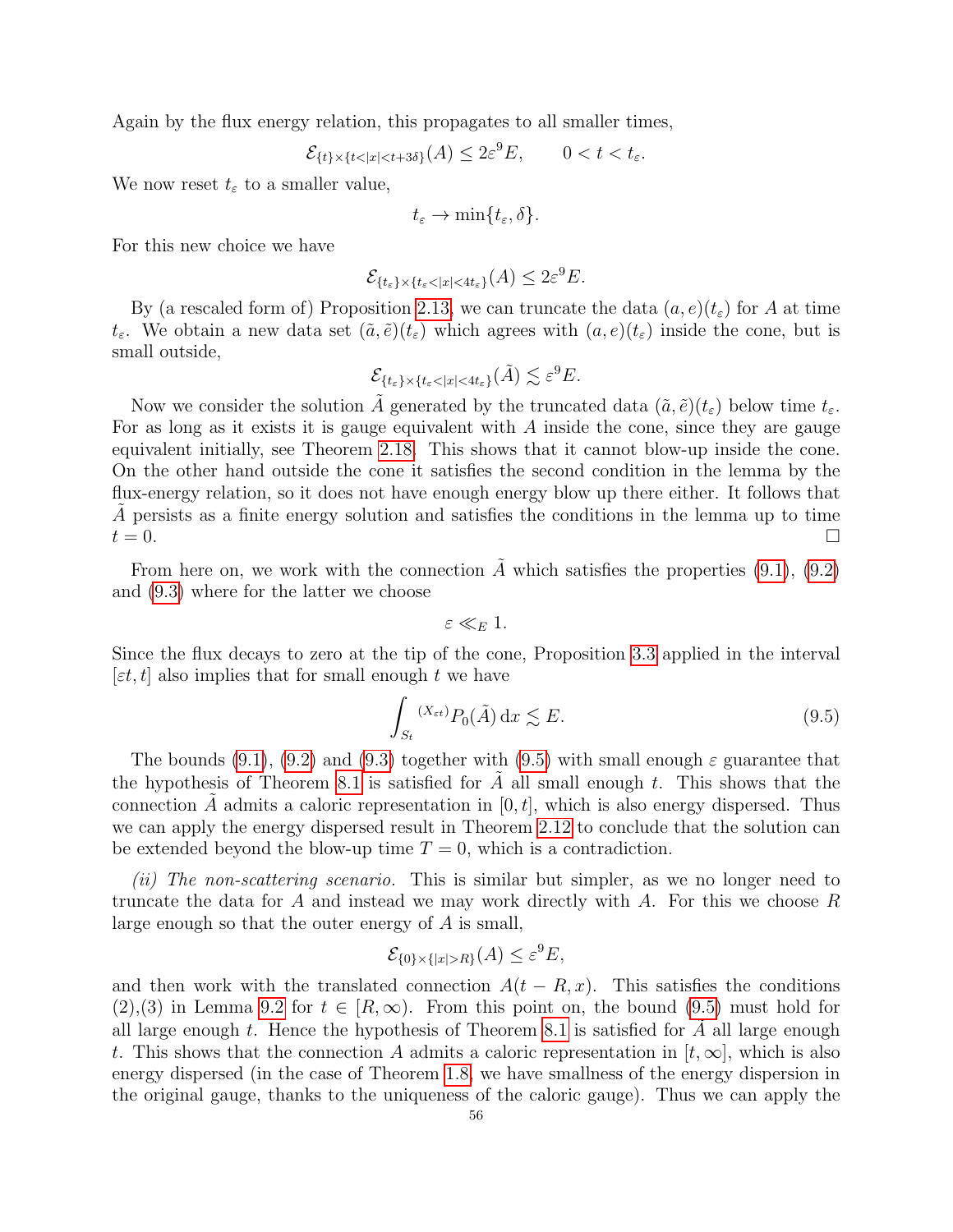Again by the flux energy relation, this propagates to all smaller times,

$$
\mathcal{E}_{\{t\} \times \{t < |x| < t + 3\delta\}}(A) \le 2\varepsilon^9 E, \qquad 0 < t < t_\varepsilon.
$$

We now reset  $t_{\varepsilon}$  to a smaller value,

$$
t_{\varepsilon} \to \min\{t_{\varepsilon}, \delta\}.
$$

For this new choice we have

$$
\mathcal{E}_{\{t_{\varepsilon}\}\times\{t_{\varepsilon}<|x|<4t_{\varepsilon}\}}(A)\leq 2\varepsilon^9 E.
$$

By (a rescaled form of) Proposition [2.13,](#page-24-2) we can truncate the data  $(a, e)(t_{\epsilon})$  for A at time  $t_{\varepsilon}$ . We obtain a new data set  $(\tilde{a}, \tilde{e})(t_{\varepsilon})$  which agrees with  $(a, e)(t_{\varepsilon})$  inside the cone, but is small outside,

$$
\mathcal{E}_{\{t_{\varepsilon}\}\times\{t_{\varepsilon}<|x|<4t_{\varepsilon}\}}(\tilde{A})\lesssim \varepsilon^{9}E.
$$

Now we consider the solution  $\tilde{A}$  generated by the truncated data  $(\tilde{a}, \tilde{e})(t_{\varepsilon})$  below time  $t_{\varepsilon}$ . For as long as it exists it is gauge equivalent with A inside the cone, since they are gauge equivalent initially, see Theorem [2.18.](#page-25-2) This shows that it cannot blow-up inside the cone. On the other hand outside the cone it satisfies the second condition in the lemma by the flux-energy relation, so it does not have enough energy blow up there either. It follows that  $\tilde{A}$  persists as a finite energy solution and satisfies the conditions in the lemma up to time  $t = 0.$ 

From here on, we work with the connection  $\tilde{A}$  which satisfies the properties [\(9.1\)](#page-55-0), [\(9.2\)](#page-55-1) and [\(9.3\)](#page-55-2) where for the latter we choose

$$
\varepsilon \ll_E 1.
$$

Since the flux decays to zero at the tip of the cone, Proposition [3.3](#page-29-2) applied in the interval  $[\varepsilon t, t]$  also implies that for small enough t we have

<span id="page-56-0"></span>
$$
\int_{S_t}^{(X_{\varepsilon t})} P_0(\tilde{A}) \, dx \lesssim E. \tag{9.5}
$$

The bounds [\(9.1\)](#page-55-0), [\(9.2\)](#page-55-1) and [\(9.3\)](#page-55-2) together with [\(9.5\)](#page-56-0) with small enough  $\varepsilon$  guarantee that the hypothesis of Theorem [8.1](#page-42-2) is satisfied for A all small enough t. This shows that the connection A admits a caloric representation in  $[0, t]$ , which is also energy dispersed. Thus we can apply the energy dispersed result in Theorem [2.12](#page-23-0) to conclude that the solution can be extended beyond the blow-up time  $T = 0$ , which is a contradiction.

(ii) The non-scattering scenario. This is similar but simpler, as we no longer need to truncate the data for A and instead we may work directly with A. For this we choose  $R$ large enough so that the outer energy of A is small,

$$
\mathcal{E}_{\{0\}\times\{|x|>R\}}(A) \le \varepsilon^9 E,
$$

and then work with the translated connection  $A(t - R, x)$ . This satisfies the conditions  $(2),(3)$  in Lemma [9.2](#page-55-3) for  $t \in [R,\infty)$ . From this point on, the bound  $(9.5)$  must hold for all large enough t. Hence the hypothesis of Theorem [8.1](#page-42-2) is satisfied for A all large enough t. This shows that the connection A admits a caloric representation in  $[t,\infty]$ , which is also energy dispersed (in the case of Theorem [1.8,](#page-10-0) we have smallness of the energy dispersion in the original gauge, thanks to the uniqueness of the caloric gauge). Thus we can apply the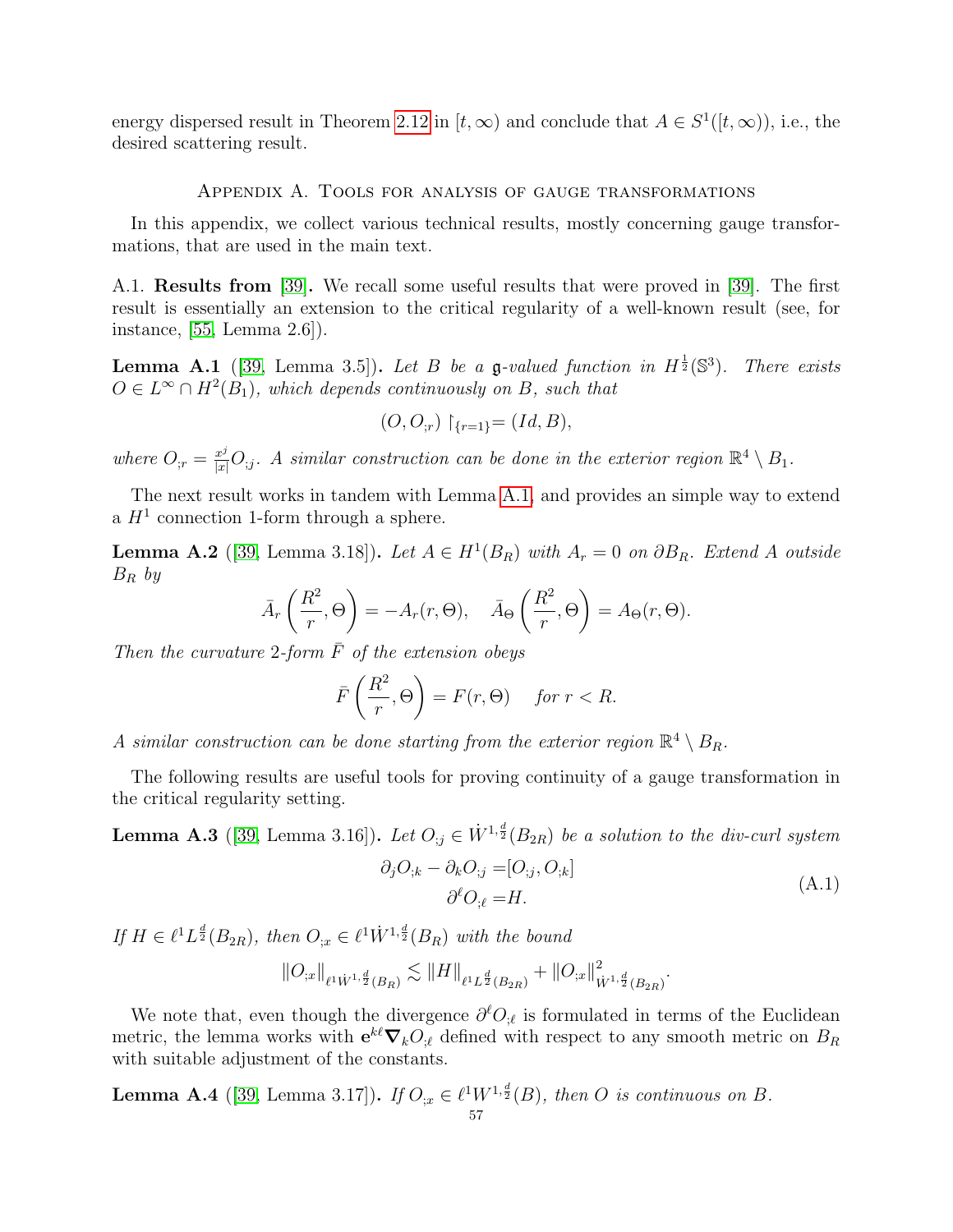energy dispersed result in Theorem [2.12](#page-23-0) in  $[t, \infty)$  and conclude that  $A \in S^1([t, \infty))$ , i.e., the desired scattering result.

#### Appendix A. Tools for analysis of gauge transformations

<span id="page-57-0"></span>In this appendix, we collect various technical results, mostly concerning gauge transformations, that are used in the main text.

<span id="page-57-1"></span>A.1. Results from [\[39\]](#page-64-2). We recall some useful results that were proved in [\[39\]](#page-64-2). The first result is essentially an extension to the critical regularity of a well-known result (see, for instance, [\[55,](#page-65-0) Lemma 2.6]).

<span id="page-57-5"></span>**Lemma A.1** ([\[39,](#page-64-2) Lemma 3.5]). Let B be a g-valued function in  $H^{\frac{1}{2}}(\mathbb{S}^3)$ . There exists  $O \in L^{\infty} \cap H^2(B_1)$ , which depends continuously on B, such that

$$
(O, O_{;r}) \upharpoonright_{\{r=1\}} = (Id, B),
$$

where  $O_{;r} = \frac{x^j}{|x|} O_{;j}$ . A similar construction can be done in the exterior region  $\mathbb{R}^4 \setminus B_1$ .

The next result works in tandem with Lemma [A.1,](#page-57-5) and provides an simple way to extend a  $H<sup>1</sup>$  connection 1-form through a sphere.

<span id="page-57-4"></span>**Lemma A.2** ([\[39,](#page-64-2) Lemma 3.18]). Let  $A \in H^1(B_R)$  with  $A_r = 0$  on  $\partial B_R$ . Extend A outside  $B_R$  by

$$
\bar{A}_r\left(\frac{R^2}{r},\Theta\right) = -A_r(r,\Theta), \quad \bar{A}_\Theta\left(\frac{R^2}{r},\Theta\right) = A_\Theta(r,\Theta).
$$

Then the curvature 2-form  $\bar{F}$  of the extension obeys

$$
\bar{F}\left(\frac{R^2}{r}, \Theta\right) = F(r, \Theta) \quad \text{for } r < R.
$$

A similar construction can be done starting from the exterior region  $\mathbb{R}^4 \setminus B_R$ .

The following results are useful tools for proving continuity of a gauge transformation in the critical regularity setting.

<span id="page-57-3"></span>**Lemma A.3** ([\[39,](#page-64-2) Lemma 3.16]). Let  $O_{i,j} \in \dot{W}^{1,\frac{d}{2}}(B_{2R})$  be a solution to the div-curl system

$$
\partial_j O_{;k} - \partial_k O_{;j} = [O_{;j}, O_{;k}]
$$
  
\n
$$
\partial^{\ell} O_{;\ell} = H.
$$
\n(A.1)

If  $H \in \ell^1 L^{\frac{d}{2}}(B_{2R}),$  then  $O_{;x} \in \ell^1 \dot W^{1,\frac{d}{2}}(B_R)$  with the bound

$$
\|O_{;x}\|_{\ell^1 \dot{W}^{1,\frac{d}{2}}(B_R)} \lesssim \|H\|_{\ell^1 L^{\frac{d}{2}}(B_{2R})} + \|O_{;x}\|_{\dot{W}^{1,\frac{d}{2}}(B_{2R})}^2.
$$

We note that, even though the divergence  $\partial^{\ell}O_{;\ell}$  is formulated in terms of the Euclidean metric, the lemma works with  $e^{k\ell}\nabla_kO_{;\ell}$  defined with respect to any smooth metric on  $B_R$ with suitable adjustment of the constants.

<span id="page-57-2"></span>**Lemma A.4** ([\[39,](#page-64-2) Lemma 3.17]). If  $O_{\mathfrak{X}} \in \ell^1 W^{1,\frac{d}{2}}(B)$ , then O is continuous on B.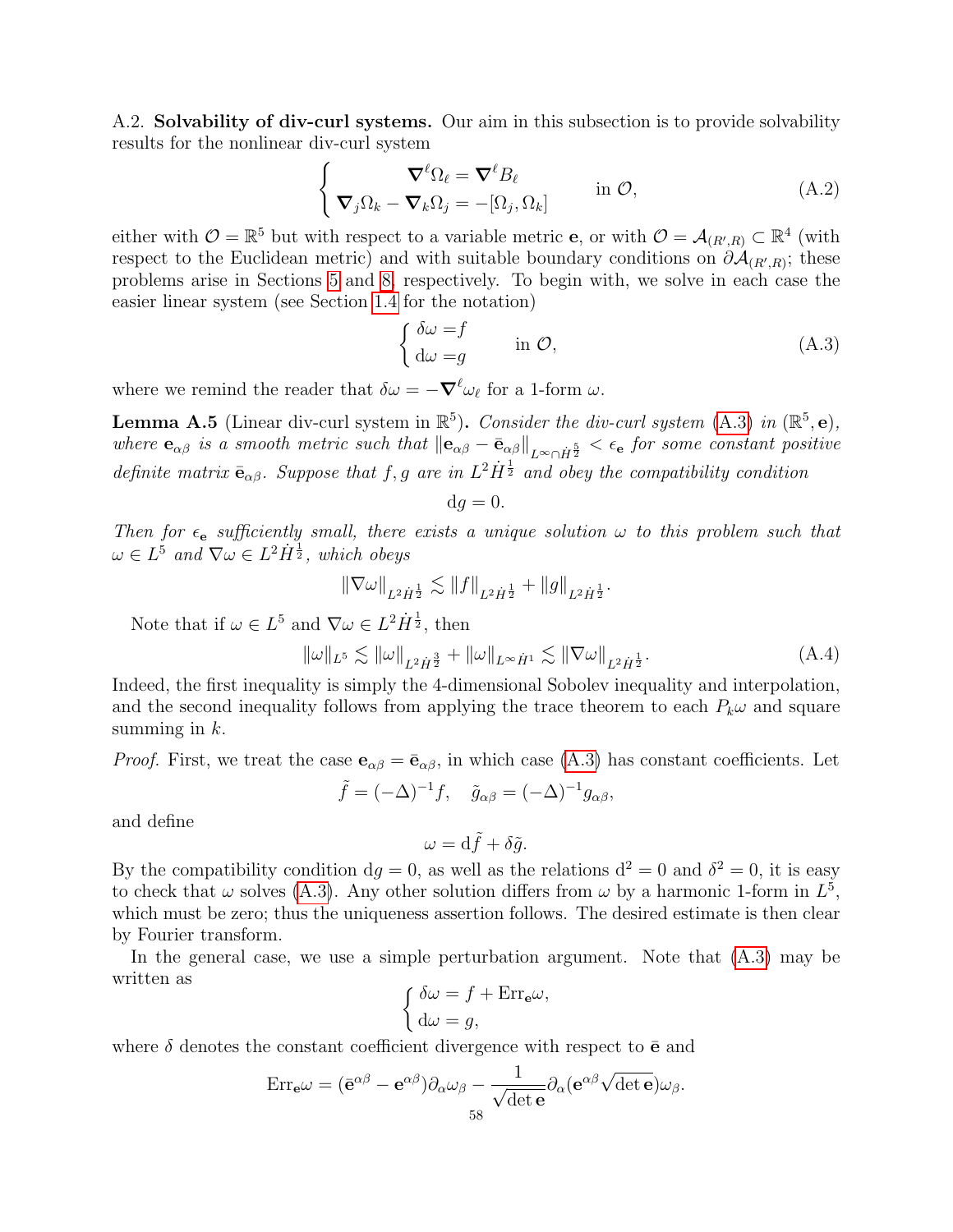<span id="page-58-0"></span>A.2. Solvability of div-curl systems. Our aim in this subsection is to provide solvability results for the nonlinear div-curl system

<span id="page-58-3"></span>
$$
\begin{cases}\n\nabla^{\ell}\Omega_{\ell} = \nabla^{\ell}B_{\ell} \\
\nabla_{j}\Omega_{k} - \nabla_{k}\Omega_{j} = -[\Omega_{j}, \Omega_{k}] \n\end{cases} \text{ in } \mathcal{O},
$$
\n(A.2)

either with  $\mathcal{O} = \mathbb{R}^5$  but with respect to a variable metric **e**, or with  $\mathcal{O} = \mathcal{A}_{(R',R)} \subset \mathbb{R}^4$  (with respect to the Euclidean metric) and with suitable boundary conditions on  $\partial A_{(R',R)}$ ; these problems arise in Sections [5](#page-31-0) and [8,](#page-42-0) respectively. To begin with, we solve in each case the easier linear system (see Section [1.4](#page-15-0) for the notation)

<span id="page-58-1"></span>
$$
\begin{cases} \delta \omega = f \\ d\omega = g \end{cases} \text{ in } \mathcal{O}, \tag{A.3}
$$

where we remind the reader that  $\delta \omega = -\nabla^{\ell} \omega_{\ell}$  for a 1-form  $\omega$ .

<span id="page-58-2"></span>**Lemma A.5** (Linear div-curl system in  $\mathbb{R}^5$ ). Consider the div-curl system [\(A.3\)](#page-58-1) in  $(\mathbb{R}^5, \mathbf{e})$ , where  ${\bf e}_{\alpha\beta}$  is a smooth metric such that  ${\|{\bf e}_{\alpha\beta}-\bar{\bf e}_{\alpha\beta}\|}_{L^\infty\cap\dot{H}^{\frac{5}{2}}}<\epsilon_{\bf e}$  for some constant positive definite matrix  $\bar{\mathbf{e}}_{\alpha\beta}$ . Suppose that f, g are in  $L^2\dot{H}^{\frac{1}{2}}$  and obey the compatibility condition

$$
\mathrm{d}g=0.
$$

Then for  $\epsilon_e$  sufficiently small, there exists a unique solution  $\omega$  to this problem such that  $\omega \in L^5$  and  $\nabla \omega \in L^2 \dot{H}^{\frac{1}{2}}$ , which obeys

$$
\|\nabla\omega\|_{L^2\dot{H}^\frac{1}{2}}\lesssim \|f\|_{L^2\dot{H}^\frac{1}{2}}+\|g\|_{L^2\dot{H}^\frac{1}{2}}
$$

Note that if  $\omega \in L^5$  and  $\nabla \omega \in L^2 \dot{H}^{\frac{1}{2}}$ , then

$$
\|\omega\|_{L^{5}} \lesssim \|\omega\|_{L^{2}\dot{H}^{\frac{3}{2}}} + \|\omega\|_{L^{\infty}\dot{H}^{1}} \lesssim \|\nabla\omega\|_{L^{2}\dot{H}^{\frac{1}{2}}}.
$$
\n(A.4)

.

Indeed, the first inequality is simply the 4-dimensional Sobolev inequality and interpolation, and the second inequality follows from applying the trace theorem to each  $P_k\omega$  and square summing in  $k$ .

*Proof.* First, we treat the case  $\mathbf{e}_{\alpha\beta} = \bar{\mathbf{e}}_{\alpha\beta}$ , in which case [\(A.3\)](#page-58-1) has constant coefficients. Let

$$
\tilde{f} = (-\Delta)^{-1} f, \quad \tilde{g}_{\alpha\beta} = (-\Delta)^{-1} g_{\alpha\beta},
$$

and define

$$
\omega = \mathrm{d}\tilde{f} + \delta\tilde{g}.
$$

By the compatibility condition  $dg = 0$ , as well as the relations  $d^2 = 0$  and  $\delta^2 = 0$ , it is easy to check that  $\omega$  solves [\(A.3\)](#page-58-1). Any other solution differs from  $\omega$  by a harmonic 1-form in  $L^5$ , which must be zero; thus the uniqueness assertion follows. The desired estimate is then clear by Fourier transform.

In the general case, we use a simple perturbation argument. Note that [\(A.3\)](#page-58-1) may be written as

$$
\begin{cases} \delta\omega = f + \text{Err}_{\mathbf{e}}\omega, \\ d\omega = g, \end{cases}
$$

where  $\delta$  denotes the constant coefficient divergence with respect to  $\bar{e}$  and

$$
\mathrm{Err}_{\mathbf{e}}\omega = (\mathbf{\bar{e}}^{\alpha\beta} - \mathbf{e}^{\alpha\beta})\partial_\alpha\omega_\beta - \frac{1}{\sqrt{\det\mathbf{e}}}\partial_\alpha(\mathbf{e}^{\alpha\beta}\sqrt{\det\mathbf{e}})\omega_\beta.
$$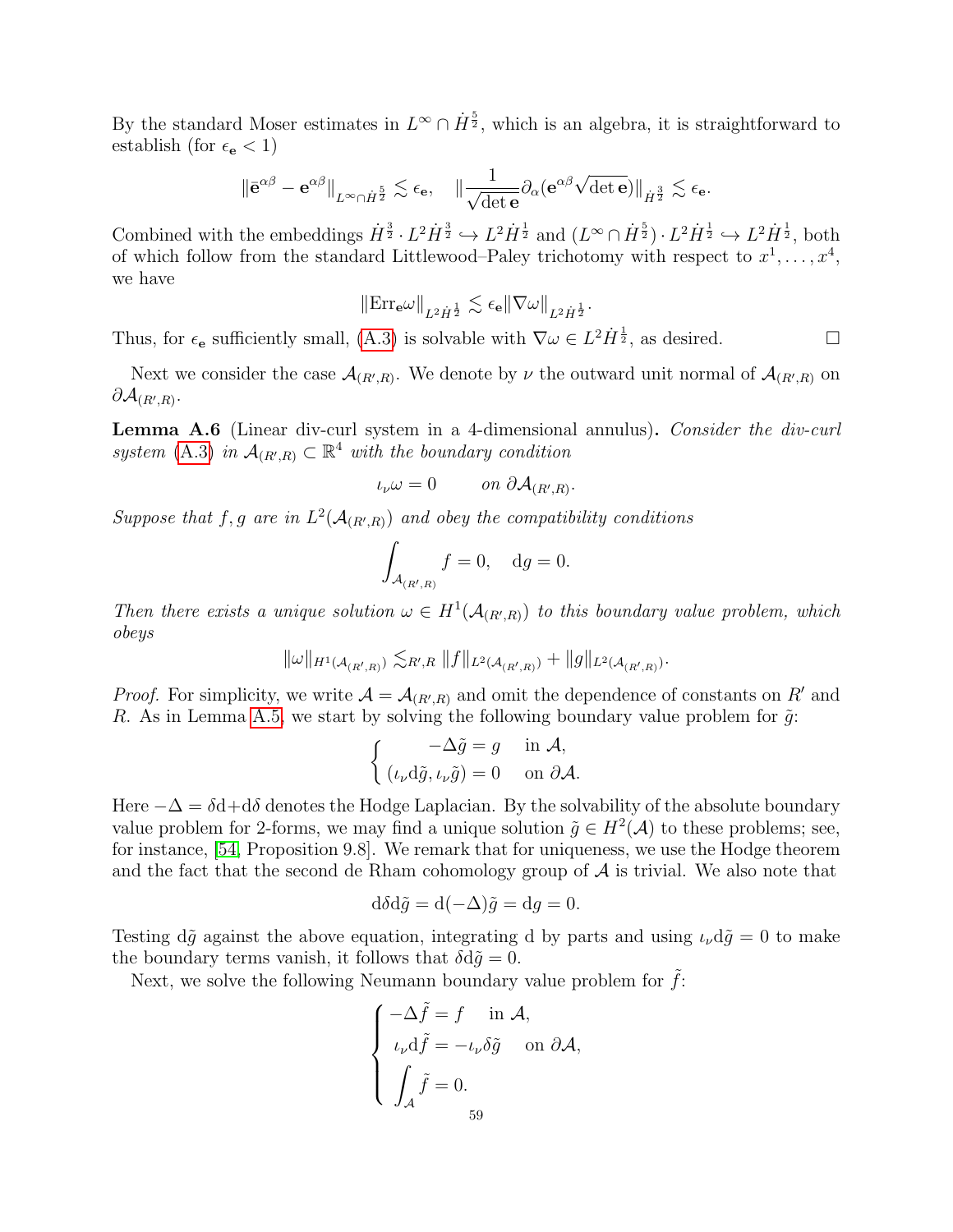By the standard Moser estimates in  $L^{\infty} \cap \dot{H}^{\frac{5}{2}}$ , which is an algebra, it is straightforward to establish (for  $\epsilon_{\mathbf{e}} < 1$ )

$$
\|\bar{{\bf e}}^{\alpha\beta}-{\bf e}^{\alpha\beta}\|_{L^\infty\cap \dot{H}^{\frac{5}{2}}}\lesssim \epsilon_{\bf e},\quad \|\frac{1}{\sqrt{\det{\bf e}}}\partial_\alpha({\bf e}^{\alpha\beta}\sqrt{\det{\bf e}})\|_{\dot{H}^{\frac{3}{2}}}\lesssim \epsilon_{\bf e}.
$$

Combined with the embeddings  $\dot{H}^{\frac{3}{2}} \cdot L^2 \dot{H}^{\frac{3}{2}} \hookrightarrow L^2 \dot{H}^{\frac{1}{2}}$  and  $(L^{\infty} \cap \dot{H}^{\frac{5}{2}}) \cdot L^2 \dot{H}^{\frac{1}{2}} \hookrightarrow L^2 \dot{H}^{\frac{1}{2}}$ , both of which follow from the standard Littlewood–Paley trichotomy with respect to  $x^1, \ldots, x^4$ , we have

$$
\|\mathrm{Err}_{\mathbf{e}}\omega\|_{L^2\dot{H}^\frac{1}{2}}\lesssim \epsilon_{\mathbf{e}}\|\nabla\omega\|_{L^2\dot{H}^\frac{1}{2}}.
$$

Thus, for  $\epsilon_e$  sufficiently small, [\(A.3\)](#page-58-1) is solvable with  $\nabla \omega \in L^2 \dot{H}^{\frac{1}{2}}$ , as desired.

Next we consider the case  $\mathcal{A}_{(R',R)}$ . We denote by  $\nu$  the outward unit normal of  $\mathcal{A}_{(R',R)}$  on  $\partial \mathcal{A}_{(R',R)}.$ 

Lemma A.6 (Linear div-curl system in a 4-dimensional annulus). Consider the div-curl system [\(A.3\)](#page-58-1) in  $\mathcal{A}_{(R',R)} \subset \mathbb{R}^4$  with the boundary condition

$$
\iota_{\nu}\omega=0 \qquad on \ \partial \mathcal{A}_{(R',R)}.
$$

Suppose that f, g are in  $L^2(A_{(R',R)})$  and obey the compatibility conditions

$$
\int_{\mathcal{A}_{(R',R)}} f = 0, \quad dg = 0.
$$

Then there exists a unique solution  $\omega \in H^1(\mathcal{A}_{(R',R)})$  to this boundary value problem, which obeys

$$
\|\omega\|_{H^1({\cal A}_{(R',R)})} \lesssim_{R',R} \|f\|_{L^2({\cal A}_{(R',R)})} + \|g\|_{L^2({\cal A}_{(R',R)})}.
$$

*Proof.* For simplicity, we write  $\mathcal{A} = \mathcal{A}_{(R',R)}$  and omit the dependence of constants on R' and R. As in Lemma [A.5,](#page-58-2) we start by solving the following boundary value problem for  $\tilde{g}$ :

$$
\begin{cases}\n-\Delta \tilde{g} = g & \text{in } \mathcal{A}, \\
(\iota_{\nu} d\tilde{g}, \iota_{\nu} \tilde{g}) = 0 & \text{on } \partial \mathcal{A}.\n\end{cases}
$$

Here  $-\Delta = \delta d + d\delta$  denotes the Hodge Laplacian. By the solvability of the absolute boundary value problem for 2-forms, we may find a unique solution  $\tilde{g} \in H^2(\mathcal{A})$  to these problems; see, for instance, [\[54,](#page-65-9) Proposition 9.8]. We remark that for uniqueness, we use the Hodge theorem and the fact that the second de Rham cohomology group of  $A$  is trivial. We also note that

$$
d\delta d\tilde{g} = d(-\Delta)\tilde{g} = dg = 0.
$$

Testing d $\tilde{g}$  against the above equation, integrating d by parts and using  $\iota_{\nu}d\tilde{g}=0$  to make the boundary terms vanish, it follows that  $\delta d\tilde{q} = 0$ .

Next, we solve the following Neumann boundary value problem for  $f$ :

$$
\begin{cases}\n-\Delta \tilde{f} = f & \text{in } \mathcal{A}, \\
\iota_{\nu} d\tilde{f} = -\iota_{\nu} \delta \tilde{g} & \text{on } \partial \mathcal{A}, \\
\int_{\mathcal{A}} \tilde{f} = 0. \\
59\n\end{cases}
$$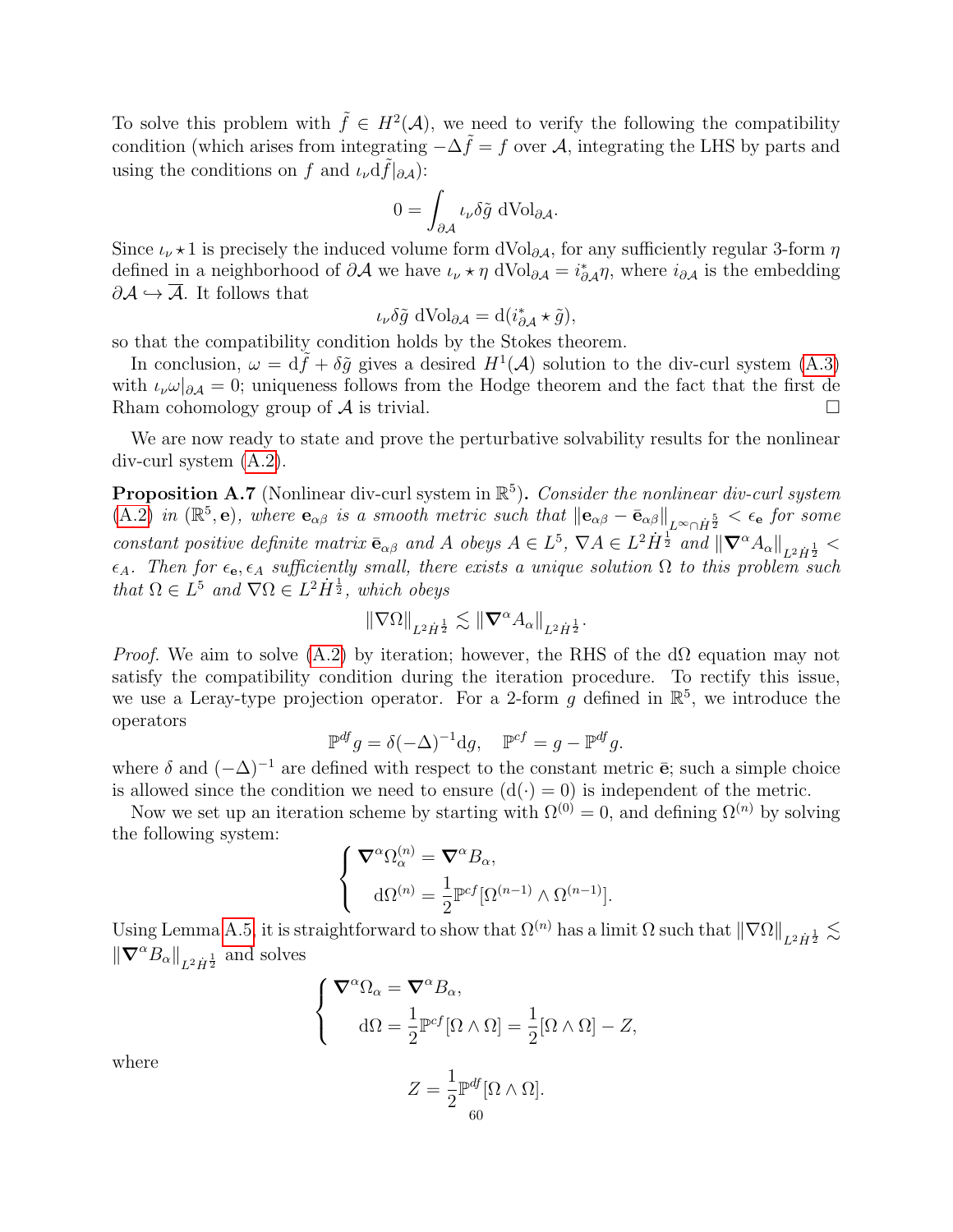To solve this problem with  $\tilde{f} \in H^2(\mathcal{A})$ , we need to verify the following the compatibility condition (which arises from integrating  $-\Delta \tilde{f} = f$  over A, integrating the LHS by parts and using the conditions on f and  $\iota_{\nu}df|_{\partial A}$ :

$$
0 = \int_{\partial \mathcal{A}} \iota_{\nu} \delta \tilde{g} \, d\text{Vol}_{\partial \mathcal{A}}.
$$

Since  $\iota_{\nu} \star 1$  is precisely the induced volume form dVol<sub>∂A</sub>, for any sufficiently regular 3-form  $\eta$ defined in a neighborhood of  $\partial A$  we have  $\iota_{\nu} \star \eta$  dVol $\iota_{\partial A} = i^*_{\partial A} \eta$ , where  $i_{\partial A}$  is the embedding  $\partial A \hookrightarrow \overline{A}$ . It follows that

$$
\iota_{\nu}\delta\tilde{g} d\text{Vol}_{\partial\mathcal{A}} = d(i^*_{\partial\mathcal{A}} \star \tilde{g}),
$$

so that the compatibility condition holds by the Stokes theorem.

In conclusion,  $\omega = d\tilde{f} + \delta \tilde{g}$  gives a desired  $H^1(\mathcal{A})$  solution to the div-curl system [\(A.3\)](#page-58-1) with  $\iota_{\nu}\omega|_{\partial\mathcal{A}}=0$ ; uniqueness follows from the Hodge theorem and the fact that the first de Rham cohomology group of  $\mathcal A$  is trivial.

We are now ready to state and prove the perturbative solvability results for the nonlinear div-curl system [\(A.2\)](#page-58-3).

<span id="page-60-0"></span>**Proposition A.7** (Nonlinear div-curl system in  $\mathbb{R}^5$ ). Consider the nonlinear div-curl system  $(A.2)$  in  $(\mathbb{R}^5, \mathbf{e})$ , where  $\mathbf{e}_{\alpha\beta}$  is a smooth metric such that  $\|\mathbf{e}_{\alpha\beta} - \bar{\mathbf{e}}_{\alpha\beta}\|_{L^{\infty} \cap \dot{H}^{\frac{5}{2}}} < \epsilon_{\mathbf{e}}$  for some constant positive definite matrix  $\bar{\mathbf{e}}_{\alpha\beta}$  and A obeys  $A \in L^5$ ,  $\nabla A \in L^2 H^{\frac{1}{2}}$  and  $\|\nabla^{\alpha} A_{\alpha}\|_{L^2 H^{\frac{1}{2}}}$  $\epsilon_A$ . Then for  $\epsilon_{\mathbf{e}}, \epsilon_A$  sufficiently small, there exists a unique solution  $\Omega$  to this problem such that  $\Omega \in L^5$  and  $\nabla \Omega \in L^2 \dot{H}^{\frac{1}{2}}$ , which obeys

$$
\|\nabla\Omega\|_{L^2\dot{H}^\frac{1}{2}}\lesssim \|\pmb{\nabla}^\alpha A_\alpha\|_{L^2\dot{H}^\frac{1}{2}}.
$$

*Proof.* We aim to solve [\(A.2\)](#page-58-3) by iteration; however, the RHS of the  $d\Omega$  equation may not satisfy the compatibility condition during the iteration procedure. To rectify this issue, we use a Leray-type projection operator. For a 2-form  $g$  defined in  $\mathbb{R}^5$ , we introduce the operators

$$
\mathbb{P}^{df} g = \delta(-\Delta)^{-1} dg, \quad \mathbb{P}^{cf} = g - \mathbb{P}^{df} g.
$$

where  $\delta$  and  $(-\Delta)^{-1}$  are defined with respect to the constant metric  $\bar{e}$ ; such a simple choice is allowed since the condition we need to ensure  $(d(\cdot) = 0)$  is independent of the metric.

Now we set up an iteration scheme by starting with  $\Omega^{(0)} = 0$ , and defining  $\Omega^{(n)}$  by solving the following system:

$$
\begin{cases} \nabla^{\alpha} \Omega_{\alpha}^{(n)} = \nabla^{\alpha} B_{\alpha}, \\ \n d\Omega^{(n)} = \frac{1}{2} \mathbb{P}^{cf} [\Omega^{(n-1)} \wedge \Omega^{(n-1)}]. \end{cases}
$$

Using Lemma [A.5,](#page-58-2) it is straightforward to show that  $\Omega^{(n)}$  has a limit  $\Omega$  such that  $\|\nabla\Omega\|_{L^2\dot{H}^{\frac{1}{2}}} \lesssim$  $\|{\boldsymbol{\nabla}}^\alpha B_\alpha\|_{L^2\dot{H}^\frac{1}{2}}$  and solves

$$
\begin{cases}\n\nabla^{\alpha}\Omega_{\alpha} = \nabla^{\alpha}B_{\alpha}, \\
d\Omega = \frac{1}{2}\mathbb{P}^{cf}[\Omega \wedge \Omega] = \frac{1}{2}[\Omega \wedge \Omega] - Z,\n\end{cases}
$$

where

$$
Z = \frac{1}{2} \mathbb{P}^{df} [\Omega \wedge \Omega].
$$
60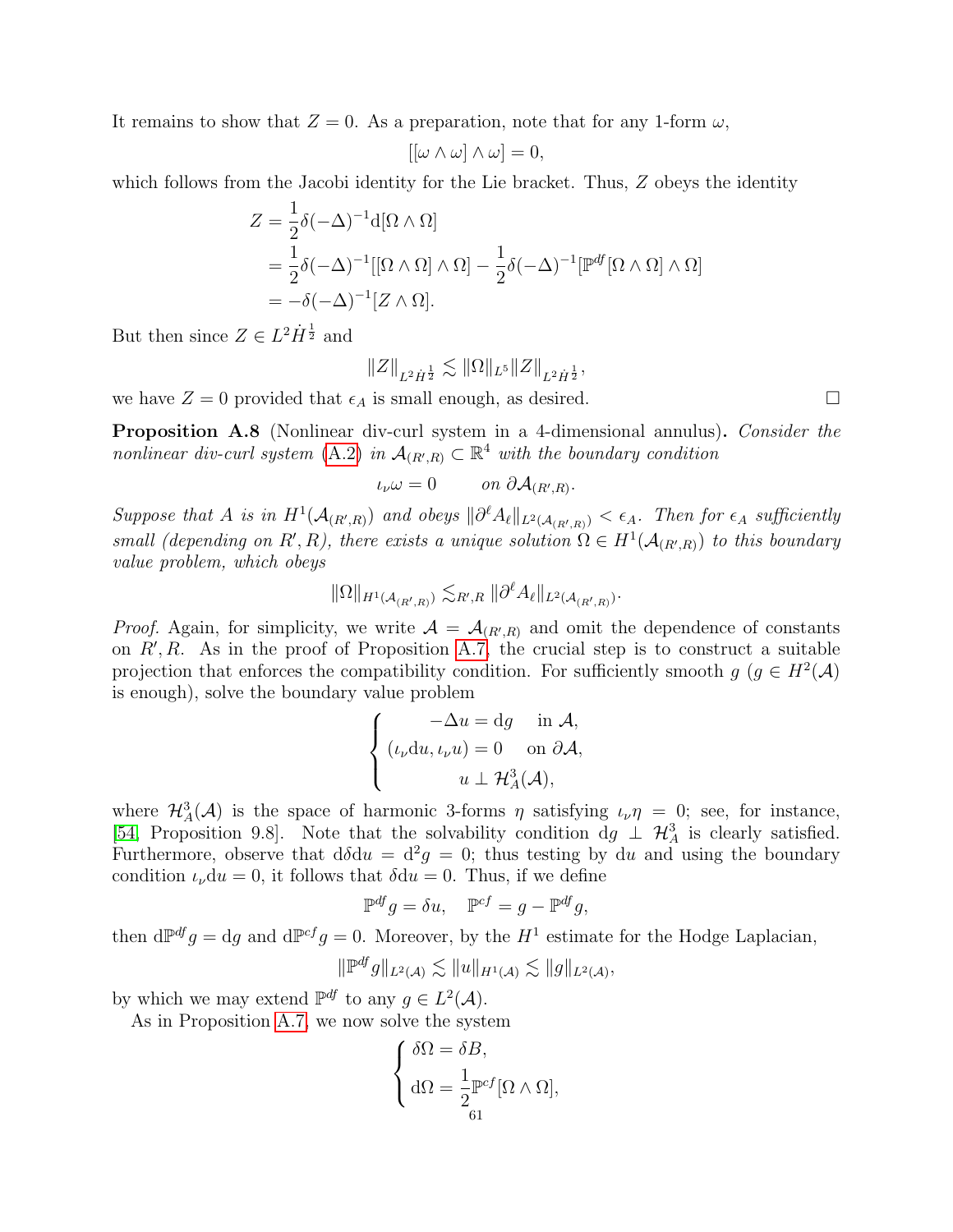It remains to show that  $Z = 0$ . As a preparation, note that for any 1-form  $\omega$ .

$$
[[\omega \wedge \omega] \wedge \omega] = 0,
$$

which follows from the Jacobi identity for the Lie bracket. Thus, Z obeys the identity

$$
Z = \frac{1}{2}\delta(-\Delta)^{-1}d[\Omega \wedge \Omega]
$$
  
=  $\frac{1}{2}\delta(-\Delta)^{-1}[[\Omega \wedge \Omega] \wedge \Omega] - \frac{1}{2}\delta(-\Delta)^{-1}[\mathbb{P}^{df}[\Omega \wedge \Omega] \wedge \Omega]$   
=  $-\delta(-\Delta)^{-1}[Z \wedge \Omega].$ 

But then since  $Z \in L^2 \dot{H}^{\frac{1}{2}}$  and

$$
\|Z\|_{L^2 \dot H^{\frac{1}{2}}} \lesssim \|\Omega\|_{L^5} \|Z\|_{L^2 \dot H^{\frac{1}{2}}},
$$

we have  $Z = 0$  provided that  $\epsilon_A$  is small enough, as desired.

<span id="page-61-0"></span>Proposition A.8 (Nonlinear div-curl system in a 4-dimensional annulus). Consider the nonlinear div-curl system [\(A.2\)](#page-58-3) in  $\mathcal{A}_{(R',R)} \subset \mathbb{R}^4$  with the boundary condition

$$
\iota_{\nu}\omega=0 \qquad on \ \partial \mathcal{A}_{(R',R)}.
$$

Suppose that A is in  $H^1(\mathcal{A}_{(R',R)})$  and obeys  $\|\partial^\ell A_\ell\|_{L^2(\mathcal{A}_{(R',R)})} < \epsilon_A$ . Then for  $\epsilon_A$  sufficiently small (depending on R', R), there exists a unique solution  $\Omega \in H^1(\mathcal{A}_{(R',R)})$  to this boundary value problem, which obeys

$$
\|\Omega\|_{H^1(\mathcal{A}_{(R',R)})} \lesssim_{R',R} \|\partial^\ell A_\ell\|_{L^2(\mathcal{A}_{(R',R)})}.
$$

*Proof.* Again, for simplicity, we write  $A = A_{(R',R)}$  and omit the dependence of constants on  $R', R$ . As in the proof of Proposition [A.7,](#page-60-0) the crucial step is to construct a suitable projection that enforces the compatibility condition. For sufficiently smooth  $g$  ( $g \in H^2(\mathcal{A})$ ) is enough), solve the boundary value problem

$$
\begin{cases}\n-\Delta u = dg & \text{in } \mathcal{A}, \\
(\iota_{\nu} du, \iota_{\nu} u) = 0 & \text{on } \partial \mathcal{A}, \\
u \perp \mathcal{H}_A^3(\mathcal{A}),\n\end{cases}
$$

where  $\mathcal{H}_{A}^{3}(\mathcal{A})$  is the space of harmonic 3-forms  $\eta$  satisfying  $\iota_{\nu}\eta = 0$ ; see, for instance, [\[54,](#page-65-9) Proposition 9.8]. Note that the solvability condition dg  $\perp$   $\mathcal{H}_A^3$  is clearly satisfied. Furthermore, observe that  $d\delta du = d^2g = 0$ ; thus testing by du and using the boundary condition  $\iota_{\nu}du = 0$ , it follows that  $\delta du = 0$ . Thus, if we define

$$
\mathbb{P}^{df} g = \delta u, \quad \mathbb{P}^{cf} = g - \mathbb{P}^{df} g,
$$

then  $d\mathbb{P}^{df} g = dg$  and  $d\mathbb{P}^{cf} g = 0$ . Moreover, by the  $H^1$  estimate for the Hodge Laplacian,

$$
\|\mathbb{P}^{df}g\|_{L^2(\mathcal{A})}\lesssim \|u\|_{H^1(\mathcal{A})}\lesssim \|g\|_{L^2(\mathcal{A})},
$$

by which we may extend  $\mathbb{P}^{df}$  to any  $g \in L^2(\mathcal{A})$ .

As in Proposition [A.7,](#page-60-0) we now solve the system

$$
\begin{cases} \delta\Omega = \delta B, \\ d\Omega = \frac{1}{2} \mathbb{P}^{cf}[\Omega \wedge \Omega], \\ 61 \end{cases}
$$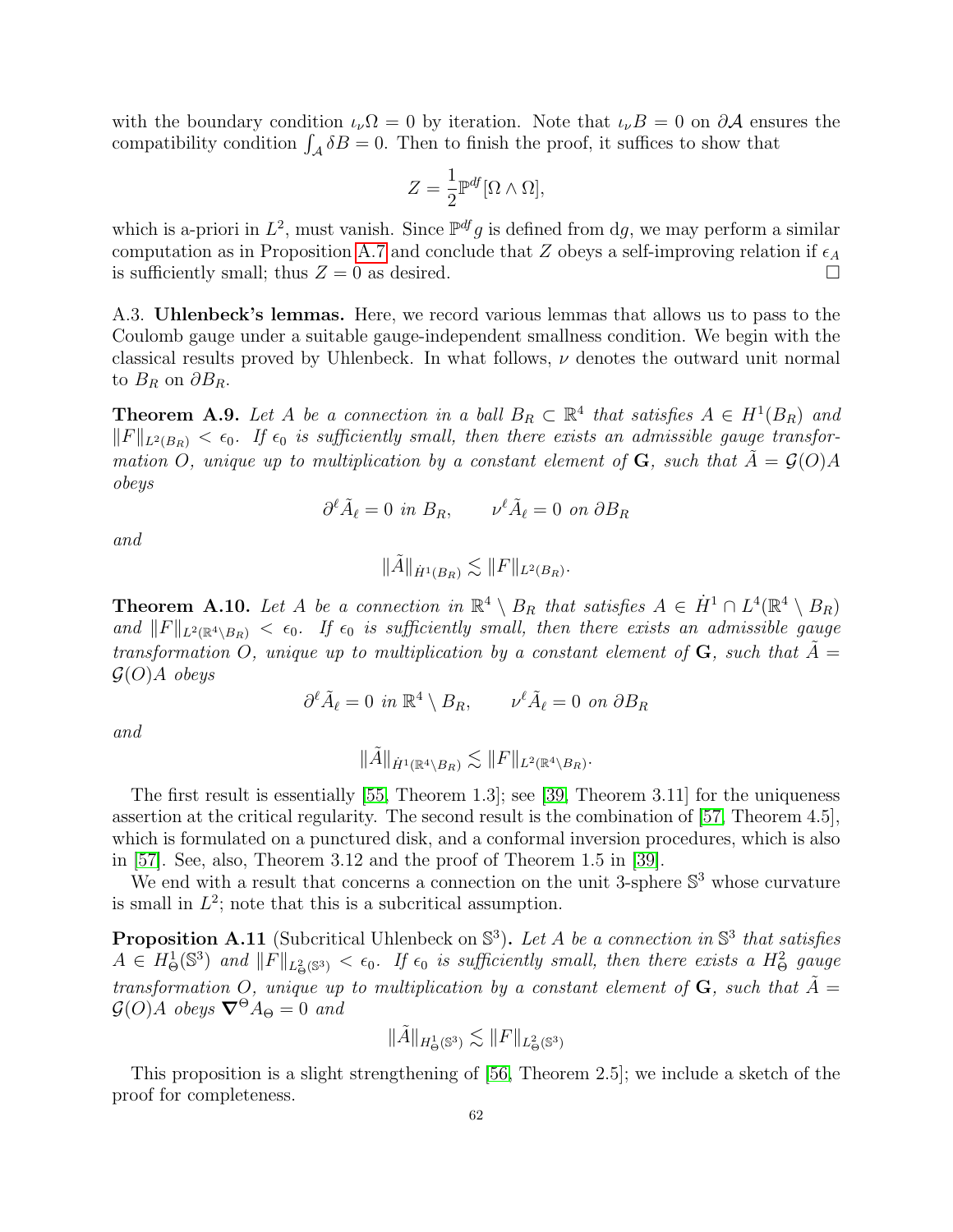with the boundary condition  $\iota_{\nu}\Omega = 0$  by iteration. Note that  $\iota_{\nu}B = 0$  on  $\partial A$  ensures the compatibility condition  $\int_{\mathcal{A}} \delta B = 0$ . Then to finish the proof, it suffices to show that

$$
Z = \frac{1}{2} \mathbb{P}^{df} [\Omega \wedge \Omega],
$$

which is a-priori in  $L^2$ , must vanish. Since  $\mathbb{P}^{df} g$  is defined from dg, we may perform a similar computation as in Proposition [A.7](#page-60-0) and conclude that Z obeys a self-improving relation if  $\epsilon_A$ is sufficiently small; thus  $Z = 0$  as desired.

<span id="page-62-0"></span>A.3. Uhlenbeck's lemmas. Here, we record various lemmas that allows us to pass to the Coulomb gauge under a suitable gauge-independent smallness condition. We begin with the classical results proved by Uhlenbeck. In what follows,  $\nu$  denotes the outward unit normal to  $B_R$  on  $\partial B_R$ .

<span id="page-62-1"></span>**Theorem A.9.** Let A be a connection in a ball  $B_R \subset \mathbb{R}^4$  that satisfies  $A \in H^1(B_R)$  and  $||F||_{L^2(B_R)} < \epsilon_0$ . If  $\epsilon_0$  is sufficiently small, then there exists an admissible gauge transformation O, unique up to multiplication by a constant element of  $\bf{G}$ , such that  $\tilde{A} = \mathcal{G}(O)A$ obeys

$$
\partial^{\ell} \tilde{A}_{\ell} = 0 \text{ in } B_R, \qquad \nu^{\ell} \tilde{A}_{\ell} = 0 \text{ on } \partial B_R
$$

and

$$
\|\tilde{A}\|_{\dot{H}^1(B_R)} \lesssim \|F\|_{L^2(B_R)}.
$$

<span id="page-62-3"></span>**Theorem A.10.** Let A be a connection in  $\mathbb{R}^4 \setminus B_R$  that satisfies  $A \in \dot{H}^1 \cap L^4(\mathbb{R}^4 \setminus B_R)$ and  $||F||_{L^2(\mathbb{R}^4 \setminus B_R)} < \epsilon_0$ . If  $\epsilon_0$  is sufficiently small, then there exists an admissible gauge transformation O, unique up to multiplication by a constant element of  $\bf{G}$ , such that  $\tilde{A} =$  $\mathcal{G}(O)A$  obeys

$$
\partial^{\ell} \tilde{A}_{\ell} = 0 \, \, in \, \mathbb{R}^4 \setminus B_R, \qquad \nu^{\ell} \tilde{A}_{\ell} = 0 \, \, on \, \partial B_R
$$

and

$$
\|\tilde{A}\|_{\dot{H}^1(\mathbb{R}^4 \setminus B_R)} \lesssim \|F\|_{L^2(\mathbb{R}^4 \setminus B_R)}.
$$

The first result is essentially [\[55,](#page-65-0) Theorem 1.3]; see [\[39,](#page-64-2) Theorem 3.11] for the uniqueness assertion at the critical regularity. The second result is the combination of [\[57,](#page-65-10) Theorem 4.5], which is formulated on a punctured disk, and a conformal inversion procedures, which is also in [\[57\]](#page-65-10). See, also, Theorem 3.12 and the proof of Theorem 1.5 in [\[39\]](#page-64-2).

We end with a result that concerns a connection on the unit 3-sphere  $\mathbb{S}^3$  whose curvature is small in  $L^2$ ; note that this is a subcritical assumption.

<span id="page-62-2"></span>**Proposition A.11** (Subcritical Uhlenbeck on  $\mathbb{S}^3$ ). Let A be a connection in  $\mathbb{S}^3$  that satisfies  $A\in H^1_\Theta(\mathbb{S}^3)$  and  $||F||_{L^2_\Theta(\mathbb{S}^3)} < \epsilon_0$ . If  $\epsilon_0$  is sufficiently small, then there exists a  $H^2_\Theta$  gauge transformation O, unique up to multiplication by a constant element of  $\bf{G}$ , such that  $\tilde{A} =$  $\mathcal{G}(O)A$  obeys  $\nabla^{\Theta} A_{\Theta} = 0$  and

$$
\|\tilde{A}\|_{H^1_\Theta(\mathbb{S}^3)}\lesssim \|F\|_{L^2_\Theta(\mathbb{S}^3)}
$$

This proposition is a slight strengthening of [\[56,](#page-65-1) Theorem 2.5]; we include a sketch of the proof for completeness.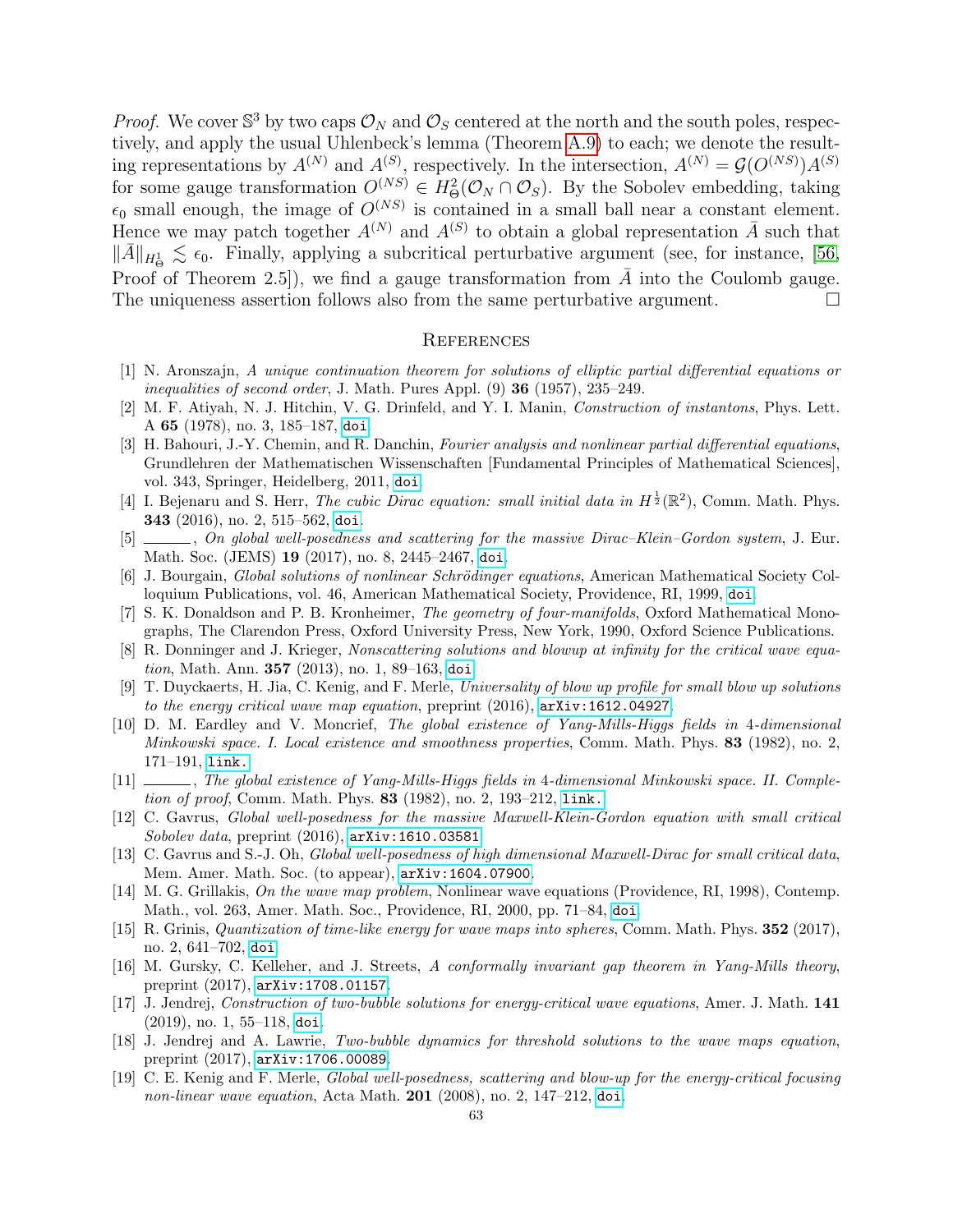*Proof.* We cover  $\mathbb{S}^3$  by two caps  $\mathcal{O}_N$  and  $\mathcal{O}_S$  centered at the north and the south poles, respectively, and apply the usual Uhlenbeck's lemma (Theorem [A.9\)](#page-62-1) to each; we denote the resulting representations by  $A^{(N)}$  and  $A^{(S)}$ , respectively. In the intersection,  $A^{(N)} = \mathcal{G}(O^{(NS)})A^{(S)}$ for some gauge transformation  $O^{(NS)} \in H^2_{\Theta}(\mathcal{O}_N \cap \mathcal{O}_S)$ . By the Sobolev embedding, taking  $\epsilon_0$  small enough, the image of  $O^{(NS)}$  is contained in a small ball near a constant element. Hence we may patch together  $A^{(N)}$  and  $A^{(S)}$  to obtain a global representation  $\overline{A}$  such that  $\|\bar{A}\|_{H^1_{\Theta}} \lesssim \epsilon_0$ . Finally, applying a subcritical perturbative argument (see, for instance, [\[56,](#page-65-1) Proof of Theorem 2.5]), we find a gauge transformation from  $\overline{A}$  into the Coulomb gauge. The uniqueness assertion follows also from the same perturbative argument.  $\Box$ 

#### <span id="page-63-0"></span>**REFERENCES**

- <span id="page-63-18"></span>[1] N. Aronszajn, A unique continuation theorem for solutions of elliptic partial differential equations or inequalities of second order, J. Math. Pures Appl. (9) 36 (1957), 235–249.
- <span id="page-63-2"></span>[2] M. F. Atiyah, N. J. Hitchin, V. G. Drinfeld, and Y. I. Manin, Construction of instantons, Phys. Lett. A 65 (1978), no. 3, 185–187, [doi](http://dx.doi.org/10.1016/0375-9601(78)90141-X).
- <span id="page-63-19"></span>[3] H. Bahouri, J.-Y. Chemin, and R. Danchin, Fourier analysis and nonlinear partial differential equations, Grundlehren der Mathematischen Wissenschaften [Fundamental Principles of Mathematical Sciences], vol. 343, Springer, Heidelberg, 2011, [doi](http://dx.doi.org/10.1007/978-3-642-16830-7).
- <span id="page-63-14"></span>[4] I. Bejenaru and S. Herr, *The cubic Dirac equation: small initial data in*  $H^{\frac{1}{2}}(\mathbb{R}^2)$ , Comm. Math. Phys. 343 (2016), no. 2, 515–562, [doi](http://dx.doi.org/10.1007/s00220-015-2508-4).
- <span id="page-63-15"></span>[5] , On global well-posedness and scattering for the massive Dirac–Klein–Gordon system, J. Eur. Math. Soc. (JEMS) 19 (2017), no. 8, 2445–2467, [doi](http://dx.doi.org/10.4171/JEMS/721).
- <span id="page-63-7"></span>[6] J. Bourgain, Global solutions of nonlinear Schrödinger equations, American Mathematical Society Colloquium Publications, vol. 46, American Mathematical Society, Providence, RI, 1999, [doi](http://dx.doi.org/10.1090/coll/046).
- <span id="page-63-1"></span>[7] S. K. Donaldson and P. B. Kronheimer, The geometry of four-manifolds, Oxford Mathematical Monographs, The Clarendon Press, Oxford University Press, New York, 1990, Oxford Science Publications.
- <span id="page-63-6"></span>[8] R. Donninger and J. Krieger, Nonscattering solutions and blowup at infinity for the critical wave equation, Math. Ann. 357 (2013), no. 1, 89–163, [doi](http://dx.doi.org/10.1007/s00208-013-0898-1).
- <span id="page-63-13"></span>[9] T. Duyckaerts, H. Jia, C. Kenig, and F. Merle, Universality of blow up profile for small blow up solutions to the energy critical wave map equation, preprint (2016), [arXiv:1612.04927](http://arxiv.org/abs/1612.04927).
- <span id="page-63-10"></span>[10] D. M. Eardley and V. Moncrief, The global existence of Yang-Mills-Higgs fields in 4-dimensional Minkowski space. I. Local existence and smoothness properties, Comm. Math. Phys. 83 (1982), no. 2, 171–191, [link.](http://projecteuclid.org/euclid.cmp/1103920800)
- <span id="page-63-11"></span>[11] , The global existence of Yang-Mills-Higgs fields in 4-dimensional Minkowski space. II. Completion of proof, Comm. Math. Phys. 83 (1982), no. 2, 193–212, [link.](http://projecteuclid.org/euclid.cmp/1103920801)
- <span id="page-63-17"></span>[12] C. Gavrus, Global well-posedness for the massive Maxwell-Klein-Gordon equation with small critical Sobolev data, preprint  $(2016)$ ,  $arXiv:1610.03581$ .
- <span id="page-63-16"></span>[13] C. Gavrus and S.-J. Oh, Global well-posedness of high dimensional Maxwell-Dirac for small critical data, Mem. Amer. Math. Soc. (to appear), [arXiv:1604.07900](http://arxiv.org/abs/1604.07900).
- <span id="page-63-9"></span>[14] M. G. Grillakis, On the wave map problem, Nonlinear wave equations (Providence, RI, 1998), Contemp. Math., vol. 263, Amer. Math. Soc., Providence, RI, 2000, pp. 71–84, [doi](http://dx.doi.org/10.1090/conm/263/04192).
- <span id="page-63-12"></span>[15] R. Grinis, *Quantization of time-like energy for wave maps into spheres*, Comm. Math. Phys. **352** (2017), no. 2, 641–702, [doi](http://dx.doi.org/10.1007/s00220-016-2766-9).
- <span id="page-63-3"></span>[16] M. Gursky, C. Kelleher, and J. Streets, A conformally invariant gap theorem in Yang-Mills theory, preprint (2017), [arXiv:1708.01157](http://arxiv.org/abs/1708.01157).
- <span id="page-63-5"></span>[17] J. Jendrej, Construction of two-bubble solutions for energy-critical wave equations, Amer. J. Math. 141 (2019), no. 1, 55–118, [doi](http://dx.doi.org/10.1353/ajm.2019.0002).
- <span id="page-63-4"></span>[18] J. Jendrej and A. Lawrie, Two-bubble dynamics for threshold solutions to the wave maps equation, preprint (2017), [arXiv:1706.00089](http://arxiv.org/abs/1706.00089).
- <span id="page-63-8"></span>[19] C. E. Kenig and F. Merle, Global well-posedness, scattering and blow-up for the energy-critical focusing non-linear wave equation, Acta Math. 201 (2008), no. 2, 147–212, [doi](http://dx.doi.org/10.1007/s11511-008-0031-6).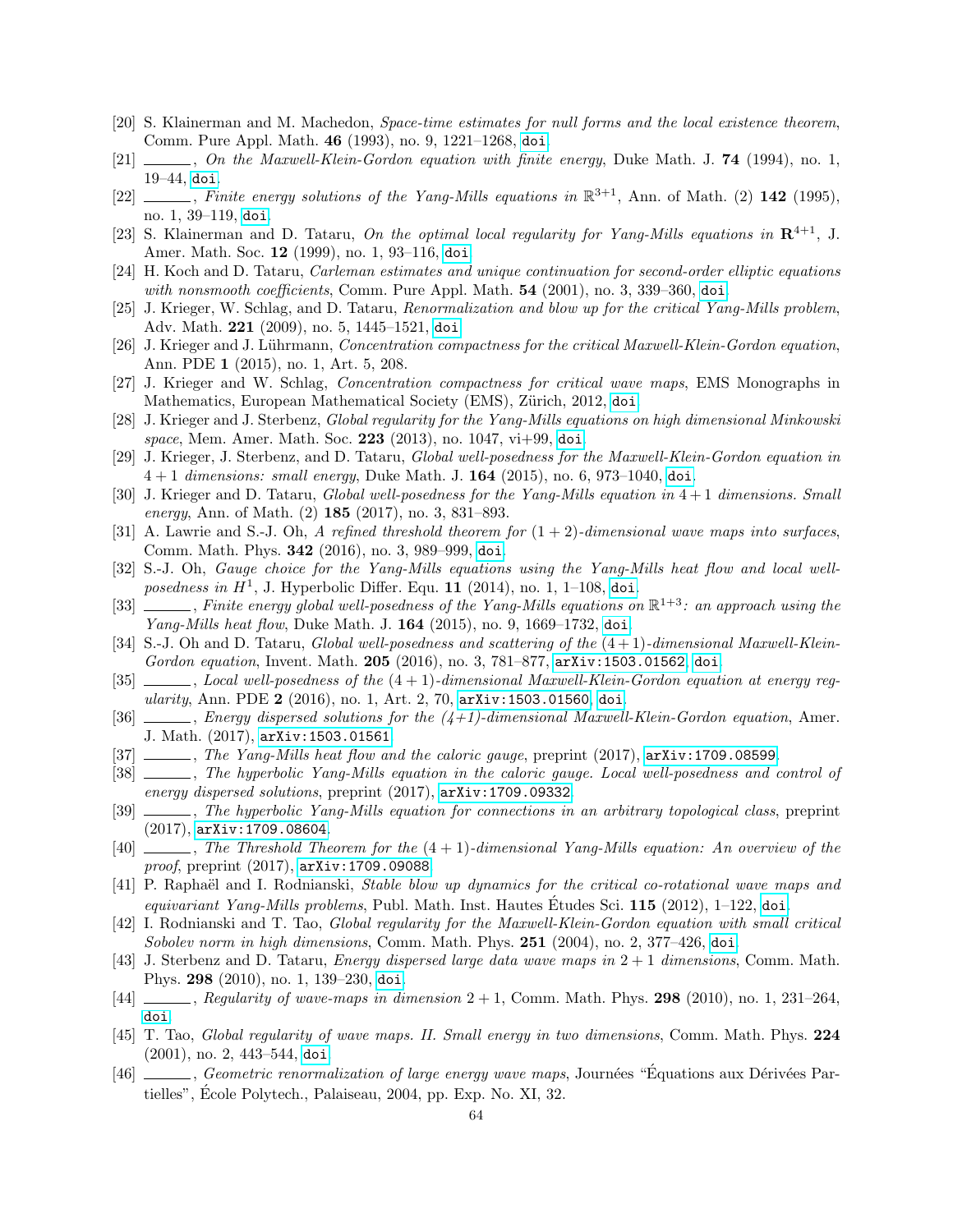- <span id="page-64-9"></span>[20] S. Klainerman and M. Machedon, Space-time estimates for null forms and the local existence theorem, Comm. Pure Appl. Math. 46 (1993), no. 9, 1221–1268, [doi](http://dx.doi.org/10.1002/cpa.3160460902).
- <span id="page-64-19"></span> $[21]$  , On the Maxwell-Klein-Gordon equation with finite energy, Duke Math. J. 74 (1994), no. 1, 19–44, [doi](http://dx.doi.org/10.1215/S0012-7094-94-07402-4).
- <span id="page-64-20"></span>[22]  $\ldots$ , Finite energy solutions of the Yang-Mills equations in  $\mathbb{R}^{3+1}$ , Ann. of Math. (2) 142 (1995), no. 1, 39–119, [doi](http://dx.doi.org/10.2307/2118611).
- <span id="page-64-21"></span>[23] S. Klainerman and D. Tataru, On the optimal local regularity for Yang-Mills equations in  $\mathbb{R}^{4+1}$ , J. Amer. Math. Soc. 12 (1999), no. 1, 93–116, [doi](http://dx.doi.org/10.1090/S0894-0347-99-00282-9).
- <span id="page-64-26"></span>[24] H. Koch and D. Tataru, Carleman estimates and unique continuation for second-order elliptic equations with nonsmooth coefficients, Comm. Pure Appl. Math. **54** (2001), no. 3, 339–360, [doi](http://dx.doi.org/10.1002/1097-0312(200103)54:3<339::AID-CPA3>3.0.CO;2-D).
- <span id="page-64-7"></span>[25] J. Krieger, W. Schlag, and D. Tataru, Renormalization and blow up for the critical Yang-Mills problem, Adv. Math. 221 (2009), no. 5, 1445–1521, [doi](http://dx.doi.org/10.1016/j.aim.2009.02.017).
- <span id="page-64-25"></span>[26] J. Krieger and J. Lührmann, Concentration compactness for the critical Maxwell-Klein-Gordon equation, Ann. PDE 1 (2015), no. 1, Art. 5, 208.
- <span id="page-64-13"></span>[27] J. Krieger and W. Schlag, Concentration compactness for critical wave maps, EMS Monographs in Mathematics, European Mathematical Society (EMS), Zürich, 2012, [doi](http://dx.doi.org/10.4171/106).
- <span id="page-64-12"></span>[28] J. Krieger and J. Sterbenz, Global regularity for the Yang-Mills equations on high dimensional Minkowski space, Mem. Amer. Math. Soc. 223 (2013), no. 1047,  $vi+99$ , [doi](http://dx.doi.org/10.1090/S0065-9266-2012-00566-1).
- <span id="page-64-5"></span>[29] J. Krieger, J. Sterbenz, and D. Tataru, Global well-posedness for the Maxwell-Klein-Gordon equation in  $4+1$  dimensions: small energy, Duke Math. J. **164** (2015), no. 6, 973–1040, [doi](http://dx.doi.org/10.1215/00127094-2885982).
- <span id="page-64-4"></span>[30] J. Krieger and D. Tataru, Global well-posedness for the Yang-Mills equation in 4 + 1 dimensions. Small energy, Ann. of Math. (2) 185 (2017), no. 3, 831–893.
- <span id="page-64-22"></span>[31] A. Lawrie and S.-J. Oh, A refined threshold theorem for  $(1 + 2)$ -dimensional wave maps into surfaces, Comm. Math. Phys. 342 (2016), no. 3, 989–999, [doi](http://dx.doi.org/10.1007/s00220-015-2513-7).
- <span id="page-64-14"></span>[32] S.-J. Oh, Gauge choice for the Yang-Mills equations using the Yang-Mills heat flow and local wellposedness in  $H^1$ , J. Hyperbolic Differ. Equ. 11 (2014), no. 1, 1-108, [doi](http://dx.doi.org/10.1142/S0219891614500015).
- <span id="page-64-15"></span>[33]  $\frac{1}{\sqrt{1-\frac{1}{n}}}\$ , Finite energy global well-posedness of the Yang-Mills equations on  $\mathbb{R}^{1+3}$ : an approach using the Yang-Mills heat flow, Duke Math. J. 164 (2015), no. 9, 1669-1732, [doi](http://dx.doi.org/10.1215/00127094-3119953).
- <span id="page-64-24"></span>[34] S.-J. Oh and D. Tataru, Global well-posedness and scattering of the (4 + 1)-dimensional Maxwell-KleinGordon equation, Invent. Math. 205 (2016), no. 3, 781–877, [arXiv:1503.01562](http://arxiv.org/abs/1503.01562), [doi](http://dx.doi.org/10.1007/s00222-016-0646-8).
- <span id="page-64-23"></span> $[35]$  , Local well-posedness of the  $(4 + 1)$ -dimensional Maxwell-Klein-Gordon equation at energy regularity, Ann. PDE 2 (2016), no. 1, Art. 2, 70, [arXiv:1503.01560](http://arxiv.org/abs/1503.01560), [doi](http://dx.doi.org/10.1007/s40818-016-0006-4).
- <span id="page-64-6"></span>[36] , Energy dispersed solutions for the  $(4+1)$ -dimensional Maxwell-Klein-Gordon equation, Amer. J. Math. (2017), [arXiv:1503.01561](http://arxiv.org/abs/1503.01561).
- <span id="page-64-0"></span>[37] , The Yang-Mills heat flow and the caloric gauge, preprint (2017), arXiv: 1709.08599.
- <span id="page-64-1"></span>[38] , The hyperbolic Yang-Mills equation in the caloric gauge. Local well-posedness and control of energy dispersed solutions, preprint (2017), [arXiv:1709.09332](http://arxiv.org/abs/1709.09332).
- <span id="page-64-2"></span>[39] , The hyperbolic Yang-Mills equation for connections in an arbitrary topological class, preprint (2017), [arXiv:1709.08604](http://arxiv.org/abs/1709.08604).
- <span id="page-64-3"></span> $[40]$  , The Threshold Theorem for the  $(4 + 1)$ -dimensional Yang-Mills equation: An overview of the proof, preprint (2017), [arXiv:1709.09088](http://arxiv.org/abs/1709.09088).
- <span id="page-64-8"></span>[41] P. Raphaël and I. Rodnianski, *Stable blow up dynamics for the critical co-rotational wave maps and* equivariant Yang-Mills problems, Publ. Math. Inst. Hautes Etudes Sci.  $115$  (2012), 1–122, [doi](http://dx.doi.org/10.1007/s10240-011-0037-z).
- <span id="page-64-11"></span>[42] I. Rodnianski and T. Tao, Global regularity for the Maxwell-Klein-Gordon equation with small critical Sobolev norm in high dimensions, Comm. Math. Phys.  $251$  (2004), no. 2, 377–426, [doi](http://dx.doi.org/10.1007/s00220-004-1152-1).
- <span id="page-64-17"></span>[43] J. Sterbenz and D. Tataru, *Energy dispersed large data wave maps in*  $2+1$  *dimensions*, Comm. Math. Phys. 298 (2010), no. 1, 139–230, [doi](http://dx.doi.org/10.1007/s00220-010-1061-4).
- <span id="page-64-18"></span> $[44]$  , Regularity of wave-maps in dimension  $2 + 1$ , Comm. Math. Phys. 298 (2010), no. 1, 231–264 [doi](http://dx.doi.org/10.1007/s00220-010-1062-3).
- <span id="page-64-10"></span>[45] T. Tao, Global regularity of wave maps. II. Small energy in two dimensions, Comm. Math. Phys. 224 (2001), no. 2, 443–544, [doi](http://dx.doi.org/10.1007/PL00005588).
- <span id="page-64-16"></span>[46] , Geometric renormalization of large energy wave maps, Journées "Équations aux Dérivées Partielles", Ecole Polytech., Palaiseau, 2004, pp. Exp. No. XI, 32. ´